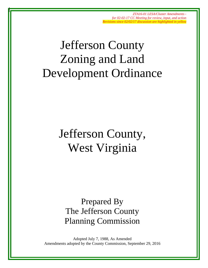# Jefferson County Zoning and Land Development Ordinance

# Jefferson County, West Virginia

Prepared By The Jefferson County Planning Commission

Adopted July 7, 1988, As Amended Amendments adopted by the County Commission, September 29, 2016

1 of 142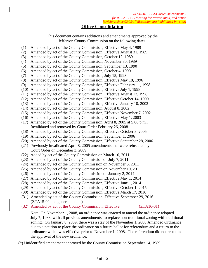## **Office Consolidation**

This document contains additions and amendments approved by the Jefferson County Commission on the following dates.

- (1) Amended by act of the County Commission, Effective May 4, 1989
- (2) Amended by act of the County Commission, Effective August 31, 1989
- (3) Amended by act of the County Commission, October 12, 1989
- (4) Amended by act of the County Commission, November 30, 1989
- (5) Amended by act of the County Commission, September 13, 1990
- (6) Amended by act of the County Commission, October 4, 1990
- (7) Amended by act of the County Commission, July 15, 1993
- (8) Amended by act of the County Commission, Effective May 18, 1996
- (9) Amended by act of the County Commission, Effective February 11, 1998
- (10) Amended by act of the County Commission, Effective July 1, 1998
- (11) Amended by act of the County Commission, Effective August 13, 1998
- (12) Amended by act of the County Commission, Effective October 14, 1999
- (13) Amended by act of the County Commission, Effective January 10, 2002
- (14) Amended by act of the County Commission, August 8, 2002
- (15) Amended by act of the County Commission, Effective November 7, 2002
- (16) Amended by act of the County Commission, Effective May 1, 2003
- (17) Amended by act of the County Commission, April 8, 2005 at 5:00 p.m., Invalidated and removed by Court Order February 26, 2008
- (18) Amended by act of the County Commission, Effective October 3, 2005
- (19) Amended by act of the County Commission, September 1, 2006
- (20) Amended by act of the County Commission, Effective September 28, 2006
- (21) Previously invalidated April 8, 2005 amendments that were reinstated by Court Order on December 3, 2009
- (22) Added by act of the County Commission on March 10, 2011
- (23) Amended by act of the County Commission on July 7, 2011
- (24) Amended by act of the County Commission on November 3, 2011
- (25) Amended by act of the County Commission on November 10, 2011
- (26) Amended by act of the County Commission on January 2, 2014
- (27) Amended by act of the County Commission, Effective May 1, 2014
- (28) Amended by act of the County Commission, Effective June 1, 2014
- (29) Amended by act of the County Commission, Effective October 1, 2015
- (30) Amended by act of the County Commission, Effective March 17, 2016
- (31) Amended by act of the County Commission, Effective September 29, 2016 (ZTA15-02 and general update)
- (32) Amended by act of the County Commission, Effective \_\_\_\_\_\_\_\_\_(ZTA16-01)

Note: On November 1, 2008, an ordinance was enacted to amend the ordinance adopted July 7, 1988, with all previous amendments, to replace non-traditional zoning with traditional zoning. On January 8, 2009, there was a stay of the November 1, 2008 Amended Ordinance due to a petition to place the ordinance on a future ballot for referendum and a return to the ordinance which was effective prior to November 1, 2008. The referendum did not result in the approval of the new ordinance.

(\*) Unidentified amendment approved by the County Commission September 14, 1989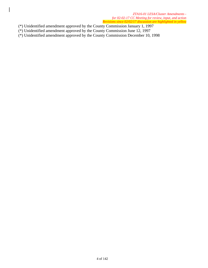- (\*) Unidentified amendment approved by the County Commission January 1, 1997
- (\*) Unidentified amendment approved by the County Commission June 12, 1997
- (\*) Unidentified amendment approved by the County Commission December 10, 1998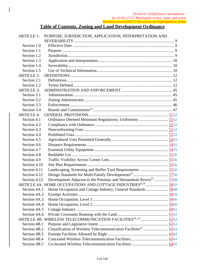# **Table of Contents, Zoning and Land Development Ordinance**

| <b>ARTICLE 1:</b> | PURPOSE, JURISDICTION, APPLICATION, INTERPRETATION AND                       |  |
|-------------------|------------------------------------------------------------------------------|--|
|                   |                                                                              |  |
| Section 1.0       |                                                                              |  |
| Section 1.1       |                                                                              |  |
| Section 1.2       |                                                                              |  |
| Section 1.3       |                                                                              |  |
| Section 1.4       |                                                                              |  |
| Section 1.5       |                                                                              |  |
| <b>ARTICLE 2:</b> |                                                                              |  |
| Section 2.1       |                                                                              |  |
| Section 2.2       |                                                                              |  |
| <b>ARTICLE 3:</b> |                                                                              |  |
| Section 3.1       |                                                                              |  |
| Section 3.2       |                                                                              |  |
| Section 3.3       |                                                                              |  |
| Section 3.4       |                                                                              |  |
| <b>ARTICLE 4:</b> |                                                                              |  |
| Section 4.1       |                                                                              |  |
| Section 4.2       |                                                                              |  |
| Section 4.3       |                                                                              |  |
| Section 4.4       |                                                                              |  |
| Section 4.5       |                                                                              |  |
| Section 4.6       |                                                                              |  |
| Section 4.7       |                                                                              |  |
| Section 4.8       |                                                                              |  |
| Section 4.9       |                                                                              |  |
| Section 4.10      |                                                                              |  |
| Section 4.11      |                                                                              |  |
| Section 4.12      |                                                                              |  |
| Section 4.13      | Development Adjacent to the Potomac and Shenandoah Rivers <sup>23</sup> 5758 |  |
|                   |                                                                              |  |
| Section 4A.1      |                                                                              |  |
| Section 4A.2      |                                                                              |  |
| Section 4A.3      |                                                                              |  |
| Section 4A.4      |                                                                              |  |
| Section 4A.5      |                                                                              |  |
| Section 4A.6      |                                                                              |  |
|                   |                                                                              |  |
| Section 4B.1      |                                                                              |  |
| Section 4B.2      |                                                                              |  |
| Section 4B.3      |                                                                              |  |
| Section 4B.4      |                                                                              |  |
| Section 4B.5      |                                                                              |  |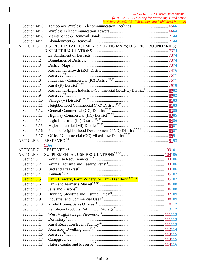| Section 4B.6       |                                                                            |  |
|--------------------|----------------------------------------------------------------------------|--|
| Section 4B.7       |                                                                            |  |
| Section 4B.8       |                                                                            |  |
| Section 4B.9       |                                                                            |  |
| <b>ARTICLE 5:</b>  | DISTRICT ESTABLISHMENT; ZONING MAPS; DISTRICT BOUNDARIES;                  |  |
|                    |                                                                            |  |
| Section 5.1        |                                                                            |  |
| Section 5.2        |                                                                            |  |
| Section 5.3        |                                                                            |  |
| Section 5.4        |                                                                            |  |
| Section 5.5        |                                                                            |  |
| Section 5.6        |                                                                            |  |
| Section 5.7        |                                                                            |  |
| Section 5.8        |                                                                            |  |
| Section 5.9        |                                                                            |  |
| Section 5.10       |                                                                            |  |
| Section 5.11       |                                                                            |  |
| Section 5.12       |                                                                            |  |
| Section 5.13       |                                                                            |  |
| Section 5.14       |                                                                            |  |
| Section 5.15       |                                                                            |  |
| Section 5.16       |                                                                            |  |
| Section 5.17       |                                                                            |  |
| <b>ARTICLE 6:</b>  |                                                                            |  |
|                    | 9395                                                                       |  |
| <b>ARTICLE 7:</b>  |                                                                            |  |
| <b>ARTICLE 8:</b>  |                                                                            |  |
| Section 8.1        |                                                                            |  |
| Section 8.2        |                                                                            |  |
| Section 8.3        |                                                                            |  |
| Section 8.4        | Kennels <sup>23, 32</sup>                                                  |  |
| <b>Section 8.5</b> | Farm Brewery, Farm Winery, or Farm Distillery <sup>23, 26, 32</sup> 105407 |  |
| Section 8.6        |                                                                            |  |
| Section 8.7        |                                                                            |  |
| Section 8.8        |                                                                            |  |
| Section 8.9        |                                                                            |  |
| Section 8.10       |                                                                            |  |
| Section 8.11       |                                                                            |  |
| Section 8.12       |                                                                            |  |
| Section 8.13       |                                                                            |  |
| Section 8.14       |                                                                            |  |
| Section 8.15       |                                                                            |  |
| Section 8.16       |                                                                            |  |
| Section 8.17       |                                                                            |  |
| Section 8.18       |                                                                            |  |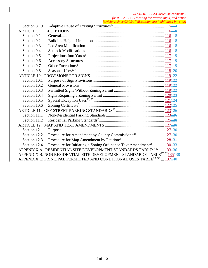| Section 8.19                                                                                      | $\alpha$ and $\beta$ and $\alpha$ and $\alpha$ are assumed to the internet in year.          |  |  |
|---------------------------------------------------------------------------------------------------|----------------------------------------------------------------------------------------------|--|--|
| <b>ARTICLE 9:</b>                                                                                 |                                                                                              |  |  |
| Section 9.1                                                                                       |                                                                                              |  |  |
| Section 9.2                                                                                       |                                                                                              |  |  |
| Section 9.3                                                                                       |                                                                                              |  |  |
| Section 9.4                                                                                       |                                                                                              |  |  |
| Section 9.5                                                                                       |                                                                                              |  |  |
| Section 9.6                                                                                       |                                                                                              |  |  |
| Section 9.7                                                                                       |                                                                                              |  |  |
| Section 9.8                                                                                       |                                                                                              |  |  |
|                                                                                                   |                                                                                              |  |  |
| Section 10.1                                                                                      |                                                                                              |  |  |
| Section 10.2                                                                                      |                                                                                              |  |  |
| Section 10.3                                                                                      |                                                                                              |  |  |
| Section 10.4                                                                                      |                                                                                              |  |  |
| Section 10.5                                                                                      |                                                                                              |  |  |
| Section 10.6                                                                                      |                                                                                              |  |  |
|                                                                                                   |                                                                                              |  |  |
| Section 11.1                                                                                      |                                                                                              |  |  |
| Section 11.2                                                                                      |                                                                                              |  |  |
|                                                                                                   |                                                                                              |  |  |
| Section 12.1                                                                                      |                                                                                              |  |  |
| Section 12.2                                                                                      |                                                                                              |  |  |
| Section 12.3                                                                                      |                                                                                              |  |  |
| Section 12.4                                                                                      | Procedure for Initiating a Zoning Ordinance Text Amendment <sup>25</sup> 130133              |  |  |
|                                                                                                   | APPENDIX A: RESIDENTIAL SITE DEVELOPMENT STANDARDS TABLE <sup>27,32</sup> 133 <del>136</del> |  |  |
| APPENDIX B: NON RESIDENTIAL SITE DEVELOPMENT STANDARDS TABLE <sup>27, 32</sup> 135 <del>138</del> |                                                                                              |  |  |
|                                                                                                   | APPENDIX C: PRINCIPAL PERMITTED AND CONDITIONAL USES TABLE <sup>23, 32</sup> 137440          |  |  |

 $\overline{\phantom{a}}$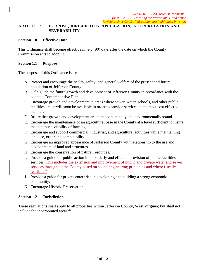#### **ARTICLE 1: PURPOSE, JURISDICTION, APPLICATION, INTERPRETATION AND SEVERABILITY**

#### **Section 1.0 Effective Date**

This Ordinance shall become effective ninety (90) days after the date on which the County Commission acts to adopt it.

#### **Section 1.1 Purpose**

The purpose of this Ordinance is to:

- A. Protect and encourage the health, safety, and general welfare of the present and future population of Jefferson County.
- B. Help guide the future growth and development of Jefferson County in accordance with the adopted Comprehensive Plan.
- C. Encourage growth and development in areas where sewer, water, schools, and other public facilities are or will soon be available in order to provide services in the most cost effective manner.
- D. Insure that growth and development are both economically and environmentally sound.
- E. Encourage the maintenance of an agricultural base in the County at a level sufficient to insure the continued viability of farming.
- F. Encourage and support commercial, industrial, and agricultural activities while maintaining land use, order and compatibility.
- G. Encourage an improved appearance of Jefferson County with relationship to the use and development of land and structures.
- H. Encourage the conservation of natural resources.
- I. Provide a guide for public action in the orderly and efficient provision of public facilities and services. This includes the extension and improvement of public and private water and sewer services throughout the County based on sound engineering principles and where fiscally feasible. $32$
- J. Provide a guide for private enterprise in developing and building a strong economic community.
- K. Encourage Historic Preservation.

#### **Section 1.2 Jurisdiction**

These regulations shall apply to all properties within Jefferson County, West Virginia; but shall not include the incorporated areas.23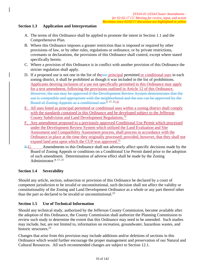### **Section 1.3 Application and Interpretation**

- A. The terms of this Ordinance shall be applied to promote the intent in Section 1.1 and the Comprehensive Plan.
- B. Where this Ordinance imposes a greater restriction than is imposed or required by other provisions of law, or by other rules, regulations or ordinance, or by private restrictions, covenants or declarations, the provisions of this Ordinance shall control, except where stated specifically herein.
- C. Where a provision of this Ordinance is in conflict with another provision of this Ordinance the stricter regulation shall apply.
- D. If a proposed use is not one in the list of theose principal permitted or conditional uses in each zoning district, it shall be prohibited as though it was included in the list of prohibitions. Applicants desiring inclusion of a use not specifically permitted in this Ordinance may apply for a text amendment, following the provisions outlined in Article 12 of this Ordinance. However, the use may be approved if the Development Review System demonstrates that the use is compatible and appropriate with the neighborhood and the use can be approved by the Board of Zoning Appeals as a conditional use.<sup>2, 17, 21, 32</sup>
- E. All uses listed as principal permitted or conditional uses within a zoning district shall comply with the standards contained in this Ordinance and be developed subject to the Jefferson County Subdivision and Land Development Regulations.32
- F. Any amendment proposed to a previously approved Conditional Use Permit which processed under the Development Review System which utilized the Land Evaluation and Site Assessment and Compatibility Assessment process, shall process in accordance with the Ordinance in place at the time they originally processed; provided, however, that they shall not expand land area upon which the CUP was approved.<sup>32</sup>
- E.G. Amendments to this Ordinance shall not adversely affect specific decisions made by the Board of Zoning Appeals or conditions on a Conditional Use Permit dated prior to the adoption of such amendment. Determination of adverse effect shall be made by the Zoning Administrator.<sup>8, 17, 21</sup>

#### **Section 1.4 Severability**

Should any article, section, subsection or provision of this Ordinance be declared by a court of competent jurisdiction to be invalid or unconstitutional, such decision shall not affect the validity or constitutionality of the Zoning and Land Development Ordinance as a whole or any part thereof other than the part so declared to be invalid or unconstitutional.<sup>23</sup>

#### **Section 1.5 Use of Technical Information**

Should any technical study, authorized by the Jefferson County Commission, become available after the adoption of this Ordinance, the County Commission shall authorize the Planning Commission to review such study to determine the extent that this Ordinance may need to be amended. Such studies may include, but, are not limited to, information on recreation, groundwater, hazardous wastes, and historic structures.<sup>23</sup>

Changes that arise from this provision may include additions and/or deletions of sections in this Ordinance which would further encourage the proper management and preservation of our Natural and Cultural Resources. All such recommended changes are subject to Section 12.1.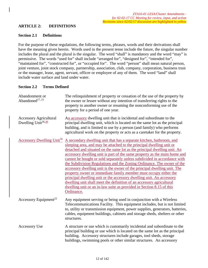#### **ARTICLE 2: DEFINITIONS**

#### **Section 2.1 Definitions**

For the purpose of these regulations, the following terms, phrases, words and their derivations shall have the meaning given herein. Words used in the present tense include the future, the singular number includes the plural and the plural is the singular. The word "shall" is mandatory and the word "may" is permissive. The words "used for" shall include "arranged for", "designed for", "intended for", "maintained for", "constructed for", or "occupied for". The word "person" shall mean natural person, joint venture, joint stock company, partnership, association, club, company, corporation, business trust or the manager, lease, agent, servant, officer or employee of any of them. The word "land" shall include water surface and land under water.

#### **Section 2.2 Terms Defined**

| Abandonment or<br>Abandoned <sup>17, 21</sup>                   | The relinquishment of property or cessation of the use of the property by<br>the owner or lessee without any intention of transferring rights to the<br>property to another owner or resuming the nonconforming use of the<br>property for a period of one year.                                                                                                                                                                                                                                                                                                                                                                                                                                                                                                                                                                                  |
|-----------------------------------------------------------------|---------------------------------------------------------------------------------------------------------------------------------------------------------------------------------------------------------------------------------------------------------------------------------------------------------------------------------------------------------------------------------------------------------------------------------------------------------------------------------------------------------------------------------------------------------------------------------------------------------------------------------------------------------------------------------------------------------------------------------------------------------------------------------------------------------------------------------------------------|
| <b>Accessory Agricultural</b><br>Dwelling Unit <sup>26,30</sup> | An accessory dwelling unit that is incidental and subordinate to the<br>principal dwelling unit, which is located on the same lot as the principal<br>building, and is limited to use by a person (and family) who performs<br>agricultural work on the property or acts as a caretaker for the property.                                                                                                                                                                                                                                                                                                                                                                                                                                                                                                                                         |
| Accessory Dwelling Unit <sup>30</sup>                           | A secondary dwelling unit that has a separate kitchen, bathroom, and<br>sleeping area, and may be attached to the principal dwelling unit or<br>detached and situated on the same lot as the principal dwelling unit. An<br>accessory dwelling unit is part of the same property as the main home and<br>cannot be bought or sold separately unless subdivided in accordance with<br>the Subdivision Regulations and the Zoning Ordinance. The owner of the<br>accessory dwelling unit is the owner of the principal dwelling unit. The<br>property owner or immediate family member must occupy either the<br>principal dwelling unit or the accessory dwelling unit. An accessory<br>dwelling unit shall meet the definition of an accessory agricultural<br>dwelling unit or an in-law suite as provided in Section 8.15 of this<br>Ordinance. |
| Accessory Equipment <sup>22</sup>                               | Any equipment serving or being used in conjunction with a Wireless<br>Telecommunications Facility. This equipment includes, but is not limited<br>to, utility or transmission equipment, power supplies, generators, batteries,<br>cables, equipment buildings, cabinets and storage sheds, shelters or other<br>structures.                                                                                                                                                                                                                                                                                                                                                                                                                                                                                                                      |
| <b>Accessory Use</b>                                            | A structure or use which is customarily incidental and subordinate to the<br>principal building or use which is located on the same lot as the principal<br>building. Accessory structures include garages, tool sheds, storage<br>buildings, swimming pools or other similar structures. An accessory                                                                                                                                                                                                                                                                                                                                                                                                                                                                                                                                            |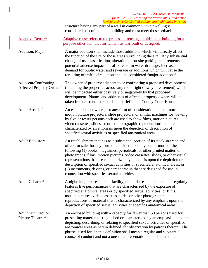#### *ZTA16-01 LESA/Cluster Amendments for 02-02-17 CC Meeting for review, input, and action Revisions since 02/02/17 discussion are highlighted in yellow*  structure having any part of a wall in common with a dwelling is considered part of the main building and must meet those setbacks. Adaptive Reuse<sup>30</sup> Adaptive reuse refers to the process of reusing an old site or building for a purpose other than that for which isit was built or designed. Addition, Major A major addition shall include those additions which will directly affect the function of the site or those areas surrounding the site. Any substantial change of use classification, alteration of on-site parking requirements, potential adverse impacts of off-site storm water drainage, increased demand for public water and sewerage or additions which will cause the rerouting of traffic circulation shall be considered "major additions". Adjacent/Confronting Affected Property Owner<sup>7</sup> The owner of property adjacent to or confronting a proposed development (including the properties across any road, right of way or easement) which will be impacted either positively or negatively by that proposed development. Names and addresses of affected property owners will be taken from current tax records in the Jefferson County Court House. Adult Arcade<sup>15</sup> An establishment where, for any form of consideration, one or more motion picture projectors, slide projectors, or similar machines for viewing by five or fewer persons each are used to show films, motion pictures, video cassettes, slides, or other photographic reproductions that are characterized by an emphasis upon the depiction or description of specified sexual activities or specified anatomical areas. Adult Bookstore<sup>15</sup> An establishment that has as a substantial portion of its stock-in-trade and offers for sale, for any form of consideration, any one or more of the following (1) books, magazines, periodicals, or other printed matter, or photographs, films, motion pictures, video cassettes, slides, or other visual representations that are characterized by emphasis upon the depiction or description of specified sexual activities or specified anatomical areas; or (2) instruments, devices, or paraphernalia that are designed for use in connection with specifies sexual activities. Adult Cabaret<sup>15</sup> A nightclub, bar, restaurant, facility, or similar establishment that regularly features live performances that are characterized by the exposure of specified anatomical areas or by specified sexual activities, or films, motion pictures, video cassettes, slides or other photographic reproductions of material that is characterized by any emphasis upon the depiction of specified sexual activities or specifies anatomical areas. Adult Mini Motion Picture Theatre<sup>15</sup> An enclosed building with a capacity for fewer than 50 persons used for presenting material distinguished or characterized by an emphasis on matter depicting, describing, or relating to specified sexual activities or specified anatomical areas as herein defined, for observation by patrons therein. The phrase "used for" in this definition shall mean a regular and substantial course of conduct and not a one-time presentation of such material.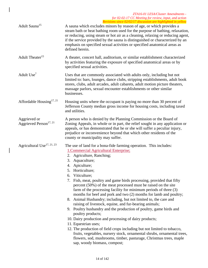| Adult Sauna <sup>15</sup>                          | A sauna which excludes minors by reason of age, or which provides a<br>steam bath or heat bathing room used for the purpose of bathing, relaxation,<br>or reducing, using steam or hot air as a cleaning, relaxing or reducing agent,<br>if the service provided by the sauna is distinguished or characterized by an<br>emphasis on specified sexual activities or specified anatomical areas as<br>defined herein.                                                                                                                                                                                                                                                                                                                                                                                                                                                                                                                                                                                                                                                                            |
|----------------------------------------------------|-------------------------------------------------------------------------------------------------------------------------------------------------------------------------------------------------------------------------------------------------------------------------------------------------------------------------------------------------------------------------------------------------------------------------------------------------------------------------------------------------------------------------------------------------------------------------------------------------------------------------------------------------------------------------------------------------------------------------------------------------------------------------------------------------------------------------------------------------------------------------------------------------------------------------------------------------------------------------------------------------------------------------------------------------------------------------------------------------|
| Adult Theater <sup>15</sup>                        | A theater, concert hall, auditorium, or similar establishment characterized<br>by activities featuring the exposure of specified anatomical areas or by<br>specified sexual activities.                                                                                                                                                                                                                                                                                                                                                                                                                                                                                                                                                                                                                                                                                                                                                                                                                                                                                                         |
| Adult Use <sup>7</sup>                             | Uses that are commonly associated with adults only, including but not<br>limited to: bars, lounges, dance clubs, stripping establishments, adult book<br>stores, clubs, adult arcades, adult cabarets, adult motion picture theaters,<br>massage parlors, sexual encounter establishments or other similar<br>businesses.                                                                                                                                                                                                                                                                                                                                                                                                                                                                                                                                                                                                                                                                                                                                                                       |
| Affordable Housing <sup>17, 21</sup>               | Housing units where the occupant is paying no more than 30 percent of<br>Jefferson County median gross income for housing costs, including taxed<br>and utilities.                                                                                                                                                                                                                                                                                                                                                                                                                                                                                                                                                                                                                                                                                                                                                                                                                                                                                                                              |
| Aggrieved or<br>Aggrieved Person <sup>17, 21</sup> | A person who is denied by the Planning Commission or the Board of<br>Zoning Appeals, in whole or in part, the relief sought in any application or<br>appeals, or has demonstrated that he or she will suffer a peculiar injury,<br>prejudice or inconvenience beyond that which other residents of the<br>county or municipality may suffer.                                                                                                                                                                                                                                                                                                                                                                                                                                                                                                                                                                                                                                                                                                                                                    |
| Agricultural Use <sup>17, 21, 23</sup>             | The use of land for a bona-fide farming operation. This includes:<br><b>1. Commercial Agricultural Enterprise:</b><br>Agriculture, Ranching;<br>2.<br>Aquaculture;<br>3.<br>Apiculture;<br>4.<br>5. Horticulture;<br>6. Viticulture;<br>7. Fish, meat, poultry and game birds processing, provided that fifty<br>percent (50%) of the meat processed must be raised on the site<br>farm of the processing facility for minimum periods of three (3)<br>months for beef and pork and two (2) months for lamb and poultry;<br>8. Animal Husbandry; including, but not limited to, the care and<br>raising of livestock, equine, and fur-bearing animals;<br>9. Poultry husbandry and the production of poultry, game birds and<br>poultry products;<br>10. Dairy production and processing of dairy products;<br>11. Equestrian uses;<br>12. The production of field crops including but not limited to tobacco,<br>fruits, vegetables, nursery stock, ornamental shrubs, ornamental trees,<br>flowers, sod, mushrooms, timber, pasturage, Christmas trees, maple<br>sap, woody biomass, compost; |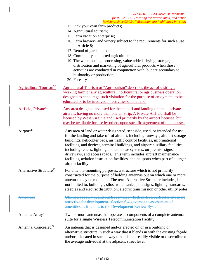- 13. Pick your own farm products;
- 14. Agricultural tourism;
- 15. Farm vacation enterprise;
- 16. Farm brewery and winery subject to the requirements for such a use in Article 8;
- 17. Rental of garden plots;
- 18. Community supported agriculture;
- 19. The warehousing; processing, value added, drying, storage, distribution and marketing of agricultural products when those activities are conducted in conjunction with, but are secondary to, husbandry or production;
- 20. Forestry

| Agricultural Tourism <sup>32</sup>  | Agricultural Tourism or "Agritourism" describes the act of visiting a<br>working farm or any agricultural, horticultural or agribusiness operation<br>designed to encourage such visitation for the purpose of enjoyment, to be<br>educated or to be involved in activities on the land.                                                                                                                                                                                                                                                                                           |
|-------------------------------------|------------------------------------------------------------------------------------------------------------------------------------------------------------------------------------------------------------------------------------------------------------------------------------------------------------------------------------------------------------------------------------------------------------------------------------------------------------------------------------------------------------------------------------------------------------------------------------|
| Airfield, Private <sup>32</sup>     | Any area designed and used for the takeoff and landing of small, private<br>aircraft, having no more than one air strip. A Private Airfield shall be<br>licensed by West Virginia and used primarily by the airport licensee, but<br>may be available for use by others upon specific agreement of the licensee.                                                                                                                                                                                                                                                                   |
| Airport <sup>27</sup>               | Any area of land or water designated, set aside, used, or intended for use,<br>for the landing and take-off of aircraft, including runways, aircraft storage<br>buildings, helicopter pads, air traffic control facilities, informational<br>facilities, and devices, terminal buildings, and airport auxiliary facilities,<br>including fences, lighting and antennae systems, on-premise signs,<br>driveways, and access roads. This term includes aircraft maintenance<br>facilities, aviation instruction facilities, and heliports when part of a larger<br>airport facility. |
| Alternative Structure <sup>22</sup> | For antenna-mounting purposes, a structure which is not primarily<br>constructed for the purpose of holding antennas but on which one or more<br>antennas may be mounted. The term Alternative Structure includes, but is<br>not limited to, buildings, silos, water tanks, pole signs, lighting standards,<br>steeples and electric distribution, electric transmission or other utility poles.                                                                                                                                                                                   |
| Amenities                           | Utilities, roadways, and public services which make a particular site more<br>attractive for development. Section 6.4 governs the assessment of<br>amenities as it relates to the Development Review System.                                                                                                                                                                                                                                                                                                                                                                       |
| Antenna Array <sup>22</sup>         | Two or more antennas that operate as components of a complete antenna<br>suite for a single Wireless Telecommunication Facility.                                                                                                                                                                                                                                                                                                                                                                                                                                                   |
| Antenna, Concealed <sup>22</sup>    | An antenna that is designed and/or erected on or in a building or<br>alternative structure in such a way that it blends in with the existing façade<br>and/or is located in such a way that it is not readily visible or discernible to<br>the average individual at the adjacent street level.                                                                                                                                                                                                                                                                                    |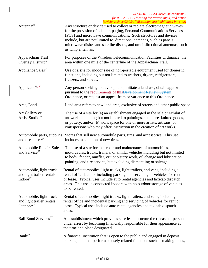| Antenna <sup>22</sup>                                                 | ne risions since 02/02/17 aiseassion are nightighted in year w<br>Any structure or device used to collect or radiate electromagnetic waves<br>for the provision of cellular, paging, Personal Communications Services<br>(PCS) and microwave communications. Such structures and devices<br>include, but are not limited to, directional antennas, such as panels,<br>microwave dishes and satellite dishes, and omni-directional antennas, such<br>as whip antennas. |
|-----------------------------------------------------------------------|-----------------------------------------------------------------------------------------------------------------------------------------------------------------------------------------------------------------------------------------------------------------------------------------------------------------------------------------------------------------------------------------------------------------------------------------------------------------------|
| Appalachian Trail<br>Overlay District <sup>22</sup>                   | For purposes of the Wireless Telecommunication Facilities Ordinance, the<br>area within one mile of the centerline of the Appalachian Trail.                                                                                                                                                                                                                                                                                                                          |
| Appliance Sales <sup>27</sup>                                         | Use of a site for indoor sale of non-portable equipment used for domestic<br>functions, including but not limited to washers, dryers, refrigerators,<br>freezers, and stoves.                                                                                                                                                                                                                                                                                         |
| Applicant <sup>23, 32</sup>                                           | Any person seeking to develop land, initiate a land use, obtain approval<br>pursuant to the requirements of this Development Review System<br>Ordinance, or request an appeal from or variance to this Ordinance.                                                                                                                                                                                                                                                     |
| Area, Land                                                            | Land area refers to new land area, exclusive of streets and other public space.                                                                                                                                                                                                                                                                                                                                                                                       |
| Art Gallery or<br>Artist Studio <sup>27</sup>                         | The use of a site for (a) an establishment engaged in the sale or exhibit of<br>art works including but not limited to paintings, sculpture, knitted goods,<br>or pottery; and/or (b) work space for one or more artists, artisans, or<br>craftspersons who may offer instruction in the creation of art works.                                                                                                                                                       |
| Automobile parts, supplies<br>and tire stores <sup>27</sup>           | Stores that sell new automobile parts, tires, and accessories. This use<br>includes installation of new tires.                                                                                                                                                                                                                                                                                                                                                        |
| Automobile Repair, Sales<br>and Service <sup>27</sup>                 | The use of a site for the repair and maintenance of automobiles,<br>motorcycles, trucks, trailers, or similar vehicles including but not limited<br>to body, fender, muffler, or upholstery work, oil change and lubrication,<br>painting, and tire service, but excluding dismantling or salvage.                                                                                                                                                                    |
| Automobile, light truck<br>and light trailer rentals,<br>Indoor $27$  | Rental of automobiles, light trucks, light trailers, and vans, including a<br>rental office but not including parking and servicing of vehicles for rent<br>or lease. Typical uses include auto rental agencies and taxicab dispatch<br>areas. This use is conducted indoors with no outdoor storage of vehicles<br>to be rented.                                                                                                                                     |
| Automobile, light truck<br>and light trailer rentals,<br>Outdoor $27$ | Rental of automobiles, light trucks, light trailers, and vans, including a<br>rental office and incidental parking and servicing of vehicles for rent or<br>lease. Typical uses include auto rental agencies and taxicab dispatch<br>areas.                                                                                                                                                                                                                           |
| Bail Bond Services <sup>27</sup>                                      | An establishment which provides sureties to procure the release of persons<br>under arrest by becoming financially responsible for their appearance at<br>the time and place designated.                                                                                                                                                                                                                                                                              |
| Bank <sup>27</sup>                                                    | A financial institution that is open to the public and engaged in deposit<br>banking, and that performs closely related functions such as making loans,                                                                                                                                                                                                                                                                                                               |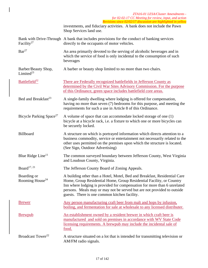|                                            | ZTA16-01 LESA/Cluster Amendments -<br>for 02-02-17 CC Meeting for review, input, and action<br>Revisions since 02/02/17 discussion are highlighted in yellow                                                                                                                                                                                              |
|--------------------------------------------|-----------------------------------------------------------------------------------------------------------------------------------------------------------------------------------------------------------------------------------------------------------------------------------------------------------------------------------------------------------|
|                                            | investments, and fiduciary activities. A bank does not include the Pawn<br>Shop Services land use.                                                                                                                                                                                                                                                        |
| Facility <sup>27</sup>                     | Bank with Drive-Through A bank that includes provisions for the conduct of banking services<br>directly to the occupants of motor vehicles.                                                                                                                                                                                                               |
| Bar <sup>27</sup>                          | An area primarily devoted to the serving of alcoholic beverages and in<br>which the service of food is only incidental to the consumption of such<br>beverages                                                                                                                                                                                            |
| Barber/Beauty Shop,<br>Limited $^{23}$     | A barber or beauty shop limited to no more than two chairs.                                                                                                                                                                                                                                                                                               |
| Battlefield <sup>32</sup>                  | There are Federally recognized battlefields in Jefferson County as<br>determined by the Civil War Sites Advisory Commission. For the purpose<br>of this Ordinance, green space includes battlefield core areas.                                                                                                                                           |
| Bed and Breakfast <sup>23</sup>            | A single-family dwelling where lodging is offered for compensation,<br>having no more than seven (7) bedrooms for this purpose, and meeting the<br>requirements for such a use in Article 8 of this Ordinance.                                                                                                                                            |
| Bicycle Parking Space <sup>27</sup>        | A volume of space that can accommodate locked storage of one (1)<br>bicycle at a bicycle rack, i.e. a fixture to which one or more bicycles can<br>be securely locked.                                                                                                                                                                                    |
| Billboard                                  | A structure on which is portrayed information which directs attention to a<br>business commodity, service or entertainment not necessarily related to the<br>other uses permitted on the premises upon which the structure is located.<br>(See Sign, Outdoor Advertising)                                                                                 |
| Blue Ridge Line <sup>11</sup>              | The common surveyed boundary between Jefferson County, West Virginia<br>and Loudoun County, Virginia.                                                                                                                                                                                                                                                     |
| Board $17, 21$                             | The Jefferson County Board of Zoning Appeals.                                                                                                                                                                                                                                                                                                             |
| Boarding or<br>Rooming House <sup>24</sup> | A building other than a Hotel, Motel, Bed and Breakfast, Residential Care<br>Home, Group Residential Home, Group Residential Facility, or Country<br>Inn where lodging is provided for compensation for more than 6 unrelated<br>persons. Meals may or may not be served but are not provided to outside<br>guests. There is one common kitchen facility. |
| <u>Brewer</u>                              | <u>Any person manufacturing craft beer from malt and hops by infusion,</u><br>boiling, and fermentation for sale at wholesale to any licensed distributer.                                                                                                                                                                                                |
| <b>Brewpub</b>                             | An establishment owned by a resident brewer in which craft beer is<br>manufactured and sold on premises in accordance with WV State Code<br>licensing requirements. A brewpub may include the incidental sale of<br>food.                                                                                                                                 |
| Broadcast Tower <sup>22</sup>              | A structure situated on a lot that is intended for transmitting television or<br>AM/FM radio signals.                                                                                                                                                                                                                                                     |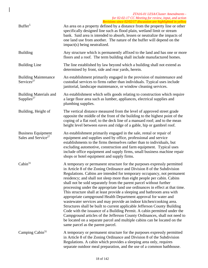#### *ZTA16-01 LESA/Cluster Amendments for 02-02-17 CC Meeting for review, input, and action Revisions since 02/02/17 discussion are highlighted in yellow*  Buffer<sup>5</sup> An area on a property defined by a distance from the property line or other specifically designed line such as flood plain, wetland limit or stream bank. Said area is intended to absorb, lessen or neutralize the impacts of one land use from another. The nature of the buffer will depend on the impact(s) being neutralized. Building Any structure which is permanently affixed to the land and has one or more floors and a roof. The term building shall include manufactured homes. Building Line The line established by law beyond which a building shall not extend as determined by front, side and rear yards, herein. Building Maintenance  $S$ ervices<sup>27</sup> An establishment primarily engaged in the provision of maintenance and custodial services to firms rather than individuals. Typical uses include janitorial, landscape maintenance, or window cleaning services. Building Materials and Supplies<sup>27</sup> An establishment which sells goods relating to construction which require a large floor area such as lumber, appliances, electrical supplies and plumbing supplies. Building, Height of The vertical distance measured from the level of approved street grade opposite the middle of the front of the building to the highest point of the coping of a flat roof; to the deck line of a mansard roof; and to the mean height level between eaves and ridge of a gable, hip or gambrel roof. Business Equipment Sales and Service<sup>27</sup> An establishment primarily engaged in the sale, rental or repair of equipment and supplies used by office, professional and service establishments to the firms themselves rather than to individuals, but excluding automotive, construction and farm equipment. Typical uses include office equipment and supply firms, small business machine repair shops or hotel equipment and supply firms.  $Cabin<sup>31</sup>$  A temporary or permanent structure for the purposes expressly permitted in Article 8 of the Zoning Ordinance and Division 8 of the Subdivision Regulations. Cabins are intended for temporary occupancy, not permanent residency; and shall not sleep more than eight people per cabin. Cabins shall not be sold separately from the parent parcel without further processing under the appropriate land use ordinances in effect at that time. This structure shall at least provide a sleeping and bathroom area with appropriate campground Health Department approval for water and wastewater services and may provide an indoor kitchen/cooking area. Structures shall be built to current applicable Jefferson County Building Code with the issuance of a Building Permit. A cabin permitted under the Campground articles of the Jefferson County Ordinances, shall not need to be located on a separate parcel and multiple cabins can be located on the same parcel as the parent parcel. Camping  $Cabin<sup>31</sup>$  A temporary or permanent structure for the purposes expressly permitted in Article 8 of the Zoning Ordinance and Division 8 of the Subdivision Regulations. A cabin which provides a sleeping area only, requires separate outdoor meal preparation, and the use of a common bathhouse.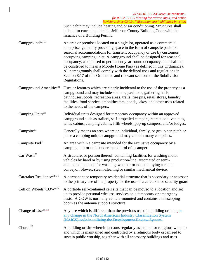|                                       | ZTA16-01 LESA/Cluster Amendments -<br>for 02-02-17 CC Meeting for review, input, and action                                                                                                                                                                                                                                                                                                                                                                                                                                                                                                                             |
|---------------------------------------|-------------------------------------------------------------------------------------------------------------------------------------------------------------------------------------------------------------------------------------------------------------------------------------------------------------------------------------------------------------------------------------------------------------------------------------------------------------------------------------------------------------------------------------------------------------------------------------------------------------------------|
|                                       | Revisions since 02/02/17 discussion are highlighted in yellow<br>Such cabin may include heating and/or air conditioning. Structures shall<br>be built to current applicable Jefferson County Building Code with the<br>issuance of a Building Permit.                                                                                                                                                                                                                                                                                                                                                                   |
| Campground <sup>27, 31</sup>          | An area or premises located on a single lot, operated as a commercial<br>enterprise, generally providing space in the form of campsite pads for<br>seasonal accommodations for transient occupancy or use by customers<br>occupying camping units. A campground shall be designed for seasonal<br>occupancy, as opposed to permanent year-round occupancy, and shall not<br>be construed to mean a Mobile Home Park (as defined in this Ordinance).<br>All campgrounds shall comply with the defined uses and regulations in<br>Section 8.17 of this Ordinance and relevant sections of the Subdivision<br>Regulations. |
| Campground Amenities <sup>31</sup>    | Uses or features which are clearly incidental to the use of the property as a<br>campground and may include shelters, pavilions, gathering halls,<br>bathhouses, pools, recreation areas, trails, fire pits, retail stores, laundry<br>facilities, food service, amphitheaters, ponds, lakes, and other uses related<br>to the needs of the campers.                                                                                                                                                                                                                                                                    |
| Camping Units <sup>31</sup>           | Individual units designed for temporary occupancy within an approved<br>campground such as trailers, self-propelled campers, recreational vehicles,<br>tents, cabins, camping cabins, fifth wheels, pop-up campers, and/or lodges.                                                                                                                                                                                                                                                                                                                                                                                      |
| Campsite $31$                         | Generally means an area where an individual, family, or group can pitch or<br>place a camping unit; a campground may contain many campsites.                                                                                                                                                                                                                                                                                                                                                                                                                                                                            |
| Campsite Pad <sup>31</sup>            | An area within a campsite intended for the exclusive occupancy by a<br>camping unit or units under the control of a camper.                                                                                                                                                                                                                                                                                                                                                                                                                                                                                             |
| Car Wash <sup>27</sup>                | A structure, or portion thereof, containing facilities for washing motor<br>vehicles by hand or by using production-line, automated or semi-<br>automated methods for washing, whether or not employing a chain<br>conveyor, blower, steam-cleaning or similar mechanical device.                                                                                                                                                                                                                                                                                                                                       |
| Caretaker Residence <sup>23, 31</sup> | A permanent or temporary residential structure that is secondary or accessor<br>to the primary use of the property for the use of a caretaker or security guard                                                                                                                                                                                                                                                                                                                                                                                                                                                         |
| Cell on Wheels"COW"22                 | A portable self-contained cell site that can be moved to a location and set<br>up to provide personal wireless services on a temporary or emergency<br>basis. A COW is normally vehicle-mounted and contains a telescoping<br>boom as the antenna support structure.                                                                                                                                                                                                                                                                                                                                                    |
| Change of $Use^{23,32}$               | Any use which is different than the previous use of a building or land $\frac{1}{x}$<br>any change in the North American Industry Classification System<br>(NAICS) code in utilizing the Development Review System.                                                                                                                                                                                                                                                                                                                                                                                                     |
| Church <sup>23</sup>                  | A building or site wherein persons regularly assemble for religious worship<br>and which is maintained and controlled by a religious body organized to<br>sustain public worship, together with all accessory buildings and uses                                                                                                                                                                                                                                                                                                                                                                                        |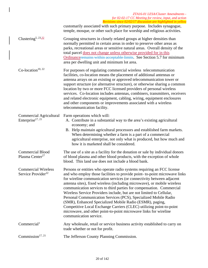|                                                                | ZTA16-01 LESA/Cluster Amendments -<br>for 02-02-17 CC Meeting for review, input, and action<br>Revisions since 02/02/17 discussion are highlighted in yellow                                                                                                                                                                                                                                                                                                                                                                                                                                                                                                                                                                                                  |
|----------------------------------------------------------------|---------------------------------------------------------------------------------------------------------------------------------------------------------------------------------------------------------------------------------------------------------------------------------------------------------------------------------------------------------------------------------------------------------------------------------------------------------------------------------------------------------------------------------------------------------------------------------------------------------------------------------------------------------------------------------------------------------------------------------------------------------------|
|                                                                | customarily associated with such primary purpose. Includes synagogue,<br>temple, mosque, or other such place for worship and religious activities.                                                                                                                                                                                                                                                                                                                                                                                                                                                                                                                                                                                                            |
| Clustering <sup>5, 23,32</sup>                                 | Grouping structures in closely related groups at higher densities than<br>normally permitted in certain areas in order to preserve other areas as<br>parks, recreational areas or sensitive natural areas. Overall density of the<br>total parcel does not change unless otherwise provided for in this<br>Ordinanceremains within acceptable limits. See Section 5.7 for minimum<br>area per dwelling unit and minimum lot area.                                                                                                                                                                                                                                                                                                                             |
| Co-location <sup>10, 22</sup>                                  | For purposes of regulating commercial wireless telecommunication<br>facilities, co-location means the placement of additional antennas or<br>antenna arrays on an existing or approved telecommunication tower or<br>support structure (or alternative structure), or otherwise sharing a common<br>location by two or more FCC licensed providers of personal wireless<br>services. Co-location includes antennas, combiners, transmitters, receivers<br>and related electronic equipment, cabling, wiring, equipment enclosures<br>and other components or improvements associated with a wireless<br>telecommunication facility.                                                                                                                           |
| <b>Commercial Agricultural</b><br>Enterprise <sup>17, 21</sup> | Farm operations which will:<br>A. Contribute in a substantial way to the area's existing agricultural<br>economy; and<br>B. Help maintain agricultural processors and established farm markets.<br>When determining whether a farm is a part of a commercial<br>agricultural enterprise, not only what is produced, but how much and<br>how it is marketed shall be considered.                                                                                                                                                                                                                                                                                                                                                                               |
| <b>Commercial Blood</b><br>Plasma Center <sup>27</sup>         | The use of a site as a facility for the donation or sale by individual donors<br>of blood plasma and other blood products, with the exception of whole<br>blood. This land use does not include a blood bank.                                                                                                                                                                                                                                                                                                                                                                                                                                                                                                                                                 |
| <b>Commercial Wireless</b><br>Service Provider <sup>22</sup>   | Persons or entities who operate radio systems requiring an FCC license<br>and who employ those facilities to provide point- to-point microwave links<br>for wireline communication services (or connectivity between adjacent<br>antenna sites), fixed wireless (including microwave), or mobile wireless<br>communication services to third parties for compensation. Commercial<br>Wireless Service Providers include, but are not limited to Cellular,<br>Personal Communication Services (PCS), Specialized Mobile Radio<br>(SMR), Enhanced Specialized Mobile Radio (ESMR), paging,<br>Competitive Local Exchange Carriers (CLEC) utilizing point-to-point<br>microwave, and other point-to-point microwave links for wireline<br>communication service. |
| Commercial <sup>1</sup>                                        | Any wholesale, retail or service business activity established to carry on<br>trade whether or not for profit.                                                                                                                                                                                                                                                                                                                                                                                                                                                                                                                                                                                                                                                |
| Commission <sup>17, 21</sup>                                   | The Jefferson County Planning Commission.                                                                                                                                                                                                                                                                                                                                                                                                                                                                                                                                                                                                                                                                                                                     |

 $\overline{\phantom{a}}$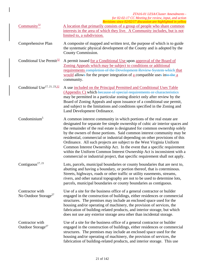|                                                     | ZTA16-01 LESA/Cluster Amendments -<br>for 02-02-17 CC Meeting for review, input, and action<br>Revisions since 02/02/17 discussion are highlighted in yellow                                                                                                                                                                                                                                                                                                                                                                                                                                                                                                                                                |
|-----------------------------------------------------|-------------------------------------------------------------------------------------------------------------------------------------------------------------------------------------------------------------------------------------------------------------------------------------------------------------------------------------------------------------------------------------------------------------------------------------------------------------------------------------------------------------------------------------------------------------------------------------------------------------------------------------------------------------------------------------------------------------|
| Community <sup>32</sup>                             | A location that primarily consists of a group of people who share common<br>interests in the area of which they live. A Community includes, but is not<br>limited to, a subdivision.                                                                                                                                                                                                                                                                                                                                                                                                                                                                                                                        |
| Comprehensive Plan                                  | A composite of mapped and written text, the purpose of which is to guide<br>the systematic physical development of the County and is adopted by the<br>County Commission.                                                                                                                                                                                                                                                                                                                                                                                                                                                                                                                                   |
| Conditional Use Permit <sup>32</sup>                | A permit issued for a Conditional Use upon approval of the Board of<br>Zoning Appeals which may be subject to conditions or additional<br>requirements completion of the Development Review System which that<br>would allows for the proper integration of a compatible uses into the a<br>community.                                                                                                                                                                                                                                                                                                                                                                                                      |
| Conditional Use <sup>17, 21, 23, 32</sup>           | A use included on the Principal Permitted and Conditional Uses Table<br>(Appendix C) which because of special requirements or characteristics<br>may be permitted in a particular zoning district only after review by the<br>Board of Zoning Appeals and upon issuance of a conditional use permit,<br>and subject to the limitations and conditions specified in the Zoning and<br>Land Development Ordinance.                                                                                                                                                                                                                                                                                            |
| Condominium <sup>5</sup>                            | A common interest community in which portions of the real estate are<br>designated for separate fee simple ownership of cubic air interior spaces and<br>the remainder of the real estate is designated for common ownership solely<br>by the owners of those portions. Said common interest community may be<br>residential, commercial or industrial depending on other provisions of this<br>Ordinance. All such projects are subject to the West Virginia Uniform<br>Common Interest Ownership Act. In the event that a specific requirement<br>within the Uniform Common Interest Ownership Act is inconsistent with a<br>commercial or industrial project, that specific requirement shall not apply. |
| Contiguous <sup>17, 21</sup>                        | Lots, parcels, municipal boundaries or county boundaries that are next to,<br>abutting and having a boundary, or portion thereof, that is coterminous.<br>Streets, highways, roads or other traffic or utility easements, streams,<br>rivers, and other natural topography are not to be used to determine lots,<br>parcels, municipal boundaries or county boundaries as contiguous.                                                                                                                                                                                                                                                                                                                       |
| Contractor with<br>No Outdoor Storage <sup>27</sup> | Use of a site for the business office of a general contractor or builder<br>engaged in the construction of buildings, either residences or commercial<br>structures. The premises may include an enclosed space used for the<br>housing and/or operating of machinery, the provision of services, the<br>fabrication of building-related products, and interior storage, but which<br>does not use any exterior storage area other than incidental storage.                                                                                                                                                                                                                                                 |
| Contractor with<br>Outdoor Storage <sup>27</sup>    | Use of a site for the business office of a general contractor or builder<br>engaged in the construction of buildings, either residences or commercial<br>structures. The premises may include an enclosed space used for the<br>housing and/or operating of machinery, the provision of services, the<br>fabrication of building-related products, and interior storage. This use                                                                                                                                                                                                                                                                                                                           |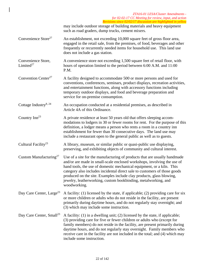|                                      | ZTA16-01 LESA/Cluster Amendments -<br>for 02-02-17 CC Meeting for review, input, and action<br>Revisions since 02/02/17 discussion are highlighted in yellow                                                                                                                                                                                                                                                                                                         |
|--------------------------------------|----------------------------------------------------------------------------------------------------------------------------------------------------------------------------------------------------------------------------------------------------------------------------------------------------------------------------------------------------------------------------------------------------------------------------------------------------------------------|
|                                      | may include outdoor storage of building materials and heavy equipment<br>such as road graders, dump trucks, cement mixers.                                                                                                                                                                                                                                                                                                                                           |
| Convenience Store <sup>27</sup>      | An establishment, not exceeding 10,000 square feet of gross floor area,<br>engaged in the retail sale, from the premises, of food, beverages and other<br>frequently or recurrently needed items for household use. This land use<br>does not include a gas station.                                                                                                                                                                                                 |
| Convenience Store,<br>Limited $27$   | A convenience store not exceeding 1,500 square feet of retail floor, with<br>hours of operation limited to the period between 6:00 A.M. and 11:00<br>P.M.                                                                                                                                                                                                                                                                                                            |
| Convention Center <sup>27</sup>      | A facility designed to accommodate 500 or more persons and used for<br>conventions, conferences, seminars, product displays, recreation activities,<br>and entertainment functions, along with accessory functions including<br>temporary outdoor displays, and food and beverage preparation and<br>service for on-premise consumption.                                                                                                                             |
| Cottage Industry <sup>8, 24</sup>    | An occupation conducted at a residential premises, as described in<br>Article 4A of this Ordinance.                                                                                                                                                                                                                                                                                                                                                                  |
| Country Inn <sup>23</sup>            | A private residence at least 50 years old that offers sleeping accom-<br>modations to lodgers in 30 or fewer rooms for rent. For the purpose of this<br>definition, a lodger means a person who rents a room in a country inn<br>establishment for fewer than 30 consecutive days. The land use may<br>include a restaurant open to the general public as well as to guests.                                                                                         |
| Cultural Facility <sup>23</sup>      | A library, museum, or similar public or quasi-public use displaying,<br>preserving, and exhibiting objects of community and cultural interest.                                                                                                                                                                                                                                                                                                                       |
| Custom Manufacturing <sup>27</sup>   | Use of a site for the manufacturing of products that are usually handmade<br>and/or are made in small-scale enclosed workshops, involving the use of<br>hand tools, the use of domestic mechanical equipment, or a kiln. This<br>category also includes incidental direct sale to customers of those goods<br>produced on the site. Examples include clay products, glass blowing,<br>jewelry, leatherworking, custom bookbinding, metalworking, and<br>woodworking. |
| Day Care Center, Large <sup>23</sup> | A facility: (1) licensed by the state, if applicable; (2) providing care for six<br>or more children or adults who do not reside in the facility, are present<br>primarily during daytime hours, and do not regularly stay overnight; and<br>(3) which may include some instruction.                                                                                                                                                                                 |
| Day Care Center, Small <sup>23</sup> | A facility: $(1)$ in a dwelling unit; $(2)$ licensed by the state, if applicable;<br>(3) providing care for five or fewer children or adults who (except for<br>family members) do not reside in the facility, are present primarily during<br>daytime hours, and do not regularly stay overnight. Family members who<br>receive care in the facility are not included in the total; and (4) which may<br>include some instruction.                                  |

 $\overline{\phantom{a}}$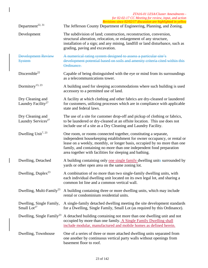|                                                     | ZTA16-01 LESA/Cluster Amendments -<br>for 02-02-17 CC Meeting for review, input, and action<br>Revisions since 02/02/17 discussion are highlighted in yellow                                                                                                                                                                                                |
|-----------------------------------------------------|-------------------------------------------------------------------------------------------------------------------------------------------------------------------------------------------------------------------------------------------------------------------------------------------------------------------------------------------------------------|
| Department <sup>22, 31</sup>                        | The Jefferson County Department of Engineering, Planning, and Zoning.                                                                                                                                                                                                                                                                                       |
| Development                                         | The subdivision of land; construction, reconstruction, conversion,<br>structural alteration, relocation, or enlargement of any structure,<br>installation of a sign; and any mining, landfill or land disturbance, such as<br>grading, paving and excavation.                                                                                               |
| <b>Development Review</b><br><b>System</b>          | A numerical rating system designed to assess a particular site's<br>development potential based on soils and amenity criteria cited within this<br>Ordinance.                                                                                                                                                                                               |
| Discernible <sup>22</sup>                           | Capable of being distinguished with the eye or mind from its surroundings<br>as a telecommunications tower.                                                                                                                                                                                                                                                 |
| Dormitory <sup>13, 23</sup>                         | A building used for sleeping accommodations where such building is used<br>accessory to a permitted use of land.                                                                                                                                                                                                                                            |
| Dry Cleaning and<br>Laundry Facility <sup>27</sup>  | A facility at which clothing and other fabrics are dry-cleaned or laundered<br>for customers, utilizing processes which are in compliance with applicable<br>state and federal laws.                                                                                                                                                                        |
| Dry Cleaning and<br>Laundry Services <sup>27</sup>  | The use of a site for customer drop-off and pickup of clothing or fabrics,<br>to be laundered or dry-cleaned at an offsite location. This use does not<br>include use of a site as a Dry Cleaning and Laundry Facility.                                                                                                                                     |
| Dwelling Unit <sup>7, 23</sup>                      | One room, or rooms connected together, constituting a separate,<br>independent housekeeping establishment for owner occupancy, or rental or<br>lease on a weekly, monthly, or longer basis, occupied by no more than one<br>family, and containing no more than one independent food preparation<br>area together with facilities for sleeping and bathing. |
| Dwelling, Detached                                  | A building containing only one single family dwelling units surrounded by<br>yards or other open area on the same zoning lot.                                                                                                                                                                                                                               |
| Dwelling, Duplex <sup>23</sup>                      | A combination of no more than two single-family dwelling units, with<br>each individual dwelling unit located on its own legal lot, and sharing a<br>common lot line and a common vertical wall.                                                                                                                                                            |
| Dwelling, Multi-Family <sup>23</sup>                | A building containing three or more dwelling units, which may include<br>rental or condominium residential units.                                                                                                                                                                                                                                           |
| Dwelling, Single Family,<br>Small Lot <sup>27</sup> | A single-family detached dwelling meeting the site development standards<br>for a Dwelling, Single Family, Small Lot (as required by this Ordinance).                                                                                                                                                                                                       |
| Dwelling, Single Family <sup>23</sup>               | A detached building containing not more than one dwelling unit and not<br>occupied by more than one family. A Single Family Dwelling shall<br>include modular, manufactured and mobile homes as defined herein.                                                                                                                                             |
| Dwelling, Townhouse                                 | One of a series of three or more attached dwelling units separated from<br>one another by continuous vertical party walls without openings from<br>basement floor to roof.                                                                                                                                                                                  |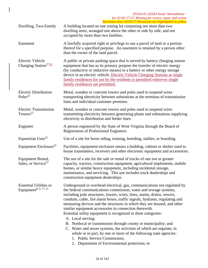| Dwelling, Two-Family                                               | $\alpha$ resions since 02/02/17 alsenssion are infinition in year in<br>A building located on one zoning lot containing not more than two<br>dwelling units, arranged one above the other or side by side, and not<br>occupied by more than two families.                                                                                                                                                                                                                                                                                                                                                                                                                                                                                                                                                                              |
|--------------------------------------------------------------------|----------------------------------------------------------------------------------------------------------------------------------------------------------------------------------------------------------------------------------------------------------------------------------------------------------------------------------------------------------------------------------------------------------------------------------------------------------------------------------------------------------------------------------------------------------------------------------------------------------------------------------------------------------------------------------------------------------------------------------------------------------------------------------------------------------------------------------------|
| Easement                                                           | A lawfully acquired right or privilege to use a parcel of land or a portion<br>thereof for a specified purpose. An easement is retained by a person other<br>than the owner of the land parcel.                                                                                                                                                                                                                                                                                                                                                                                                                                                                                                                                                                                                                                        |
| <b>Electric Vehicle</b><br>Charging Station <sup>27,32</sup>       | A public or private parking space that is served by battery charging station<br>equipment that has as its primary purpose the transfer of electric energy<br>(by conductive or inductive means) to a battery or other energy storage<br>device in an electric vehicle. Electric Vehicle Charging Stations at single<br>family residences for use by the residents is permitted wherever single<br>family residences are permitted.                                                                                                                                                                                                                                                                                                                                                                                                     |
| <b>Electric Distribution</b><br>Poles <sup>22</sup>                | Metal, wooden or concrete towers and poles used to suspend wires<br>transporting electricity between substations at the terminus of transmission<br>lines and individual customer premises.                                                                                                                                                                                                                                                                                                                                                                                                                                                                                                                                                                                                                                            |
| <b>Electric Transmission</b><br>Towers <sup>22</sup>               | Metal, wooden or concrete towers and poles used to suspend wires<br>transmitting electricity between generating plants and substations supplying<br>electricity to distribution and feeder lines.                                                                                                                                                                                                                                                                                                                                                                                                                                                                                                                                                                                                                                      |
| Engineer                                                           | A person registered by the State of West Virginia through the Board of<br>Registration of Professional Engineers.                                                                                                                                                                                                                                                                                                                                                                                                                                                                                                                                                                                                                                                                                                                      |
| Equestrian Uses <sup>23</sup>                                      | Use of a site for horse riding, training, breeding, stables, or boarding.                                                                                                                                                                                                                                                                                                                                                                                                                                                                                                                                                                                                                                                                                                                                                              |
| Equipment Enclosure <sup>22</sup>                                  | Facilities, equipment enclosure means a building, cabinet or shelter used to<br>house transmitters, receivers and other electronic equipment and accessories.                                                                                                                                                                                                                                                                                                                                                                                                                                                                                                                                                                                                                                                                          |
| Equipment Rental,<br>Sales, or Service <sup>27</sup>               | The use of a site for the sale or rental of trucks of one ton or greater<br>capacity, tractors, construction equipment, agricultural implements, mobile<br>homes, or similar heavy equipment, including incidental storage,<br>maintenance, and servicing. This use includes truck dealerships and<br>construction equipment dealerships.                                                                                                                                                                                                                                                                                                                                                                                                                                                                                              |
| <b>Essential Utilities or</b><br>Equipment <sup>8, 9, 17, 21</sup> | Underground or overhead electrical, gas, communications not regulated by<br>the federal communications commission, water and sewage systems,<br>including pole structures, towers, wires, lines, mains, drains, sewers,<br>conduits, cable, fire alarm boxes, traffic signals, hydrants, regulating and<br>measuring devices and the structures in which they are housed, and other<br>similar equipment accessories in connection therewith.<br>Essential utility equipment is recognized in three categories:<br>A. Local serving;<br>B. Nonlocal or transmission through county or municipality; and<br>C. Water and sewer systems, the activities of which are regulate, in<br>whole or in part, by one or more of the following state agencies:<br>1. Public Service Commission;<br>2. Department of Environmental protection; or |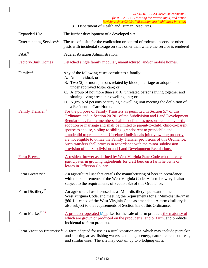|                                                       | ZTA16-01 LESA/Cluster Amendments -<br>for 02-02-17 CC Meeting for review, input, and action<br>Revisions since 02/02/17 discussion are highlighted in yellow                                                                                                                                                                                                                                                                                                                                                                                                                                                                                                                                                                                                                                                         |
|-------------------------------------------------------|----------------------------------------------------------------------------------------------------------------------------------------------------------------------------------------------------------------------------------------------------------------------------------------------------------------------------------------------------------------------------------------------------------------------------------------------------------------------------------------------------------------------------------------------------------------------------------------------------------------------------------------------------------------------------------------------------------------------------------------------------------------------------------------------------------------------|
|                                                       | 3. Department of Health and Human Resources.                                                                                                                                                                                                                                                                                                                                                                                                                                                                                                                                                                                                                                                                                                                                                                         |
| <b>Expanded Use</b>                                   | The further development of a developed site.                                                                                                                                                                                                                                                                                                                                                                                                                                                                                                                                                                                                                                                                                                                                                                         |
| Exterminating Services <sup>27</sup>                  | The use of a site for the eradication or control of rodents, insects, or other<br>pests with incidental storage on sites other than where the service is rendered                                                                                                                                                                                                                                                                                                                                                                                                                                                                                                                                                                                                                                                    |
| $FAA^{22}$                                            | Federal Aviation Administration.                                                                                                                                                                                                                                                                                                                                                                                                                                                                                                                                                                                                                                                                                                                                                                                     |
| <b>Factory-Built Homes</b>                            | Detached single family modular, manufactured, and/or mobile homes.                                                                                                                                                                                                                                                                                                                                                                                                                                                                                                                                                                                                                                                                                                                                                   |
| Family <sup>23</sup><br>Family Transfer <sup>32</sup> | Any of the following cases constitutes a family:<br>A. An individual; or<br>B. Two (2) or more persons related by blood, marriage or adoption, or<br>under approved foster care; or<br>C. A group of not more than six (6) unrelated persons living together and<br>sharing living areas in a dwelling unit; or<br>D. A group of persons occupying a dwelling unit meeting the definition of<br>a Residential Care Home.<br>For the purpose of Family Transfers as permitted in Section 5.7 of this<br>Ordinance and in Section 20.201 of the Subdivision and Land Development<br>Regulations, family members shall be defined as persons related by birth,<br>adoption or marriage and shall be limited to parent-to-child, child-to-parent,<br>spouse to spouse, sibling to sibling, grandparent to grandchild and |
| <b>Farm Brewer</b>                                    | grandchild to grandparent. Unrelated individuals jointly owning property<br>are not eligible to utilize the Family Transfer provisions of this Ordinance.<br>Such transfers shall process in accordance with the minor subdivision<br>provision of the Subdivision and Land Development Regulations.<br>A resident brewer as defined by West Virginia State Code who actively<br>participates in growing ingredients for craft beer on a farm he owns or<br>leases in Jefferson County.                                                                                                                                                                                                                                                                                                                              |
| Farm Brewery <sup>26</sup>                            | An agricultural use that entails the manufacturing of beer in accordance<br>with the requirements of the West Virginia Code. A farm brewery is also<br>subject to the requirements of Section 8.5 of this Ordinance.                                                                                                                                                                                                                                                                                                                                                                                                                                                                                                                                                                                                 |
| Farm Distillery <sup>26</sup>                         | An agricultural use licensed as a "Mini-distillery" pursuant to the<br>West Virginia Code, and meeting the requirements for a "Mini-distillery" in<br>§60-1-1 et seq of the West Virginia Code as amended. A farm distillery is<br>also subject to the requirements of Section 8.5 of this Ordinance.                                                                                                                                                                                                                                                                                                                                                                                                                                                                                                                |
| Farm Market <sup>23,32</sup>                          | A producer-operated Mmarket for the sale of farm products the majority of<br>which are grown or produced on the producer's land or farm, and products<br>incidental to farm products.                                                                                                                                                                                                                                                                                                                                                                                                                                                                                                                                                                                                                                |
| Farm Vacation Enterprise <sup>23</sup>                | A farm adapted for use as a rural vacation area, which may include picnicking<br>and sporting areas, fishing waters, camping, scenery, nature recreation areas,<br>and similar uses. The site may contain up to 5 lodging units.                                                                                                                                                                                                                                                                                                                                                                                                                                                                                                                                                                                     |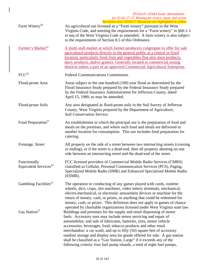### *ZTA16-01 LESA/Cluster Amendments for 02-02-17 CC Meeting for review, input, and action Revisions since 02/02/17 discussion are highlighted in yellow*  Farm Winery<sup>26</sup> An agricultural use licensed as a "Farm winery" pursuant to the West Virginia Code, and meeting the requirements for a "Farm winery" in §60-1-1 et seq of the West Virginia Code as amended. A farm winery is also subject to the requirements of Section 8.5 of this Ordinance. Farmer's Market<sup>32</sup> A multi-stall market at which farmer-producers congregate to offer for sale agricultural products directly to the general public at a central or fixed location, particularly fresh fruit and vegetables (but also meat products, dairy products, and/or grains). Generally located in commercial zoning districts unless a part of an approved Commercial Agricultural Enterprise. FCC<sup>22</sup> Federal Communications Commission. Flood-prone Area Areas subject to the one hundred (100) year flood as determined by the Flood Insurance Study prepared by the Federal Insurance Study prepared by the Federal Insurance Administration for Jefferson County, dated April 15, 1980, as may be amended. Flood-prone Soils Any area designated as flood-prone soils in the Soil Survey of Jefferson County, West Virginia prepared by the Department of Agriculture, Soil Conservation Service. Food Preparation<sup>27</sup> An establishment in which the principal use is the preparation of food and meals on the premises, and where such food and meals are delivered to another location for consumption. This use includes food preparation for catering. Frontage, Street All property on the side of a street between two intersecting streets (crossing or ending), or if the street is a dead-end, then all property abutting on one side between an intersecting street and the dead-end of the street. Functionally Equivalent Services $^{22}$ FCC licensed providers of Commercial Mobile Radio Services (CMRS) classified as Cellular, Personal Communication Services (PCS), Paging, Specialized Mobile Radio (SMR) and Enhanced Specialized Mobile Radio (ESMR). Gambling Facilities<sup>27</sup> The operation or conducting of any games played with cards, roulette wheels, dice, craps, slot machines, video lottery terminals, mechanical, electro-mechanical, or electronic amusement devices or machine for the return of money, cash, or prizes, or anything that could be redeemed for money, cash, or prizes. This definition does not apply to games of chance operated by charitable organizations licensed under West Virginia state law. Gas Station<sup>27</sup> Buildings and premises for the supply and retail dispensing of motor fuels. Accessory uses may include minor servicing and repair of automobiles; and sale of lubricants, batteries, tires, motor vehicle accessories, beverages, food, tobacco products and other retail merchandise; a car wash; and up to fifty (50) square feet of accessory outdoor storage and display area for goods offered for sale. A gas station shall be classified as a "Gas Station, Large" if it exceeds any of the following criteria: four fuel pump islands, a total of eight fuel pumps,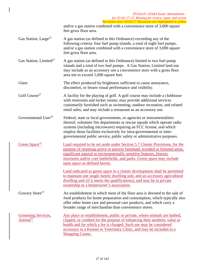|                                                   | ZTA16-01 LESA/Cluster Amendments -<br>for 02-02-17 CC Meeting for review, input, and action<br>Revisions since 02/02/17 discussion are highlighted in yellow                                                                                                                                                                                                             |
|---------------------------------------------------|--------------------------------------------------------------------------------------------------------------------------------------------------------------------------------------------------------------------------------------------------------------------------------------------------------------------------------------------------------------------------|
|                                                   | and/or a gas station combined with a convenience store of 3,000 square<br>feet gross floor area.                                                                                                                                                                                                                                                                         |
| Gas Station, Large <sup>27</sup>                  | A gas station (as defined in this Ordinance) exceeding any of the<br>following criteria: four fuel pump islands, a total of eight fuel pumps,<br>and/or a gas station combined with a convenience store of 3,000 square<br>feet gross floor area.                                                                                                                        |
| Gas Station, Limited <sup>27</sup>                | A gas station (as defined in this Ordinance) limited to two fuel pump<br>islands and a total of two fuel pumps. A Gas Station, Limited land use<br>may include as an accessory use a convenience store with a gross floor<br>area not to exceed 1,000 square feet.                                                                                                       |
| Glare                                             | The effect produced by brightness sufficient to cause annoyance,<br>discomfort, or lessen visual performance and visibility.                                                                                                                                                                                                                                             |
| Golf Course <sup>27</sup>                         | A facility for the playing of golf. A golf course may include a clubhouse<br>with restrooms and locker rooms; may provide additional services<br>customarily furnished such as swimming, outdoor recreation, and related<br>retail sales; and may include a restaurant as an accessory use.                                                                              |
| Governmental User <sup>22</sup>                   | Federal, state or local governments, or agencies or instrumentalities<br>thereof, volunteer fire departments or rescue squads which operate radio<br>systems (including microwave) requiring an FCC license, and which<br>employ those facilities exclusively for intra-governmental or inter-<br>governmental public service, public safety or administrative purposes. |
| Green Space <sup>32</sup>                         | Land required to be set aside under Section 5.7 Cluster Provisions, for the<br>purpose of retaining active or passive farmland, wooded or forested areas,<br>significant natural or environmentally sensitive features, historic<br>structures and/or core battlefields, and parks. Green space may include<br>open space as defined herein.                             |
|                                                   | Land indicated as green space in a cluster development shall be permitted<br>to maintain one single family dwelling unit, and an accessory agricultural<br>dwelling unit (if it meets the qualifications), and may be in private<br>ownership or a homeowner's association.                                                                                              |
| Grocery Store <sup>27</sup>                       | An establishment in which most of the floor area is devoted to the sale of<br>food products for home preparation and consumption, which typically also<br>offer other home care and personal care products, and which carry a<br>broader range of merchandise than convenience stores.                                                                                   |
| <b>Grooming Services,</b><br>Animal <sup>32</sup> | Any place or establishment, public or private, where animals are bathed,<br>clipped, or combed for the purpose of enhancing their aesthetic value or<br>health and for which a fee is charged. Such use may be considered<br>accessory to a Kennel or Veterinary Clinic, and may be included in a<br><b>Shopping Center.</b>                                             |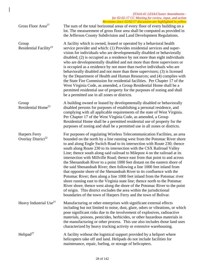|                                                 | ZTA16-01 LESA/Cluster Amendments -<br>for 02-02-17 CC Meeting for review, input, and action<br>Revisions since 02/02/17 discussion are highlighted in yellow                                                                                                                                                                                                                                                                                                                                                                                                                                                                                                                                                                                                                                                                                                                                                                                                                                                                                                                                    |
|-------------------------------------------------|-------------------------------------------------------------------------------------------------------------------------------------------------------------------------------------------------------------------------------------------------------------------------------------------------------------------------------------------------------------------------------------------------------------------------------------------------------------------------------------------------------------------------------------------------------------------------------------------------------------------------------------------------------------------------------------------------------------------------------------------------------------------------------------------------------------------------------------------------------------------------------------------------------------------------------------------------------------------------------------------------------------------------------------------------------------------------------------------------|
| Gross Floor Area <sup>27</sup>                  | The sum of the total horizontal areas of every floor of every building on a<br>lot. The measurement of gross floor area shall be computed as provided in<br>the Jefferson County Subdivision and Land Development Regulations.                                                                                                                                                                                                                                                                                                                                                                                                                                                                                                                                                                                                                                                                                                                                                                                                                                                                  |
| Group<br>Residential Facility <sup>23</sup>     | A facility which is owned, leased or operated by a behavioral health<br>service provider and which: (1) Provides residential services and super-<br>vision for individuals who are developmentally disabled or behaviorally<br>disabled; (2) is occupied as a residence by not more than eight individuals<br>who are developmentally disabled and not more than three supervisors or<br>is occupied as a residence by not more than twelve individuals who are<br>behaviorally disabled and not more than three supervisors; (3) is licensed<br>by the Department of Health and Human Resources; and (4) complies with<br>the State Fire Commission for residential facilities. Per Chapter 17 of the<br>West Virginia Code, as amended, a Group Residential Home shall be a<br>permitted residential use of property for the purposes of zoning and shall<br>be a permitted use in all zones or districts.                                                                                                                                                                                    |
| Group<br>Residential Home <sup>23</sup>         | A building owned or leased by developmentally disabled or behaviorally<br>disabled persons for purposes of establishing a personal residence, and<br>complying with all applicable requirements of the state of West Virginia.<br>Per Chapter 17 of the West Virginia Code, as amended, a Group<br>Residential Home shall be a permitted residential use of property for the<br>purposes of zoning and shall be a permitted use in all zones or districts.                                                                                                                                                                                                                                                                                                                                                                                                                                                                                                                                                                                                                                      |
| Harpers Ferry<br>Overlay District <sup>22</sup> | For purposes of regulating Wireless Telecommunication Facilities, an area<br>bounded on the north by a line running west from the Potomac River shore<br>to and along Engle Switch Road to its intersection with Route 230; thence<br>south along Route 230 to its intersection with the CSX Railroad Valley<br>Line; thence south along said railroad to Milepost 4 on the railroad at its<br>intersection with Millville Road; thence east from that point to and across<br>the Shenandoah River to a point 1000 feet distant on the eastern shore of<br>the said Shenandoah River; then following a line 1000 feet inland from<br>that opposite shore of the Shenandoah River to its confluence with the<br>Potomac River; then along a line 1000 feet inland from the Potomac river<br>shore running east to the Virginia state line; thence north to the Potomac<br>River shore; thence west along the shore of the Potomac River to the point<br>of origin. This district excludes the area within the jurisdictional<br>boundaries of the town of Harpers Ferry and the town of Bolivar. |
| Heavy Industrial Use <sup>27</sup>              | Manufacturing or other enterprises with significant external effects<br>including but not limited to noise, dust, glare, odors or vibrations, or which<br>pose significant risks due to the involvement of explosives, radioactive<br>materials, poisons, pesticides, herbicides, or other hazardous materials in<br>the manufacturing or other process. This use also includes those land uses<br>characterized by heavy trucking activity or extensive warehousing.                                                                                                                                                                                                                                                                                                                                                                                                                                                                                                                                                                                                                           |
| Helipad <sup>27</sup>                           | A facility without the logistical support provided by a heliport where<br>helicopters take off and land. Helipads do not include facilities for<br>maintenance, repair, fueling, or storage of helicopters.                                                                                                                                                                                                                                                                                                                                                                                                                                                                                                                                                                                                                                                                                                                                                                                                                                                                                     |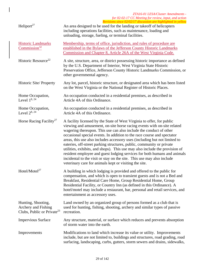| Heliport <sup>27</sup>                                                              | An area designed to be used for the landing or takeoff of helicopters<br>including operations facilities, such as maintenance, loading and<br>unloading, storage, fueling, or terminal facilities.                                                                                                                                                                                                                                                                                                                                                                                                                                                                                                                                                       |
|-------------------------------------------------------------------------------------|----------------------------------------------------------------------------------------------------------------------------------------------------------------------------------------------------------------------------------------------------------------------------------------------------------------------------------------------------------------------------------------------------------------------------------------------------------------------------------------------------------------------------------------------------------------------------------------------------------------------------------------------------------------------------------------------------------------------------------------------------------|
| <b>Historic Landmarks</b><br>Commission <sup>32</sup>                               | Membership, terms of office, jurisdiction, and rules of procedure are<br>established in the Bylaws of the Jefferson County Historic Landmarks<br>Commission and Chapter 8, Article 26A of the West Virginia Code.                                                                                                                                                                                                                                                                                                                                                                                                                                                                                                                                        |
| Historic Resource <sup>22</sup>                                                     | A site, structure, area, or district possessing historic importance as defined<br>by the U.S. Department of Interior, West Virginia State Historic<br>Preservation Office, Jefferson County Historic Landmarks Commission, or<br>other governmental agency.                                                                                                                                                                                                                                                                                                                                                                                                                                                                                              |
| Historic Site/Property                                                              | Any lot, parcel, historic structure, or designated area which has been listed<br>on the West Virginia or the National Register of Historic Places.                                                                                                                                                                                                                                                                                                                                                                                                                                                                                                                                                                                                       |
| Home Occupation,<br>Level $1^{8, 24}$                                               | An occupation conducted in a residential premises, as described in<br>Article 4A of this Ordinance.                                                                                                                                                                                                                                                                                                                                                                                                                                                                                                                                                                                                                                                      |
| Home Occupation,<br>Level $2^{8, 24}$                                               | An occupation conducted in a residential premises, as described in<br>Article 4A of this Ordinance.                                                                                                                                                                                                                                                                                                                                                                                                                                                                                                                                                                                                                                                      |
| Horse Racing Facility <sup>27</sup>                                                 | A facility licensed by the State of West Virginia to offer, for public<br>viewing and amusement, on-site horse racing events with on-site related<br>wagering thereupon. This use can also include the conduct of other<br>occasional special events. In addition to the race course and spectator<br>areas, this use also includes accessory uses (including but not limited to<br>eateries, off-street parking structures, public, community or private<br>utilities, exhibits, and shops). This use may also include the provision of<br>resident employee and guest lodging services for both humans and animals<br>incidental to the visit or stay on the site. This use may also include<br>veterinary care for animals kept or visiting the site. |
| Hotel/Motel $^{27}$                                                                 | A building in which lodging is provided and offered to the public for<br>compensation, and which is open to transient guests and is not a Bed and<br>Breakfast, Residential Care Home, Group Residential Home, Group<br>Residential Facility, or Country Inn (as defined in this Ordinance). A<br>hotel/motel may include a restaurant, bar, personal and retail services, and<br>entertainment as accessory uses.                                                                                                                                                                                                                                                                                                                                       |
| Hunting, Shooting,<br>Archery and Fishing<br>Clubs, Public or Private <sup>23</sup> | Land owned by an organized group of persons formed as a club that is<br>used for hunting, fishing, shooting, archery and similar types of passive<br>recreation.                                                                                                                                                                                                                                                                                                                                                                                                                                                                                                                                                                                         |
| <b>Impervious Surface</b>                                                           | Any structure, material, or surface which reduces and prevents absorption<br>of storm water into the earth.                                                                                                                                                                                                                                                                                                                                                                                                                                                                                                                                                                                                                                              |
| Improvements                                                                        | Modifications to land which increase its value or utility. Improvements<br>include, but are not limited to, buildings and structures, road grading, road<br>surfacing, landscaping, curbs, gutters, storm sewers and drains, sidewalks,                                                                                                                                                                                                                                                                                                                                                                                                                                                                                                                  |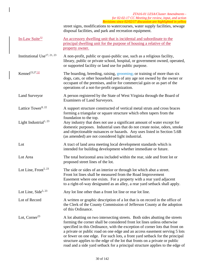|                                   | ZTA16-01 LESA/Cluster Amendments -<br>for 02-02-17 CC Meeting for review, input, and action<br>Revisions since 02/02/17 discussion are highlighted in yellow                                                                                                                                                                                                                                                                                                                                                                                                        |
|-----------------------------------|---------------------------------------------------------------------------------------------------------------------------------------------------------------------------------------------------------------------------------------------------------------------------------------------------------------------------------------------------------------------------------------------------------------------------------------------------------------------------------------------------------------------------------------------------------------------|
|                                   | street signs, modifications to watercourses, water supply facilities, sewage<br>disposal facilities, and park and recreation equipment.                                                                                                                                                                                                                                                                                                                                                                                                                             |
| In-Law Suite <sup>32</sup>        | An accessory dwelling unit that is incidental and subordinate to the<br>principal dwelling unit for the purpose of housing a relative of the<br>property owner.                                                                                                                                                                                                                                                                                                                                                                                                     |
| Institutional Use $^{17, 21, 23}$ | A non-profit, public or quasi-public use, such as a religious facility,<br>library, public or private school, hospital, or government owned, operated,<br>or supported facility or land use for public purpose.                                                                                                                                                                                                                                                                                                                                                     |
| Kennel <sup>23,27,32</sup>        | The boarding, breeding, raising, grooming, or training of more than six<br>dogs, cats, or other household pets of any age not owned by the owner or<br>occupant of the premises, and/or for commercial gain or as part of the<br>operations of a not-for-profit organization.                                                                                                                                                                                                                                                                                       |
| <b>Land Surveyor</b>              | A person registered by the State of West Virginia through the Board of<br>Examiners of Land Surveyors.                                                                                                                                                                                                                                                                                                                                                                                                                                                              |
| Lattice Tower <sup>9, 22</sup>    | A support structure constructed of vertical metal struts and cross braces<br>forming a triangular or square structure which often tapers from the<br>foundation to the top.                                                                                                                                                                                                                                                                                                                                                                                         |
| Light Industrial <sup>1, 23</sup> | Any industry that does not use a significant amount of water except for<br>domestic purposes. Industrial uses that do not create noise, odors, smoke<br>and objectionable nuisances or hazards. Any uses listed in Section 5.6B<br>(as amended) are not considered light industrial.                                                                                                                                                                                                                                                                                |
| Lot                               | A tract of land area meeting local development standards which is<br>intended for building development whether immediate or future.                                                                                                                                                                                                                                                                                                                                                                                                                                 |
| Lot Area                          | The total horizontal area included within the rear, side and front lot or<br>proposed street lines of the lot.                                                                                                                                                                                                                                                                                                                                                                                                                                                      |
| Lot Line, Front <sup>5, 23</sup>  | The side or sides of an interior or through lot which abut a street.<br>Front lot lines shall be measured from the Road Improvement<br>Easement where one exists. For a property with a rear yard adjacent<br>to a right-of-way designated as an alley, a rear yard setback shall apply.                                                                                                                                                                                                                                                                            |
| Lot Line, Side <sup>5, 23</sup>   | Any lot line other than a front lot line or rear lot line.                                                                                                                                                                                                                                                                                                                                                                                                                                                                                                          |
| Lot of Record                     | A written or graphic description of a lot that is on record in the office of<br>the Clerk of the County Commission of Jefferson County at the adoption<br>of this Ordinance.                                                                                                                                                                                                                                                                                                                                                                                        |
| Lot, Corner <sup>23</sup>         | A lot abutting on two intersecting streets. Both sides abutting the streets<br>forming the corner shall be considered front lot lines unless otherwise<br>specified in this Ordinance, with the exception of corner lots that front on<br>a private or public road on one edge and an access easement serving 5 lots<br>or fewer on one edge. For such lots, a front yard setback for the principal<br>structure applies to the edge of the lot that fronts on a private or public<br>road and a side yard setback for a principal structure applies to the edge of |

 $\overline{\phantom{a}}$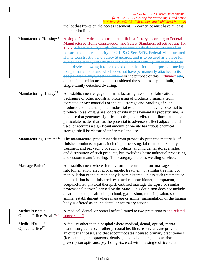the lot that fronts on the access easement. A corner lot must have at least one rear lot line.

Manufactured Housing<sup>23</sup> A single family detached structure built in a factory according to Federal Manufactured Home Construction and Safety Standards, effective June 15, 1976. A factory-built, single-family structure, which is manufactured or constructed under authority of 42 U.S.C. Sec. 5403, Federal Manufactured Home Construction and Safety Standards, and is to be used as a place for human habitation, but which is not constructed with a permanent hitch or other device allowing it to be moved other than for the purpose of moving to a permanent site and which does not have permanently attached to its body or frame any wheels or axles. For the purpose of this Ordinancetitle, a manufactured home shall be considered the same as any site-built, single-family detached dwelling.

Manufacturing, Heavy<sup>27</sup> An establishment engaged in manufacturing, assembly, fabrication, packaging or other industrial processing of products primarily from extracted or raw materials or the bulk storage and handling of such products and materials, or an industrial establishment having potential to produce noise, dust, glare, odors or vibrations beyond its property line. A land use that generates significant noise, odor, vibration, illumination, or particulate matter that has the potential to adversely affect adjacent land uses, or requires a significant amount of on-site hazardous chemical storage, shall be classified under this land use.

Manufacturing, Limited<sup>27</sup> The manufacture, predominantly from previously prepared materials, of finished products or parts, including processing, fabrication, assembly, treatment and packaging of such products, and incidental storage, sales, and distribution of such products, but excluding basic industrial processing and custom manufacturing. This category includes welding services.

Massage Parlor<sup>7</sup> An establishment where, for any form of consideration, massage, alcohol rub, fomentation, electric or magnetic treatment, or similar treatment or manipulation of the human body is administered, unless such treatment or manipulation is administered by a medical practitioner, chiropractor, acupuncturist, physical therapist, certified massage therapist, or similar professional person licensed by the State. This definition does not include an athletic club, health club, school, gymnasium, reducing salon, spa, or similar establishment where massage or similar manipulation of the human body is offered as an incidental or accessory service.

Medical/Dental/ Optical Office, Small<sup>23, 32</sup> A medical, dental, or optical office limited to two practitioners and related support staff.

Medical/Dental/ Optical Office<sup>27</sup> A facility other than a hospital where medical, dental, optical, mental health, surgical, and/or other personal health care services are provided on an outpatient basis, and that accommodates licensed primary practitioners (for example, chiropractors, dentists, medical doctors, optometrists, prescription opticians, psychologists, etc.) within a single office suite.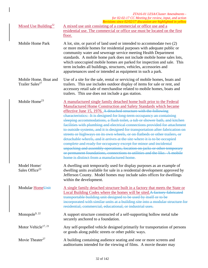Mixed Use Building<sup>32</sup> A mixed use unit consisting of a commercial or office use and a residential use. The commercial or office use must be located on the first floor.

- Mobile Home Park A lot, site, or parcel of land used or intended to accommodate two (2) or more mobile homes for residential purposes with adequate public or community water and sewerage service meeting Health Department standards. A mobile home park does not include mobile home sales lots, which unoccupied mobile homes are parked for inspection and sale. This term includes all buildings, structures, vehicles, accessories and appurtenances used or intended as equipment in such a park.
- Mobile Home, Boat and Trailer Sales<sup>27</sup> Use of a site for the sale, rental or servicing of mobile homes, boats and trailers. This use includes outdoor display of items for sale or rent, and accessory retail sale of merchandise related to mobile homes, boats and trailers. This use does not include a gas station.
- Mobile Home<sup>23</sup> A manufactured single family detached home built prior to the Federal Manufactured Home Construction and Safety Standards which became effective June 15, 1976. A detached structure with the following characteristics: It is designed for long-term occupancy an containing sleeping accommodations, a flush toilet, a tub or shower bath, and kitchen facilities with plumbing and electrical connections provided for attachment to outside systems, and it is designed for transportation after fabrication on streets or highways on its own wheels, or on flatbeds or other trailers, or detachable wheels, and it arrives at the site where it is to be occupied complete and ready for occupancy except for minor and incidental unpacking and assembly operations, location on jacks or other temporary or permanent foundations, connections to utilities and the like. A mobile home is distinct from a manufactured home.
- Model Home/ Sales Office<sup>23</sup> A dwelling unit temporarily used for display purposes as an example of dwelling units available for sale in a residential development approved by Jefferson County. Model homes may include sales offices for dwellings within the development.
- Modular HomeUnit A single family detached structure built in a factory that meets the State or Local Building Codes where the homes will be sited.A factory-fabricated transportable building unit designed to be used by itself or to be incorporated with similar units at a building site into a modular structure for residential, commercial, educational, or industrial uses.
- Monopole<sup>9, 22</sup> A support structure constructed of a self-supporting hollow metal tube securely anchored to a foundation.
- Motor Vehicle<sup>17, 21</sup> Any self-propelled vehicle designed primarily for transportation of persons or goods along public streets or other public ways.
- Movie Theater<sup>27</sup> A building containing audience seating and one or more screens and auditoriums intended for the viewing of films. A movie theater may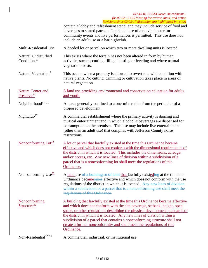|                                                    | $\alpha$ residios since 02/02/17 also assion are ingingined in year) $\kappa$<br>contain a lobby and refreshment stand, and may include service of food and<br>beverages to seated patrons. Incidental use of a movie theater for<br>community events and live performances is permitted. This use does not<br>include an adult use or a bar/nightclub.                                                                                                                                 |
|----------------------------------------------------|-----------------------------------------------------------------------------------------------------------------------------------------------------------------------------------------------------------------------------------------------------------------------------------------------------------------------------------------------------------------------------------------------------------------------------------------------------------------------------------------|
| Multi-Residential Use                              | A deeded lot or parcel on which two or more dwelling units is located.                                                                                                                                                                                                                                                                                                                                                                                                                  |
| Natural Undisturbed<br>Conditions <sup>5</sup>     | This exists where the terrain has not been altered in form by human<br>activities such as cutting, filling, blasting or leveling and where natural<br>vegetation exists.                                                                                                                                                                                                                                                                                                                |
| Natural Vegetation <sup>5</sup>                    | This occurs when a property is allowed to revert to a wild condition with<br>native plants. No cutting, trimming or cultivation takes place in areas of<br>natural vegetation.                                                                                                                                                                                                                                                                                                          |
| <b>Nature Center and</b><br>Preserve <sup>32</sup> | A land use providing environmental and conservation education for adults<br>and youth.                                                                                                                                                                                                                                                                                                                                                                                                  |
| Neighborhood <sup>17, 21</sup>                     | An area generally confined to a one-mile radius from the perimeter of a<br>proposed development.                                                                                                                                                                                                                                                                                                                                                                                        |
| Nightclub <sup>27</sup>                            | A commercial establishment where the primary activity is dancing and<br>musical entertainment and in which alcoholic beverages are dispensed for<br>consumption on the premises. This use may include live entertainment<br>(other than an adult use) that complies with Jefferson County noise<br>restrictions.                                                                                                                                                                        |
| Nonconforming $\text{Lot}^{32}$                    | A lot or parcel that lawfully existed at the time this Ordinance became<br>effective and which does not conform with the dimensional requirements of<br>the district in which it is located. This includes the dimensions, acreage,<br>and/or access, etc. Any new lines of division within a subdivision of a<br>parcel that is a nonconforming lot shall meet the regulations of this<br>Ordinance.                                                                                   |
| Nonconforming $Use^{\frac{32}{}}$                  | A land use of a building or of land that lawfully existeding at the time this<br>Ordinance became omes effective and which does not conform with the use<br>regulations of the district in which it is located. Any new lines of division<br>within a subdivision of a parcel that is a nonconforming use shall meet the<br>regulations of this Ordinance.                                                                                                                              |
| Nonconforming<br>Structure <sup>32</sup>           | A building that lawfully existed at the time this Ordinance became effective<br>and which does not conform with the site coverage, setback, height, open<br>space, or other regulations describing the physical development standards of<br>the district in which it is located. Any new lines of division within a<br>subdivision of a parcel that contains a nonconforming structure shall not<br>create a further nonconformity and shall meet the regulations of this<br>Ordinance. |
| Non-Residential <sup>17, 21</sup>                  | A commercial, industrial, or institutional use.                                                                                                                                                                                                                                                                                                                                                                                                                                         |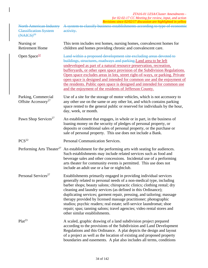North American Industry Classification System  $(AIAICS)<sup>23</sup>$ 

A system to classify business establishments according to type of economic activity.

| Nursing or<br><b>Retirement Home</b>                   | This term includes rest homes, nursing homes, convalescent homes for<br>children and homes providing chronic and convalescent care.                                                                                                                                                                                                                                                                                                                                                                                                                                                                                   |
|--------------------------------------------------------|-----------------------------------------------------------------------------------------------------------------------------------------------------------------------------------------------------------------------------------------------------------------------------------------------------------------------------------------------------------------------------------------------------------------------------------------------------------------------------------------------------------------------------------------------------------------------------------------------------------------------|
| Open Space $\frac{32}{2}$                              | Land within a proposed development site excluding areas devoted to<br>buildings, structures, roadways and parking. Land area to be left<br>undeveloped as part of a natural resource preservation, recreation,<br>bufferyards, or other open space provision of the Subdivision Regulations.<br>Open space excludes areas in lots, street right-of-ways, or parking. Private<br>open space is designed and intended for common use and the enjoyment of<br>the residents. Public open space is designed and intended for common use<br>and the enjoyment of the residents of Jefferson County.                        |
| Parking, Commercial<br>Offsite Accessory <sup>27</sup> | Use of a site for the storage of motor vehicles, which is not accessory to<br>any other use on the same or any other lot, and which contains parking<br>space rented to the general public or reserved for individuals by the hour,<br>day, week, or month.                                                                                                                                                                                                                                                                                                                                                           |
| Pawn Shop Services <sup>27</sup>                       | An establishment that engages, in whole or in part, in the business of<br>loaning money on the security of pledges of personal property, or<br>deposits or conditional sales of personal property, or the purchase or<br>sale of personal property. This use does not include a Bank.                                                                                                                                                                                                                                                                                                                                 |
| PCS <sup>22</sup>                                      | Personal Communication Services.                                                                                                                                                                                                                                                                                                                                                                                                                                                                                                                                                                                      |
| Performing Arts Theater <sup>27</sup>                  | An establishment for the performing arts with seating for audiences.<br>Such establishments may include related services such as food and<br>beverage sales and other concessions. Incidental use of a performing<br>arts theater for community events is permitted. This use does not<br>include an adult use or a bar or nightclub.                                                                                                                                                                                                                                                                                 |
| Personal Services <sup>27</sup>                        | Establishments primarily engaged in providing individual services<br>generally related to personal needs of a non-medical type, including<br>barber shops; beauty salons; chiropractic clinics; clothing rental; dry<br>cleaning and laundry services (as defined in this Ordinance);<br>duplicating services; garment repair, pressing, and tailoring; massage<br>therapy provided by licensed massage practitioner; photographic<br>studios; psychic readers; real estate; self-service laundromat; shoe<br>repair; spas; tanning salons; travel agencies; video rental stores and<br>other similar establishments. |
| Plat <sup>23</sup>                                     | A scaled, graphic drawing of a land subdivision project prepared<br>according to the provisions of the Subdivision and Land Development<br>Regulations and this Ordinance. A plat depicts the design and layout<br>of a project as well as the location of existing and proposed property<br>boundaries and easements. A plat also includes all terms, conditions                                                                                                                                                                                                                                                     |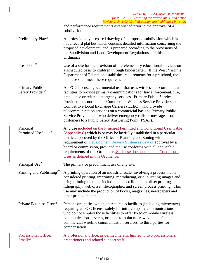|                                                 | ZTA16-01 LESA/Cluster Amendments -<br>for 02-02-17 CC Meeting for review, input, and action                                                                                                                                                                                                                                                                                                                                                                                                                                                                    |
|-------------------------------------------------|----------------------------------------------------------------------------------------------------------------------------------------------------------------------------------------------------------------------------------------------------------------------------------------------------------------------------------------------------------------------------------------------------------------------------------------------------------------------------------------------------------------------------------------------------------------|
|                                                 | Revisions since 02/02/17 discussion are highlighted in yellow<br>and performance requirements established prior to the approval of a<br>subdivision.                                                                                                                                                                                                                                                                                                                                                                                                           |
| Preliminary Plat <sup>23</sup>                  | A professionally prepared drawing of a proposed subdivision which is<br>not a record plat but which contains detailed information concerning the<br>proposed development, and is prepared according to the provisions of<br>the Subdivision and Land Development Regulations and this<br>Ordinance.                                                                                                                                                                                                                                                            |
| Preschool <sup>23</sup>                         | Use of a site for the provision of pre-elementary educational services on<br>a scheduled basis to children through kindergarten. If the West Virginia<br>Department of Education establishes requirements for a preschool, the<br>land use shall meet these requirements.                                                                                                                                                                                                                                                                                      |
| Primary Public<br>Safety Provider <sup>22</sup> | An FCC licensed governmental user that uses wireless telecommunication<br>facilities to provide primary communications for law enforcement, fire,<br>ambulance or related emergency services. Primary Public Service<br>Provider does not include Commercial Wireless Service Providers, or<br>Competitive Local Exchange Carriers (CLEC), who provide<br>telecommunication services on a commercial basis to Primary Public<br>Service Providers, or who deliver emergency calls or messages from its<br>customers to a Public Safety Answering Point (PSAP). |
| Principal<br>Permitted Use <sup>23, 31.32</sup> | Any use included on the Principal Permitted and Conditional Uses Table<br>$(\text{Appendix } C)$ which is or may be lawfully established in a particular<br>district, approved by the Office of Planning and Zoning without<br>requirement of Development Review System review or approval by a<br>board or commission, provided the use conforms with all applicable<br>requirements of this Ordinance. Such use does not include Conditional<br>Uses as defined in this Ordinance.                                                                           |
| Principal Use <sup>23</sup>                     | The primary or predominant use of any site.                                                                                                                                                                                                                                                                                                                                                                                                                                                                                                                    |
| Printing and Publishing <sup>27</sup>           | A printing operation of an industrial scale, involving a process that is<br>considered printing, imprinting, reproducing, or duplicating images and<br>using printing methods including but not limited to offset printing,<br>lithography, web offset, flexographic, and screen process printing. This<br>use may include the production of books, magazines, newspapers and<br>other printed matter.                                                                                                                                                         |
| Private Business User <sup>22</sup>             | Persons or entities which operate radio facilities (including microwave)<br>requiring an FCC license solely for intra-company communications and<br>who do not employ those facilities to offer fixed or mobile wireless<br>communication services, or point-to-point microwave links for<br>commercial wireline communication services, to third parties for<br>compensation.                                                                                                                                                                                 |
| Professional Office,<br>Small <sup>32</sup>     | A professional office, as defined herein, limited to two professionals/<br>practitioners and related support staff.                                                                                                                                                                                                                                                                                                                                                                                                                                            |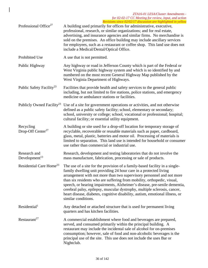- Professional Office<sup>27</sup> A building used primarily for offices for administrative, executive, professional, research, or similar organizations; and for real estate, advertising, and insurance agencies and similar firms. No merchandise is sold on the premises. An office building may include ancillary services for employees, such as a restaurant or coffee shop. This land use does not include a Medical/Dental/Optical Office. Prohibited Use A use that is not permitted.
- Public Highway Any highway or road in Jefferson County which is part of the Federal or West Virginia public highway system and which is so identified by and numbered on the most recent General Highway Map published by the West Virginia Department of Highways.
- Public Safety Facility<sup>23</sup> Facilities that provide health and safety services to the general public including, but not limited to fire stations, police stations, and emergency medicine or ambulance stations or facilities.
- Publicly Owned Facility<sup>23</sup> Use of a site for government operations or activities, and not otherwise defined as a public safety facility; school, elementary or secondary; school, university or college; school, vocational or professional; hospital; cultural facility; or essential utility equipment.
- Recycling Drop-Off Center<sup>27</sup> A building or site used for a drop-off location for temporary storage of recyclable, recoverable or reusable materials such as paper, cardboard, glass, metal, plastic, batteries and motor oil. Processing of materials is limited to separation. This land use is intended for household or consumer use rather than commercial or industrial use.
- Research and Development $13$ Research, development and testing laboratories that do not involve the mass manufacture, fabrication, processing or sale of products.
- Residential Care Home<sup>23</sup> The use of a site for the provision of a family-based facility in a singlefamily dwelling unit providing 24 hour care in a protected living arrangement with not more than two supervisory personnel and not more than six residents who are suffering from mobility, orthopedic, visual, speech, or hearing impairments, Alzheimer's disease, pre-senile dementia, cerebral palsy, epilepsy, muscular dystrophy, multiple sclerosis, cancer, heart disease, diabetes, cognitive disability, autism, emotional illness, or similar conditions.
- $Residential<sup>1</sup>$  Any detached or attached structure that is used for permanent living quarters and has kitchen facilities.
- Restaurant<sup>27</sup> A commercial establishment where food and beverages are prepared, served, and consumed primarily within the principal building. A restaurant may include the incidental sale of alcohol for on-premises consumption; however, sale of food and non-alcoholic beverages is the principal use of the site. This use does not include the uses Bar or Nightclub.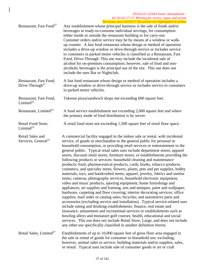#### *ZTA16-01 LESA/Cluster Amendments for 02-02-17 CC Meeting for review, input, and action Revisions since 02/02/17 discussion are highlighted in yellow*

| Restaurant, Fast Food <sup>27</sup>                   | Any establishment whose principal business is the sale of foods and/or<br>beverages in ready-to-consume individual servings, for consumption<br>either inside or outside the restaurant building or for carry-out.<br>Customer orders and/or service may be by means of a window or walk-<br>up counter. A fast food restaurant whose design or method of operation<br>includes a drive-up window or drive-through service or includes service<br>to customers in parked motor vehicles is classified as a Restaurant, Fast<br>Food, Drive-Through. This use may include the incidental sale of<br>alcohol for on-premises consumption; however, sale of food and non-<br>alcoholic beverages is the principal use of the site. This use does not<br>include the uses Bar or Nightclub.                                                                                                                                                                                                                                                                                                                                                                                                                                                                                                                                                                                                                                                                                                                                                                                                               |  |
|-------------------------------------------------------|-------------------------------------------------------------------------------------------------------------------------------------------------------------------------------------------------------------------------------------------------------------------------------------------------------------------------------------------------------------------------------------------------------------------------------------------------------------------------------------------------------------------------------------------------------------------------------------------------------------------------------------------------------------------------------------------------------------------------------------------------------------------------------------------------------------------------------------------------------------------------------------------------------------------------------------------------------------------------------------------------------------------------------------------------------------------------------------------------------------------------------------------------------------------------------------------------------------------------------------------------------------------------------------------------------------------------------------------------------------------------------------------------------------------------------------------------------------------------------------------------------------------------------------------------------------------------------------------------------|--|
| Restaurant, Fast Food,<br>Drive Through <sup>27</sup> | A fast food restaurant whose design or method of operation includes a<br>drive-up window or drive-through service or includes service to customers<br>in parked motor vehicles.                                                                                                                                                                                                                                                                                                                                                                                                                                                                                                                                                                                                                                                                                                                                                                                                                                                                                                                                                                                                                                                                                                                                                                                                                                                                                                                                                                                                                       |  |
| Restaurant, Fast Food,<br>Limited <sup>23</sup>       | Takeout pizza/sandwich shops not exceeding 600 square feet.                                                                                                                                                                                                                                                                                                                                                                                                                                                                                                                                                                                                                                                                                                                                                                                                                                                                                                                                                                                                                                                                                                                                                                                                                                                                                                                                                                                                                                                                                                                                           |  |
| Restaurant, Limited <sup>23</sup>                     | A food service establishment not exceeding 2,000 square feet and where<br>the primary mode of food distribution is by server.                                                                                                                                                                                                                                                                                                                                                                                                                                                                                                                                                                                                                                                                                                                                                                                                                                                                                                                                                                                                                                                                                                                                                                                                                                                                                                                                                                                                                                                                         |  |
| Retail Food Store,<br>Limited $^{23}$                 | A retail food store not exceeding 1,500 square feet of retail floor space.                                                                                                                                                                                                                                                                                                                                                                                                                                                                                                                                                                                                                                                                                                                                                                                                                                                                                                                                                                                                                                                                                                                                                                                                                                                                                                                                                                                                                                                                                                                            |  |
| Retail Sales and<br>Services, General <sup>27</sup>   | A commercial facility engaged in the indoor sale or rental, with incidental<br>service, of goods or merchandise to the general public for personal or<br>household consumption, or providing retail services or entertainment to the<br>general public. Typical retail sales uses include department stores, apparel<br>stores, discount retail stores, furniture stores, or establishments providing the<br>following products or services: household cleaning and maintenance<br>products; food, pharmaceutical products, cards, books, tobacco products,<br>cosmetics, and specialty items; flowers, plants, pets and pet supplies, hobby<br>materials, toys, and handcrafted items; apparel, jewelry, fabrics and similar<br>items; cameras, photography services, household electronic equipment,<br>video and music products, sporting equipment, home furnishings and<br>appliances, art supplies and framing, arts and antiques, paint and wallpaper,<br>hardware, carpeting and floor covering; interior decorating services; office<br>supplies; mail order or catalog sales; bicycles; and automotive parts and<br>accessories (excluding service and installation). Typical service-related uses<br>include eating and drinking establishments; finance, real estate and<br>insurance; amusement and recreational services or establishments such as<br>bowling alleys and miniature golf courses; health, educational and social<br>services. This use does not include Retail Store, Large, and does not include<br>any other use specifically classified in another definition herein. |  |
| Retail Sales, Limited <sup>27</sup>                   | Establishments of up to 10,000 square feet of gross floor area engaged in<br>the sale or rental of goods for consumer or household use; excluding,<br>however, animal sales or service; building materials and/or supplies, sales,<br>or rental. Typical uses include sale of consumer goods or art or craft                                                                                                                                                                                                                                                                                                                                                                                                                                                                                                                                                                                                                                                                                                                                                                                                                                                                                                                                                                                                                                                                                                                                                                                                                                                                                          |  |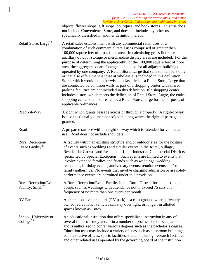|                                                               | ZTA16-01 LESA/Cluster Amendments -<br>for 02-02-17 CC Meeting for review, input, and action<br>Revisions since 02/02/17 discussion are highlighted in yellow                                                                                                                                                                                                                                                                                                                                                                                                                                                                                                                                                                                                                                                                                                                                                                                                                                                                                                            |
|---------------------------------------------------------------|-------------------------------------------------------------------------------------------------------------------------------------------------------------------------------------------------------------------------------------------------------------------------------------------------------------------------------------------------------------------------------------------------------------------------------------------------------------------------------------------------------------------------------------------------------------------------------------------------------------------------------------------------------------------------------------------------------------------------------------------------------------------------------------------------------------------------------------------------------------------------------------------------------------------------------------------------------------------------------------------------------------------------------------------------------------------------|
|                                                               | objects, flower shops, gift shops, boutiques, and book stores. This use does<br>not include Convenience Store, and does not include any other use<br>specifically classified in another definition herein.                                                                                                                                                                                                                                                                                                                                                                                                                                                                                                                                                                                                                                                                                                                                                                                                                                                              |
| Retail Store, Large <sup>27</sup>                             | A retail sales establishment with any commercial retail uses or a<br>combination of such commercial retail uses comprised of greater than<br>100,000 square feet of gross floor area. In calculating gross floor area,<br>ancillary outdoor storage or merchandise display areas are included. For the<br>purpose of determining the applicability of the 100,000 square feet of floor<br>area, the aggregate square footage is included for all adjacent buildings<br>operated by one company. A Retail Store, Large that sells to members only<br>or that also offers merchandise at wholesale is included in this definition.<br>Stores which would not otherwise be classified as a Retail Store, Large that<br>are connected by common walls as part of a shopping center with shared<br>parking facilities are not included in this definition. If a shopping center<br>includes a store which meets the definition of Retail Store, Large, the entire<br>shopping center shall be treated as a Retail Store, Large for the purposes of<br>applicable ordinances. |
| Right-of-Way                                                  | A right which grants passage across or through a property. A right-of-way<br>is also the (usually dimensioned) path along which the right of passage is<br>granted.                                                                                                                                                                                                                                                                                                                                                                                                                                                                                                                                                                                                                                                                                                                                                                                                                                                                                                     |
| Road                                                          | A prepared surface within a right-of-way which is intended for vehicular<br>use. Road does not include shoulders.                                                                                                                                                                                                                                                                                                                                                                                                                                                                                                                                                                                                                                                                                                                                                                                                                                                                                                                                                       |
| Rural Reception/<br>Event Facility <sup>26</sup>              | A facility within an existing structure and/or outdoor area for the hosting<br>of events such as weddings and similar events in the Rural, Village,<br>Residential Growth and Residential-Light Industrial-Commercial Districts<br>(permitted by Special Exception). Such events are limited to events that<br>involve extended families and friends such as weddings, wedding<br>receptions, birthday events, anniversary events, reunion events and/or<br>family gatherings. No events that involve charging admission or are solely<br>performance events are permitted under this provision.                                                                                                                                                                                                                                                                                                                                                                                                                                                                        |
| <b>Rural Reception/Event</b><br>Facility, Small <sup>26</sup> | A Rural Reception/Event Facility in the Rural District for the hosting of<br>events such as weddings with attendance not to exceed 75 cars at a<br>frequency of no more than one event per month.                                                                                                                                                                                                                                                                                                                                                                                                                                                                                                                                                                                                                                                                                                                                                                                                                                                                       |
| <b>RV</b> Park                                                | A recreational vehicle park (RV park) is a campground where privately<br>owned recreational vehicles can stay overnight, or longer, in allotted<br>spaces known as "sites".                                                                                                                                                                                                                                                                                                                                                                                                                                                                                                                                                                                                                                                                                                                                                                                                                                                                                             |
| School, University or<br>College <sup>23</sup>                | An educational institution that offers specialized instruction in any of<br>several fields of study and/or in a number of professions or occupations<br>and is authorized to confer various degrees such as the bachelor's degree.<br>Education uses may include a variety of uses such as classroom buildings,<br>administrative offices, sports facilities, student housing, research facilities<br>and other related uses operated by the governing board of the institution                                                                                                                                                                                                                                                                                                                                                                                                                                                                                                                                                                                         |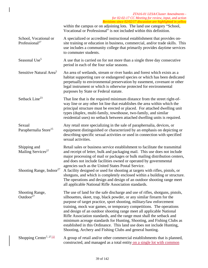|                                                     | ZTA16-01 LESA/Cluster Amendments -<br>for 02-02-17 CC Meeting for review, input, and action<br>Revisions since 02/02/17 discussion are highlighted in yellow                                                                                                                                                                                                                                                                                                                                                                                                                                                                                                          |
|-----------------------------------------------------|-----------------------------------------------------------------------------------------------------------------------------------------------------------------------------------------------------------------------------------------------------------------------------------------------------------------------------------------------------------------------------------------------------------------------------------------------------------------------------------------------------------------------------------------------------------------------------------------------------------------------------------------------------------------------|
|                                                     | within the campus or on adjoining lots. The land use category "School,<br>Vocational or Professional" is not included within this definition.                                                                                                                                                                                                                                                                                                                                                                                                                                                                                                                         |
| School, Vocational or<br>Professional <sup>27</sup> | A specialized or accredited instructional establishment that provides on-<br>site training or education in business, commercial, and/or trade skills. This<br>use includes a community college that primarily provides daytime services<br>to commuter students.                                                                                                                                                                                                                                                                                                                                                                                                      |
| Seasonal Use <sup>5</sup>                           | A use that is carried on for not more than a single three day consecutive<br>period in each of the four solar seasons.                                                                                                                                                                                                                                                                                                                                                                                                                                                                                                                                                |
| Sensitive Natural Area <sup>5</sup>                 | An area of wetlands, stream or river banks and forest which exists as a<br>habitat supporting rare or endangered species or which has been dedicated<br>perpetually to environmental preservation by easement, covenant or other<br>legal instrument or which is otherwise protected for environmental<br>purposes by State or Federal statute.                                                                                                                                                                                                                                                                                                                       |
| Setback Line <sup>23</sup>                          | That line that is the required minimum distance from the street right-of-<br>way line or any other lot line that establishes the area within which the<br>principal structure must be erected or placed. For attached dwelling unit<br>types (duplex, multi-family, townhouse, two-family, and similar<br>residential uses) no setback between attached dwelling units is required.                                                                                                                                                                                                                                                                                   |
| Sexual<br>Paraphernalia Store <sup>15</sup>         | Any retail store specializing in the sale of paraphernalia, devices, or<br>equipment distinguished or characterized by an emphasis on depicting or<br>describing specific sexual activities or used in connection with specified<br>sexual activities.                                                                                                                                                                                                                                                                                                                                                                                                                |
| Shipping and<br>Mailing Services <sup>27</sup>      | Retail sales or business service establishment to facilitate the transmittal<br>and receipt of letter, bulk and packaging mail. This use does not include<br>major processing of mail or packages or bulk mailing distribution centers,<br>and does not include facilities owned or operated by governmental<br>agencies such as the United States Postal Service.                                                                                                                                                                                                                                                                                                    |
| Shooting Range, Indoor <sup>27</sup>                | A facility designed or used for shooting at targets with rifles, pistols, or<br>shotguns, and which is completely enclosed within a building or structure.<br>The operations and design and design of an outdoor shooting range meet<br>all applicable National Rifle Association standards.                                                                                                                                                                                                                                                                                                                                                                          |
| <b>Shooting Range,</b><br>Outdoor $27$              | The use of land for the safe discharge and use of rifles, shotguns, pistols,<br>silhouettes, skeet, trap, black powder, or any similar firearm for the<br>purpose of target practice, sport shooting, military/law enforcement<br>training, mock war games, or temporary competitions. The operations<br>and design of an outdoor shooting range meet all applicable National<br>Rifle Association standards, and the range must shall the setback and<br>minimum acreage standards for Hunting, Shooting, and Fishing Clubs as<br>established in this Ordinance. This land use does not include Hunting,<br>Shooting, Archery and Fishing Clubs and general hunting. |
| Shopping Center <sup>7, 27,32</sup>                 | A group of retail and/or other commercial establishments that is planned,<br>constructed, and managed as a total entity on a single lot with common                                                                                                                                                                                                                                                                                                                                                                                                                                                                                                                   |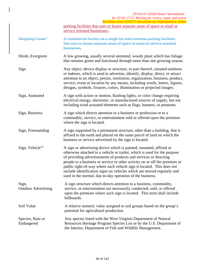|                                     | ZTA16-01 LESA/Cluster Amendments -<br>for 02-02-17 CC Meeting for review, input, and action<br>Revisions since 02/02/17 discussion are highlighted in yellow                                                                                                                                                                                                                                                                                                                                                        |
|-------------------------------------|---------------------------------------------------------------------------------------------------------------------------------------------------------------------------------------------------------------------------------------------------------------------------------------------------------------------------------------------------------------------------------------------------------------------------------------------------------------------------------------------------------------------|
|                                     | parking facilities that uses or leases separate areas of space to retail or<br>service oriented businesses                                                                                                                                                                                                                                                                                                                                                                                                          |
| Shopping Center <sup>7</sup>        | A commercial facility on a single lot with common parking facilities<br>that uses or leases separate areas of space to retail or service oriented<br>businesses.                                                                                                                                                                                                                                                                                                                                                    |
| Shrub, Evergreen                    | A low growing, usually several stemmed, woody plant which has foliage<br>that remains green and functional through more than one growing season.                                                                                                                                                                                                                                                                                                                                                                    |
| Sign                                | Any object, device display or structure, or part thereof, situated outdoors<br>or indoors, which is used to advertise, identify, display, direct, or attract<br>attention to an object, person, institution, organization, business, product,<br>service, event or location by any means, including words, letters, figures,<br>designs, symbols, fixtures, colors, illumination or projected images.                                                                                                               |
| Sign, Animated                      | A sign with action or motion, flashing lights, or color change requiring<br>electrical energy, electronic, or manufactured sources of supply, but not<br>including wind actuated elements such as flags, banners, or pennants.                                                                                                                                                                                                                                                                                      |
| Sign, Business                      | A sign which directs attention to a business or profession or to a<br>commodity, service, or entertainment sold or offered upon the premises<br>where the sign is located.                                                                                                                                                                                                                                                                                                                                          |
| Sign, Freestanding                  | A sign supported by a permanent structure, other than a building, that is<br>affixed to the earth and placed on the same parcel of land on which the<br>business or service advertised by the sign is located.                                                                                                                                                                                                                                                                                                      |
| Sign, Vehicle <sup>23</sup>         | A sign or advertising device which is painted, mounted, affixed or<br>otherwise attached to a vehicle or trailer, which is used for the purpose<br>of providing advertisements of products and services or directing<br>people to a business or service or other activity on or off the premises or<br>public right-of-way where such vehicle sign is located. This does not<br>include identification signs on vehicles which are moved regularly and<br>used in the normal, day-to-day operation of the business. |
| Sign,<br><b>Outdoor Advertising</b> | A sign structure which directs attention to a business, commodity,<br>service, or entertainment not necessarily conducted, sold, or offered<br>upon the premises where such sign is located. This term shall include<br>billboards.                                                                                                                                                                                                                                                                                 |
| Soil Value                          | A relative numeric value assigned to soil groups based on the group's<br>potential for agricultural production.                                                                                                                                                                                                                                                                                                                                                                                                     |
| Species, Rare or<br>Endangered      | Any species listed with the West Virginia Department of Natural<br>Resources Heritage Program Species List or by the U.S. Department of<br>the Interior, Department of Fish and Wildlife Management.                                                                                                                                                                                                                                                                                                                |

 $\overline{\phantom{a}}$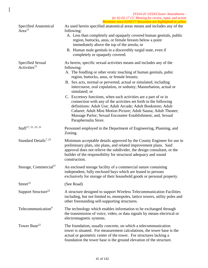| <b>Specified Anatomical</b><br>Area $15$     | As used herein specified anatomical areas means and includes any of the<br>following:<br>A. Less than completely and opaquely covered human genitals, public<br>region, buttocks, anus, or female breasts below a point<br>immediately above the top of the areola; or<br>B. Human male genitals in a discernibly turgid state, even if<br>completely or opaquely covered.                                                                                                                                                                                                                                                                                                                                                      |
|----------------------------------------------|---------------------------------------------------------------------------------------------------------------------------------------------------------------------------------------------------------------------------------------------------------------------------------------------------------------------------------------------------------------------------------------------------------------------------------------------------------------------------------------------------------------------------------------------------------------------------------------------------------------------------------------------------------------------------------------------------------------------------------|
| Specified Sexual<br>Activities <sup>15</sup> | As herein, specific sexual activities means and includes any of the<br>following:<br>A. The fondling or other erotic touching of human genitals, pubic<br>region, buttocks, anus, or female breasts;<br>B. Sex acts, normal or perverted, actual or simulated, including<br>intercourse, oral copulation, or sodomy; Masturbation, actual or<br>simulated; or<br>C. Excretory functions, when such activities are a part of or in<br>connection with any of the activities set forth in the following<br>definitions: Adult Use; Adult Arcade; Adult Bookstore; Adult<br>Cabaret; Adult Mini Motion Picture; Adult Sauna; Adult Theater;<br>Massage Parlor; Sexual Encounter Establishment; and, Sexual<br>Paraphernalia Store. |
| Staff <sup>17, 21, 23, 31</sup>              | Personnel employed in the Department of Engineering, Planning, and<br>Zoning.                                                                                                                                                                                                                                                                                                                                                                                                                                                                                                                                                                                                                                                   |
| Standard Details <sup>7, 23</sup>            | Minimum acceptable details approved by the County Engineer for use in<br>preliminary plats, site plans, and related improvement plans. Said<br>approval does not relieve the subdivider, the design consultant, or the<br>builder of the responsibility for structural adequacy and sound<br>construction.                                                                                                                                                                                                                                                                                                                                                                                                                      |
| Storage, Commercial <sup>27</sup>            | An enclosed storage facility of a commercial nature containing<br>independent, fully enclosed bays which are leased to persons<br>exclusively for storage of their household goods or personal property.                                                                                                                                                                                                                                                                                                                                                                                                                                                                                                                        |
| Street <sup>23</sup>                         | (See Road)                                                                                                                                                                                                                                                                                                                                                                                                                                                                                                                                                                                                                                                                                                                      |
| Support Structure <sup>22</sup>              | A structure designed to support Wireless Telecommunication Facilities<br>including, but not limited to, monopoles, lattice towers, utility poles and<br>other freestanding self-supporting structures.                                                                                                                                                                                                                                                                                                                                                                                                                                                                                                                          |
| Telecommunication <sup>9</sup>               | The technology which enables information to be exchanged through<br>the transmission of voice, video, or data signals by means electrical or<br>electromagnetic systems.                                                                                                                                                                                                                                                                                                                                                                                                                                                                                                                                                        |
| Tower Base <sup>22</sup>                     | The foundation, usually concrete, on which a telecommunication<br>tower is situated. For measurement calculations, the tower base is the<br>actual or geometric center of the tower. For structures lacking a<br>foundation the tower base is the ground elevation of the structure.                                                                                                                                                                                                                                                                                                                                                                                                                                            |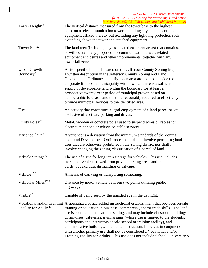|                                               | <u> Revisions since 02/02/17 aiscussion are highlighted in yellow</u>                                                                                                                                                                                                                                                                                                                                                                                                                                                                                                                                                                                                 |
|-----------------------------------------------|-----------------------------------------------------------------------------------------------------------------------------------------------------------------------------------------------------------------------------------------------------------------------------------------------------------------------------------------------------------------------------------------------------------------------------------------------------------------------------------------------------------------------------------------------------------------------------------------------------------------------------------------------------------------------|
| Tower Height <sup>22</sup>                    | The vertical distance measured from the tower base to the highest<br>point on a telecommunication tower, including any antennas or other<br>equipment affixed thereto, but excluding any lightning protection rods<br>extending above the tower and attached equipment.                                                                                                                                                                                                                                                                                                                                                                                               |
| Tower Site <sup>22</sup>                      | The land area (including any associated easement areas) that contains,<br>or will contain, any proposed telecommunication tower, related<br>equipment enclosures and other improvements; together with any<br>tower fall zone.                                                                                                                                                                                                                                                                                                                                                                                                                                        |
| <b>Urban Growth</b><br>Boundary <sup>23</sup> | A site-specific line, delineated on the Jefferson County Zoning Map or<br>a written description in the Jefferson County Zoning and Land<br>Development Ordinance identifying an area around and outside the<br>corporate limits of a municipality within which there is a sufficient<br>supply of developable land within the boundary for at least a<br>prospective twenty-year period of municipal growth based on<br>demographic forecasts and the time reasonably required to effectively<br>provide municipal services to the identified area.                                                                                                                   |
| Use <sup>7</sup>                              | An activity that constitutes a legal employment of a land parcel or lot<br>exclusive of ancillary parking and drives.                                                                                                                                                                                                                                                                                                                                                                                                                                                                                                                                                 |
| Utility Poles <sup>22</sup>                   | Metal, wooden or concrete poles used to suspend wires or cables for<br>electric, telephone or television cable services.                                                                                                                                                                                                                                                                                                                                                                                                                                                                                                                                              |
| Variance <sup>17, 21, 23</sup>                | A variance is a deviation from the minimum standards of the Zoning<br>and Land Development Ordinance and shall not involve permitting land<br>uses that are otherwise prohibited in the zoning district nor shall it<br>involve changing the zoning classification of a parcel of land.                                                                                                                                                                                                                                                                                                                                                                               |
| Vehicle Storage <sup>27</sup>                 | The use of a site for long term storage for vehicles. This use includes<br>storage of vehicles towed from private parking areas and impound<br>yards, but excludes dismantling or salvage.                                                                                                                                                                                                                                                                                                                                                                                                                                                                            |
| Vehicle <sup>17, 21</sup>                     | A means of carrying or transporting something.                                                                                                                                                                                                                                                                                                                                                                                                                                                                                                                                                                                                                        |
| Vehicular Miles <sup>17, 21</sup>             | Distance by motor vehicle between two points utilizing public<br>highways.                                                                                                                                                                                                                                                                                                                                                                                                                                                                                                                                                                                            |
| Visible <sup>22</sup>                         | Capable of being seen by the unaided eye in the daylight.                                                                                                                                                                                                                                                                                                                                                                                                                                                                                                                                                                                                             |
| Facility for Adults <sup>23</sup>             | Vocational and/or Training A specialized or accredited instructional establishment that provides on-site<br>training or education in business, commercial, and/or trade skills. The land<br>use is conducted in a campus setting, and may include classroom buildings,<br>dormitories, cafeterias, gymnasiums (whose use is limited to the students,<br>participants and instructors at said school or training facility), and<br>administrative buildings. Incidental instructional services in conjunction<br>with another primary use shall not be considered a Vocational and/or<br>Training Facility for Adults. This use does not include School, University of |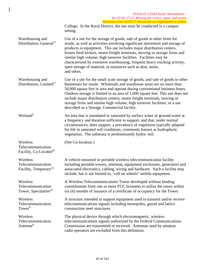College. In the Rural District, the use must be conducted in a campus setting.

| Warehousing and<br>Distribution, General <sup>27</sup> | Use of a site for the storage of goods, sale of goods to other firms for<br>resale, as well as activities involving significant movement and storage of<br>products or equipment. This use includes major distribution centers,<br>frozen food lockers, motor freight terminals, moving or storage firms and<br>similar high volume, high turnover facilities. Facilities may be<br>characterized by extensive warehousing, frequent heavy trucking activity,<br>open storage of material, or nuisances such as dust, noise,<br>and odors. |
|--------------------------------------------------------|--------------------------------------------------------------------------------------------------------------------------------------------------------------------------------------------------------------------------------------------------------------------------------------------------------------------------------------------------------------------------------------------------------------------------------------------------------------------------------------------------------------------------------------------|
| Warehousing and                                        | Use of a site for the small scale storage of goods, and sale of goods to other                                                                                                                                                                                                                                                                                                                                                                                                                                                             |
| Distribution I imited $27$                             | businesses for resolo. Wholesele and warehouse areas are no more than                                                                                                                                                                                                                                                                                                                                                                                                                                                                      |

Distribution, Limited27 businesses for resale. Wholesale and warehouse areas are no more than 50,000 square feet in area and operate during conventional business hours. Outdoor storage is limited to an area of 1,000 square feet. This use does not include major distribution centers, motor freight terminals, moving or storage firms and similar high volume, high turnover facilities, or a use described as a Storage, Commercial facility.

Wetland<sup>5</sup> An area that is inundated or saturated by surface water or ground-water at a frequency and duration sufficient to support, and that, under normal circumstances, does support, a prevalence of vegetation typically adapted for life in saturated soil conditions, commonly known as hydrophytic vegetation. The substrata is predominantly hydric soil.

(See Co-location.)

Wireless Telecommunication Facility, Co-Located<sup>22</sup>

Wireless Telecommunication Facility, Temporary<sup>22</sup>

**Wireless** Telecommunication Tower, Speculative<sup>22</sup>

**Wireless** Telecommunication  $T<sub>ower</sub>9$ 

Wireless Telecommunication Antenna<sup>9</sup>

A vehicle-mounted or portable wireless telecommunication facility including portable towers, antennas, equipment enclosures, generators and associated electronics, cabling, wiring and hardware. Such a facility may include, but is not limited to, "cell on wheels" mobile equipment.

A Wireless Telecommunications Tower developed without binding commitments from one or more FCC licensees to utilize the tower within six (6) months of issuance of a certificate of occupancy for the Tower.

A structure intended to support equipment used to transmit and/or receive telecommunications signals including monopoles, guyed and lattice construction steel structures.

The physical device through which electromagnetic, wireless telecommunications signals authorized by the Federal Communications Commission are transmitted or received. Antennas used by amateur radio operators are excluded from this definition.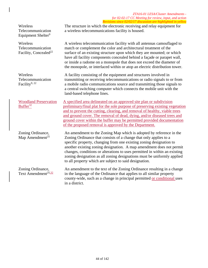Wireless Telecommunication Equipment Shelter<sup>9</sup>

Wireless Telecommunication Facility, Concealed<sup>22</sup>

Wireless Telecommunication Facility<sup>9, 22</sup>

The structure in which the electronic receiving and relay equipment for a wireless telecommunications facility is housed.

A wireless telecommunication facility with all antennas camouflaged to match or complement the color and architectural treatment of the surface of an existing structure upon which they are mounted; or which have all facility components concealed behind a façade or parapet wall, or inside a radome on a monopole that does not exceed the diameter of the monopole, or interlaced within or atop an electric distribution tower.

A facility consisting of the equipment and structures involved in transmitting or receiving telecommunications or radio signals to or from a mobile radio communications source and transmitting those signals to a central switching computer which connects the mobile unit with the land-based telephone lines.

Woodland Preservation  $Buffer<sup>32</sup>$ 

A specified area delineated on an approved site plan or subdivision preliminary/final plat for the sole purpose of preserving existing vegetation and to prevent the cutting, clearing, and removal of healthy, viable trees and ground cover. The removal of dead, dying, and/or diseased trees and ground cover within the buffer may be permitted provided documentation of the proposed removal is approved by the Department.

Zoning Ordinance, Map Amendment $^{25}$ An amendment to the Zoning Map which is adopted by reference in the Zoning Ordinance that consists of a change that only applies to a specific property, changing from one existing zoning designation to another existing zoning designation. A map amendment does not permit changes, conditions or alterations to uses permitted in within an existing zoning designation as all zoning designations must be uniformly applied to all property which are subject to said designation.

Zoning Ordinance, Text Amendment<sup>25,32</sup> An amendment to the text of the Zoning Ordinance resulting in a change in the language of the Ordinance that applies to all similar property county-wide, such as a change in principal permitted or conditional uses in a district.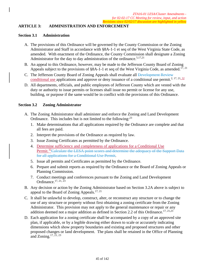# **ARTICLE 3: ADMINISTRATION AND ENFORCEMENT**

#### **Section 3.1 Administration**

- A. The provisions of this Ordinance will be governed by the County Commission or the Zoning Administrator and Staff in accordance with §8A-1-1 et seq of the West Virginia State Code, as amended. With enactment of the Ordinance, the County Commission shall designate a Zoning Administrator for the day to day administration of the ordinance.<sup>5,17,21</sup>
- B. An appeal to this Ordinance, however, may be made to the Jefferson County Board of Zoning Appeals subject to the provisions of §8A-1-1 et seq of the West Virginia Code, as amended.<sup>17, 21</sup>
- C. The Jefferson County Board of Zoning Appeals shall evaluate all Development Review conditional use applications and approve or deny issuance of a conditional use permit.<sup>2, 17, 21, 32</sup>
- D. All departments, officials, and public employees of Jefferson County which are vested with the duty or authority to issue permits or licenses shall issue no permit or license for any use, building, or purpose if the same would be in conflict with the provisions of this Ordinance.

### **Section 3.2 Zoning Administrator**

- A. The Zoning Administrator shall administer and enforce the Zoning and Land Development Ordinance. This includes but is not limited to the following: $^{23}$ 
	- 1. Make determinations that all applications required by the Ordinance are complete and that all fees are paid.
	- 2. Interpret the provisions of the Ordinance as required by law.
	- 3. Issue Zoning Certificates as permitted by the Ordinance.
	- 4. Determine sufficiency and completeness of applications for a Conditional Use Permit.<sup>32</sup>Calculate the LESA point scores and determine the adequacy of the Support Data for all applications for a Conditional Use Permit.
	- 5. Issue all permits and Certificates as permitted by the Ordinance.
	- 6. Prepare and submit reports as required by the Ordinance or the Board of Zoning Appeals or Planning Commission.
	- 7. Conduct meetings and conferences pursuant to the Zoning and Land Development Ordinance. $17, 21, 23$
- B. Any decision or action by the Zoning Administrator based on Section 3.2A above is subject to appeal to the Board of Zoning Appeals.<sup>17, 21</sup>
- C. It shall be unlawful to develop, construct, alter, or reconstruct any structure or to change the use of any structure or property without first obtaining a zoning certificate from the Zoning Administrator. This provision may not apply to the general maintenance or repair or any addition deemed not a major addition as defined in Section 2.2 of this Ordinance.<sup>17, 21,23</sup>
- D. Each application for a zoning certificate shall be accompanied by a copy of an approved site plan, if applicable, or by a legible drawing either drawn to scale or accurately indicating dimensions which show property boundaries and existing and proposed structures and other proposed changes or land development. The plans shall be retained in the Office of Planning and Zoning.17, 21, 23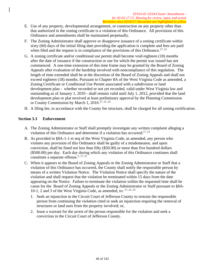- E. Use of any property, developmental arrangement, or construction on any property other than that authorized in the zoning certificate is a violation of this Ordinance. All provisions of this Ordinance and amendments shall be maintained perpetually.
- F. The Zoning Administrator shall approve or disapprove issuance of a zoning certificate within sixty (60) days of the initial filing date providing the application is complete and fees are paid when filed and the request is in compliance of the provisions of this Ordinance.<sup>17, 21</sup>
- G. A zoning certificate and/or conditional use permit shall become void eighteen (18) months after the date of issuance if the construction or use for which the permit was issued has not commenced. A one-time extension of this time frame may be granted by the Board of Zoning Appeals after evaluation of the hardship involved with noncompliance of this regulation. The length of time extended shall be at the discretion of the Board of Zoning Appeals and shall not exceed eighteen (18) months. Pursuant to Chapter 8A of the West Virginia Code as amended, a Zoning Certificate or Conditional Use Permit associated with a subdivision or land development plan - whether recorded or not yet recorded, valid under West Virginia law and outstanding as of January 1, 2010 - shall remain valid until July 1, 2012, provided that the land development plan or plat received at least preliminary approval by the Planning Commission or County Commission by March 1, 2010.<sup>17, 21, 23</sup>
- H. A filing fee, in accordance with the County fee structure, shall be charged for all zoning certification.

### **Section 3.3 Enforcement**

- A. The Zoning Administrator or Staff shall promptly investigate any written complaint alleging a violation of this Ordinance and determine if a violation has occurred.<sup>17, 21</sup>
- B. As provided in §8A-1-1 et seq of the West Virginia Code, as amended, any person who violates any provision of this Ordinance shall be guilty of a misdemeanor, and upon conviction, shall be fined not less than fifty (\$50.00) or more than five hundred dollars (\$500.00) per day. Each day during which any violation of this Ordinance continues shall constitute a separate offense.<sup>5, 17, 21</sup>
- C. When it appears to the Board of Zoning Appeals or the Zoning Administrator or Staff that a violation of this Ordinance has occurred, the County shall notify the responsible person by means of a written Violation Notice. The Violation Notice shall specify the nature of the violation and shall request that the violation be terminated within 15 days from the date appearing on the Notice. Failure to terminate the violation within the requested time shall be cause for the Board of Zoning Appeals or the Zoning Administrator or Staff pursuant to §8A-10-1, 2 and 3 of the West Virginia Code, as amended, to: 17, 21, 23
	- 1. Seek an injunction in the Circuit Court of Jefferson County to restrain the responsible person from continuing the violation cited or seek an injunction requiring the removal of structures or land uses from the property involved; or,
	- 2. Issue a warrant for the arrest of the person responsible for the violation and seek a conviction in the Circuit Court of Jefferson County.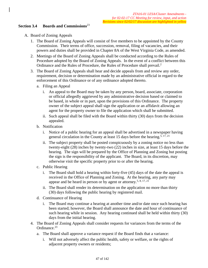### **Section 3.4 Boards and Commissions**<sup>23</sup>

- A. Board of Zoning Appeals
	- 1. The Board of Zoning Appeals will consist of five members to be appointed by the County Commission. Their terms of office, succession, removal, filing of vacancies, and their powers and duties shall be provided in Chapter 8A of the West Virginia Code, as amended.
	- 2. Meetings of the Board of Zoning Appeals shall be conducted according to the Rules of Procedure adopted by the Board of Zoning Appeals. In the event of a conflict between this Ordinance and the Rules of Procedure, the Rules of Procedure shall prevail.2
	- 3. The Board of Zoning Appeals shall hear and decide appeals from and review any order, requirement, decision or determination made by an administrative official in regard to the enforcement of this Ordinance or of any ordinance adopted thereto.
		- a. Filing an Appeal
			- i. An appeal to the Board may be taken by any person, board, associate, corporation or official allegedly aggrieved by any administrative decision based or claimed to be based, in whole or in part, upon the provisions of this Ordinance. The property owner of the subject appeal shall sign the application or an affidavit allowing an agent for the property owner to file the application which shall be submitted.
			- ii. Such appeal shall be filed with the Board within thirty (30) days from the decision appealed.
		- b. Notification
			- i. Notice of a public hearing for an appeal shall be advertised in a newspaper having general circulation in the County at least 15 days before the hearing.<sup>5, 17, 21</sup>
			- ii. The subject property shall be posted conspicuously by a zoning notice no less than twenty-eight (28) inches by twenty-two (22) inches in size, at least 15 days before the hearing. The sign will be prepared by the Office of Planning and Zoning but posting the sign is the responsibility of the applicant. The Board, in its discretion, may otherwise visit the specific property prior to or after the hearing.
		- c. Public Hearing
			- i. The Board shall hold a hearing within forty-five (45) days of the date the appeal is received in the Office of Planning and Zoning. At the hearing, any party may appear and be heard in person or by agent or attorney.<sup>5, 8, 17, 21</sup>
			- ii. The Board shall render its determination on the application no more than thirty (30) days following the public hearing by registered mail.
		- d. Continuance of Hearing
			- i. The Board may continue a hearing at another time and/or date once such hearing has been started; however, the Board shall announce the date and hour of continuance of such hearing while in session. Any hearing continued shall be held within thirty (30) days from the initial hearing.
	- 4. The Board of Zoning Appeals shall consider requests for variances from the terms of the Ordinance<sup>23</sup>
		- a. The Board shall approve a variance request if the Board finds that a variance:
			- i. Will not adversely affect the public health, safety or welfare, or the rights of adjacent property owners or residents;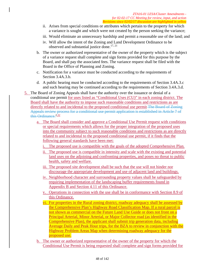- ii. Arises from special conditions or attributes which pertain to the property for which a variance is sought and which were not created by the person seeking the variance;
- iii. Would eliminate an unnecessary hardship and permit a reasonable use of the land; and
- iv. Will allow the intent of the Zoning and Land Development Ordinance to be observed and substantial justice done.<sup>17, 21</sup>
- b. The owner or authorized representative of the owner of the property which is the subject of a variance request shall complete and sign forms provided for this purpose by the Board, and shall pay the associated fees. The variance request shall be filed with the Board in the Office of Planning and Zoning.
- c. Notification for a variance must be conducted according to the requirements of Section 3.4A.3.b.
- d. A public hearing must be conducted according to the requirements of Section 3.4A.3.c and such hearing may be continued according to the requirements of Section 3.4A.3.d.
- 5. The Board of Zoning Appeals shall have the authority over the issuance or denial of a conditional use permit for uses listed as "Conditional Uses (CU)" in each zoning district. The Board shall have the authority to impose such reasonable conditions and restrictions as are directly related to and incidental to the proposed conditional use permit The Board of Zoning Appeals review process for a conditional use permit application is established in Article 7 of this Ordinance. $2,32$ 
	- a. The Board shall consider and approve a Conditional Use Permit request with conditions or special requirements which allows for the proper integration of the proposed uses into the community subject to such reasonable conditions and restrictions as are directly related to and incidental to the proposed conditional use permit, if it finds that the following general standards have been met:
		- i. The proposed use is compatible with the goals of the adopted Comprehensive Plan.
		- ii. The proposed use is compatible in intensity and scale with the existing and potential land uses on the adjoining and confronting properties, and poses no threat to public health, safety and welfare.
		- iii. The proposed site development shall be such that the use will not hinder nor discourage the appropriate development and use of adjacent land and buildings.
		- iv. Neighborhood character and surrounding property values shall be safeguarded by requiring implementation of the landscaping buffer requirements found in Appendix B and Section 4.11 of this Ordinance.
		- v. Operations in connection with the use shall be in conformance with Section 8.9 of this Ordinance.
		- vi. For properties in the Rural zoning district, roadway adequacy shall be assessed by the Comprehensive Plan's Highway Road Classification Map. If a rural parcel is not shown as commercial on the Future Land Use Guide or does not front on a Principal Arterial, Minor Arterial, or Major Collector road (as identified in the Comprehensive Plan), the applicant shall submit trip generation data, including Average Daily and Peak Hour trips, for the BZA to review in conjunction with the Highway Problem Areas Map when determining roadway adequacy for the proposed use.
	- b. The owner or authorized representative of the owner of the property for which the Conditional Use Permit is being requested shall complete and sign forms provided for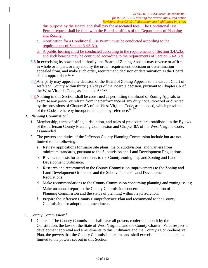this purpose by the Board, and shall pay the associated fees. The Conditional Use Permit request shall be filed with the Board at offices of the Departments of Planning and Zoning.

- c. Notification for a Conditional Use Permit must be conducted according to the requirements of Section 3.4A.3.b.
- d. A public hearing must be conducted according to the requirements of Section 3.4A.3.c and such hearing may be continued according to the requirements of Section 3.4A.3.d.
- 5.6.In exercising its power and authority, the Board of Zoning Appeals may reverse or affirm, in whole or in part, or may modify the order, requirement, decision or determination appealed from, and make such order, requirement, decision or determination as the Board deems appropriate.<sup>17, 21</sup>
- 6.7.Any party may appeal any decision of the Board of Zoning Appeals to the Circuit Court of Jefferson County within thirty (30) days of the Board's decision, pursuant to Chapter 8A of the West Virginia Code, as amended.<sup>2, 17, 21</sup>
- 7.8. Nothing in this Section shall be construed as permitting the Board of Zoning Appeals to exercise any power or refrain from the performance of any duty not authorized or directed by the provisions of Chapter 8A of the West Virginia Code, as amended, which provisions of the Code are hereby incorporated herein by reference.<sup>14, 17</sup>

# B. Planning Commission<sup>23</sup>

- 1. Membership, terms of office, jurisdiction, and rules of procedure are established in the Bylaws of the Jefferson County Planning Commission and Chapter 8A of the West Virginia Code, as amended.
- 2. The powers and duties of the Jefferson County Planning Commission include but are not limited to the following:
	- a. Review applications for major site plans, major subdivisions, and waivers from minimum standards, pursuant to the Subdivision and Land Development Regulations;
	- b. Review requests for amendments to the County zoning map and Zoning and Land Development Ordinance;
	- c. Research and recommend to the County Commission improvements to the Zoning and Land Development Ordinance and the Subdivision and Land Development Regulations;
	- d. Make recommendations to the County Commission concerning planning and zoning issues;
	- e. Make an annual report to the County Commission concerning the operation of the Planning Commission and the status of planning within its jurisdiction;
	- f. Prepare the Jefferson County Comprehensive Plan and recommend to the County Commission for adoption or amendment.
- C. County Commission $2^3$ 
	- 1. General. The County Commission shall have all powers conferred upon it by the Constitution, the laws of the State of West Virginia, and the County Charter. With respect to development approval and amendments to this Ordinance and the County's Comprehensive Plan, the powers that the County Commission retains and shall exercise include but are not limited to the powers set out in this Section.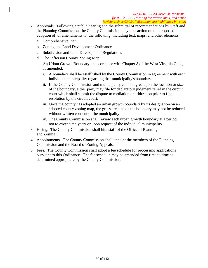- 2. Approvals. Following a public hearing and the submittal of recommendations by Staff and the Planning Commission, the County Commission may take action on the proposed adoption of, or amendments to, the following, including text, maps, and other elements:
	- a. Comprehensive Plan
	- b. Zoning and Land Development Ordinance
	- c. Subdivision and Land Development Regulations
	- d. The Jefferson County Zoning Map
	- e. An Urban Growth Boundary in accordance with Chapter 8 of the West Virginia Code, as amended:
		- i. A boundary shall be established by the County Commission in agreement with each individual municipality regarding that municipality's boundary.
		- ii. If the County Commission and municipality cannot agree upon the location or size of the boundary, either party may file for declaratory judgment relief in the circuit court which shall submit the dispute to mediation or arbitration prior to final resolution by the circuit court.
		- iii. Once the county has adopted an urban growth boundary by its designation on an adopted county zoning map, the gross area inside the boundary may not be reduced without written consent of the municipality.
		- iv. The County Commission shall review each urban growth boundary at a period not to exceed ten years or upon request of the individual municipality.
- 3. Hiring. The County Commission shall hire staff of the Office of Planning and Zoning.
- 4. Appointments. The County Commission shall appoint the members of the Planning Commission and the Board of Zoning Appeals.
- 5. Fees. The County Commission shall adopt a fee schedule for processing applications pursuant to this Ordinance. The fee schedule may be amended from time to time as determined appropriate by the County Commission.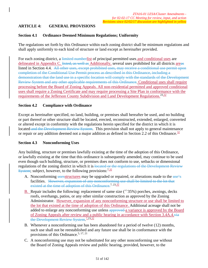# **ARTICLE 4: GENERAL PROVISIONS**

### **Section 4.1 Ordinance Deemed Minimum Regulations; Uniformity**

The regulations set forth by this Ordinance within each zoning district shall be minimum regulations and shall apply uniformly to each kind of structure or land except as hereinafter provided.

For each zoning district, a limited numberlist of principal permitted uses and conditional uses are delineated in Appendix C. listed, as well as Additionally, several uses prohibited for all districts areas listed in Section 4.4. All other uses, except prohibited uses, may receive a conditional use permit upon completion of the Conditional Use Permit process as described in this Ordinance, including a demonstration that the land use in a specific location will comply with the standards of the Development Review System and any other applicable requirements of this Ordinance. Conditional uses shall require processing before the Board of Zoning Appeals. All non-residential permitted and approved conditional uses shall require a Zoning Certificate and may require processing a Site Plan in conformance with the requirements of the Jefferson County Subdivision and Land Development Regulations.<sup>23,32</sup>

### **Section 4.2 Compliance with Ordinance**

Except as hereinafter specified, no land, building, or premises shall hereafter be used, and no building or part thereof or other structure shall be located, erected, reconstructed, extended, enlarged, converted or altered except in conformity with the regulations herein specified for the district in which it is located and the Development Review System. This provision shall not apply to general maintenance or repair or any addition deemed not a major addition as defined in Section 2.2 of this Ordinance. $\frac{32}{3}$ 

#### **Section 4.3 Nonconforming Uses**

Any building, structure or premises lawfully existing at the time of the adoption of this Ordinance, or lawfully existing at the time that this ordinance is subsequently amended, may continue to be used even though such building, structure, or premises does not conform to use, setbacks or dimensional regulations of the zoning district in which it is located or the regulations of the Development Review System; subject, however, to the following provisions:  $7.32$ 

- A. Nonconforming uses structures may be upgraded or repaired, or alterations made to the use's facilities. However, expansion of any nonconforming use shall be limited to the lot that existed at the time of adoption of this Ordinance.<sup>7, 23,32</sup>
- **B.** Repair includes the following: replacement of same size  $($ + $\frac{1}{35\%})$  porches, awnings, decks roofs, overhangs, patios, or any other similar construction as approved by the Zoning Administrator. However, expansion of any nonconforming structure or use shall be limited to the lot that existed at the time of adoption of this Ordinance. Additional acreage shall not be added to enlarge any nonconforming use unless approved a variance is approved by the Board of Zoning Appeals after review and a public hearing in accordance with Section 3.4A.4.via the Development Review System.<sup>7,23,32</sup>
- B. Whenever a nonconforming use has been abandoned for a period of twelve (12) months, such use shall not be reestablished and any future use shall be in conformance with the provisions of this Ordinance.<sup>5, 17, 21</sup>
- C. A nonconforming use may not be substituted for any other nonconforming use without the Board of Zoning Appeals review and public hearing, provided, however, to the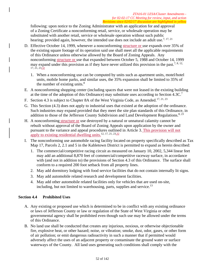following: upon notice to the Zoning Administrator with an application for and approval of a Zoning Certificate a nonconforming retail, service, or wholesale operation may be substituted with another retail, service or wholesale operation without such public hearing; provided again, however, the intended use does not include an adult use.<sup>7, 17, 21</sup>

- D. Effective October 14, 1999, whenever a nonconforming structure or use expands over 35% of the existing square footage of its operation said use shall meet all the applicable requirements of this Ordinance unless otherwise allowed by the Board of Zoning Appeals. Any nonconforming structure or use that expanded between October 5, 1988 and October 14, 1999 may expand under this provision as if they have never utilized this provision in the past.<sup>7, 8, 12,</sup>  $17, 21, 23, 32$ 
	- 1. When a nonconforming use can be computed by units such as apartment units, motel/hotel units, mobile home parks, and similar uses, the 35% expansion shall be limited to 35% of the number of existing units. $8$
- E. A nonconforming shopping center (including spaces that were not leased in the existing building at the time of the adoption of this Ordinance) may substitute uses according to Section 4.3C.<sup>7</sup>
- F. Section 4.3 is subject to Chapter 8A of the West Virginia Code, as Amended.<sup>17, 21, 23</sup>
- G. This Section (4.3) does not apply to industrial uses that existed at the adoption of the ordinance. Such industries may expand provided that they meet the site plan standards of this Ordinance, in addition to those of the Jefferson County Subdivision and Land Development Regulations.<sup>8, 23</sup>
- H. A nonconforming structure or use destroyed by a natural or unnatural calamity cannot be rebuilt without approval of the Board of Zoning Appeals upon application by the owner and pursuant to the variance and appeal procedures outlined in Article 3. This provision will not apply to existing residential dwelling units.<sup>12, 17, 21, 23,32</sup>
- I. The nonconforming use automobile racing facility located on property specifically described as Tax Map 17, Parcels 2, 2.1 and 5 in the Kabletown District is permitted to expand as herein described:
	- 1. The commercial/competitive racing circuit as measured on January 10, 2002, 5,344 linear feet may add an additional 8,870 feet of commercial/competitive raceway surface, in accordance with (and not in addition to) the provisions of Section 4.3 of this Ordinance. The surface shall conform to a required 200 foot setback from all property lines.
	- 2. May add dormitory lodging with food service facilities that do not contain internally lit signs.
	- 3. May add automobile related research and development facilities.
	- 4. May add other automobile related facilities only for vehicles that are used on-site, including, but not limited to warehousing, parts, supplies and service.<sup>13</sup>

### **Section 4.4 Prohibited Uses**

- A. Any existing or proposed use which is determined to be in conflict with any existing ordinance or laws of Jefferson County or law or regulation of the State of West Virginia or other governmental agency shall be prohibited even though such use may be allowed under the terms of this Ordinance.
- B. No land use shall be conducted that creates any injurious, noxious, or otherwise objectionable fire, explosive heat, or other hazard; noise, or vibration; smoke, dust, odor, gases, or other form of air pollution; or emit dangerous radioactivity in such a manner that if permitted would adversely affect the uses of an adjacent property or contaminate the ground water or surface waterways of the County. All land uses generating such conditions shall comply with the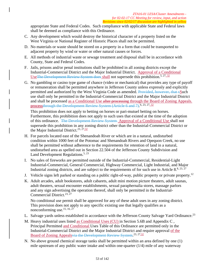appropriate State and Federal Codes. Such compliance with applicable State and Federal laws shall be deemed as compliance with this Ordinance.

- C. Any development which would destroy the historical character of a property listed on the West Virginia or National Register of Historic Places shall not be permitted.
- D. No materials or waste should be stored on a property in a form that could be transported to adjacent property by wind or water or other natural causes or forces.
- E. All methods of industrial waste or sewage treatment and disposal shall be in accordance with County, State and Federal Codes.
- F. Jails, prisons and/or penal institutions shall be prohibited in all zoning districts except the Industrial-Commercial District and the Major Industrial District. Approval of a Conditional Use The Development Review System does shall not supersede this prohibition.<sup>5, 27, 32</sup>
- G. No gambling or casino type game of chance (video or mechanical) that provides any type of payoff or remuneration shall be permitted anywhere in Jefferson County unless expressly and explicitly permitted and authorized by the West Virginia Code as amended. Provided, however, that sSuch use shall only be permitted in the Industrial-Commercial District and the Major Industrial District and shall be processed as a Conditional Use after processing through the Board of Zoning Appeals. processthrough the Development Review System (Article 6 and 7).<sup>6, 23, 27, 32</sup>

This prohibition does not apply to betting on horses or pari-mutuel betting on horses. Furthermore, this prohibition does not apply to such uses that existed at the time of the adoption of this ordinance. The Development Review System Approval of a Conditional Use shall not supersede this prohibition in any zoning district other than the Industrial-Commercial District or the Major Industrial District.<sup>23,  $27,32$ </sup>

- H. For parcels located east of the Shenandoah River or which are in a natural, undisturbed condition within 1000 feet of the Potomac and Shenandoah Rivers and Opequon Creek, no use shall be permitted without adherence to the requirements for retention of land in a natural, undisturbed area as spelled out in Section 22.504 of the Jefferson County Subdivision and Land Development Regulations.<sup>5, 23</sup>
- I. No sales of fireworks are permitted outside of the Industrial-Commercial, Residential-Light Industrial-Commercial, General Commercial, Highway Commercial, Light Industrial, and Major Industrial zoning districts, and are subject to the requirements of for such use in Article  $8^{8,23,27}$
- J. Vehicle signs left parked or standing on a public right-of-way, public property or private property.<sup>12</sup>
- K. Adult arcades, adult bookstores, adult cabarets, adult mini motion picture theaters, adult saunas, adult theaters, sexual encounter establishments, sexual paraphernalia stores, massage parlors and any sign advertising the operation thereof, shall only be permitted in the Industrial-Commercial District.<sup>23, 27</sup>

No conditional use permit shall be approved for any of these adult uses in any zoning district. This provision does not apply to any specific existing use that legally qualifies as a nonconforming use.<sup>15, 16, 27</sup>

- L. Salvage yards unless established in accordance with the Jefferson County Salvage Yard Ordinance.<sup>23</sup>
- M. Heavy industrial uses listed as Conditional Uses (CU) in Section 5.6B and Appendix C , Principal Permitted and Conditional Uses Table of this Ordinance are permitted only in the Industrial-Commercial District and the Major Industrial District and require approval of the Board of Zoning Appeals via the Development Review System.<sup>23, 27, 32</sup>
- N. No above ground chemical storage tanks shall be permitted within an area defined by one (1) mile upstream of any public water intake and within one-quarter (1/4) mile of any waterway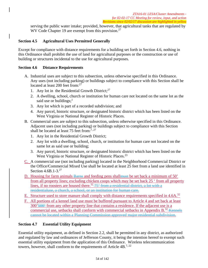serving the public water intake; provided, however, that agricultural tanks that are regulated by WV Code Chapter 19 are exempt from this provision.<sup>27</sup>

# **Section 4.5 Agricultural Uses Permitted Generally**

Except for compliance with distance requirements for a building set forth in Section 4.6, nothing in this Ordinance shall prohibit the use of land for agricultural purposes or the construction or use of building or structures incidental to the use for agricultural purposes.

### **Section 4.6 Distance Requirements**

- A. Industrial uses are subject to this subsection, unless otherwise specified in this Ordinance. Any uses (not including parking) or buildings subject to compliance with this Section shall be located at least 200 feet from:<sup>27</sup>
	- 1. Any lot in the Residential Growth District; $^{27}$
	- 2. A dwelling, school, church or institution for human care not located on the same lot as the said use or buildings; $<sup>1</sup>$ </sup>
	- 3. Any lot which is part of a recorded subdivision; and
	- 4. Any parcel, historic structure, or designated historic district which has been listed on the West Virginia or National Register of Historic Places.
- B. Commercial uses are subject to this subsection, unless otherwise specified in this Ordinance. Adjacent uses (not including parking) or buildings subject to compliance with this Section shall be located at least 75 feet from:<sup>7, 27</sup>
	- 1. Any lot in the Residential Growth District;
	- 2. Any lot with a dwelling, school, church, or institution for human care not located on the same lot as said use or building;
	- 3. Any parcel, historic structure, or designated historic district which has been listed on the West Virginia or National Register of Historic Places.<sup>23</sup>
- C. A commercial use (not including parking) located in the Neighborhood Commercial District or the Office/Commercial Mixed Use shall be located at least 25 feet from a land use identified in Section 4.6B.1-3.<sup>27</sup>
- D. Housing for farm animals Barns and feeding pens shall must be set back a minimum of 50' from all property lines; excluding chicken coops which may be set back 25 ' from all property lines, if no roosters are housed there.<sup>32</sup>  $-75$  from a residential district, a lot with a residentialuse, a church, a school, or an institution for human care.
- E. Structure used to store manure shall comply with distance requirements specified in 4.6A.<sup>32</sup>
- F. All portions of a kennel land use must be buffered pursuant to Article 4 and set back at least 300'500' from any other property line that contains a residence. If the adjacent use is a commercial use, setbacks shall conform with commercial setbacks in Appendix  $B$ <sup>32</sup> Kennels cannot be located within a Planning Commission approved major residential subdivision.

### **Section 4.7 Essential Utility Equipment**

Essential utility equipment, as defined in Section 2.2, shall be permitted in any district, as authorized and regulated by law and ordinances of Jefferson County, it being the intention hereof to exempt such essential utility equipment from the application of this Ordinance. Wireless telecommunication towers, however, shall conform to the requirements of Article  $4B^{7,22}$ .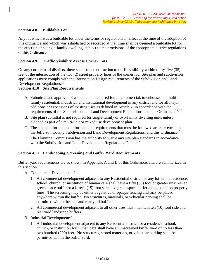### **Section 4.8 Buildable Lot**

Any lot which was a buildable lot under the terms or regulations in effect at the time of the adoption of this ordinance and which was established or recorded at that time shall be deemed a buildable lot for the erection of a single-family dwelling, subject to the provisions of the appropriate district regulations of this Ordinance.

### **Section 4.9 Traffic Visibility Across Corner Lots**

On any corner in all districts, there shall be no obstruction to traffic visibility within thirty-five (35) feet of the intersection of the two (2) street property lines of the corner lot. Site plan and subdivision applications must comply with the Intersection Design requirements of the Subdivision and Land Development Regulations.<sup>23</sup>

#### **Section 4.10 Site Plan Requirements**

- A. Submittal and approval of a site plan is required for all commercial, townhouse and multifamily residential, industrial, and institutional development in any district and for all major additions or expansions of existing uses as defined in Article 2, in accordance with the requirements of the Subdivision and Land Development Regulations and this Ordinance.<sup>23, 26</sup>
- B. Site plan submittal is not required for single-family or two-family dwelling units unless planned as part of a multi-unit or mixed use development plan.
- C. The site plan format and informational requirements that must be followed are referenced in the Jefferson County Subdivision and Land Development Regulations, and this Ordinance.<sup>23</sup>
- D. The Planning Commission has the authority to waive any site plan standards in accordance with the Subdivision and Land Development Regulations.<sup>10, 17, 21, 23</sup>

#### **Section 4.11 Landscaping, Screening and Buffer Yard Requirements**

Buffer yard requirements are as shown in Appendix A and B of this Ordinance, and are summarized in this section.<sup>27</sup>

- A. Commercial Development<sup>27</sup>
	- 1. All commercial development adjacent to any Residential district, or any lot with a residence, school, church, or institution of human care shall have a fifty (50) foot or greater unscreened green space buffer or a fifteen (15) foot screened green space buffer along common property lines. The screening may be either vegetative or opaque fencing and may be placed anywhere within the buffer. No structures, materials, or vehicular parking shall be permitted within the side and rear yard buffers.
	- 2. All commercial development adjacent to all other uses must maintain ten (10) foot side and rear yard landscape buffers.<sup>5</sup>
- B. Industrial Development<sup>27</sup>
	- 1. All industrial development adjacent to any Residential district, or a residence, school, church, or institution for human care shall have an unscreened buffer yard of no less than two hundred (200) feet. No structures, stored materials, or vehicular parking shall be permitted within the buffer yard.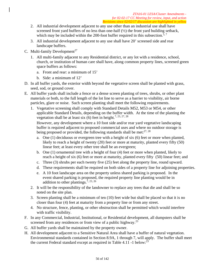- 2. All industrial development adjacent to any use other than an industrial use shall have screened front yard buffers of no less than one-half (1/2) the front yard building setback, which may be included within the 200-foot buffer required in this subsection.<sup>5, 7</sup>
- 3. All industrial development adjacent to any use shall have 20' screened side and rear landscape buffers.
- C. Multi-family Development<sup>27</sup>
	- 1. All multi-family adjacent to any Residential district, or any lot with a residence, school, church, or institution of human care shall have, along common property lines, screened green space buffers as follows:
		- a. Front and rear: a minimum of 15'
		- b. Side: a minimum of 12'
- D. In all buffer yards, the exterior width beyond the vegetative screen shall be planted with grass, seed, sod, or ground cover.
- E. All buffer yards shall include a fence or a dense screen planting of trees, shrubs, or other plant materials or both, to the full length of the lot line to serve as a barrier to visibility, air borne particles, glare or noise. Such screen planting shall meet the following requirements.
	- 1. Vegetative screening shall comply with Standard Details M52, M53 or M54, or other applicable Standard Details, depending on the buffer width. At the time of the planting the vegetation shall be at least six (6) feet in height.<sup>7, 23, 27, 28</sup>

However, any development where a 10 foot side and/or rear yard vegetative landscaping buffer is required adjacent to proposed commercial uses and where no outdoor storage is being proposed or provided, the following standards shall be met:  $27, 28$ 

- a. One (1) deciduous or evergreen tree with a height of six (6) feet or more when planted, likely to reach a height of twenty (20) feet or more at maturity, planted every fifty (50) linear feet; at least every other tree shall be an evergreen;
- b. One (1) ornamental tree with a height of four (4) feet or more when planted, likely to reach a height of six (6) feet or more at maturity, planted every fifty (50) linear feet; and
- c. Three (3) shrubs per each twenty five (25) feet along the property line, round upward.
- d. These requirements shall be required on both sides of a property line for adjoining properties.
- e. A 10 foot landscape area on the property unless shared parking is proposed. In the event shared parking is proposed, the required property line planting would be in addition to other plantings.<sup> $7, 23, 26$ </sup>
- 2. It will be the responsibility of the landowner to replace any trees that die and shall be so noted on the site plan.
- 3. Screen planting shall be a minimum of ten (10) feet wide but shall be placed so that it is no closer than four (4) feet at maturity from a property line or from any street.
- 4. No structure, fence, planting, or other obstruction shall be permitted which would interfere with traffic visibility.
- F. In any Commercial, Industrial, Institutional, or Residential development, all dumpsters shall be screened from any residences or from view of a public highway. $^{23}$
- G. All buffer yards shall be maintained by the property owner.
- H. All development adjacent to a Sensitive Natural Area shall have a buffer of natural vegetation. Environmental standards contained in Section 8.9A, 1 through 7, will apply. The buffer shall meet the current Federal standard except as required in Table 4.11 -1 below:<sup>23</sup>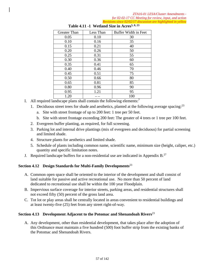*ZTA16-01 LESA/Cluster Amendments for 02-02-17 CC Meeting for review, input, and action Revisions since 02/02/17 discussion are highlighted in yellow* 

| <b>Greater Than</b> | Less Than | Buffer Width in Feet |
|---------------------|-----------|----------------------|
| 0.05                | 0.10      | 30                   |
| 0.10                | 0.16      | 35                   |
| 0.15                | 0.21      | 40                   |
| 0.20                | 0.26      | 50                   |
| 0.25                | 0.31      | 55                   |
| 0.30                | 0.36      | 60                   |
| 0.35                | 0.41      | 65                   |
| 0.40                | 0.46      | 70                   |
| 0.45                | 0.51      | 75                   |
| 0.50                | 0.66      | 80                   |
| 0.65                | 0.81      | 85                   |
| 0.80                | 0.96      | 90                   |
| 0.95                | 1.21      | 95                   |
| 1.20                |           | 100                  |

## Table 4.11 -1 Wetland Size in Acres<sup>5, 8, 23</sup>

- I. All required landscape plans shall contain the following elements: $<sup>7</sup>$ </sup>
	- 1. Deciduous street trees for shade and aesthetics, planted at the following average spacing:  $2<sup>3</sup>$ 
		- a. Site with street frontage of up to 200 feet: 1 tree per 50 feet.
		- b. Site with street frontage exceeding 200 feet: The greater of 4 trees or 1 tree per 100 feet.
	- 2. Evergreen buffer planting, as required, for full screening.
	- 3. Parking lot and internal drive plantings (mix of evergreen and deciduous) for partial screening and limited shade.
	- 4. Structure plants for aesthetics and limited shade.
	- 5. Schedule of plants including common name, scientific name, minimum size (height, caliper, etc.) quantity and specific limitation notes.
- J. Required landscape buffers for a non-residential use are indicated in Appendix B. $^{27}$

# **Section 4.12 Design Standards for Multi-Family Developments**<sup>23</sup>

- A. Common open space shall be oriented to the interior of the development and shall consist of land suitable for passive and active recreational use. No more than 50 percent of land dedicated to recreational use shall be within the 100 year Floodplain.
- B. Impervious surface coverage for interior streets, parking areas, and residential structures shall not exceed fifty (50) percent of the gross land area.
- C. Tot lot or play areas shall be centrally located in areas convenient to residential buildings and at least twenty-five (25) feet from any street right-of-way.

#### **Section 4.13 Development Adjacent to the Potomac and Shenandoah Rivers**<sup>23</sup>

A. Any development, other than residential development, that takes place after the adoption of this Ordinance must maintain a five hundred (500) foot buffer strip from the existing banks of the Potomac and Shenandoah Rivers.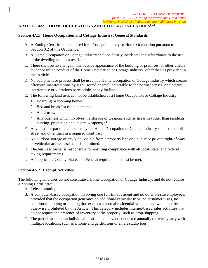### **ARTICLE 4A: HOME OCCUPATIONS AND COTTAGE INDUSTRIES8,24**

#### **Section 4A.1 Home Occupation and Cottage Industry, General Standards**

- A. A Zoning Certificate is required for a Cottage Industry or Home Occupation pursuant to Section 3.2 of this Ordinance.
- B. A Home Occupation or Cottage Industry shall be clearly incidental and subordinate to the use of the dwelling unit as a residence.
- C. There shall be no change in the outside appearance of the building or premises, or other visible evidence of the conduct of the Home Occupation or Cottage Industry, other than as provided in this Article.
- D. No equipment or process shall be used in a Home Occupation or Cottage Industry which creates offensive manifestations by sight, sound or smell detectable to the normal senses, or electrical interference or vibrations perceptible, at any lot line.
- E. The following land uses cannot be established as a Home Occupation or Cottage Industry:
	- 1. Boarding or rooming homes.
	- 2. Bed and breakfast establishments.
	- 3. Adult uses.
	- 4. Any business which involves the storage of weapons such as firearms (other than residents' hunting, protection and leisure weapons). $^{12}$
- F. Any need for parking generated by the Home Occupation or Cottage Industry shall be met off street and other than in a required front yard.
- G. No outdoor storage of any kind, visible from a property line or a public or private right-of-way or vehicular access easement, is permitted.
- H. The business owner is responsible for ensuring compliance with all local, state, and federal taxing requirements.
- I. All applicable County, State, and Federal requirements must be met.

#### **Section 4A.2 Exempt Activities**

The following land uses do not constitute a Home Occupation or Cottage Industry, and do not require a Zoning Certificate:

- A. Telecommuting.
- B. A computer-based occupation involving one full-time resident and no other on-site employees, provided that the occupation generates no additional vehicular trips, no customer visits, no additional shipping or mailing that exceeds a normal residential volume, and would not be otherwise prohibited by this Article. This category includes internet-based sales activities that do not require the presence of inventory at the property, such as drop-shipping.
- C. The participation of an individual location in an event conducted annually or twice yearly with multiple locations, such as a home and garden tour or an art studio tour.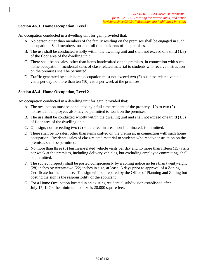# **Section 4A.3 Home Occupation, Level 1**

An occupation conducted in a dwelling unit for gain provided that:

- A. No person other than members of the family residing on the premises shall be engaged in such occupation. Said members must be full time residents of the premises.
- B. The use shall be conducted wholly within the dwelling unit and shall not exceed one third  $(1/3)$ of the floor area of the dwelling unit.
- C. There shall be no sales, other than items handcrafted on the premises, in connection with such home occupation. Incidental sales of class-related material to students who receive instruction on the premises shall be permitted.
- D. Traffic generated by such home occupation must not exceed two (2) business related vehicle visits per day no more than ten (10) visits per week at the premises.

### **Section 4A.4 Home Occupation, Level 2**

An occupation conducted in a dwelling unit for gain, provided that:

- A. The occupation must be conducted by a full-time resident of the property. Up to two (2) nonresident employees also may be permitted to work on the premises.
- B. The use shall be conducted wholly within the dwelling unit and shall not exceed one third (1/3) of floor area of the dwelling unit.
- C. One sign, not exceeding two (2) square feet in area, non-illuminated, is permitted.
- D. There shall be no sales, other than items crafted on the premises, in connection with such home occupation. Incidental sales of class-related material to students who receive instruction on the premises shall be permitted.
- E. No more than three (3) business-related vehicle visits per day and no more than fifteen (15) visits per week at the premises, including delivery vehicles, but excluding employee commuting, shall be permitted.
- F. The subject property shall be posted conspicuously by a zoning notice no less than twenty-eight (28) inches by twenty-two (22) inches in size, at least 15 days prior to approval of a Zoning Certificate for the land use. The sign will be prepared by the Office of Planning and Zoning but posting the sign is the responsibility of the applicant.
- G. For a Home Occupation located in an existing residential subdivision established after July 17, 1979, the minimum lot size is 20,000 square feet.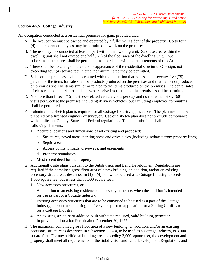# **Section 4A.5 Cottage Industry**

An occupation conducted at a residential premises for gain, provided that:

- A. The occupation must be owned and operated by a full-time resident of the property. Up to four (4) nonresident employees may be permitted to work on the premises.
- B. The use may be conducted at least in part within the dwelling unit. Said use area within the dwelling unit shall not exceed one half (1/2) of the floor area of the dwelling unit. Two subordinate structures shall be permitted in accordance with the requirements of this Article.
- C. There shall be no change in the outside appearance of the residential structure. One sign, not exceeding four (4) square feet in area, non-illuminated may be permitted.
- D. Sales on the premises shall be permitted with the limitation that no less than seventy-five (75) percent of the items for sale shall be products produced on the premises and that items not produced on premises shall be items similar or related to the items produced on the premises. Incidental sales of class-related material to students who receive instruction on the premises shall be permitted.
- E. No more than fifteen (15) business-related vehicle visits per day and no more than sixty (60) visits per week at the premises, including delivery vehicles, but excluding employee commuting, shall be permitted.
- F. Submittal of a sketch plan is required for all Cottage Industry applications. The plan need not be prepared by a licensed engineer or surveyor. Use of a sketch plan does not preclude compliance with applicable County, State, and Federal regulations. The plan submittal shall include the following elements:
	- 1. Accurate locations and dimensions of all existing and proposed:
		- a. Structures, paved areas, parking areas and drive aisles (including setbacks from property lines)
		- b. Septic areas
		- c. Access points to roads, driveways, and easements
		- d. Property boundaries
	- 2. Most recent deed for the property
- G. Additionally, site plans pursuant to the Subdivision and Land Development Regulations are required if the combined gross floor area of a new building, an addition, and/or an existing accessory structure as described in  $(1) - (4)$  below, to be used as a Cottage Industry, exceeds 1,500 square feet but is less than 3,000 square feet:
	- 1. New accessory structures, or
	- 2. An addition to an existing residence or accessory structure, when the addition is intended for use as part of a Cottage Industry;
	- 3. Existing accessory structures that are to be converted to be used as a part of the Cottage Industry, if constructed during the five years prior to application for a Zoning Certificate for a Cottage Industry;
	- 4. An existing structure or addition built without a required, valid building permit or Improvement Location Permit after December 20, 1975.
- H. The maximum combined gross floor area of a new building, an addition, and/or an existing accessory structure as described in subsection  $J.1 - 4$ , to be used as a Cottage Industry, is 3,000 square feet. For any additional building area exceeding 3,000 square feet, the development and property shall meet all requirements of the Subdivision and Land Development Regulations and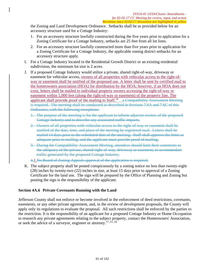the Zoning and Land Development Ordinance. Setbacks shall be as provided below for an accessory structure used for a Cottage Industry:

- 1. For an accessory structure lawfully constructed during the five years prior to application for a Zoning Certificate for a Cottage Industry, setbacks are 25 feet from all lot lines.
- 2. For an accessory structure lawfully constructed more than five years prior to application for a Zoning Certificate for a Cottage Industry, the applicable zoning district setbacks for an accessory structure apply.
- I. For a Cottage Industry located in the Residential Growth District or an existing residential subdivision, the minimum lot size is 2 acres.
- J. If a proposed Cottage Industry would utilize a private, shared right-of-way, driveway or easement for vehicular access, owners of all properties with vehicular access to the right-ofway or easement shall be notified of the proposed use. A letter shall be sent by certified mail to the homeowners association (HOA) for distribution by the HOA; however, if an HOA does not exist, letters shall be mailed to individual property owners accessing the right-of-way or easement within 1,000 feet (along the right-of-way or easement) of the property line. The applicant shall provide proof of the mailing to Staff.<sup>32</sup> a Compatibility Assessment Meeting is required. The meeting shall be conducted as described in Sections 7.6A and 7.6C of this Ordinance, with the following exceptions:
	- 1. The purpose of the meeting is for the applicant to inform adjacent owners of the proposed Cottage Industry and to describe any associated traffic impacts.
	- 2. Owners of all properties with vehicular access to the right-of-way or easement shall be notified of the date, time, and place of the meeting by registered mail. Letters shall be mailed 14 days prior to the scheduled date of the meeting. Staff shall approve the letter as adequate prior to mailing, and the applicant must provide proof of mailing.
	- 3. During the Compatibility Assessment Meeting, attendees should limit their comments to the adequacy of the private, shared right-of-way, driveway or easement, to accommodate traffic generated by the proposed Cottage Industry.
	- 4.1.No Board of Zoning Appeals approval of the application is required.
- K. The subject property shall be posted conspicuously by a zoning notice no less than twenty-eight (28) inches by twenty-two (22) inches in size, at least 15 days prior to approval of a Zoning Certificate for the land use. The sign will be prepared by the Office of Planning and Zoning but posting the sign is the responsibility of the applicant.

### **Section 4A.6 Private Covenants Running with the Land**

Jefferson County shall not enforce or become involved in the enforcement of deed restrictions, covenants, easements, or any other private agreement, and, in the review of development proposals, the County will apply only its regulations to evaluate the proposal. All such restrictions shall be enforced by the parties to the restriction. It is the responsibility of an applicant for a proposed Cottage Industry or Home Occupation to research any private agreements relating to the subject property, contact the Homeowners' Association, or seek the advice of a surveyor, engineer or attorney.17, 21, 24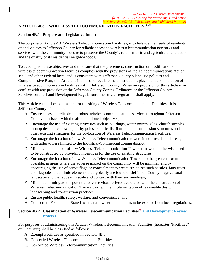# **ARTICLE 4B: WIRELESS TELECOMMUNICATION FACILITIES**10, 22

### **Section 4B.1 Purpose and Legislative Intent**

The purpose of Article 4B, Wireless Telecommunication Facilities, is to balance the needs of residents of and visitors to Jefferson County for reliable access to wireless telecommunication networks and services with the community's desire to preserve the County's rural, historic and agricultural character and the quality of its residential neighborhoods.

To accomplish these objectives and to ensure that the placement, construction or modification of wireless telecommunication facilities complies with the provisions of the Telecommunications Act of 1996 and other Federal laws, and is consistent with Jefferson County's land use policies and Comprehensive Plan, this Article is intended to regulate the construction, placement and operation of wireless telecommunication facilities within Jefferson County. When any provision of this article is in conflict with any provision of the Jefferson County Zoning Ordinance or the Jefferson County Subdivision and Land Development Regulations, the stricter regulation shall apply.

This Article establishes parameters for the siting of Wireless Telecommunication Facilities. It is Jefferson County's intent to:

- A. Ensure access to reliable and robust wireless communications services throughout Jefferson County consistent with the aforementioned objectives;
- B. Encourage the use of existing structures such as buildings, water towers, silos, church steeples, monopoles, lattice towers, utility poles, electric distribution and transmission structures and other existing structures for the co-location of Wireless Telecommunication Facilities;
- C. Encourage the location of new Wireless Telecommunication towers in non-residential areas, with taller towers limited to the Industrial-Commercial zoning district;
- D. Minimize the number of new Wireless Telecommunication Towers that would otherwise need to be constructed by providing incentives for the use of existing structures;
- E. Encourage the location of new Wireless Telecommunication Towers, to the greatest extent possible, in areas where the adverse impact on the community will be minimal; and by encouraging the use of camouflage or concealment to create structures such as silos, faux trees and flagpoles that mimic elements that typically are found on Jefferson County's agricultural landscape and that appear in scale and context with their surroundings;
- F. Minimize or mitigate the potential adverse visual effects associated with the construction of Wireless Telecommunication Towers through the implementation of reasonable design, landscaping and construction practices;
- G. Ensure public health, safety, welfare, and convenience; and
- H. Conform to Federal and State laws that allow certain antennas to be exempt from local regulations.

# **Section 4B.2 Classification of Wireless Telecommunication Facilities<sup>32</sup> and Development Review Process**

For purposes of administering this Article, Wireless Telecommunication Facilities (hereafter "Facilities" or "Facility") shall be classified as follows:

- A. Exempt Facilities as specified in Section 4B.3
- B. Concealed Wireless Telecommunication Facilities
- C. Co-located Wireless Telecommunication Facilities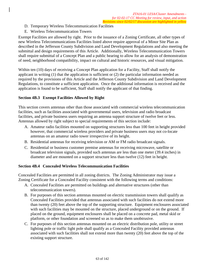- D. Temporary Wireless Telecommunication Facilities
- E. Wireless Telecommunication Towers

Exempt Facilities are allowed by right. Prior to the issuance of a Zoning Certificate, all other types of new Wireless Telecommunications Facilities listed above require approval of a Minor Site Plan as described in the Jefferson County Subdivision and Land Development Regulations and also meeting the submittal and design requirements of this Article. Additionally, Wireless Telecommunication Towers shall require submittal of a Concept Plan and a public hearing to allow for an analysis of demonstration of need, neighborhood compatibility, impact on cultural and historic resources, and visual mitigation.

Within ten (10) days of receiving a Concept Plan application for a Facility, Staff shall notify the applicant in writing (1) that the application is sufficient or (2) the particular information needed as required by the provisions of this Article and the Jefferson County Subdivision and Land Development Regulations, to constitute a sufficient application. Once the additional information is received and the application is found to be sufficient, Staff shall notify the applicant of that finding.

# **Section 4B.3 Exempt Facilities Allowed by Right**

This section covers antennas other than those associated with commercial wireless telecommunication facilities, such as facilities associated with governmental users, television and radio broadcast facilities, and private business users requiring an antenna support structure of twelve feet or less. Antennas allowed by right subject to special requirements of this section include:

- A. Amateur radio facilities mounted on supporting structures less than 100 feet in height provided however, that commercial wireless providers and private business users may not co-locate antennas on an amateur radio tower irrespective of its height.
- B. Residential antennas for receiving television or AM or FM radio broadcast signals.
- C. Residential or business customer premise antennas for receiving microwave, satellite or broadcast television signals, provided such antennas are less than one meter (39.4 inches) in diameter and are mounted on a support structure less than twelve (12) feet in height.

### **Section 4B.4 Concealed Wireless Telecommunication Facilities**

Concealed Facilities are permitted in all zoning districts. The Zoning Administrator may issue a Zoning Certificate for a Concealed Facility consistent with the following terms and conditions:

- A. Concealed Facilities are permitted on buildings and alternative structures (other than telecommunication towers).
- B. For purposes of this section antennas mounted on electric transmission towers shall qualify as Concealed Facilities provided that antennas associated with such facilities do not extend more than twenty (20) feet above the top of the supporting structure. Equipment enclosures associated with such facilities may be mounted on the structure, placed underground or on the ground. If placed on the ground, equipment enclosures shall be placed on a concrete pad, metal skid or platform, or other foundation and screened so as to make them unobtrusive.
- C. For purposes of this section antennas mounted on an electric distribution pole, utility or street lighting pole or traffic light pole shall qualify as a Concealed Facility provided antennas associated with such facilities shall not extend more than twenty (20) feet above the top of the existing support structure.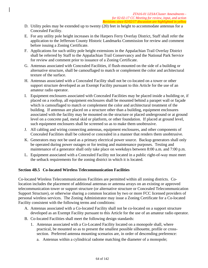- D. Utility poles may be extended up to twenty (20) feet in height to accommodate antennas for a Concealed Facility.
- E. For any utility pole height increases in the Harpers Ferry Overlay District, Staff shall refer the application to the Jefferson County Historic Landmarks Commission for review and comment before issuing a Zoning Certificate.
- F. Applications for such utility pole height extensions in the Appalachian Trail Overlay District shall be referred by Staff to the Appalachian Trail Conservancy and the National Park Service for review and comment prior to issuance of a Zoning Certificate.
- G. Antennas associated with Concealed Facilities, if flush-mounted on the side of a building or alternative structure, shall be camouflaged to match or complement the color and architectural texture of the surface.
- H. Antennas associated with a Concealed Facility shall not be co-located on a tower or other support structure developed as an Exempt Facility pursuant to this Article for the use of an amateur radio operator.
- I. Equipment enclosures associated with Concealed Facilities may be placed inside a building or, if placed on a rooftop, all equipment enclosures shall be mounted behind a parapet wall or façade which is camouflaged to match or complement the color and architectural treatment of the building. If antennas are placed on a structure other than a building, equipment enclosures associated with the facility may be mounted on the structure or placed underground or at ground level on a concrete pad, metal skid or platform, or other foundation. If placed at ground level, such equipment enclosures shall be screened so as to make them unobtrusive.
- J. All cabling and wiring connecting antennas, equipment enclosures, and other components of Concealed Facilities shall be colored or concealed in a manner that renders them unobtrusive.
- K. Generators may not be used as a primary electrical power source. Backup generators shall only be operated during power outages or for testing and maintenance purposes. Testing and maintenance of a generator shall only take place on weekdays between 8:00 a.m. and 7:00 p.m.
- L. Equipment associated with a Concealed Facility not located in a public right-of-way must meet the setback requirements for the zoning district in which it is located.

### **Section 4B.5 Co-located Wireless Telecommunication Facilities**

Co-located Wireless Telecommunications Facilities are permitted within all zoning districts. Colocation includes the placement of additional antennas or antenna arrays on an existing or approved telecommunication tower or support structure (or alternative structure or Concealed Telecommunication Support Structure), or otherwise sharing a common location by two or more FCC licensed providers of personal wireless services. The Zoning Administrator may issue a Zoning Certificate for a Co-located Facility consistent with the following terms and conditions:

- A. Antennas associated with a Co-located Facility shall not be co-located on a support structure developed as an Exempt Facility pursuant to this Article for the use of an amateur radio operator.
- B. Co-located Facilities shall meet the following design standards:
	- 1. Antennas associated with a Co-Located Facility located on a monopole shall, where practical, be mounted so as to present the smallest possible silhouette, profile or crosssection. Preferred antenna mounting scenarios are, in order of descending preference:
		- a. Antennas within a cylindrical radome matching the diameter of a monopole;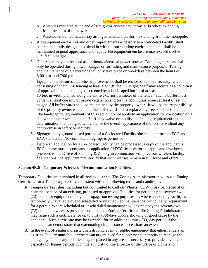- b. Antennas mounted at the end of straight or curved davit arms or brackets extending from the sides of the tower.
- c. Antennas mounted as an array arranged around a platform extending from the monopole.
- 2. All equipment enclosures and other improvements accessory to a co-located Facility shall be architecturally designed to blend in with the surrounding environment and shall be maintained in good appearance and repair. No equipment enclosure may exceed twelve (12) feet in height.
- 3. Generators may not be used as a primary electrical power source. Backup generators shall only be operated during power outages or for testing and maintenance purposes. Testing and maintenance of a generator shall only take place on weekdays between the hours of 8:00 a.m. and 7:00 p.m.
- 4. Equipment enclosures and other improvements shall be enclosed within a security fence consisting of chain link fencing at least eight (8) feet in height. Staff may require as a condition of approval that the fencing be screened by a landscaped buffer of at least 10 feet in width planted along the entire exterior perimeter of the fence. Such a buffer must contain at least one row of native vegetation and form a continuous screen at least 6 feet in height. All buffer yards shall be maintained by the property owner. It will be the responsibility of the property owner to maintain the buffer yard and to replace any trees or shrubs that die. The landscaping requirements of this section do not apply to an application for co-location on a site with an approved site plan. Staff may waive or modify the fencing requirement upon a determination that doing so will enhance the overall appearance of the facility without any compromise in safety or security.
- 5. Signage at any ground-based portion of a Co-located Facility site shall conform to FCC and FAA standards. No commercial signage is permitted.
- 6. Before an application for a Co-located Facility can be processed, a copy of the applicant's FCC license must accompany its application. If FCC licenses for the applicant have been provided to the Office of Planning & Zoning in conjunction with previous wireless facility applications, the applicant may certify that such licenses remain in full force and effect.

#### **Section 4B.6 Temporary Wireless Telecommunication Facilities**

Temporary Facilities are permitted in all zoning districts. The Zoning Administrator may issue a Zoning Certificate for a Temporary Facility consistent with the following terms and conditions:

- A. Temporary Facilities, including but not limited to Cell on Wheels (COW), may be placed at or near the location of an existing, proposed or approved Facilities for periods up to seventy-two (72) hours for equipment or signal propagation testing purposes or, where an existing facility is temporarily unavailable due to scheduled or unscheduled maintenance, without any requirement for a permit. Where scheduled or unscheduled maintenance will extend beyond seventy-two (72) hours, the wireless provider must obtain a Zoning Certificate. The Zoning Administrator may issue such a certificate for up to thirty (30) days upon a showing of good cause by the applicant. Such certificate may be extended for an additional thirty (30) day period if the applicant can demonstrate that extenuating circumstances necessitate an extension.
- B. In the event of a natural disaster, catastrophic event or public emergency that either renders an existing Facility unusable, or creates an urgent need for supplemental capacity to manage the emergency, temporary facilities may be placed in any area as necessary to provide coverage or capacity for longer periods upon the authority of the Director of the Office of Homeland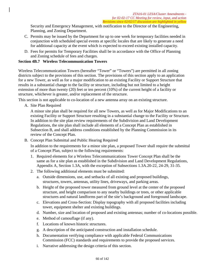Security and Emergency Management, with notification to the Director of the Engineering, Planning, and Zoning Department.

- C. Permits may be issued by the Department for up to one week for temporary facilities needed in conjunction with scheduled special events at specific locales that are likely to generate a need for additional capacity at the event which is expected to exceed existing installed capacity.
- D. Fees for permits for Temporary Facilities shall be in accordance with the Office of Planning and Zoning schedule of fees and charges.

# **Section 4B.7 Wireless Telecommunication Towers**

Wireless Telecommunication Towers (hereafter "Tower" or "Towers") are permitted in all zoning districts subject to the provisions of this section. The provisions of this section apply to an application for a new Tower, as well as for a major modification to an existing Facility or Support Structure that results in a substantial change to the facility or structure, including but not limited to a height extension of more than twenty (20) feet or ten percent (10%) of the current height of a facility or structure, whichever is greater, and/or replacement of the structure.

This section is not applicable to co-location of a new antenna array on an existing structure.

A. Site Plan Required

A minor site plan shall be required for all new Towers, as well as for Major Modifications to an existing Facility or Support Structure resulting in a substantial change to the Facility or Structure. In addition to the site plan review requirements of the Subdivision and Land Development Regulations, the site plan shall include all elements of a Concept Plan as established in Subsection B, and shall address conditions established by the Planning Commission in its review of the Concept Plan.

B. Concept Plan Submittal and Public Hearing Required

In addition to the requirements for a minor site plan, a proposed Tower shall require the submittal of a Concept Plan, subject to the following requirements:

- 1. Required elements for a Wireless Telecommunications Tower Concept Plan shall be the same as for a site plan as established in the Subdivision and Land Development Regulations, Appendix A, Section 1.3A, with the exception of Subsections 1.3A.20-22, 24-29, 31-35.
- 2. The following additional elements must be submitted:
	- a. Outside dimensions, use, and setbacks of all existing and proposed buildings, structures, towers, antennas, utility lines, driveways, and parking areas.
	- b. Height of the proposed tower measured from ground level at the center of the proposed structure, and height comparison to any nearby buildings or trees, or other applicable structures and natural landforms part of the site's background and foreground landscape.
	- c. Elevations and Cross-Section: Display topography with all proposed facilities including tower, equipment shelter and existing buildings.
	- d. Number, size and location of proposed and existing antennas; number of co-locations possible.
	- e. Method of camouflage (if any).
	- f. Locations of known historic structures.
	- g. A description of the anticipated construction and installation schedule.
	- h. Documentation verifying compliance with applicable Federal Communications Commission (FCC) standards and requirements to provide the proposed services.
	- i. Narrative addressing the design criteria of this section.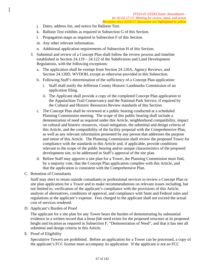- j. Dates, address list, and notice for Balloon Test.
- k. Balloon Test exhibits as required in Subsection G of this Section.
- l. Propagation maps as required in Subsection F of this Section.
- m. Any other relevant information.
- n. Additional application requirements of Subsection H of this Section.
- 3. Submittal and review of a Concept Plan shall follow the review process and timeline established in Section 24.119 – 24.122 of the Subdivision and Land Development Regulations, with the following exceptions:
	- a. The application shall be exempt from Section 24.120A, Agency Reviews, and Section 24.120D, WVDOH, except as otherwise provided in this Subsection.
	- b. Following Staff's determination of the sufficiency of a Concept Plan application:
		- i. Staff shall notify the Jefferson County Historic Landmarks Commission of an application filing.
		- ii. The Applicant shall provide a copy of the completed Concept Plan application to the Appalachian Trail Conservancy and the National Park Service, if required by the Cultural and Historic Resources Review standards of this Section.
	- c. The Concept Plan shall be reviewed at a public hearing conducted at a scheduled Planning Commission meeting. The scope of this public hearing shall include a demonstration of need as required under this Article, neighborhood compatibility, impact on cultural and historic resources, visual mitigation, the submittal and design criteria of this Article, and the compatibility of the facility proposal with the Comprehensive Plan, as well as any relevant information presented by any person that addresses the purpose and intent of this Article. The Planning Commission shall review the proposed Tower for compliance with the standards in this Article and, if applicable, provide conditions relevant to the scope of the public hearing and/or unique characteristics of the proposed development site, to be addressed in Staff's approval of the site plan.
	- d. Before Staff may approve a site plan for a Tower, the Planning Commission must find, by a majority vote, that the Concept Plan application complies with this Article, and that the application is consistent with the Comprehensive Plan.
- C. Retention of Consultants

Staff may elect to retain outside consultants or professional services to review a Concept Plan or site plan application for a Tower and to make recommendations on relevant issues including, but not limited to, verification of the applicant's compliance with the provisions of this Article, analysis of alternatives, conditions of approval, and compliance with State and Federal rules and regulations at the applicant's expense. Fees charged to the applicant shall not exceed the actual cost of services rendered.

D. Applicant's Burden of Proof

The applicant for a site plan for any Tower bears the burden of demonstrating by substantial evidence in a written record that a *bona fide* need exists for the proposed structure at its proposed height and location as required in Subsection F, "Demonstration of Need", and that it has met all submittal and design criteria in this Article.

E. Proof of Eligibility

Speculative Towers are prohibited. Before an application for a Tower can be processed, a copy of the applicant's FCC license must accompany its application. If the applicant is not an FCC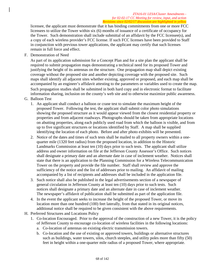licensee, the applicant must demonstrate that it has binding commitments from one or more FCC licensees to utilize the Tower within six (6) months of issuance of a certificate of occupancy for the Tower. Such demonstration shall include submittal of an affidavit by the FCC licensee(s), and a copy of each wireless provider's FCC license. If such FCC licenses have been provided to Staff in conjunction with previous tower applications, the applicant may certify that such licenses remain in full force and effect.

F. Demonstration of Need

As part of its application submission for a Concept Plan and for a site plan the applicant shall be required to submit propagation maps demonstrating a technical need for its proposed Tower and justifying the height of its antennas on the structure. One propagation map shall depict existing coverage without the proposed site and another depicting coverage with the proposed site. Such maps shall identify all adjacent sites whether existing, approved or proposed, and each map shall be accompanied by an engineer's affidavit attesting to the parameters or variables used to create the map. Such propagation studies shall be submitted in both hard copy and in electronic format to facilitate information sharing, inclusion on the county's web site and to otherwise maximize public awareness.

- G. Balloon Test
	- 1. An applicant shall conduct a balloon or crane test to simulate the maximum height of the proposed Tower. Following the test, the applicant shall submit color photo simulations showing the proposed structure as it would appear viewed from the closest residential property or properties and from adjacent roadways. Photographs should be taken from appropriate locations on abutting properties, along each publicly used road from which the balloon is visible, and from up to five significant structures or locations identified by Staff. A map shall be supplied identifying the location of each photo. Before and after photo exhibits will be presented.
	- 2. Notice of the dates and times of such tests shall be mailed to all property owners within a onequarter mile (1320 feet radius) from the proposed location, in addition to the Historic Landmarks Commission at least ten (10) days prior to such tests. The applicant shall utilize address and owner information on file at the Jefferson County Assessor's Office. Such notices shall designate a primary date and an alternate date in case of inclement weather. Notices shall state that there is an application to the Planning Commission for a Wireless Telecommunication Tower on the property and provide the file number. Staff shall review and approve the sufficiency of the notice and the list of addresses prior to mailing. An affidavit of mailing accompanied by a list of recipients and addresses shall be included in the application file.
	- 3. Such notice shall also be published in the legal advertisements section of a newspaper of general circulation in Jefferson County at least ten (10) days prior to such tests. Such notices shall designate a primary date and an alternate date in case of inclement weather. The newspaper's affidavit of publication shall be submitted as part of the application file.
	- 4. In the event the applicant seeks to increase the height of the proposed Tower, or move its location more than one hundred (100) feet laterally, from that stated in its original notices, additional notice shall be required to be given consistent with the above requirements.
- H. Preferred Structures and Locations Policy
	- 1. Co-location Encouraged. Prior to the approval of the construction of a new Tower, it is the policy of Jefferson County to encourage co-location of wireless facilities in the following locations:
		- a. Co-location of antennas on existing electric transmission towers.
		- b. Co-location and the use of existing or approved towers, buildings or alternative structures such as buildings, water towers, silos, church steeples, and utility poles more than fifty (50) feet in height within a one-quarter mile radius of a proposed Tower, where appropriate.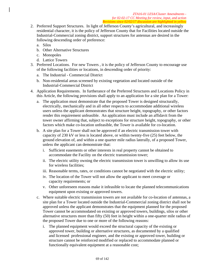- 2. Preferred Support Structures. In light of Jefferson County's agricultural, and increasingly residential character, it is the policy of Jefferson County that for Facilities located outside the Industrial-Commercial zoning district, support structures for antennas are desired in the following descending order of preference:
	- a. Silos
	- b. Other Alternative Structures
	- c. Monopoles
	- d. Lattice Towers
- 3. Preferred Locations. For new Towers , it is the policy of Jefferson County to encourage use of the following facilities or locations, in descending order of priority:
	- a. The Industrial Commercial District
	- b. Non-residential areas screened by existing vegetation and located outside of the Industrial-Commercial District
- 4. Application Requirements. In furtherance of the Preferred Structures and Locations Policy in this Article, the following provisions shall apply to an application for a site plan for a Tower:
	- a. The application must demonstrate that the proposed Tower is designed structurally, electrically, mechanically and in all other respects to accommodate additional wireless users unless the applicant demonstrates that structure height, topography, or other factors render this requirement unfeasible. An application must include an affidavit from the tower owner affirming that, subject to exceptions for structure height, topography, or other factors which make co-location unfeasible, the Tower is available for co-location.
	- b. A site plan for a Tower shall not be approved if an electric transmission tower with capacity of 230 kV or less is located above, or within twenty-five (25) feet below, the ground elevation of, and within a one quarter mile radius laterally, of a proposed Tower, unless the applicant can demonstrate that:
		- i. Sufficient easements or other interests in real property cannot be obtained to accommodate the Facility on the electric transmission tower;
		- ii. The electric utility owning the electric transmission tower is unwilling to allow its use for wireless facilities;
		- iii. Reasonable terms, rates, or conditions cannot be negotiated with the electric utility;
		- iv. The location of the Tower will not allow the applicant to meet coverage or capacity requirements; or
		- v. Other unforeseen reasons make it infeasible to locate the planned telecommunications equipment upon existing or approved towers.
	- c. Where suitable electric transmission towers are not available for co-location of antennas, a site plan for a Tower located outside the Industrial-Commercial zoning district shall not be approved unless the applicant demonstrates that the equipment planned for the proposed Tower cannot be accommodated on existing or approved towers, buildings, silos or other alternative structures more than fifty (50) feet in height within a one-quarter mile radius of the proposed Tower due to one or more of the following reasons:
		- i. The planned equipment would exceed the structural capacity of the existing or approved tower, building or alternative structures, as documented by a qualified and licensed professional engineer, and the existing or approved tower, building or structure cannot be reinforced modified or replaced to accommodate planned or functionally equivalent equipment at a reasonable cost;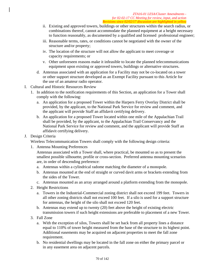- ii. Existing and approved towers, buildings or other structures within the search radius, or combinations thereof, cannot accommodate the planned equipment at a height necessary to function reasonably, as documented by a qualified and licensed professional engineer;
- iii. Reasonable terms, rates, or conditions cannot be negotiated with the owner of the structure and/or property;
- iv. The location of the structure will not allow the applicant to meet coverage or capacity requirements; or
- v. Other unforeseen reasons make it infeasible to locate the planned telecommunications equipment upon existing or approved towers, buildings or alternative structures.
- d. Antennas associated with an application for a Facility may not be co-located on a tower or other support structure developed as an Exempt Facility pursuant to this Article for the use of an amateur radio operator.
- I. Cultural and Historic Resources Review
	- 1. In addition to the notification requirements of this Section, an application for a Tower shall comply with the following:
		- a. An application for a proposed Tower within the Harpers Ferry Overlay District shall be provided, by the applicant, to the National Park Service for review and comment, and the applicant will provide Staff an affidavit certifying delivery.
		- b. An application for a proposed Tower located within one mile of the Appalachian Trail shall be provided, by the applicant, to the Appalachian Trail Conservancy and the National Park Service for review and comment, and the applicant will provide Staff an affidavit certifying delivery.
- J. Design Criteria

Wireless Telecommunication Towers shall comply with the following design criteria:

1. Antenna Mounting Preferences

Antennas associated with a Tower shall, where practical, be mounted so as to present the smallest possible silhouette, profile or cross-section. Preferred antenna mounting scenarios are, in order of descending preference:

- a. Antennas within a cylindrical radome matching the diameter of a monopole.
- b. Antennas mounted at the end of straight or curved davit arms or brackets extending from the sides of the Tower.
- c. Antennas mounted as an array arranged around a platform extending from the monopole.
- 2. Height Restrictions
	- a. Towers in the Industrial-Commercial zoning district shall not exceed 199 feet. Towers in all other zoning districts shall not exceed 100 feet. If a silo is used for a support structure for antennas, the height of the silo shall not exceed 120 feet.
	- b. Antennas may extend up to twenty (20) feet above the height of existing electric transmission towers if such height extensions are preferable to placement of a new Tower.
- 3. Fall Zone
	- a. With the exception of silos, Towers shall be set back from all property lines a distance equal to 110% of tower height measured from the base of the structure to its highest point. Additional easements may be acquired on adjacent properties to meet the fall zone requirement.
	- b. No residential dwellings may be located in the fall zone on either the primary parcel or in any easement area on adjacent parcels.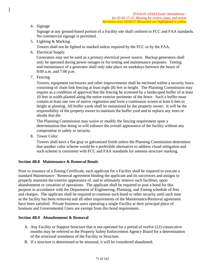4. Signage

Signage at any ground-based portion of a Facility site shall conform to FCC and FAA standards. No commercial signage is permitted.

5. Lighting & Marking

Towers shall not be lighted or marked unless required by the FCC or by the FAA.

6. Electrical Supply

Generators may not be used as a primary electrical power source. Backup generators shall only be operated during power outages or for testing and maintenance purposes. Testing and maintenance of a generator shall only take place on weekdays between the hours of 8:00 a.m. and 7:00 p.m.

7. Fencing

Towers, equipment enclosures and other improvements shall be enclosed within a security fence consisting of chain link fencing at least eight (8) feet in height. The Planning Commission may require as a condition of approval that the fencing be screened by a landscaped buffer of at least 10 feet in width planted along the entire exterior perimeter of the fence. Such a buffer must contain at least one row of native vegetation and form a continuous screen at least 6 feet in height at planting. All buffer yards shall be maintained by the property owner. It will be the responsibility of the property owner to maintain the buffer yard and to replace any trees or shrubs that die.

The Planning Commission may waive or modify the fencing requirement upon a determination that doing so will enhance the overall appearance of the facility without any compromise in safety or security.

8. Tower Color

Towers shall have a flat gray or galvanized finish unless the Planning Commission determines that another color scheme would be a preferable alternative to address visual mitigation and such scheme is consistent with FCC and FAA standards for antenna structure marking.

### **Section 4B.8 Maintenance & Removal Bonds**

Prior to issuance of a Zoning Certificate, each applicant for a Facility shall be required to execute a standard Maintenance / Removal agreement binding the applicant and its successors and assigns to properly maintain the exterior appearance of, and to ultimately remove such facilities, upon abandonment or cessation of operations. The applicant shall be required to post a bond for this purpose in accordance with the Department of Engineering, Planning, and Zoning schedule of fees and charges. The applicant shall be required to continue such bond or other security until such time as the facility has been removed and all other requirements of the Maintenance/Removal agreement have been satisfied. Private business users operating a single Facility at their principal place of business and Governmental Users are exempt from this bond requirement.

### **Section 4B.9 Abandonment & Removal**

- A. Any Facility or Support Structure that is not operated for a period of twelve (12) consecutive months may be referred to the Property Safety Enforcement Agency Board for a determination of the structural soundness of the Facility or Structure.
- B. If a structure is determined to be unsound, it will be considered abandoned.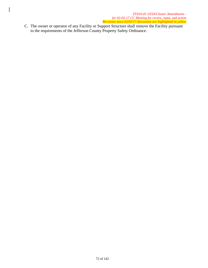C. The owner or operator of any Facility or Support Structure shall remove the Facility pursuant to the requirements of the Jefferson County Property Safety Ordinance.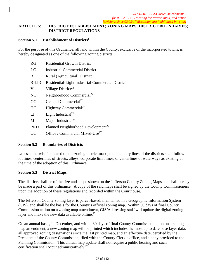## **ARTICLE 5: DISTRICT ESTABLISHMENT; ZONING MAPS; DISTRICT BOUNDARIES; DISTRICT REGULATIONS**

#### **Section 5.1 Establishment of Districts**<sup>1</sup>

For the purpose of this Ordinance, all land within the County, exclusive of the incorporated towns, is hereby designated as one of the following zoning districts:

| <b>RG</b>  | <b>Residential Growth District</b>                      |
|------------|---------------------------------------------------------|
| $I-C$      | <b>Industrial-Commercial District</b>                   |
| R          | Rural (Agricultural) District                           |
|            | R-LI-C Residential-Light Industrial-Commercial District |
| V          | Village District <sup>23</sup>                          |
| NC         | Neighborhood Commercial <sup>27</sup>                   |
| GC         | General Commercial <sup>27</sup>                        |
| HC         | Highway Commercial <sup>27</sup>                        |
| LI         | Light Industrial <sup>27</sup>                          |
| MI         | Major Industrial <sup>27</sup>                          |
| <b>PND</b> | Planned Neighborhood Development <sup>27</sup>          |
| ОC         | Office / Commercial Mixed-Use <sup>27</sup>             |

#### **Section 5.2 Boundaries of Districts**

Unless otherwise indicated on the zoning district maps, the boundary lines of the districts shall follow lot lines, centerlines of streets, alleys, corporate limit lines, or centerlines of waterways as existing at the time of the adoption of this Ordinance.

#### **Section 5.3 District Maps**

The districts shall be of the size and shape shown on the Jefferson County Zoning Maps and shall hereby be made a part of this ordinance. A copy of the said maps shall be signed by the County Commissioners upon the adoption of these regulations and recorded within the Courthouse.

The Jefferson County zoning layer is parcel-based, maintained in a Geographic Information System (GIS), and shall be the basis for the County's official zoning map. Within 30 days of final County Commission action on a zoning map amendment, GIS/Addressing staff will update the digital zoning layer and make the new data available online. $^{23}$ 

On an annual basis, in December, and within 30 days of final County Commission action on a zoning map amendment, a new zoning map will be printed which includes the most up to date base layer data, all approved zoning designations since the last printed map, and an effective date, certified by the President of the County Commission, filed with the County Clerk's office, and a copy provided to the Planning Commission. This annual map update shall not require a public hearing and such certification shall occur administratively.23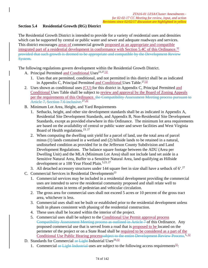## **Section 5.4 Residential Growth (RG) District**

The Residential Growth District is intended to provide for a variety of residential uses and densities which can be supported by central or public water and sewer and adequate roadways and services. This district encourages areas of commercial growth proposed as an appropriate and compatible integrated part of a residential development in conformance with Section 5.4C of this Ordinance.<sup>32</sup> provided that such growth is deemed to be appropriate and compatible by the Development Review System.

The following regulations govern development within the Residential Growth District.

- A. Principal Permitted and Conditional Uses<sup>23,27,32</sup>
	- 1. Uses that are permitted, conditional, and not permitted in this district shall be as indicated in Appendix C, Principal Permitted and Conditional Uses Table.<sup>27,32</sup>
- 2. Uses shown as conditional uses (CU) for this district in Appendix C, Principal Permitted and Conditional Uses Table shall be subject to review and approval by the Board of Zoning Appeals per the requirements of this Ordinance. the Compatibility Assessment Meeting process pursuant to Article 7, Section 7,6 inclusive.<sup>27,32</sup>
- B. Minimum Lot Area, Height, and Yard Requirements
	- 1. Setbacks, height, and other site development standards shall be as indicated in Appendix A, Residential Site Development Standards, and Appendix B, Non-Residential Site Development Standards, except as provided elsewhere in this Ordinance. The minimum lot area requirements are based on the availability of central or public water and sewer facilities and West Virginia Board of Health regulations.  $23, 27$
	- 2. When computing the dwelling unit yield for a parcel of land, use the total area of parcel minus (1) lands contained in a wetland and (2) hillside lands to be retained in a natural, undisturbed condition as provided for in the Jefferson County Subdivision and Land Development Regulations. The balance square footage between the ADU (Area per Dwelling Unit) and the MLA (Minimum Lot Area) shall not include land set aside in a Sensitive Natural Area, Buffer to a Sensitive Natural Area, land qualifying as Hillside development or a 100 Year Flood Plain.<sup>5,23, 27</sup>
	- 3. All detached accessory structures under 144 square feet in size shall have a setback of  $6'$ .<sup>27</sup>
- C. Commercial Services in Residential Developments<sup>23</sup>
	- 1. Commercial services may be included in a residential development providing the commercial uses are intended to serve the residential community proposed and shall relate well to residential areas in terms of pedestrian and vehicular circulation.
	- 2. The gross area for commercial uses shall not exceed 5 acres or 10 percent of the gross tract area, whichever is less.
	- 3. Commercial uses shall not be built or established prior to the residential development unless built in phases consistent with phasing of the residential construction.
	- 4. These uses shall be located within the interior of the project.
	- 5. Commercial uses shall be subject to the Conditional Use Permit approval process Compatibility Assessment Meeting process as outlined in Article 7 of this Ordinance. Any proposed commercial use that is served from a road that is proposed to be located on the perimeter of the project or on a State Road shall be required to be considered as a part of the Conditional Use Public Hearing process ubject to the entire Development Review Process.<sup>5, 32</sup>
- D. Standards for Commercial or Light-Industrial Uses $^{23,32}$ 
	- 1. Commercial or Light Industrial uses are subject to the following access requirements<sup>32</sup>: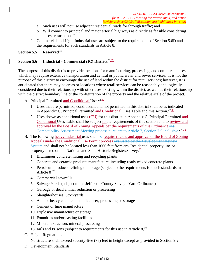- a. Such uses will not use adjacent residential roads for through traffic; and
- b. Will connect to principal and major arterial highways as directly as feasible considering access restrictions.5
- 2. Commercial and Light Industrial uses are subject to the requirements of Section 5.6D and the requirements for such standards in Article 8.

## **Section 5.5 Reserved**<sup>23</sup>

## Section 5.6 Industrial - Commercial (IC) District<sup>23,32</sup>

The purpose of this district is to provide locations for manufacturing, processing, and commercial uses which may require extensive transportation and central or public water and sewer services. It is not the purpose of this district to encourage the use of land within the district for retail services; however, it is anticipated that there may be areas or locations where retail services can be reasonably and logically considered due to their relationship with other uses existing within the district, as well as their relationship with the district boundary line or the configuration of the property and the relative scale of the project.

- A. Principal Permitted and Conditional Uses<sup>23,32</sup>
	- 1. Uses that are permitted, conditional, and not permitted in this district shall be as indicated in Appendix C, Principal Permitted and Conditional Uses Table and this section.<sup>27,32</sup>
	- 2. Uses shown as conditional uses (CU) for this district in Appendix C, Principal Permitted and Conditional Uses Table shall be subject to the requirements of this section and to review and approval by the Board of Zoning Appeals per the requirements of this Ordinance the Compatibility Assessment Meeting process pursuant to Article 7, Section 7.6 inclusive.<sup>27,32</sup>
- B. The following heavy industrial uses shall be require review and approval of the Board of Zoning Appeals under the Conditional Use Permit process evaluated by the Development Review System and shall not be located less than 1000 feet from any Residential property line or property listed on the National and State Historic Register/Survey.<sup>32</sup>
	- 1. Bituminous concrete mixing and recycling plants
	- 2. Concrete and ceramic products manufacture, including ready mixed concrete plants
	- 3. Petroleum products refining or storage (subject to the requirements for such standards in Article  $8^{23}$
	- 4. Commercial sawmills
	- 5. Salvage Yards (subject to the Jefferson County Salvage Yard Ordinance)
	- 6. Garbage or dead animal reduction or processing
	- 7. Slaughterhouses, Stockyards
	- 8. Acid or heavy chemical manufacturer, processing or storage
	- 9. Cement or lime manufacture
	- 10. Explosive manufacture or storage
	- 11. Foundries and/or casting facilities
	- 12. Mineral extraction, mineral processing
	- 13. Jails and Prisons (subject to requirements for this use in Article  $8)^{23}$
- C. Height Regulations

No structure shall exceed seventy-five (75) feet in height except as provided in Section 9.2.

D. Development Standards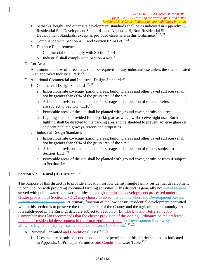- 1. Setbacks, height, and other site development standards shall be as indicated in Appendix A, Residential Site Development Standards, and Appendix B, Non-Residential Site Development Standards, except as provided elsewhere in this Ordinance.<sup>5, 23, 27</sup>
- 2. Compliance with Section 4.11 and Section 8.9A(1-9)<sup>7, 23</sup>
- 3. Distance Requirements
	- a. Commercial shall comply with Section 4.6B
	- b. Industrial shall comply with Section  $4.6A^{7,23}$
- E. Lot Area

A minimum lot size of three acres shall be required for any industrial use unless the site is located in an approved Industrial Park.<sup>23</sup>

- F. Additional Commercial and Industrial Design Standards<sup>27</sup>
	- 1. Commercial Design Standards<sup>23, 27</sup>
		- a. Impervious site coverage (parking areas, building areas and other paved surfaces) shall not be greater than 80% of the gross area of the site.
		- b. Adequate provision shall be made for storage and collection of refuse. Refuse containers are subject to Section 4.11F.<sup>27</sup>
		- c. Permeable areas of the site shall be planted with ground cover, shrubs and trees.
		- d. Lighting shall be provided for all parking areas which will receive night use. Such lighting shall be directed to the parking area and be shielded to prevent adverse glare on adjacent public highways, streets and properties.
	- 2. Industrial Design Standards
		- a. Impervious site coverage (parking areas, building areas and other paved surfaces) shall not be greater than 90% of the gross area of the site.<sup>23</sup>
		- b. Adequate provision shall be made for storage and collection of refuse, subject to Section  $4.11F<sup>27</sup>$
		- c. Permeable areas of the site shall be planted with ground cover, shrubs or trees if subject to Section 4.6.

# **Section 5.7** Rural (R) District<sup>23, 32</sup>

The purpose of this district is to provide a location for low density single family residential development in conjunction with providing continued farming activities. This district is generally not intended to be served with public water or sewer facilities, although certain size developments processed under the cluster provision of Section 5.7D(2) may choose to do soin situations where the Development Review System is utilized, it may be. A primary function of the low density residential development permitted within this section is to preserve the rural character of the County and the agricultural community. All lots subdivided in the Rural District are subject to Section 5.7D. The Envision Jefferson 2035 Comprehensive Plan recommends that the cluster provision of the Zoning Ordinance be the preferred method of residential development in the Rural zoning district. The Development Review System does allow for higher density by issuance of a Conditional Use Permit.<sup>8, 23, 32</sup>

- A. Principal Permitted and Conditional Uses<sup>23, 27, 32</sup>
	- 1. Uses that are permitted, conditional, and not permitted in this district shall be as indicated in Appendix C, Principal Permitted and Conditional Uses Table.<sup>27,32</sup>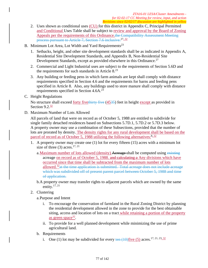- 2. Uses shown as conditional uses (CU) for this district in Appendix C, Principal Permitted and Conditional Uses Table shall be subject to review and approval by the Board of Zoning Appeals per the requirements of this Ordinance.the Compatibility Assessment Meeting process pursuant to Article 7, Section 7.6 inclusive.<sup>27,32</sup>
- B. Minimum Lot Area, Lot Width and Yard Requirements<sup>23</sup>
	- 1. Setbacks, height, and other site development standards shall be as indicated in Appendix A, Residential Site Development Standards, and Appendix B, Non-Residential Site Development Standards, except as provided elsewhere in this Ordinance.<sup>27</sup>
	- 2. Commercial and Light Industrial uses are subject to the requirements of Section 5.6D and the requirements for such standards in Article  $8.^{23}$
	- 3. Any building or feeding pens in which farm animals are kept shall comply with distance requirements specified in Section 4.6 and the requirements for barns and feeding pens specified in Article 8. Also, any buildings used to store manure shall comply with distance requirements specified in Section 4.6A.<sup>23</sup>
- C. Height Regulations

No structure shall exceed <u>forty fivethirty five (4535</u>) feet in height except as provided in Section  $9.2 \frac{32}{3}$ 

D. Maximum Number of Lots Allowed

All parcels of land that were on record as of October 5, 1988 are entitled to subdivide for single family detached residences based on Subsections 5.7D.1, 5.7D.2 or 5.7D.3 below. A property owner may use a combination of these Subsections, provided that the number of lots are prorated by density. The density rights for any rural development shall be based on the parcel of record as of October 5, 1988 utilizing the following alternatives: $8,32$ 

- 1. A property owner may create one (1) lot for every fifteen (15) acres with a minimum lot size of three  $(3)$  acres.<sup>17, 21</sup>
	- a. Maximum number of lots allowed (density) Acreage shall be computed using existing acreage on record as of October 5, 1988. and calculating a Any divisions which have occurred since that time shall be subtracted from the maximum number of lots allowed.<sup>32</sup> at the time application is submitted. Total acreage does not include acreage which was subdivided off of present parent parcel between October 5, 1988 and time of application.
	- b.A property owner may transfer rights to adjacent parcels which are owned by the same entity. $17, 21$
- 2. Clustering

a.Purpose and Intent

- i. To encourage the conservation of farmland in the Rural Zoning District by planning the residential development allowed in the zone to provide for the best obtainable siting, access and location of lots on a tract while retaining a portion of the property as green space $32$ .
- ii. To provide for a well planned development while minimizing the use of prime agricultural land.
- b. Requirements
	- i. One (1) lot may be subdivided for every ten  $(10)$  five (5) acres.<sup>17, 21, 23, 32</sup>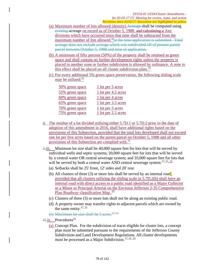- (a) Maximum number of lots allowed (density) Acreage shall be computed using existing acreage on record as of October 5, 1988. and calculating a Any divisions which have occurred since that time shall be subtracted from the maximum number of lots allowed.<sup>32</sup> at the time application is submitted. Total acreage does not include acreage which was subdivided off of present parent parcel between October 5, 1988 and time of application.
- (b) A minimum of fifty percent (50%) of the property shall be retained as green space and shall contain no further development rights unless the property is placed in another zone or further subdivision is allowed by ordinance. A note to this effect shall be placed on all cluster subdivision plats. $32$
- (c) For every additional 5% green space preservation, the following sliding scale may be utilized: $32$

| 50% green space | 1 lot per 5 acres     |
|-----------------|-----------------------|
| 55% green space | 1 lot per 4.5 acres   |
| 60% green space | 1 lot per 4 acres     |
| 65% green space | $1$ lot per 3.5 acres |
| 70% green space | 1 lot per 3 acres     |
| 75% green space | 1 lot per 2.5 acres   |

- ii. The residue of a lot divided utilizing either 5.7D.1 or 5.7D.2 prior to the date of adoption of this amendment in 2016, shall have additional rights based on the provisions of this Subsection, provided that the total lots developed shall not exceed one lot per five acres based on the parent parcel on October 5, 1988 and all other provisions of this Subsection are complied with.32
- $\frac{1}{11}$ iii. Minimum lot size shall be 40,000 square feet for lots that will be served by individual wells and septic systems; 20,000 square feet for lots that will be served by a central water OR central sewerage system; and 10,000 square feet for lots that will be served by both a central water AND central sewerage system.<sup>17, 21, 32</sup>
	- (a) Setbacks shall be 25' front, 12' sides and 20' rear.
	- (b) All clusters of three (3) or more lots shall be served by an internal road; provided that all clusters utilizing the sliding scale in 5.7D.2(b) shall have an internal road with direct access to a public road identified as a Major Collector or a Minor or Principal Arterial on the Envision Jefferson 2-35 Comprehensive Plan Roadway classification Map..<sup>23</sup>
	- (c) Clusters of three (3) or more lots shall not be along an existing public road.
	- (d) A property owner may transfer rights to adjacent parcels which are owned by the same entity. $17, 21$
	- (e) Maximum lot size shall be  $3$  acres.<sup>17, 21</sup>
- $\frac{1}{111}$ iv. Procedures<sup>23</sup>
	- (a) Concept Plan. For the subdivision of tracts eligible for cluster lots, a concept plan must be submitted pursuant to the requirements of the Jefferson County Subdivision and Land Development Regulations. All cluster developments must be processed as a Major Subdivision.<sup>17, 21, 23</sup>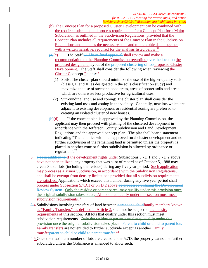- (b) The Concept Plan for a proposed Cluster Development can be combined with the required submittal and process requirements for a Concept Plan for a Major Subdivision as outlined in the Subdivision Regulations, provided that the Concept Plan includes all requirements of the Concept Plan in the Subdivision Regulations and includes the necessary soils and topographic data, together with a written narrative, required for the analysis listed below.<sup>32</sup>
- $(a)(c)$  The Staff will have final approval shall review and make a recommendation to the Planning Commission regarding over the location the proposed design and layout of the proposed clustering of lotsproposed Cluster Development. The Staff shall consider the following when reviewing the Cluster Ceoncept P<del>p</del>lans:<sup>32</sup>
	- (1) Soils: The cluster plan should minimize the use of the higher quality soils (class I, II and III as designated in the soils classification study) and maximize the use of steeper sloped areas, areas of poorer soils and areas which are otherwise less productive for agricultural uses.
	- (2) Surrounding land use and zoning: The cluster plan shall consider the existing land uses and zoning in the vicinity. Generally, new lots which are adjacent to existing development or residential zoning are preferred to creating an isolated cluster of new houses.
- $\left(\frac{b}{d}\right)$  If the concept plan is approved by the Planning Commission, the applicant may then proceed with platting of the clustered development in accordance with the Jefferson County Subdivision and Land Development Regulations and the approved concept plan. The plat shall bear a statement indicating "The land lies within an approved rural cluster development and no further subdivision of the remaining land is permitted unless the property is placed in another zone or further subdivision is allowed by ordinance or regulation".23
- 3. Not in addition to If the development rights under Subsections 5.7D.1 and 5.7D.2 above have not been utilized, any property that was a lot of record as of October 5, 1988 may create 3 total lots (including the residue) during any five year period. Such application may process as a Minor Subdivision, in accordance with the Subdivision Regulations, and shall be exempt from density limitations provided that all subdivision requirements are satisfied. Applications which exceed this number during any five year period shall process under Subsection 5.7D.1 or 5.7D.2 above.be processed utilizing the Development Review System. Only the residue or parent parcel may qualify under this provision once the original subdivision takes place. All lots that qualify under this section must meet subdivision requirements.<sup>32</sup>
- 3.4. Subdivisions involving transfers of land between parent and childfamily members known as "Family Transfers", as defined in Article 2, shall not be subject to the density requirements of this section. All lots that qualify under this section must meet subdivision requirements. Only the residue or parent parcel may qualify under this provision once the original subdivision takes place. Parent to child or child to parent lots Family transfers are not entitled to further subdivide except as another Family transferparent to child or child to parent transfer.<sup>32</sup>
- 4.5.Once the maximum number of lots are created under 5.7D, the property cannot be further subdivided unless the Ordinance is amended to allow such.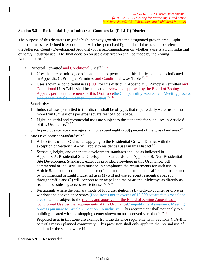## **Section 5.8 Residential-Light Industrial-Commercial (R-LI-C) District**<sup>1</sup>

The purpose of this district is to guide high intensity growth into the designated growth area. Light industrial uses are defined in Section 2.2. All other perceived light industrial uses shall be referred to the Jefferson County Development Authority for a recommendation on whether a use is a light industrial or heavy industrial use. The final decision on use classification shall be made by the Zoning Administrator.<sup>23</sup>

- a. Principal Permitted and Conditional Uses<sup>23, 27,32</sup>
	- 1. Uses that are permitted, conditional, and not permitted in this district shall be as indicated in Appendix C, Principal Permitted and Conditional Uses Table.<sup>27, 32</sup>
	- 2. Uses shown as conditional uses (CU) for this district in Appendix C, Principal Permitted and Conditional Uses Table shall be subject to review and approval by the Board of Zoning Appeals per the requirements of this Ordinancethe Compatibility Assessment Meeting process pursuant to Article 7, Section 7.6 inclusive.<sup>27,32</sup>
- b. Standards $^{23}$ 
	- 1. Industrial uses permitted in this district shall be of types that require daily water use of no more than 0.25 gallons per gross square feet of floor space.
	- 2. Light industrial and commercial uses are subject to the standards for such uses in Article 8 of this Ordinance.<sup>23, 27</sup>
	- 3. Impervious surface coverage shall not exceed eighty  $(80)$  percent of the gross land area.<sup>27</sup>
- c. Site Development Standards<sup>23, 27</sup>
	- 1. All sections of this Ordinance applying to the Residential Growth District with the exception of Section 5.4A will apply to residential uses in this District.<sup>27</sup>
	- 2. Setbacks, height, and other site development standards shall be as indicated in Appendix A, Residential Site Development Standards, and Appendix B, Non-Residential Site Development Standards, except as provided elsewhere in this Ordinance. All commercial or industrial uses must be in compliance the requirements for such use in Article 8. In addition, a site plan, if required, must demonstrate that traffic patterns created by Commercial or Light Industrial uses (1) will not use adjacent residential roads for through traffic and (2) will connect to principal and major arterial highways as directly as feasible considering access restrictions.5, 7, 23, 27
	- 3. Restaurants where the primary mode of food distribution is by pick-up counter or drive in window and convenience stores (food stores not in excess of 10,000 square feet gross floor area) shall be subject to the review and approval of the Board of Zoning Appeals as a Conditional Use per the requirements of this OrdinanceCompatibility Assessment Meeting process pursuant to Article 7, Section 7.6 inclusive. This requirement shall not apply to a building located within a shopping center shown on an approved site plan.<sup>23, 26, 32</sup>
	- 4. Proposed uses in this zone are exempt from the distance requirements in Sections 4.6A-B if part of a master planned community. This provision shall only apply to the internal use of land under the same ownership.<sup>7, 27</sup>

#### **Section 5.9 Reserved**<sup>23</sup>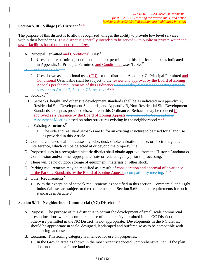## Section 5.10 Village (V) District<sup>8, 23, 32</sup>

The purpose of this district is to allow recognized villages the ability to provide low level services within their boundaries. This district is generally intended to be served with public or private water and sewer facilities based on proposed lot sizes.

- A. Principal Permitted and Conditional Uses<sup>23</sup>
	- 1. Uses that are permitted, conditional, and not permitted in this district shall be as indicated in Appendix C, Principal Permitted and Conditional Uses Table.<sup>27</sup>
- B. Conditional Uses<sup>23, 27</sup>
	- 2. Uses shown as conditional uses (CU) for this district in Appendix C, Principal Permitted and Conditional Uses Table shall be subject to the review and approval by the Board of Zoning Appeals per the requirements of this OrdinanceCompatibility Assessment Meeting process pursuant to Article 7, Section 7.6 inclusive.<sup>27,32</sup>
- C. Setbacks $27$ 
	- 1. Setbacks, height, and other site development standards shall be as indicated in Appendix A, Residential Site Development Standards, and Appendix B, Non-Residential Site Development Standards, except as provided elsewhere in this Ordinance. Setbacks may be reduced if approved as a Variance by the Board of Zoning Appeals as a result of a Compatibility Assessment Meeting based on other structures existing in the neighborhood.<sup>23,32</sup>
	- 2. Existing Structures<sup>27</sup>
		- a. The side and rear yard setbacks are 6' for an existing structure to be used for a land use as provided in this Article.
- D. Commercial uses shall not cause any odor, dust, smoke, vibration, noise, or electromagnetic interference, which can be detected at or beyond the property line.
- E. Proposed uses in a recognized historic district shall obtain approval from the Historic Landmarks Commission and/or other appropriate state or federal agency prior to processing.<sup>23</sup>
- F. There will be no outdoor storage of equipment, materials or other stock.
- G. Parking requirements may be modified as a result of consideration and approval of a variance of the Parking Standards by the Board of Zoning Appealsa compatibility meeting.<sup>23, 32</sup>
- H. Other Requirements<sup>23</sup>
	- 1. With the exception of setback requirements as specified in this section, Commercial and Light Industrial uses are subject to the requirements of Section 5.6E and the requirements for such standards in Article 8.

# Section 5.11 Neighborhood Commercial (NC) District<sup>27,32</sup>

- A. Purpose. The purpose of this district is to permit the development of small scale commercial uses in locations where a commercial use of the intensity permitted in the GC District (and not otherwise permitted in the NC District) is not appropriate. Developments in the NC district should be appropriate in scale, designed, landscaped and buffered so as to be compatible with neighboring land uses.
- B. Location. This zoning category is intended for use on properties:
	- 1. In the Growth Area as shown in the most recently adopted Comprehensive Plan, if the plan does not include a future land use map; or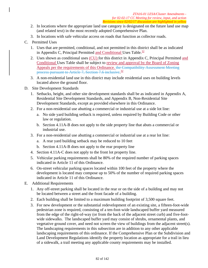- 2. In locations where the appropriate land use category is designated on the future land use map (and related text) in the most recently adopted Comprehensive Plan.
- 3. In locations with safe vehicular access on roads that function as collector roads.
- C. Permitted Uses
	- 1. Uses that are permitted, conditional, and not permitted in this district shall be as indicated in Appendix C, Principal Permitted and Conditional Uses Table. $\frac{32}{3}$
	- 2. Uses shown as conditional uses (CU) for this district in Appendix C, Principal Permitted and Conditional Uses Table shall be subject to review and approval by the Board of Zoning Appeals per the requirements of this Ordinance. the Compatibility Assessment Meeting process pursuant to Article 7, Section 7.6 inclusive.<sup>32</sup>
	- 3. A non-residential land use in this district may include residential uses on building levels located above the ground floor.
- D. Site Development Standards
	- 1. Setbacks, height, and other site development standards shall be as indicated in Appendix A, Residential Site Development Standards, and Appendix B, Non-Residential Site Development Standards, except as provided elsewhere in this Ordinance.
	- 2. For a non-residential use abutting a commercial or industrial use at a side lot line:
		- a. No side yard building setback is required, unless required by Building Code or other law or regulation.
		- b. Section 4.11A-B does not apply to the side property line that abuts a commercial or industrial use.
	- 3. For a non-residential use abutting a commercial or industrial use at a rear lot line:
		- a. A rear yard building setback may be reduced to 10 feet
		- b. Section 4.11A-B does not apply to the rear property line
	- 4. Section 4.11A-C does not apply to the front lot property line.
	- 5. Vehicular parking requirements shall be 80% of the required number of parking spaces indicated in Article 11 of this Ordinance.
	- 6. On-street vehicular parking spaces located within 100 feet of the property where the development is located may compose up to 50% of the number of required parking spaces indicated in Article 11 of this Ordinance.
- E. Additional Requirements
	- 1. Any off-street parking shall be located in the rear or on the side of a building and may not be located between a street and the front facade of a building.
	- 2. Each building shall be limited to a maximum building footprint of 3,500 square feet.
	- 3. For new development or the substantial redevelopment of an existing site, a fifteen-foot-wide pedestrian zone is required, consisting of a ten-foot-wide landscaped buffer yard measured from the edge of the right-of-way (or from the back of the adjacent street curb) and five-footwide sidewalks. The landscaped buffer yard may consist of shrubs, ornamental plants, and vegetative ground cover, and need not screen the view of buildings from the adjacent street(s). The landscaping requirements in this subsection are in addition to any other applicable landscaping requirements of this ordinance. If the Comprehensive Plan or the Subdivision and Land Development Regulations identify the property location as appropriate for a trail in lieu of a sidewalk, a trail meeting any applicable county requirements may be installed.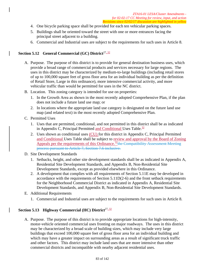- 4. One bicycle parking space shall be provided for each ten vehicular parking spaces.
- 5. Buildings shall be oriented toward the street with one or more entrances facing the principal street adjacent to a building.
- 6. Commercial and Industrial uses are subject to the requirements for such uses in Article 8.

## **Section 5.12 General Commercial (GC) District**27, 32

- A. Purpose. The purpose of this district is to provide for general destination business uses, which provide a broad range of commercial products and services necessary for large regions. The uses in this district may be characterized by medium-to-large buildings (including retail stores of up to 100,000 square feet of gross floor area for an individual building as per the definition of Retail Store, Large in this ordinance), more intensive commercial activity, and more vehicular traffic than would be permitted for uses in the NC district.
- B. Location. This zoning category is intended for use on properties:
	- 1. In the Growth Area as shown in the most recently adopted Comprehensive Plan, if the plan does not include a future land use map; or
	- 2. In locations where the appropriate land use category is designated on the future land use map (and related text) in the most recently adopted Comprehensive Plan.
- C. Permitted Uses
	- 1. Uses that are permitted, conditional, and not permitted in this district shall be as indicated in Appendix C, Principal Permitted and Conditional Uses Table. $\frac{32}{3}$
	- 2. Uses shown as conditional uses (CU) for this district in Appendix C, Principal Permitted and Conditional Uses Table shall be subject to review and approval by the Board of Zoning Appeals per the requirements of this Ordinance.<sup>32</sup>the Compatibility Assessment Meeting process pursuant to Article 7, Section 7.6 inclusive.
- D. Site Development Standards
	- 1. Setbacks, height, and other site development standards shall be as indicated in Appendix A, Residential Site Development Standards, and Appendix B, Non-Residential Site Development Standards, except as provided elsewhere in this Ordinance.
	- 2. A development that complies with all requirements of Section 5.11E may be developed in accordance with the requirements of Section 5.11D(2-6) and the front setback requirements for the Neighborhood Commercial District as indicated in Appendix A, Residential Site Development Standards, and Appendix B, Non-Residential Site Development Standards.
- E. Additional Requirements
	- 1. Commercial and Industrial uses are subject to the requirements for such uses in Article 8.

## Section 5.13 Highway Commercial (HC) District<sup>27, 32</sup>

A. Purpose. The purpose of this district is to provide appropriate locations for high-intensity, motor-vehicle oriented commercial uses fronting on major roadways. The uses in this district may be characterized by a broad scale of building sizes, which may include very large buildings that exceed 100,000 square feet of gross floor area for an individual building and which may have a greater impact on surrounding areas as a result of significant truck traffic and other factors. This district may include land uses that are more intensive than other commercial districts and incompatible with nearby adjacent residential uses.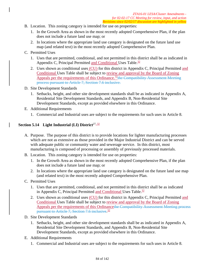- B. Location. This zoning category is intended for use on properties:
	- 1. In the Growth Area as shown in the most recently adopted Comprehensive Plan, if the plan does not include a future land use map; or
	- 2. In locations where the appropriate land use category is designated on the future land use map (and related text) in the most recently adopted Comprehensive Plan.
- C. Permitted Uses
	- 1. Uses that are permitted, conditional, and not permitted in this district shall be as indicated in Appendix C, Principal Permitted and Conditional Uses Table.<sup>32</sup>
	- 2. Uses shown as conditional uses (CU) for this district in Appendix C, Principal Permitted and Conditional Uses Table shall be subject to review and approval by the Board of Zoning Appeals per the requirements of this Ordinance.<sup>32</sup>the Compatibility Assessment Meeting process pursuant to Article 7, Section 7.6 inclusive.
- D. Site Development Standards
	- 1. Setbacks, height, and other site development standards shall be as indicated in Appendix A, Residential Site Development Standards, and Appendix B, Non-Residential Site Development Standards, except as provided elsewhere in this Ordinance.
- E. Additional Requirements
	- 1. Commercial and Industrial uses are subject to the requirements for such uses in Article 8.

## **Section 5.14 Light Industrial (LI) District**<sup>27, 32</sup>

- A. Purpose. The purpose of this district is to provide locations for lighter manufacturing processes which are not as extensive as those provided in the Major Industrial District and can be served with adequate public or community water and sewerage service. In this district, most manufacturing is composed of processing or assembly of previously processed materials.
- B. Location. This zoning category is intended for use on properties:
	- 1. In the Growth Area as shown in the most recently adopted Comprehensive Plan, if the plan does not include a future land use map; or
	- 2. In locations where the appropriate land use category is designated on the future land use map (and related text) in the most recently adopted Comprehensive Plan.
- C. Permitted Uses
	- 1. Uses that are permitted, conditional, and not permitted in this district shall be as indicated in Appendix C, Principal Permitted and Conditional Uses Table. $32$
	- 2. Uses shown as conditional uses (CU) for this district in Appendix C, Principal Permitted and Conditional Uses Table shall be subject to review and approval by the Board of Zoning Appeals per the requirements of this Ordinancethe Compatibility Assessment Meeting process pursuant to Article 7, Section 7.6 inclusive.<sup>32</sup>
- D. Site Development Standards
	- 1. Setbacks, height, and other site development standards shall be as indicated in Appendix A, Residential Site Development Standards, and Appendix B, Non-Residential Site Development Standards, except as provided elsewhere in this Ordinance.
- E. Additional Requirements
	- 1. Commercial and Industrial uses are subject to the requirements for such uses in Article 8.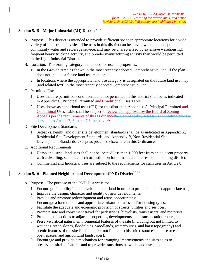# Section 5.15 Major Industrial (MI) District<sup>27, 32</sup>

- A. Purpose. This district is intended to provide sufficient space in appropriate locations for a wide variety of industrial activities. The uses in this district can be served with adequate public or community water and sewerage service, and may be characterized by extensive warehousing, frequent heavy trucking activity, and broader manufacturing activity than would be permitted in the Light Industrial District.
- B. Location. This zoning category is intended for use on properties:
	- 1. In the Growth Area as shown in the most recently adopted Comprehensive Plan, if the plan does not include a future land use map; or
	- 2. In locations where the appropriate land use category is designated on the future land use map (and related text) in the most recently adopted Comprehensive Plan.
- C. Permitted Uses
	- 1. Uses that are permitted, conditional, and not permitted in this district shall be as indicated in Appendix C, Principal Permitted and Conditional Uses Table.
	- 2. Uses shown as conditional uses (CU) for this district in Appendix C, Principal Permitted and Conditional Uses Table shall be subject to review and approval by the Board of Zoning Appeals per the requirements of this Ordinancethe Compatibility Assessment Meeting process pursuant to Article 7, Section 7.6 inclusive.<sup>32</sup>
- D. Site Development Standards
	- 1. Setbacks, height, and other site development standards shall be as indicated in Appendix A, Residential Site Development Standards, and Appendix B, Non-Residential Site Development Standards, except as provided elsewhere in this Ordinance.
- E. Additional Requirements
	- 1. Heavy industrial land uses shall not be located less than 1,000 feet from an adjacent property with a dwelling, school, church or institution for human care or a residential zoning district.
	- 2. Commercial and Industrial uses are subject to the requirements for such uses in Article 8.

## **Section 5.16 Planned Neighborhood Development (PND) District**27, 32

- A. Purpose. The purpose of the PND District is to:
	- 1. Encourage flexibility in the development of land in order to promote its most appropriate use;
	- 2. Improve the design, character and quality of new developments;
	- 3. Provide and promote redevelopment and reuse opportunities;
	- 4. Encourage a harmonious and appropriate mixture of uses and/or housing types;
	- 5. Facilitate the adequate and economic provision of streets, utilities and services;
	- 6. Promote safe and convenient travel for pedestrians, bicyclists, transit users, and motorists;
	- 7. Promote connections to adjacent properties, developments, and transportation routes;
	- 8. Preserve critical natural environmental features of the site (including but not limited to wetlands, steep slopes, floodplains, woodlands, watercourses, and karst topography) and scenic features of the site (including but not limited to historic resources, mature trees, open spaces, and agricultural landscapes);
	- 9. Encourage and provide a mechanism for arranging improvements and sites so as to preserve desirable features and to provide transitions between land uses; and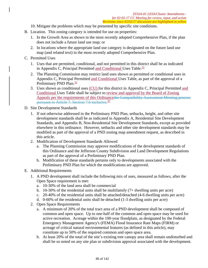- 10. Mitigate the problems which may be presented by specific site conditions.
- B. Location. This zoning category is intended for use on properties:
	- 1. In the Growth Area as shown in the most recently adopted Comprehensive Plan, if the plan does not include a future land use map; or
	- 2. In locations where the appropriate land use category is designated on the future land use map (and related text) in the most recently adopted Comprehensive Plan.

## C. Permitted Uses

- 1. Uses that are permitted, conditional, and not permitted in this district shall be as indicated in Appendix C, Principal Permitted and Conditional Uses Table. $\frac{32}{5}$
- 2. The Planning Commission may restrict land uses shown as permitted or conditional uses in Appendix C, Principal Permitted and Conditional Uses Table, as part of the approval of a Preliminary PND Plan.<sup>32</sup>
- 3. Uses shown as conditional uses (CU) for this district in Appendix C, Principal Permitted and Conditional Uses Table shall be subject to review and approval by the Board of Zoning Appeals per the requirements of this Ordinancethe Compatibility Assessment Meeting process pursuant to Article 7, Section 7.6 inclusive.<sup>32</sup>

## D. Site Development Standards

- 1. If not otherwise addressed in the Preliminary PND Plan, setbacks, height, and other site development standards shall be as indicated in Appendix A, Residential Site Development Standards, and Appendix B, Non-Residential Site Development Standards, except as provided elsewhere in this ordinance. However, setbacks and other site development standards may be modified as part of the approval of a PND zoning map amendment request, as described in this article.
- 2. Modification of Development Standards Allowed
	- a. The Planning Commission may approve modifications of the development standards of this Ordinance and the Jefferson County Subdivision and Land Development Regulations as part of the approval of a Preliminary PND Plan.
	- b. Modification of these standards pertains only to developments associated with the Preliminary PND Plan for which the modifications are approved.
- E. Additional Requirements
	- 1. A PND development shall include the following mix of uses, measured as follows, after the Open Space requirement is met:
		- a. 10-30% of the land area shall be commercial
		- b. 10-30% of the residential units shall be multifamily (7+ dwelling units per acre)
		- c. 20-40% of the residential units shall be attached/detached (4-6 dwelling units per acre)
		- d. 0-60% of the residential units shall be detached (1-3 dwelling units per acre)
	- 2. Open Space Requirements
		- a. A minimum of 20% of the total tract area of a PND development shall be composed of common and open space. Up to one-half of the common and open space may be used for active recreation. Acreage within the 100-year floodplain, as designated by the Federal Emergency Management Agency's (FEMA) Flood Insurance Rate Maps (FIRM) or acreage of critical natural environmental features (as defined in this article), may constitute up to 50% of the required common and open space area.
		- b. At least 20% of the total of the site's existing tree canopy area shall remain undisturbed and shall be so noted on any site plan or subdivision approval associated with the development.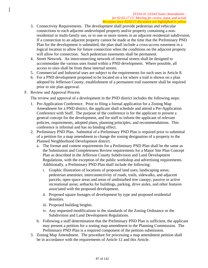- 3. Connectivity Requirements. The development shall provide pedestrian and vehicular connections to each adjacent undeveloped property and/or property containing a nonresidential or multi-family use, or to one or more streets in an adjacent residential subdivision. If a connection to an adjacent property cannot be made at the time that the Preliminary PND Plan for the development is submitted, the plan shall include a cross-access easement in a logical location to allow for future connection when the conditions on the adjacent property will allow for connection. Such pedestrian easements shall be permanent.
- 4. Street Network. An interconnecting network of internal streets shall be designed to accommodate the various uses found within a PND development. Where possible, all access to sites shall be from these internal streets.
- 5. Commercial and Industrial uses are subject to the requirements for such uses in Article 8.
- 6. For a PND development proposed to be located on a lot where a trail is shown on a plan adopted by Jefferson County, establishment of a permanent trail easement shall be required prior to site plan approval.
- F. Review and Approval Process

The review and approval of a development in the PND district includes the following steps:

- 1. Pre-Application Conference. Prior to filing a formal application for a Zoning Map Amendment for a PND district, the applicant shall schedule and attend a Pre-Application Conference with Staff. The purpose of the conference is for the applicant to present a general concept for the development, and for staff to inform the applicant of relevant policies, requirements, adopted plans, planning principles, and recommendations. This conference is informal and has no binding effect.
- 2. Preliminary PND Plan. Submittal of a Preliminary PND Plan is required prior to submittal of a petition for a map amendment to change the zoning designation of a property to the Planned Neighborhood Development district.
	- a. The format and content requirements for a Preliminary PND Plan shall be the same as the Submission and Completeness Review requirements for a Major Site Plan Concept Plan as described in the Jefferson County Subdivision and Land Development Regulations, with the exception of the public workshop and advertising requirements. Additionally, a Preliminary PND Plan shall include the following:
		- i. Graphic illustration of locations of proposed land uses; landscaping areas; pedestrian amenities; interconnectivity of roads, trails, sidewalks, and adjacent parcels; open space areas and areas of undisturbed tree canopy; passive or active recreational areas; setbacks for buildings, parking, drive aisles, and other features associated with the proposed development.
		- ii. Proposed square footages of development by type and proposed residential densities.
		- iii. Proposed building heights.
		- iv. Any requested modifications to the standards of the Zoning Ordinance or the Subdivision and Land Development Regulations.
	- b. Following a staff determination that the Preliminary PND Plan is sufficient, the applicant may present a petition for a zoning map amendment to the Planning Commission. The Preliminary PND Plan is a required component of the petition submission.
- 3. Zoning Map Amendment. The procedure for processing a map amendment petition shall be in accordance with the requirements of Article 12 and this Article.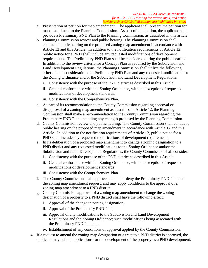- a. Presentation of petition for map amendment. The applicant shall present the petition for map amendment to the Planning Commission. As part of the petition, the applicant shall provide a Preliminary PND Plan to the Planning Commission, as described in this article.
- b. Planning Commission review and public hearing. The Planning Commission shall conduct a public hearing on the proposed zoning map amendment in accordance with Article 12 and this Article. In addition to the notification requirements of Article 12, public notice for a PND shall include any requested modifications of development requirements. The Preliminary PND Plan shall be considered during the public hearing. In addition to the review criteria for a Concept Plan as required by the Subdivision and Land Development Regulations, the Planning Commission shall utilize the following criteria in its consideration of a Preliminary PND Plan and any requested modifications to the Zoning Ordinance and/or the Subdivision and Land Development Regulations:
	- i. Consistency with the purpose of the PND district as described in this Article;
	- ii. General conformance with the Zoning Ordinance, with the exception of requested modifications of development standards;
	- iii. Consistency with the Comprehensive Plan.
- c. As part of its recommendation to the County Commission regarding approval or disapproval of a zoning map amendment as described in Article 12, the Planning Commission shall make a recommendation to the County Commission regarding the Preliminary PND Plan, including any changes proposed by the Planning Commission.
- d. County Commission review and public hearing. The County Commission shall conduct a public hearing on the proposed map amendment in accordance with Article 12 and this Article. In addition to the notification requirements of Article 12, public notice for a PND shall include any requested modifications of development requirements.
- e. In its deliberation of a proposed map amendment to change a zoning designation to a PND district and any requested modifications to the Zoning Ordinance and/or the Subdivision and Land Development Regulations, the County Commission shall consider:
	- i. Consistency with the purpose of the PND district as described in this Article
	- ii. General conformance with the Zoning Ordinance, with the exception of requested modifications of development standards
	- iii. Consistency with the Comprehensive Plan
- f. The County Commission shall approve, amend, or deny the Preliminary PND Plan and the zoning map amendment request; and may apply conditions to the approval of a zoning map amendment to a PND district.
- g. County Commission approval of a zoning map amendment to change the zoning designation of a property to a PND district shall have the following effect:
	- i. Approval of the change in zoning designation;
	- ii. Approval of the Preliminary PND Plan;
	- iii. Approval of any modifications to the Subdivision and Land Development Regulations and the Zoning Ordinance; such modifications being associated with the Preliminary PND Plan; and
	- iv. Establishment of any conditions of approval applied by the County Commission.
- 4. If a request to amend the zoning map designation of a tract to a PND district is approved, the applicant may submit applications for the development of the property as a PND development.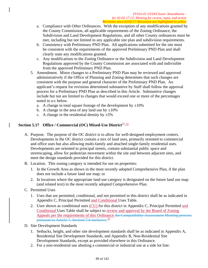- a. Compliance with Other Ordinances. With the exception of any modifications granted by the County Commission, all applicable requirements of the Zoning Ordinance, the Subdivision and Land Development Regulations, and all other County ordinances must be met, including but not limited to any applicable site plan and subdivision requirements.
- b. Consistency with Preliminary PND Plan. All applications submitted for the site must be consistent with the requirements of the approved Preliminary PND Plan and shall clearly state any modifications granted.
- c. Any modifications to the Zoning Ordinance or the Subdivision and Land Development Regulations approved by the County Commission are associated with and indivisible from the approved Preliminary PND Plan.
- 5. Amendment. Minor changes to a Preliminary PND Plan may be reviewed and approved administratively if the Office of Planning and Zoning determines that such changes are consistent with the purpose and general character of the Preliminary PND Plan. An applicant's request for revisions determined substantive by Staff shall follow the approval process for a Preliminary PND Plan as described in this Article. Substantive changes include but not are limited to changes that would exceed one or more of the percentages noted in a-c below.
	- a. A change in total square footage of the development by  $\pm 10\%$
	- b. A change in the area of any land use by  $\pm 10\%$
	- c. A change in the residential density by  $\pm 5\%$

## **Section 5.17 Office / Commercial (OC) Mixed-Use District**27, 32

- A. Purpose. The purpose of the OC district is to allow for well-designed employment centers. Developments in the OC district contain a mix of land uses, primarily oriented to commercial and office uses but also allowing multi-family and attached single-family residential uses. Developments are oriented to principal streets, contain substantial public space and streetscaping, allow for pedestrian movement within the site and between adjacent sites, and meet the design standards provided for this district.
- B. Location. This zoning category is intended for use on properties:
	- 1. In the Growth Area as shown in the most recently adopted Comprehensive Plan, if the plan does not include a future land use map; or
	- 2. In locations where the appropriate land use category is designated on the future land use map (and related text) in the most recently adopted Comprehensive Plan.
- C. Permitted Uses
	- 1. Uses that are permitted, conditional, and not permitted in this district shall be as indicated in Appendix C, Principal Permitted and Conditional Uses Table.
	- 2. Uses shown as conditional uses (CU) for this district in Appendix C, Principal Permitted and Conditional Uses Table shall be subject to review and approval by the Board of Zoning Appeals per the requirements of this Ordinance the Compatibility Assessment Meeting process pursuant to Article 7, Section 7.6 inclusive.<sup>32</sup>
- D. Site Development Standards
	- 1. Setbacks, height, and other site development standards shall be as indicated in Appendix A, Residential Site Development Standards, and Appendix B, Non-Residential Site Development Standards, except as provided elsewhere in this Ordinance.
	- 2. For a non-residential use abutting a commercial or industrial use at a side lot line: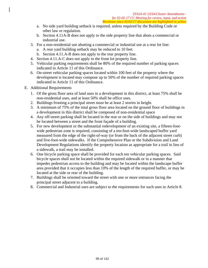- a. No side yard building setback is required, unless required by the Building Code or other law or regulation.
- b. Section 4.11A-B does not apply to the side property line that abuts a commercial or industrial use.
- 3. For a non-residential use abutting a commercial or industrial use at a rear lot line:
	- a. A rear yard building setback may be reduced to 10 feet.
	- b. Section 4.11.A-B does not apply to the rear property line.
- 4. Section 4.11.A-C does not apply to the front lot property line.
- 5. Vehicular parking requirements shall be 80% of the required number of parking spaces indicated in Article 11 of this Ordinance.
- 6. On-street vehicular parking spaces located within 100 feet of the property where the development is located may compose up to 50% of the number of required parking spaces indicated in Article 11 of this Ordinance.
- E. Additional Requirements
	- 1. Of the gross floor area of land uses in a development in this district, at least 75% shall be non-residential uses, and at least 50% shall be office uses.
	- 2. Buildings fronting a principal street must be at least 2 stories in height.
	- 3. A minimum of 75% of the total gross floor area located on the ground floor of buildings in a development in this district shall be composed of non-residential space
	- 4. Any off-street parking shall be located in the rear or on the side of buildings and may not be located between a street and the front façade of a building.
	- 5. For new development or the substantial redevelopment of an existing site, a fifteen-footwide pedestrian zone is required, consisting of a ten-foot-wide landscaped buffer yard measured from the edge of the right-of-way (or from the back of the adjacent street curb) and five-foot-wide sidewalks. If the Comprehensive Plan or the Subdivision and Land Development Regulations identify the property location as appropriate for a trail in lieu of a sidewalk, a trail may be installed.
	- 6. One bicycle parking space shall be provided for each ten vehicular parking spaces. Said bicycle spaces shall not be located within the required sidewalk or in a manner that impedes pedestrian access to the building and may be located within the landscape buffer area provided that it occupies less than 10% of the length of the required buffer, or may be located at the side or rear of the building.
	- 7. Buildings shall be oriented toward the street with one or more entrances facing the principal street adjacent to a building.
	- 8. Commercial and Industrial uses are subject to the requirements for such uses in Article 8.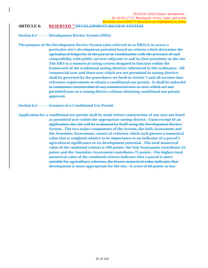#### **ARTICLE 6: RESERVED** <sup>32</sup>**DEVELOPMENT REVIEW SYSTEM**

**Section 6.1 Development Review System (DRS)** 

**The purpose of the Development Review System (also referred to as DRS) is to assess a particular site's development potential based on criteria which determine the agricultural longevity of the parcel in combination with the presence of and compatibility with public services adjacent to and in close proximity to the site. The DRS is a numerical rating system designed to function within the framework of the traditional zoning districts referenced in this ordinance. All commercial uses and those uses which are not permitted in zoning districts shall be governed by the procedures set forth in Article 7 and all sections that reference requirements to obtain a conditional use permit. It shall be unlawful to commence construction of any commercial uses or uses which are not permitted uses in a zoning district without obtaining conditional use permit approval.** 

**Section 6.2 Issuance of a Conditional Use Permit** 

**Application for a conditional use permit shall be made before construction of any uses not listed as permitted uses within the appropriate zoning district. Upon receipt of an application, the site will be evaluated by Staff using the Development Review System. The two major components of the System, the Soils Assessment and the Amenities Assessment, consist of criterion which each possess a numerical value that is weighted relative to its importance as an indicator of a parcel's agricultural significance or its development potential. The total numerical value of the combined criteria is 100 points: the Soil Assessment contributes 25 points and the Amenities Assessment contributes 75 points. The highest total numerical value of the combined criteria indicates that a parcel is more suitable for agriculture, whereas, the lowest numerical value indicates that development is more appropriate for the site. A score of 60 points or less**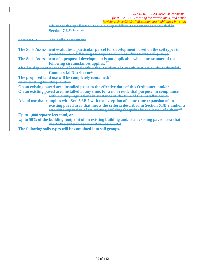**advances the application to the Compatibility Assessment as provided in Section 7.6.14, 17, 21, 23**

**Section 6.3 The Soils Assessment** 

**The Soils Assessment evaluates a particular parcel for development based on the soil types it possesses. The following soils types will be combined into soil groups. The Soils Assessment of a proposed development is not applicable when one or more of the following circumstances applies: 27 The development proposal is located within the Residential Growth District or the Industrial-Commercial District; or27 The proposed land use will be completely contained: 27 In an existing building, and/or On an existing paved area installed prior to the effective date of this Ordinance, and/or On an existing paved area installed at any time, for a non-residential purpose, in compliance with County regulations in existence at the time of the installation; or A land use that complies with Sec. 6.3B.2 with the exception of a one-time expansion of an existing paved area that meets the criteria described in Section 6.3B.2 and/or a one-time expansion of an existing building footprint by the lesser of either: 27 Up to 1,000 square feet total, or Up to 50% of the building footprint of an existing building and/or an existing paved area that meets the criteria described in Sec. 6.3B.2 The following soils types will be combined into soil groups.**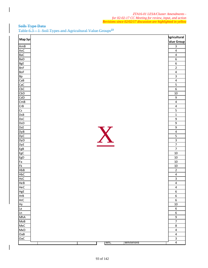## **Soils Type Data**  Table 6.3 – 1Soil Types and Agricultural Value Groups**<sup>23</sup>**

| Map Syr<br>AmB<br>AxC<br><b>BaC</b><br><b>BaD</b><br><b>BgE</b><br><b>BnF</b><br><b>BoF</b><br><b>Bp</b><br>CaB<br>CaC<br>CbC<br>CbD | Agricultural<br>alue Group<br>$\mathbf{3}$<br>$\overline{4}$<br>$\overline{\mathbf{4}}$<br>$\overline{6}$<br>$\overline{6}$<br>$\overline{2}$<br>$\overline{4}$<br>$\overline{3}$<br>$\overline{\mathbf{4}}$ |
|--------------------------------------------------------------------------------------------------------------------------------------|--------------------------------------------------------------------------------------------------------------------------------------------------------------------------------------------------------------|
|                                                                                                                                      |                                                                                                                                                                                                              |
|                                                                                                                                      |                                                                                                                                                                                                              |
|                                                                                                                                      |                                                                                                                                                                                                              |
|                                                                                                                                      |                                                                                                                                                                                                              |
|                                                                                                                                      |                                                                                                                                                                                                              |
|                                                                                                                                      |                                                                                                                                                                                                              |
|                                                                                                                                      |                                                                                                                                                                                                              |
|                                                                                                                                      |                                                                                                                                                                                                              |
|                                                                                                                                      |                                                                                                                                                                                                              |
|                                                                                                                                      |                                                                                                                                                                                                              |
|                                                                                                                                      |                                                                                                                                                                                                              |
|                                                                                                                                      | $\overline{\mathbf{5}}$                                                                                                                                                                                      |
|                                                                                                                                      | 6                                                                                                                                                                                                            |
|                                                                                                                                      | 10                                                                                                                                                                                                           |
| CdD                                                                                                                                  | 9                                                                                                                                                                                                            |
| CmB                                                                                                                                  | $\overline{4}$                                                                                                                                                                                               |
| CrB                                                                                                                                  | $\overline{\mathbf{4}}$                                                                                                                                                                                      |
| $\overline{\mathsf{Cs}}$                                                                                                             | 5                                                                                                                                                                                                            |
| DSB                                                                                                                                  | $\mathbf{1}$                                                                                                                                                                                                 |
| <b>DsC</b>                                                                                                                           | $\overline{9}$                                                                                                                                                                                               |
| <b>DsD</b>                                                                                                                           | 9                                                                                                                                                                                                            |
| <b>DsE</b>                                                                                                                           | $\overline{9}$                                                                                                                                                                                               |
| <b>DyB</b>                                                                                                                           | 4                                                                                                                                                                                                            |
| <b>DyC</b>                                                                                                                           | 5                                                                                                                                                                                                            |
| X<br>DyD                                                                                                                             | $\overline{\mathbf{3}}$                                                                                                                                                                                      |
| <b>DyE</b>                                                                                                                           | $\overline{7}$                                                                                                                                                                                               |
| EgB                                                                                                                                  | $\overline{7}$                                                                                                                                                                                               |
| EgC                                                                                                                                  | 10                                                                                                                                                                                                           |
| EgD                                                                                                                                  | 10                                                                                                                                                                                                           |
| Fa                                                                                                                                   | 10                                                                                                                                                                                                           |
| FK                                                                                                                                   | 10                                                                                                                                                                                                           |
| HbB                                                                                                                                  | $\mathbf 2$                                                                                                                                                                                                  |
| HbC                                                                                                                                  | $\overline{\mathbf{4}}$                                                                                                                                                                                      |
| HcC                                                                                                                                  | $\overline{3}$                                                                                                                                                                                               |
| HeB                                                                                                                                  | $\overline{4}$                                                                                                                                                                                               |
| HeC                                                                                                                                  | $\overline{\mathbf{4}}$                                                                                                                                                                                      |
| HgE                                                                                                                                  | $\boldsymbol{6}$                                                                                                                                                                                             |
| <b>HrB</b>                                                                                                                           | $\boldsymbol{6}$                                                                                                                                                                                             |
| <b>HrC</b>                                                                                                                           | $\boldsymbol{6}$                                                                                                                                                                                             |
| <b>Hy</b>                                                                                                                            | 10                                                                                                                                                                                                           |
| La                                                                                                                                   | $\boldsymbol{6}$                                                                                                                                                                                             |
| Ln                                                                                                                                   | 6                                                                                                                                                                                                            |
| MhA                                                                                                                                  | 9                                                                                                                                                                                                            |
| MoB                                                                                                                                  | $\overline{7}$                                                                                                                                                                                               |
| MxC                                                                                                                                  | $\bf 8$                                                                                                                                                                                                      |
| MxD                                                                                                                                  | $\overline{\mathbf{4}}$                                                                                                                                                                                      |
| OaB                                                                                                                                  | $\pmb{4}$                                                                                                                                                                                                    |
| OaC                                                                                                                                  | $\overline{3}$                                                                                                                                                                                               |
| WtC<br><b>Whiteford</b>                                                                                                              | $\overline{4}$                                                                                                                                                                                               |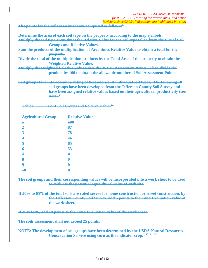**The points for the soils assessment are computed as follows:5**

| Determine the area of each soil type on the property according to the map symbols.                    |
|-------------------------------------------------------------------------------------------------------|
| Multiply the soil type areas times the Relative Value for the soil type taken from the List of Soil   |
| <b>Groups and Relative Values.</b>                                                                    |
| <u>Sum the products of the multiplication of Area times Relative Value to obtain a total for the </u> |
| property.                                                                                             |
| Divide the total of the multiplication products by the Total Area of the property to obtain the       |
| <b>Weighted Relative Value.</b>                                                                       |
| Multiply the Weighted Relative Value times the 25 Soil Assessment Points. Then divide the             |
| product by 100 to obtain the allowable number of Soil Assessment Points.                              |
|                                                                                                       |
| Soil groups take into account a rating of best and worst individual soil types. The following 10      |
|                                                                                                       |

**soil groups have been developed from the Jefferson County Soil Survey and have been assigned relative values based on their agricultural productivity (see note).5**

Table  $6.3 - 2$  List of Soil Groups and Relative Values<sup>23</sup>

| <b>Agricultural Group</b> | <b>Relative Value</b> |
|---------------------------|-----------------------|
| $\mathbf 1$               | 100                   |
| $\overline{2}$            | 87                    |
| $\overline{\mathbf{3}}$   | 78                    |
| $\overline{\mathbf{4}}$   | 76                    |
| 5                         | 65                    |
| $\overline{\theta}$       | 53                    |
| 7                         | $\boldsymbol{\theta}$ |
| 8                         | $\pmb{\theta}$        |
| 9                         | θ                     |
| $\overline{10}$           | θ                     |

**The soil groups and their corresponding values will be incorporated into a work sheet to be used to evaluate the potential agricultural value of each site.** 

**If 50% to 65% of the total soils are rated severe for home construction or street construction, by the Jefferson County Soil Survey, add 5 points to the Land Evaluation value of the work sheet.** 

**If over 65%, add 10 points to the Land Evaluation value of the work sheet.** 

**The soils assessment shall not exceed 25 points.** 

**NOTE: The development of soil groups have been determined by the USDA Natural Resources Conservation Service using corn as the indicator crop.1, 17, 21, 23**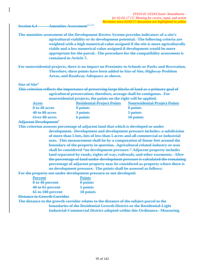#### **Section 6.4** Amenities Assessment<sup>17, 21</sup>

**The amenities assessment of the Development Review System provides indicators of a site's agricultural viability or its development potential. The following criteria are weighted with a high numerical value assigned if the site is more agriculturally viable and a low numerical value assigned if development would be more appropriate for the parcel. The procedure for the compatibility assessment is contained in Article 7.** 

**For nonresidential projects, there is no impact on Proximity to Schools or Parks and Recreation. Therefore, these points have been added to Size of Site, Highway Problem Areas, and Roadway Adequacy as shown.** 

#### **Size of Site4**

**This criterion reflects the importance of preserving large blocks of land as a primary goal of agricultural preservation; therefore, acreage shall be contiguous. For nonresidential projects, the points on the right will be applied.** 

| <b>Acres</b>   | <b>Residential Project Points</b> | <b>Nonresidential Project Points</b> |
|----------------|-----------------------------------|--------------------------------------|
| $010402$ acres | $0$ points                        | $0$ points                           |
| 40 to 80 acres | $3$ points                        | $5$ points                           |
| Over 80 acres  | 6 points                          | 10 points                            |
|                |                                   |                                      |

#### **Adjacent Development7**

**This criterion assesses percentage of adjacent land that which is developed or under development. Development and development pressure includes: a subdivision of more than 5 lots, lots of less than 5 acres and all commercial or industrial uses. This measurement shall be by a computation of linear feet around the boundary of the property in question. Agricultural related industry or uses shall be considered "no development pressure." Adjacent property includes land separated by roads, rights-of-way, railroads, and other easements. After the percentage of land under development pressure is calculated the remaining percentage of adjacent property may be considered as property where there is no development pressure. The points shall be assessed as follows:** 

**For the property not under development pressure or not developed:** 

| <b>Percent</b>    | <b>Points</b> |
|-------------------|---------------|
| 0 to 40 percent   | $0$ points    |
| 40 to 65 percent  | $5$ points    |
| 65 to 100 percent | 10 points     |

**Distance to Growth Corridor** 

**The distance to the growth corridor relates to the distance of the subject parcel to the boundaries of the Residential Growth District or the Residential-Light Industrial-Commercial District adopted within this Ordinance. Measuring**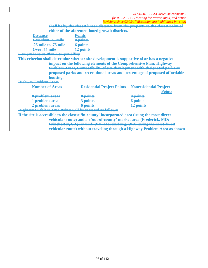| ZTA16-01 LESA/Cluster Amendments -                                                            |                                                                           |                                                                                   |  |  |
|-----------------------------------------------------------------------------------------------|---------------------------------------------------------------------------|-----------------------------------------------------------------------------------|--|--|
| for 02-02-17 CC Meeting for review, input, and action                                         |                                                                           |                                                                                   |  |  |
|                                                                                               |                                                                           | Revisions since 02/02/17 discussion are highlighted in yellow                     |  |  |
|                                                                                               |                                                                           | shall be by the closest linear distance from the property to the closest point of |  |  |
|                                                                                               | either of the aforementioned growth districts.                            |                                                                                   |  |  |
| <del>Distance</del>                                                                           | <b>Points</b>                                                             |                                                                                   |  |  |
| <b>Less than .25 mile</b>                                                                     | $0$ points                                                                |                                                                                   |  |  |
| <b>25 mile to 75 mile</b>                                                                     | 6 points                                                                  |                                                                                   |  |  |
| Over 75 mile                                                                                  | 12 points                                                                 |                                                                                   |  |  |
| <b>Comprehensive Plan Compatibility</b>                                                       |                                                                           |                                                                                   |  |  |
| This criterion shall determine whether site development is supportive of or has a negative    |                                                                           |                                                                                   |  |  |
|                                                                                               | impact on the following elements of the Comprehensive Plan: Highway       |                                                                                   |  |  |
|                                                                                               | Problem Areas, Compatibility of site development with designated parks or |                                                                                   |  |  |
|                                                                                               |                                                                           | proposed parks and recreational areas and percentage of proposed affordable       |  |  |
| housing.                                                                                      |                                                                           |                                                                                   |  |  |
| <b>Highway Problem Areas</b>                                                                  |                                                                           |                                                                                   |  |  |
| Number of Areas                                                                               | <b>Residential Project Points</b>                                         | <b>Nonresidential Project</b>                                                     |  |  |
|                                                                                               |                                                                           | Points                                                                            |  |  |
| 0 problem areas                                                                               | 0 points                                                                  | 0 points                                                                          |  |  |
| 1 problem area                                                                                | 3 points                                                                  | <b>6</b> points                                                                   |  |  |
| 2 problem areas                                                                               | 6 points                                                                  | 12 points                                                                         |  |  |
| <b>Highway Problem Area Points will be assessed as follows:</b>                               |                                                                           |                                                                                   |  |  |
| If the site is accessible to the closest 'in-county' incorporated area (using the most direct |                                                                           |                                                                                   |  |  |
| vehicular route) and an 'out-of-county' market area (Frederick, MD;                           |                                                                           |                                                                                   |  |  |
|                                                                                               | Winchester, VA; Inwood, WV; Martinsburg, WV) (using the most direct       |                                                                                   |  |  |
| vehicular route) without traveling through a Highway Problem Area as shown                    |                                                                           |                                                                                   |  |  |

 $\overline{\phantom{a}}$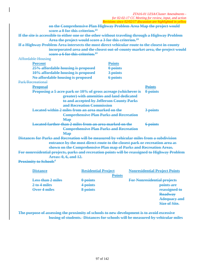|                                                                                                  | ZTA16-01 LESA/Cluster Amendments - |  |  |
|--------------------------------------------------------------------------------------------------|------------------------------------|--|--|
| for 02-02-17 CC Meeting for review, input, and action                                            |                                    |  |  |
| Revisions since 02/02/17 discussion are highlighted in yellow                                    |                                    |  |  |
| on the Comprehensive Plan Highway Problem Area Map the project would                             |                                    |  |  |
| score a $0$ for this criterion. <sup>23</sup>                                                    |                                    |  |  |
| If the site is accessible to either one or the other without traveling through a Highway Problem |                                    |  |  |
| Area the project would score a 3 for this criterion. <sup>23</sup>                               |                                    |  |  |
| If a Highway Problem Area intersects the most direct vehicular route to the closest in-county    |                                    |  |  |
| incorporated area and the closest out-of-county market area, the project would                   |                                    |  |  |
| score a 6 for this criterion. $23$                                                               |                                    |  |  |
| <b>Affordable Housing</b>                                                                        |                                    |  |  |
| <b>Percent</b><br><b>Points</b>                                                                  |                                    |  |  |
| 25% affordable housing is proposed<br>0 points                                                   |                                    |  |  |
| 10% affordable housing is proposed<br>3 points                                                   |                                    |  |  |
| No affordable housing is proposed<br><b>6</b> points                                             |                                    |  |  |
| Park/Recreational                                                                                |                                    |  |  |
| <b>Proposal</b>                                                                                  | <b>Points</b>                      |  |  |
| Proposing a 5 acre park or 10% of gross acreage (whichever is                                    | 0 points                           |  |  |
| greater) with amenities and land dedicated                                                       |                                    |  |  |
| to and accepted by Jefferson County Parks                                                        |                                    |  |  |
| and Recreation Commission                                                                        |                                    |  |  |
| Located within 2 miles from an area marked on the                                                | 3 points                           |  |  |
| <b>Comprehensive Plan Parks and Recreation</b>                                                   |                                    |  |  |
| <b>Map</b>                                                                                       |                                    |  |  |
| Located farther than 2 miles from an area marked on the                                          | 6 points                           |  |  |
| <b>Comprehensive Plan Parks and Recreation</b>                                                   |                                    |  |  |
| <b>Map</b>                                                                                       |                                    |  |  |
| Distances for Parks and Recreation will be measured by vehicular miles from a subdivision        |                                    |  |  |
| entrance by the most direct route to the closest park or recreation area as                      |                                    |  |  |
| shown on the Comprehensive Plan map of Parks and Recreation Areas.                               |                                    |  |  |
| For nonresidential projects, parks and recreation points will be reassigned to Highway Problem   |                                    |  |  |
| Areas: 0, 6, and 12.                                                                             |                                    |  |  |
| <b>Proximity to Schools<sup>4</sup></b>                                                          |                                    |  |  |

| <b>Distance</b>          | <b>Residential Project</b> | <b>Nonresidential Project Points</b>                  |
|--------------------------|----------------------------|-------------------------------------------------------|
|                          | <b>Points</b>              |                                                       |
| <b>Less than 2 miles</b> | 0 points                   | <b>For Nonresidential projects</b>                    |
| 2 to 4 miles             | 4 points                   | points are                                            |
| Over 4 miles             | 8 points                   | reassigned to                                         |
|                          |                            | <b>Roadway</b>                                        |
|                          |                            | Adoguacy and<br><del><i><b>racquacy</b></i> and</del> |
|                          |                            | <b>Size of Site.</b>                                  |
|                          |                            |                                                       |

**The purpose of assessing the proximity of schools to new development is to avoid excessive busing of students. Distances for schools will be measured by vehicular miles**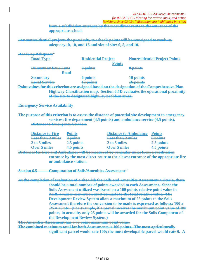**from a subdivision entrance by the most direct route to the entrance of the appropriate school.** 

**For nonresidential projects the proximity to schools points will be reassigned to roadway adequacy: 0, 10, and 16 and size of site: 0, 5, and 10.** 

| Roadway Adequacy <sup>4</sup>                                                                                                                                                                                                                                                                                                                                                                                                                                                                                                                                                                                                                                                                                                                                                                                                                                                                                                                                |                                                                |                          |                                                                                     |  |
|--------------------------------------------------------------------------------------------------------------------------------------------------------------------------------------------------------------------------------------------------------------------------------------------------------------------------------------------------------------------------------------------------------------------------------------------------------------------------------------------------------------------------------------------------------------------------------------------------------------------------------------------------------------------------------------------------------------------------------------------------------------------------------------------------------------------------------------------------------------------------------------------------------------------------------------------------------------|----------------------------------------------------------------|--------------------------|-------------------------------------------------------------------------------------|--|
| <b>Road Type</b>                                                                                                                                                                                                                                                                                                                                                                                                                                                                                                                                                                                                                                                                                                                                                                                                                                                                                                                                             | <b>Residential Project</b>                                     | <b>Points</b>            | <b>Nonresidential Project Points</b>                                                |  |
| <b>Primary or Four Lane</b><br>Road                                                                                                                                                                                                                                                                                                                                                                                                                                                                                                                                                                                                                                                                                                                                                                                                                                                                                                                          | 0 points                                                       | 0 points                 |                                                                                     |  |
| <b>Secondary</b>                                                                                                                                                                                                                                                                                                                                                                                                                                                                                                                                                                                                                                                                                                                                                                                                                                                                                                                                             | <b>6</b> points                                                | 10 points                |                                                                                     |  |
| <b>Local Service</b>                                                                                                                                                                                                                                                                                                                                                                                                                                                                                                                                                                                                                                                                                                                                                                                                                                                                                                                                         | 12 points                                                      | 16 points                |                                                                                     |  |
| Point values for this criterion are assigned based on the designation of the Comprehensive Plan                                                                                                                                                                                                                                                                                                                                                                                                                                                                                                                                                                                                                                                                                                                                                                                                                                                              | of the site to designated highway problem areas.               |                          | <b>Highway Classification map. Section 6.5D evaluates the operational proximity</b> |  |
| <b>Emergency Service Availability</b>                                                                                                                                                                                                                                                                                                                                                                                                                                                                                                                                                                                                                                                                                                                                                                                                                                                                                                                        |                                                                |                          |                                                                                     |  |
| The purpose of this criterion is to assess the distance of potential site development to emergency<br>services: fire department (4.5 points) and ambulance service (4.5 points).<br><b>Distance to Emergency Services</b>                                                                                                                                                                                                                                                                                                                                                                                                                                                                                                                                                                                                                                                                                                                                    |                                                                |                          |                                                                                     |  |
| <b>Distance to Fire</b>                                                                                                                                                                                                                                                                                                                                                                                                                                                                                                                                                                                                                                                                                                                                                                                                                                                                                                                                      | <b>Points</b>                                                  | Distance to Ambulance    | <b>Points</b>                                                                       |  |
| <b>Less than 2 miles</b>                                                                                                                                                                                                                                                                                                                                                                                                                                                                                                                                                                                                                                                                                                                                                                                                                                                                                                                                     | 0-points                                                       | <b>Less than 2 miles</b> | 0 points                                                                            |  |
| 2 to 5 miles                                                                                                                                                                                                                                                                                                                                                                                                                                                                                                                                                                                                                                                                                                                                                                                                                                                                                                                                                 | 2.5 points                                                     | 2 to 5 miles             | 2.5 points                                                                          |  |
| Over 5 miles                                                                                                                                                                                                                                                                                                                                                                                                                                                                                                                                                                                                                                                                                                                                                                                                                                                                                                                                                 | 4.5 points                                                     | Over 5 miles             | 4.5 points                                                                          |  |
| Distances for Fire and Ambulance will be measured by vehicular miles from a subdivision<br>entrance by the most direct route to the closest entrance of the appropriate fire<br>or ambulance station.                                                                                                                                                                                                                                                                                                                                                                                                                                                                                                                                                                                                                                                                                                                                                        |                                                                |                          |                                                                                     |  |
| <b>Section 6.5</b>                                                                                                                                                                                                                                                                                                                                                                                                                                                                                                                                                                                                                                                                                                                                                                                                                                                                                                                                           | <b>Computation of Soils/Amenities Assessment</b> <sup>27</sup> |                          |                                                                                     |  |
| At the completion of evaluation of a site with the Soils and Amenities Assessment Criteria, there<br>should be a total number of points awarded to each Assessment. Since the<br>Soils Assessment utilized was based on a 100 points relative point value in<br>itself, a minor conversion must be made to the total relative value. The<br><b>Development Review System allots a maximum of 25 points to the Soils</b><br>Assessment therefore the conversion to be made is expressed as follows: 100 x<br>.25 = 25 pts. (For example, if a parcel receives the maximum point value of 100<br>points, in actuality only 25 points will be awarded for the Soils Component of<br>the Development Review System.)<br>The Amenities Assessment has a 75 point maximum point value.<br>The combined maximum total for both Assessments is 100 points. The most agriculturally<br>significant parcel would rate 100; the most developable parcel would rate 0. A |                                                                |                          |                                                                                     |  |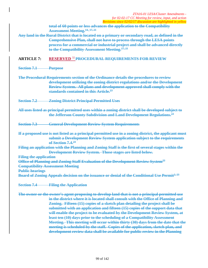**total of 60 points or less advances the application to the Compatibility Assessment Meeting.14, 17, 21**

**Any land in the Rural District that is located on a primary or secondary road, as defined in the Comprehensive Plan, shall not have to process through the LESA points process for a commercial or industrial project and shall be advanced directly to the Compatibility Assessment Meeting.17, 21**

## **ARTICLE 7: RESERVED** <sup>32</sup> **PROCEDURAL REQUIREMENTS FOR REVIEW**

**Section 7.1 Purpose** 

**The Procedural Requirements section of the Ordinance details the procedures to review development utilizing the zoning district regulations and/or the Development Review System. All plans and development approved shall comply with the standards contained in this Article.23**

**Section 7.2 Zoning District Principal Permitted Uses** 

**All uses listed as principal permitted uses within a zoning district shall be developed subject to the Jefferson County Subdivision and Land Development Regulations.23**

**Section 7.3 General Development Review System Requirements** 

**If a proposed use is not listed as a principal permitted use in a zoning district, the applicant must submit a Development Review System application subject to the requirements of Section 7.4.23**

**Filing an application with the Planning and Zoning Staff is the first of several stages within the Development Review System. Those stages are listed below.** 

**Filing the application** 

**Office of Planning and Zoning Staff Evaluation of the Development Review System23 Compatibility Assessment Meeting** 

**Public hearings** 

**Board of Zoning Appeals decision on the issuance or denial of the Conditional Use Permit<sup>2, 23</sup>** 

**Section 7.4 Filing the Application** 

**The owner or the owner's agent proposing to develop land that is not a principal permitted use in the district where it is located shall consult with the Office of Planning and Zoning. Fifteen (15) copies of a sketch plan detailing the project shall be submitted with an application and fifteen (15) copies of the support data that will enable the project to be evaluated by the Development Review System, at least ten (10) days prior to the scheduling of a Compatibility Assessment Meeting. This meeting will occur within thirty (30) days from the date that the meeting is scheduled by the staff. Copies of the application, sketch plan, and development review data shall be available for public review in the Planning**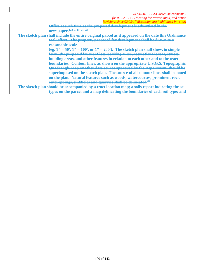**Office at such time as the proposed development is advertised in the newspaper.1, 2, 7, 17, 21, 23**

**The sketch plan shall include the entire original parcel as it appeared on the date this Ordinance took effect. The property proposed for development shall be drawn to a reasonable scale** 

> **(eg. 1" = 50', 1" = 100', or 1" = 200'). The sketch plan shall show, in simple form, the proposed layout of lots, parking areas, recreational areas, streets, building areas, and other features in relation to each other and to the tract boundaries. Contour lines, as shown on the appropriate U.S.G.S. Topographic Quadrangle Map or other data source approved by the Department, should be superimposed on the sketch plan. The source of all contour lines shall be noted on the plan. Natural features such as woods, watercourses, prominent rock outcroppings, sinkholes and quarries shall be delineated.23**

**The sketch plan should be accompanied by a tract location map; a soils report indicating the soil types on the parcel and a map delineating the boundaries of each soil type; and**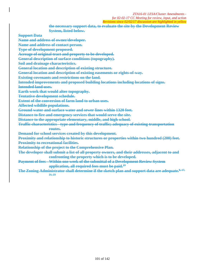**the necessary support data, to evaluate the site by the Development Review System, listed below.** 

**Support Data** 

**Name and address of owner/developer.** 

**Name and address of contact person.** 

**Type of development proposed.** 

**Acreage of original tract and property to be developed.** 

**General description of surface conditions (topography).** 

**Soil and drainage characteristics.** 

**General location and description of existing structure.** 

**General location and description of existing easements or rights-of-way.** 

**Existing covenants and restrictions on the land.** 

**Intended improvements and proposed building locations including locations of signs.** 

**Intended land uses.** 

**Earth work that would alter topography.** 

**Tentative development schedule.** 

**Extent of the conversion of farm land to urban uses.** 

**Affected wildlife populations.** 

**Ground water and surface water and sewer lines within 1320 feet.** 

**Distance to fire and emergency services that would serve the site.** 

**Distance to the appropriate elementary, middle, and high school.** 

**Traffic characteristics - type and frequency of traffic; adequacy of existing transportation** 

#### **routes.**

**Demand for school services created by this development.** 

**Proximity and relationship to historic structures or properties within two hundred (200) feet. Proximity to recreational facilities.** 

**Relationship of the project to the Comprehensive Plan.** 

**The developer shall submit a list of all property owners, and their addresses, adjacent to and confronting the property which is to be developed.** 

**Payment of fees - Within one week of the submittal of a Development Review System application, all required fees must be paid.23**

The Zoning Administrator shall determine if the sketch plan and support data are adequate.<sup>8, 17,</sup> **21, 23**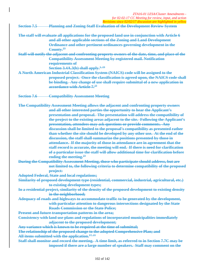**Section 7.5 Planning and Zoning Staff Evaluation of the Development Review System** 

- **The staff will evaluate all applications for the proposed land use in conjunction with Article 6 and all other applicable sections of the Zoning and Land Development Ordinance and other pertinent ordinances governing development in the County.23**
- **Staff will notify the adjacent and confronting property owners of the date, time, and place of the Compatibility Assessment Meeting by registered mail. Notification requirements of**

**Section 3.4A.3(b) shall apply.**<sup>1, 23</sup>

- **A North American Industrial Classification System (NAICS) code will be assigned to the proposed project. Once the classification is agreed upon, the NAICS code shall be binding. Any change of use shall require submittal of a new application in accordance with Article 7.23**
- **Section 7.6 Compatibility Assessment Meeting**

**The Compatibility Assessment Meeting allows the adjacent and confronting property owners and all other interested parties the opportunity to hear the Applicant's presentation and proposal. The presentation will address the compatibility of the project to the existing areas adjacent to the site. Following the Applicant's presentation, attendees may ask questions or provide comments. Any discussion shall be limited to the proposal's compatibility as presented rather than whether the site should be developed by any other use. At the end of the discussion, the staff shall summarize the positions presented by those in attendance. If the majority of those in attendance are in agreement that the staff record is accurate, the meeting will end. If there is need for clarification of a particular issue the staff will allow additional time for clarification before ending the meeting.23**

- **During the Compatibility Assessment Meeting, those who participate should address, but are not limited to, the following criteria to determine compatibility of the proposed project:**
- **Adopted Federal, State and local regulations;**
- **Similarity of proposed development type (residential, commercial, industrial, agricultural, etc.) to existing development types;**
- **In a residential project, similarity of the density of the proposed development to existing density in the neighborhood;**
- **Adequacy of roads and highways to accommodate traffic to be generated by the development, with particular attention to dangerous intersections designated by the State Roads Commission or the State Police;**
- **Present and future transportation patterns in the area;**
- **Consistency with land use plans and regulations of incorporated municipalities immediately adjacent to the proposed development;**
- **Any variance which is known to be required at the time of submittal;**
- **The relationship of the proposed change to the adopted Comprehensive Plan; and**
- All items submitted with the application.<sup>17, 21</sup>
- **Staff shall monitor and record the meeting. A time limit, as referred to in Section 7.7C may be imposed if there are a large number of speakers. Staff may comment on the**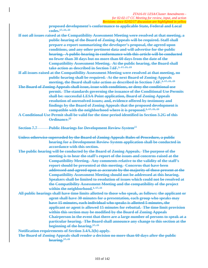**proposed development's conformance to applicable State, Federal and Local codes.17, 21, 23** 

**If not all issues raised at the Compatibility Assessment Meeting were resolved at that meeting, a public hearing of the Board of Zoning Appeals will be required. Staff shall prepare a report summarizing the developer's proposal, the agreed upon conditions, and any other pertinent data and will advertise for the public hearing. A public hearing in conformance with this article will be conducted no fewer than 30 days but no more than 60 days from the date of the Compatibility Assessment Meeting. At the public hearing, the Board shall**  take action as described in Section 7.6F.<sup>1, 17, 21, 23</sup>

**If all issues raised at the Compatibility Assessment Meeting were resolved at that meeting, no public hearing shall be required. At the next Board of Zoning Appeals meeting, the Board shall take action as described in Section 7.6F.**<sup>2, 17, 21, 23</sup>

- **The Board of Zoning Appeals shall issue, issue with conditions, or deny the conditional use permit. The standards governing the issuance of the Conditional Use Permits shall be: successful LESA Point application, Board of Zoning Appeals resolution of unresolved issues; and, evidence offered by testimony and findings by the Board of Zoning Appeals that the proposed development is**  compatible with the neighborhood where it is proposed.<sup>2, 17, 21, 23</sup>
- **A Conditional Use Permit shall be valid for the time period identified in Section 3.2G of this Ordinance.23**

**Section 7.7 Public Hearings for Development Review System**<sup>23</sup>

- **Unless otherwise superseded by the Board of Zoning Appeals Rules of Procedure, a public hearing for a Development Review System application shall be conducted in accordance with this section.**
- **The public hearing will be conducted by the Board of Zoning Appeals. The purpose of the meeting is to hear the staff's report of the issues and concerns raised at the Compatibility Meeting. Any comments relative to the validity of the staff's report should be presented at this meeting. Concerns that have been addressed and agreed upon as accurate by the majority of those present at the Compatibility Assessment Meeting should not be addressed at this hearing. Speakers shall be limited to resolution of issues which could not be resolved at the Compatibility Assessment Meeting and the compatibility of the project**  within the neighborhood.<sup>1, 17, 21</sup>
- **All public hearings shall have time limits allotted to those who speak, as follows: the applicant or agent shall have 30 minutes for a presentation, each group who speaks may have 15 minutes, each individual who speaks is allotted 5 minutes, the applicant or agent is allowed 15 minutes for rebuttal. The time limit provision within this section may be modified by the Board of Zoning Appeals Chairperson in the event that there are a large number of persons to speak at a particular hearing. The Board shall announce any change to this section at the beginning of the hearing.17, 21**

**Notification requirements of Section 3.4A.3(b) apply.** 

**The Board of Zoning Appeals shall render a decision no more than 60 days after the public hearing.17, 21**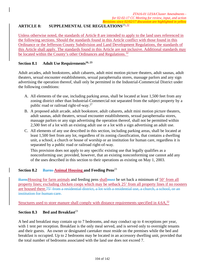# ARTICLE 8: SUPPLEMENTAL USE REGULATIONS<sup>23, 32</sup>

Unless otherwise noted, the standards of Article 8 are intended to apply to the land uses referenced in the following sections. Should the standards found in this Article conflict with those found in this Ordinance or the Jefferson County Subdivision and Land Development Regulations, the standards of this Article shall apply. The standards found in this Article are not inclusive. Additional standards may be located within the County's other Ordinances and Regulations.<sup>32</sup>

## **Section 8.1** Adult Use Requirements<sup>16, 23</sup>

Adult arcades, adult bookstores, adult cabarets, adult mini motion picture theaters, adult saunas, adult theaters, sexual encounter establishments, sexual paraphernalia stores, massage parlors and any sign advertising the operation thereof, shall only be permitted in the Industrial-Commercial District under the following conditions:

- A. All elements of the use, including parking areas, shall be located at least 1,500 feet from any zoning district other than Industrial-Commercial not separated from the subject property by a public road or railroad right-of-way.<sup>27</sup>
- B. A proposed adult arcade, adult bookstore, adult cabarets, adult mini motion picture theaters, adult saunas, adult theaters, sexual encounter establishments, sexual paraphernalia stores, massage parlors or any sign advertising the operation thereof, shall not be permitted within 2,500 feet of a lot with an existing adult use or a lot with a sign advertising an adult use.
- C. All elements of any use described in this section, including parking areas, shall be located at least 1,500 feet from any lot, regardless of its zoning classification, that contains a dwelling unit, a school, a church or house of worship or an institution for human care, regardless it is separated by a public road or railroad right-of-way.

This provision does not apply to any specific existing use that legally qualifies as a nonconforming use; provided, however, that an existing nonconforming use cannot add any of the uses described in this section to their operations as existing on May 1, 2003.

## **Section 8.2 Barns Animal Housing and Feeding Pens**<sup>23</sup>

Barns Housing for farm animals and feeding pens shall must be set back a minimum of 50' from all property lines; excluding chicken coops which may be setback 25' from all property lines if no roosters are housed there.75' from a residential district, a lot with a residential use, a church, a school, or an institution for human care.

Structures used to store manure shall comply with distance requirements specified in  $4.6A$ ,  $32$ 

## **Section 8.3 Bed and Breakfast**<sup>23</sup>

A bed and breakfast may contain up to 7 bedrooms, and may conduct up to 4 receptions per year, with 1 tent per reception. Breakfast is the only meal served, and is served only to overnight tenants and their guests. An owner or designated caretaker must reside on the premises while the bed and breakfast is occupied. Up to 2 bedrooms may be located in an accessory dwelling unit, provided that the total number of bedrooms associated with the land use does not exceed 7.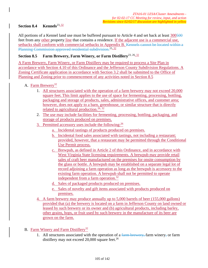## Section 8.4 **Kennels**<sup>23, 32</sup>

All portions of a Kennel land use must be buffered pursuant to Article 4 and set back at least 300500 feet from any other property line that contains a residence. If the adjacent use is a commercial use, setbacks shall conform with commercial setbacks in Appendix B. Kennels cannot be located within a Planning Commission approved residential subdivision.<sup>15, 32</sup>

## **Section 8.5 Farm Brewery, Farm Winery, or Farm Distillery**23, 26, 32

A Farm Brewery, Farm Winery, or Farm Distillery may be required to process a Site Plan in accordance with Section 4.10 of this Ordinance and the Jefferson County Subdivision Regulations. A Zoning Certificate application in accordance with Section 3.2 shall be submitted to the Office of Planning and Zoning prior to commencement of any activities noted in Section 8.5

- A. Farm Brewery<sup>32</sup>
	- 1. All structures associated with the operation of a farm brewery may not exceed 20,000 square feet. This limit applies to the use of space for fermenting, processing, bottling, packaging and storage of products, sales, administrative offices, and customer area; however, does not apply to a barn, greenhouse, or similar structure that is directly related to agricultural production.<sup>26, 32</sup>
	- 2. The use may include facilities for fermenting, processing, bottling, packaging, and storage of products produced on premises.
	- 3. Permitted accessory uses include the following:  $26$ 
		- a. Incidental tastings of products produced on premises.
		- b. Incidental food sales associated with tastings, not including a restaurant; provided, however, that a restaurant may be permitted through the Conditional Use Permit process.
		- c. Brewpub, as defined in Article 2 of this Ordinance, and in accordance with West Virginia State licensing requirements. A brewpub may provide retail sales of craft beer manufactured on the premises for onsite consumption by the glass or bottle. A brewpub may be established on a separate legal lot of record adjoining a farm operation as long as the brewpub is accessory to the existing farm operation. A brewpub shall not be permitted to operate independent from a farm operation.<sup>32</sup>
		- d. Sales of packaged products produced on premises.
		- e. Sales of novelty and gift items associated with products produced on premises.
	- 4. A farm brewery may produce annually up to 5,000 barrels of beer (155,000 gallons) provided that (a) the brewery is located on a farm in Jefferson County on land owned or leased by such brewery or its owner and (b) agricultural products, including barley, other grains, hops, or fruit used by such brewery in the manufacture of its beer are grown on the farm.

#### B. Farm Winery and Farm Distillery<sup>32</sup>

1. All structures associated with the operation of a  $f_{\text{arm}}$  brewery, farm winery, or farm distillery may not exceed  $20,000$  square feet.<sup>26</sup>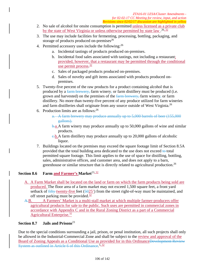- 2. No sale of alcohol for onsite consumption is permitted unless licensed as a private club by the state of West Virginia or unless otherwise permitted by state law.<sup>26,32</sup>
- 3. The use may include facilities for fermenting, processing, bottling, packaging, and storage of products produced on-premises $^{26}$
- 4. Permitted accessory uses include the following:<sup>26</sup>
	- a. Incidental tastings of products produced on-premises.
	- b. Incidental food sales associated with tastings, not including a restaurant; provided, however, that a restaurant may be permitted through the conditional use permit process.<sup>32</sup>
	- c. Sales of packaged products produced on-premises.
	- d. Sales of novelty and gift items associated with products produced onpremises.
- 5. Twenty-five percent of the raw products for a product containing alcohol that is produced by a farm brewery, farm winery, or farm distillery must be produced (i.e. grown and harvested) on the premises of the farm brewery, farm winery, or farm distillery. No more than twenty-five percent of any produce utilized for farm wineries and farm distilleries shall originate from any source outside of West Virginia.<sup>26</sup>
- 6. Production limits are as follows:  $26$ 
	- a. A farm brewery may produce annually up to 5,000 barrels of beer (155,000 gallons).
	- **b.a.** A farm winery may produce annually up to 50,000 gallons of wine and similar products.
	- $\epsilon$ -b. A farm distillery may produce annually up to 20,000 gallons of alcoholic liquor.
- 7. Buildings located on the premises may exceed the square footage limit of Section 8.5A provided that the total building area dedicated to the use does not exceed to total permitted square footage. This limit applies to the use of space for distilling, bottling, sales, administrative offices, and customer area, and does not apply to a barn, greenhouse or similar structure that is directly related to agricultural production.<sup>26</sup>

## **Section 8.6 Farm and Farmer's Market**<sup>23, 32</sup>

- A. A Farm Market shall be located on the land or farm on which the farm products being sold are produced. The floor area of a farm market may not exceed 1,500 square feet, a front yard setback of  $f$  fifty twenty-five feet ( $\frac{5025}{ }$ ) from the street right-of-way must be maintained, and off street parking must be provided. $32$
- A.B. A Farmers' Market is a multi-stall market at which multiple farmer-producers offer agricultural products for sale to the public. Such uses are permitted in commercial zones in accordance with Appendix C and in the Rural Zoning District as a part of a Commercial Agricultural Enterprise.32

## **Section 8.7 Jails and Prisons**<sup>23</sup>

Due to the special conditions surrounding a jail, prison, or penal institution, all such projects shall only be allowed in the Industrial-Commercial Zone and shall be subject to the review and approval of the Board of Zoning Appeals as a Conditional Use as provided for in this OrdinanceDevelopment Review System as outlined in Article 6 of this Ordinance.<sup>5,32</sup>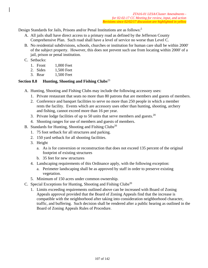Design Standards for Jails, Prisons and/or Penal Institutions are as follows:<sup>5</sup>

- A. All jails shall have direct access to a primary road as defined by the Jefferson County Comprehensive Plan. Such road shall have a level of service no worse than Level C.
- B. No residential subdivisions, schools, churches or institution for human care shall be within 2000' of the subject property. However, this does not prevent such use from locating within 2000' of a jail, prison or penal institution.
- C. Setbacks:
	- 1. Front 1,000 Feet
	- 2. Sides 1,500 Feet
	- 3. Rear 1,500 Feet

## **Section 8.8 Hunting, Shooting and Fishing Clubs**<sup>23</sup>

- A. Hunting, Shooting and Fishing Clubs may include the following accessory uses:
	- 1. Private restaurant that seats no more than 80 patrons that are members and guests of members.
	- 2. Conference and banquet facilities to serve no more than 250 people in which a member rents the facility. Events which are accessory uses other than hunting, shooting, archery and fishing, cannot exceed more than 16 per year.
	- 3. Private lodge facilities of up to 50 units that serve members and guests.<sup>20</sup>
	- 4. Shooting ranges for use of members and guests of members.
- B. Standards for Hunting, Shooting and Fishing Clubs<sup>20</sup>
	- 1. 75 foot setback for all structures and parking.
	- 2. 150 yard setback for all shooting facilities.
	- 3. Height
		- a. As is for conversion or reconstruction that does not exceed 135 percent of the original footprint of existing structures
		- b. 35 feet for new structures
	- 4. Landscaping requirements of this Ordinance apply, with the following exception:
		- a. Perimeter landscaping shall be as approved by staff in order to preserve existing vegetation.
	- 5. Minimum of 150 acres under common ownership.
- C. Special Exceptions for Hunting, Shooting and Fishing Clubs<sup>20</sup>
	- 1. Limits exceeding requirements outlined above can be increased with Board of Zoning Appeals approval provided that the Board of Zoning Appeals find that the increase is compatible with the neighborhood after taking into consideration neighborhood character, traffic, and buffering. Such decision shall be rendered after a public hearing as outlined in the Board of Zoning Appeals Rules of Procedure.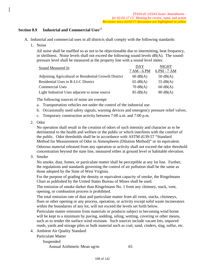## **Section 8.9 Industrial and Commercial Uses**<sup>23</sup>

- A. Industrial and commercial uses in all districts shall comply with the following standards:
	- 1. Noise

All noise shall be muffled so as not to be objectionable due to intermitting, beat frequency, or shrillness. Noise levels shall not exceed the following sound levels dB(A). The soundpressure level shall be measured at the property line with a sound level meter.

| Sound Measured In                                     | <b>DAY</b>         | <b>NIGHT</b>       |
|-------------------------------------------------------|--------------------|--------------------|
|                                                       | 7 AM - 6 PM        | 6 PM - 7 AM        |
| Adjoining Agricultural or Residential Growth District | $60 \text{ dB}(A)$ | $50 \text{ dB}(A)$ |
| Residential Uses in R-LI-C District                   | $65 \text{ dB}(A)$ | 55 $dB(A)$         |
| <b>Commercial Uses</b>                                | $70 \text{ dB}(A)$ | $60 \text{ dB}(A)$ |
| Light Industrial Uses adjacent to noise source        | $85 \text{ dB}(A)$ | $80 \text{ dB}(A)$ |

The following sources of noise are exempt:

- a. Transportation vehicles not under the control of the industrial use.
- b. Occasionally used safety signals, warning devices and emergency pressure relief valves.
- c. Temporary construction activity between 7:00 a.m. and 7:00 p.m.
- 2. Odor

No operation shall result in the creation of odors of such intensity and character as to be detrimental to the health and welfare or the public or which interferes with the comfort of the public. Odor thresholds shall be in accordance with ASTM d139-57 "Standard Method for Measurement of Odor in Atmospheres (Dilution Method)" or its equivalent. Odorous material released from any operation or activity shall not exceed the odor threshold concentration beyond the state line, measured either at ground level or habitable elevation.

3. Smoke

No smoke, dust, fumes, or particulate matter shall be perceptible at any lot line. Further, the regulations and standards governing the control of air pollution shall be the same as those adopted by the State of West Virginia.

For the purpose of grading the density or equivalent capacity of smoke, the Ringelmann Chart as published by the United States Bureau of Mines shall be used.

The emission of smoke darker than Ringelmann No. 1 from any chimney, stack, vent, opening, or combustion process is prohibited.

The total emission rate of dust and particulate matter from all vents, stacks, chimneys, flues or other opening or any process, operation, or activity except solid waste incinerators within the boundaries of any lot, will not exceed the levels set forth below.

Particulate matter emission from materials or products subject to becoming wind borne will be kept to a minimum by paving, sodding, oiling, wetting, covering or other means, such as to render the surface wind resistant. Such sources include vacant lots, unpaved roads, yards and storage piles or bulk material such as coal, sand, cinders, slag, sulfur, etc.

4. Ambient Air Quality Standard

Particulate Matter

Suspended

Annual Arithmetic Mean ug/m 65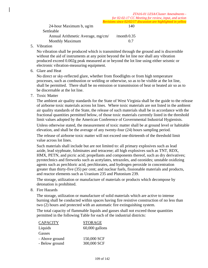Settleable Annual Arithmetic Average, mg/cm/ /month 0.35 Monthly Maximum 0.7

5. Vibration

No vibration shall be produced which is transmitted through the ground and is discernible without the aid of instruments at any point beyond the lot line nor shall any vibration produced exceed 0.002g peak measured at or beyond the lot line using either seismic or electronic vibration-measuring equipment.

6. Glare and Heat

No direct or sky-reflected glare, whether from floodlights or from high temperature processes, such as combustion or welding or otherwise, so as to be visible at the lot line, shall be permitted. There shall be no emission or transmission of heat or heated air so as to be discernable at the lot line.

7. Toxic Matter

The ambient air quality standards for the State of West Virginia shall be the guide to the release of airborne toxic materials across lot lines. Where toxic materials are not listed in the ambient air quality standards of the State, the release of such materials shall be in accordance with the fractional quantities permitted below, of those toxic materials currently listed in the threshold limit values adopted by the American Conference of Governmental Industrial Hygienists.

Unless otherwise stated, the measurement of toxic matter shall be at ground level or habitable elevation, and shall be the average of any twenty-four (24) hours sampling period.

The release of airborne toxic matter will not exceed one-thirteenth of the threshold limit value across lot lines.

Such materials shall include but are not limited to: all primary explosives such as lead azide, lead styphnate, fulminates and tetracene; all high explosives such as TNT, RDX, HMX, PETN, and picric acid; propellants and components thereof, such as dry derivatives; pyrotechnics and fireworks such as acetylates, tetrazoles, and ozonides; unstable oxidizing agents such as perchloric acid, perchlorates, and hydrogen peroxide in concentration greater than thirty-five (35) per cent; and nuclear fuels, fissionable materials and products, and reactor elements such as Uranium 235 and Plutonium 239.

The storage, utilization or manufacture of materials or products which decompose by detonation is prohibited.

8. Fire Hazards

The storage, utilization or manufacture of solid materials which are active to intense burning shall be conducted within spaces having fire resistive construction of no less than two (2) hours and protected with an automatic fire extinguishing system.

The total capacity of flammable liquids and gasses shall not exceed those quantities permitted in the following Table for each of the industrial districts:

| <b>CAPACITY</b> | <b>STORAGE</b>   |
|-----------------|------------------|
| Liquids         | $60,000$ gallons |
| Gasses          |                  |
| - Above ground  | 150,000 SCF      |
| - Below ground  | 300,000 SCF      |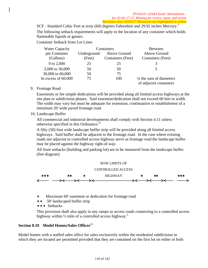SCF - Standard Cubic Feet at sixty (60) degrees Fahrenheit and 29.92 inches Mercury.<sup>1</sup> The following setback requirements will apply to the location of any container which holds flammable liquids or gasses:

Container Setback from Lot Lines

| <b>Water Capacity</b> |             | Containers        | <b>Between</b>                                               |
|-----------------------|-------------|-------------------|--------------------------------------------------------------|
| per Container         | Underground | Above Ground      | Above Ground                                                 |
| (Gallons)             | (Feet)      | Containers (Feet) | Containers (Feet)                                            |
| 0 to 2,000            | 25          | 25                | 3                                                            |
| 2,000 to 30,000       | 50          | 50                | 5                                                            |
| 30,000 to 60,000      | 50          | 75                |                                                              |
| In excess of $60,000$ | 75          | 100               | $\frac{1}{4}$ the sum of diameters<br>of adjacent containers |

9. Frontage Road

Easements or fee simple dedications will be provided along all limited access highways at the site plan or subdivision phases. Said easement/dedication shall not exceed 60 feet in width. The width may vary but must be adequate for extension, continuation or establishment of a minimum 20' wide paved frontage road.

10. Landscape Buffer

All commercial and industrial developments shall comply with Section 4.11 unless otherwise specified in this Ordinance.<sup>27</sup>

A fifty (50) foot wide landscape buffer strip will be provided along all limited access highways. Said buffer shall be adjacent to the frontage road. In the case where existing roads not adjacent to controlled access highway serve as frontage road the landscape buffer may be placed against the highway right-of-way.

All front setbacks (building and parking lot) are to be measured from the landscape buffer. (See diagram)



Maximum 60' easement or dedication for frontage road

- $\star \star$  50' landscaped buffer strip
- $\star \star \star$  Setbacks

This provision shall also apply to any ramps or access roads connecting to a controlled access highway within  $\frac{1}{2}$  mile of a controlled access highway.<sup>5</sup>

# **Section 8.10 Model Homes/Sales Offices**<sup>23</sup>

Model homes with a staffed sales office for sales exclusively within the residential subdivision in which they are located are permitted provided that they are contained on the first lot on either or both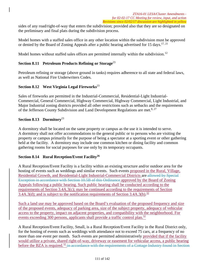sides of any road/right-of-way that enters the subdivision; provided also that they are so designated on the preliminary and final plats during the subdivision process.

Model homes with a staffed sales office in any other location within the subdivision must be approved or denied by the Board of Zoning Appeals after a public hearing advertised for 15 days.<sup>17, 21</sup>

Model homes without staffed sales offices are permitted internally within the subdivision.<sup>12</sup>

# **Section 8.11 Petroleum Products Refining or Storage**<sup>23</sup>

Petroleum refining or storage (above ground in tanks) requires adherence to all state and federal laws, as well as National Fire Underwriters Codes.

## **Section 8.12 West Virginia Legal Fireworks**<sup>23</sup>

Sales of fireworks are permitted in the Industrial-Commercial, Residential-Light Industrial-Commercial, General Commercial, Highway Commercial, Highway Commercial, Light Industrial, and Major Industrial zoning districts provided all other restrictions such as setbacks and the requirements of the Jefferson County Subdivision and Land Development Regulations are met.<sup>8, 27</sup>

## **Section 8.13 Dormitory**<sup>23</sup>

A dormitory shall be located on the same property or campus as the use it is intended to serve. A dormitory shall not offer accommodations to the general public or to persons who are visiting the property or campus primarily for the purpose of being a spectator at a sporting event or other gathering held at the facility. A dormitory may include one common kitchen or dining facility and common gathering rooms for social purposes for use only by its temporary occupants.

## **Section 8.14 Rural Reception/Event Facility26**

A Rural Reception/Event Facility is a facility within an existing structure and/or outdoor area for the hosting of events such as weddings and similar events. Such events proposed in the Rural, Village, Residential Growth, and Residential-Light Industrial-Commercial Districts are allowed by Special Exception in accordance with Section 10.5B of this Ordinance approved by the Board of Zoning Appeals following a public hearing. Such public hearing shall be conducted according to the requirements of Section 3.4A.3(c); may be continued according to the requirements of Section 3.4A.3(d); and is subject to the notification requirements of Section 3.4A.3(b).<sup>32</sup>

Such a land use may be approved based on the Board's evaluation of the proposed frequency and size of the proposed events, adequacy of parking area, size of the subject property, adequacy of vehicular access to the property, impact on adjacent properties, and compatibility with the neighborhood. For events exceeding 300 persons, applicants shall provide a traffic control plan.<sup>32</sup>

A Rural Reception/Event Facility, Small, is a Rural Reception/Event Facility in the Rural District only, for the hosting of events such as weddings with attendance not to exceed 75 cars, at a frequency of no more than one event per month. Such events are permitted administratively provided that if the facility would utilize a private, shared right-of-way, driveway or easement for vehicular access, a public hearing before the BZA is required.<sup>32</sup> in accordance with the requirements of a Cottage Industry found in Section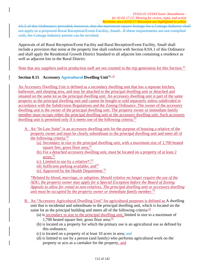4A.5 of this Ordinance; provided, however, that the maximum square footage for a Cottage Industry shall not apply to a proposed Rural Reception/Event Facility, Small. If these requirements are not complied with, the Cottage Industry permit can be revoked.

Approvals of all Rural Reception/Event Facility and Rural Reception/Event Facility, Small shall include a provision that noise at the property line shall conform with Section 8.9A.1 of this Ordinance and shall apply the Residential Growth District Standard to all adjacent lots containing a residence as well as adjacent lots in the Rural District.

Note that any suppliers and/or production staff are not counted in the trip generation for this Section.<sup>32</sup>

# **Section 8.15 Accessory Agricultural Dwelling Unit**<sup>26, 32</sup>

An Accessory Dwelling Unit is defined as a secondary dwelling unit that has a separate kitchen, bathroom, and sleeping area, and may be attached to the principal dwelling unit or detached and situated on the same lot as the principal dwelling unit. An accessory dwelling unit is part of the same property as the principal dwelling unit and cannot be bought or sold separately unless subdivided in accordance with the Subdivision Regulations and the Zoning Ordinance. The owner of the accessory dwelling unit is the owner of the principal dwelling unit. The property owner or immediate family member must occupy either the principal dwelling unit or the accessory dwelling unit. Such accessory dwelling unit is permitted only if it meets one of the following criteria: $32$ 

- A. An "In-Law Suite" is an accessory dwelling unit for the purpose of housing a relative of the property owner and must be clearly subordinate to the principal dwelling unit and meet all of the following criteria:<sup>32</sup>
	- (a) Secondary in size to the principal dwelling unit, with a maximum size of 1,700 heated square feet, gross floor area; $32$
	- (b) For a detached accessory dwelling unit, must be located on a property of at least 2 acres;<sup>32</sup>
	- (c) Limited to use by a relative  $\cdot^{32}$
	- (d) Sufficient parking available; and  $32$
	- (e) Approved by the Health Department.32

*\*Related by blood, marriage, or adoption. Should relative no longer require the use of the ADU, the property owner may apply for a Special Exception before the Board of Zoning Appeals to allow for rental to non-relatives. The principal dwelling unit or accessory dwelling unit must be occupied by the property owner or immediate family member.*<sup>32</sup>

- B. An "Accessory Agricultural Dwelling Unit" for agricultural purposes is defined as A dwelling unit that is incidental and subordinate to the principal dwelling unit, which is located on the same lot as the principal building and meets all of the following criteria:  $\frac{32}{2}$ 
	- (a) is secondary in size to the principal dwelling unit, limited in size to a maximum of 1,700 heated square feet, gross floor area; $\frac{32}{2}$
	- (b) is located on a property for which the primary use is an agricultural use as defined by this ordinance;
	- (c) is located on a property of at least 10 acres in area; and
	- (d) is limited to use by a person (and family) who performs agricultural work on the property or acts as a caretaker for the property; and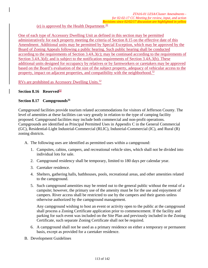# (e) is approved by the Health Department.<sup>32</sup>

One of each type of Accessory Dwelling Unit as defined in this section may be permitted administratively for each property meeting the criteria of Section 8.15 on the effective date of this Amendment. Additional units may be permitted by Special Exception, which may be approved by the Board of Zoning Appeals following a public hearing. Such public hearing shall be conducted according to the requirements of Section 3.4A.3(c); may be continued according to the requirements of Section 3.4A.3(d); and is subject to the notification requirements of Section 3.4A.3(b). These additional units designed for occupancy by relatives or by farmworkers or caretakers may be approved based on the Board's evaluation of the size of the subject property, adequacy of vehicular access to the property, impact on adjacent properties, and compatibility with the neighborhood.<sup>32</sup>

RVs are prohibited as Accessory Dwelling Units.<sup>32</sup>

## **Section 8.16 Reserved32**

## Section 8.17 Campgrounds<sup>31</sup>

Campground facilities provide tourism related accommodations for visitors of Jefferson County. The level of amenities at these facilities can vary greatly in relation to the type of camping facility proposed. Campground facilities may include both commercial and non-profit operations. Campgrounds are identified as Principal Permitted Uses in Appendix C in the General Commercial (GC), Residential-Light Industrial-Commercial (RLIC), Industrial-Commercial (IC), and Rural (R) zoning districts.

- A. The following uses are identified as permitted uses within a campground:
	- 1. Campsites, cabins, campers, and recreational vehicle sites, which shall not be divided into individual lots for sale.
	- 2. Campground residency shall be temporary, limited to 180 days per calendar year.
	- 3. Caretaker residence.
	- 4. Shelters, gathering halls, bathhouses, pools, recreational areas, and other amenities related to the campground.
	- 5. Such campground amenities may be rented out to the general public without the rental of a campsite; however, the primary use of the amenity must be for the use and enjoyment of campers. River access shall be restricted to use by the campers and their guests unless otherwise authorized by the campground management.

Any campground wishing to host an event or activity open to the public at the campground shall process a Zoning Certificate application prior to commencement. If the facility and parking for such event was included on the Site Plan and previously included in the Zoning Certificate, such separate Zoning Certificate shall not be required.

- 6. A campground shall not be used as a primary residence on either a temporary or permanent basis, except as provided for a caretaker residence.
- B. Development Guidelines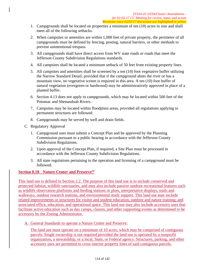- 1. Campgrounds shall be located on properties a minimum of ten (10) acres in size and shall meet all of the following setbacks.
- 2. When campsites or amenities are within 1,000 feet of private property, the perimeter of all campgrounds must be defined by fencing, posting, natural barriers, or other methods to prevent unintentional trespass.
- 3. All campgrounds shall have direct access from WV state roads or roads that meet the Jefferson County Subdivision Regulations standards.
- 4. All campsites shall be located a minimum setback of 50 feet from existing property lines.
- 5. All campsites and amenities shall be screened by a ten (10) foot vegetative buffer utilizing the Narrow Standard Detail; provided that if the campground abuts the river or has a mountain view, no vegetative screen is required in this area. A ten (10) foot buffer of natural vegetation (evergreen or hardwood) may be administratively approved in place of a planted buffer.
- 6. Section 4.13 does not apply to campgrounds, which may be located within 500 feet of the Potomac and Shenandoah Rivers.
- 7. Campsites may be located within floodplain areas, provided all regulations applying to permanent structures are followed.
- 8. Campgrounds may be served by well and drain fields.
- C. Regulatory Approval
	- 1. Campground uses must submit a Concept Plan and be approved by the Planning Commission pursuant to a public hearing in accordance with the Jefferson County Subdivision Regulations.
	- 2. Upon approval of the Concept Plan, if required, a Site Plan must be processed in accordance with the Jefferson County Subdivision Regulations.
	- 3. All state regulations pertaining to the operation and licensing of a campground must be followed.

# **Section 8.18 Nature Center and Preserve32**

This land use is defined in Section 2.2. The purpose of this land use is to include conserved and protected habitat, wildlife sanctuaries, and may also include passive outdoor recreational features such as wildlife observation platforms and feeding stations or plots, interpretative displays, trails and walkways, outdoor research stations, and environmental study support. This land use may include related improvements or structures for visitor and student education, outdoor and nature training; and associated office, education, and operational space. This land use may also include accessory uses that facilitate active education such as day camps, classes, and other supporting events as determined to be accessory by the Zoning Administrator.

A. General Standards to operate a Nature Center and Preserve:

The land use must operate on a minimum of 10 acres, which may be comprised of contiguous parcels. Single ownership is not required provided the land use is operated by a nonprofit organization, a stewardship, or a local, State, or Federal agency. Structures, parking, and other accessory uses are permitted to cross interior property lines of said contiguous parcels.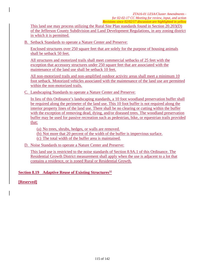This land use may process utilizing the Rural Site Plan standards found in Section 20.203(D) of the Jefferson County Subdivision and Land Development Regulations, in any zoning district in which it is permitted.

B. Setback Standards to operate a Nature Center and Preserve:

Enclosed structures over 250 square feet that are solely for the purpose of housing animals shall be setback 50 feet.

All structures and motorized trails shall meet commercial setbacks of 25 feet with the exception that accessory structures under 250 square feet that are associated with the maintenance of the land use shall be setback 10 feet.

All non-motorized trails and non-amplified outdoor activity areas shall meet a minimum 10 foot setback. Motorized vehicles associated with the maintenance of the land use are permitted within the non-motorized trails.

C. Landscaping Standards to operate a Nature Center and Preserve:

In lieu of this Ordinance's landscaping standards, a 10 foot woodland preservation buffer shall be required along the perimeter of the land use. This 10 foot buffer is not required along the interior property lines of the land use. There shall be no clearing or cutting within the buffer with the exception of removing dead, dying, and/or diseased trees. The woodland preservation buffer may be used for passive recreation such as pedestrian, bike, or equestrian trails provided that:

(a) No trees, shrubs, hedges, or walls are removed.

- (b) Not more that 20 percent of the width of the buffer is impervious surface.
- (c) The total width of the buffer area is maintained.

#### D. Noise Standards to operate a Nature Center and Preserve:

This land use is restricted to the noise standards of Section 8.9A.1 of this Ordinance. The Residential Growth District measurement shall apply when the use is adjacent to a lot that contains a residence, or is zoned Rural or Residential Growth.

# **Section 8.19 Adaptive Reuse of Existing Structures32**

**[Reserved]**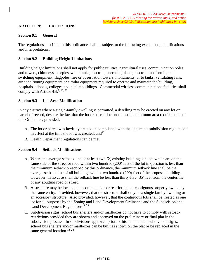# **ARTICLE 9: EXCEPTIONS**

## **Section 9.1 General**

The regulations specified in this ordinance shall be subject to the following exceptions, modifications and interpretations.

# **Section 9.2 Building Height Limitations**

Building height limitations shall not apply for public utilities, agricultural uses, communication poles and towers, chimneys, steeples, water tanks, electric generating plants, electric transforming or switching equipment, flagpoles, fire or observation towers, monuments, or to tanks, ventilating fans, air conditioning equipment or similar equipment required to operate and maintain the building, hospitals, schools, colleges and public buildings. Commercial wireless communications facilities shall comply with Article 4B.7, 10, 22

## **Section 9.3 Lot Area Modification**

In any district where a single-family dwelling is permitted, a dwelling may be erected on any lot or parcel of record, despite the fact that the lot or parcel does not meet the minimum area requirements of this Ordinance, provided:

- A. The lot or parcel was lawfully created in compliance with the applicable subdivision regulations in effect at the time the lot was created; and  $2<sup>3</sup>$
- B. Health Department regulations can be met.

#### **Section 9.4 Setback Modifications**

- A. Where the average setback line of at least two (2) existing buildings on lots which are on the same side of the street or road within two hundred (200) feet of the lot in question is less than the minimum setback prescribed by this ordinance, the minimum setback line shall be the average setback line of all buildings within two hundred (200) feet of the proposed building. However, in no case shall the setback line be less than thirty-five (35) feet from the centerline of any abutting road or street.
- B. A structure may be located on a common side or rear lot line of contiguous property owned by the same entity. Provided, however, that the structure shall only be a single family dwelling or an accessory structure. Also provided, however, that the contiguous lots shall be treated as one lot for all purposes by the Zoning and Land Development Ordinance and the Subdivision and Land Development Regulations.<sup>5, 23</sup>
- C. Subdivision signs, school bus shelters and/or mailboxes do not have to comply with setback restrictions provided they are shown and approved on the preliminary or final plat in the subdivision process. In subdivisions approved prior to this amendment, subdivision signs, school bus shelters and/or mailboxes can be built as shown on the plat or be replaced in the same general location.<sup>12, 23</sup>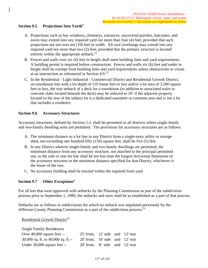## Section 9.5 Projections Into Yards<sup>8</sup>

- A. Projections such as bay windows, chimneys, entrances, uncovered porches, balconies, and eaves may extend into any required yard not more than four (4) feet; provided that such projections are not over ten (10) feet in width. All roof overhangs may extend into any required yard not more than two (2) feet; provided that the primary structure is located entirely within the appropriate setback.<sup>23</sup>
- B. Fences and walls over six (6) feet in height shall meet building lines and yard requirements. A building permit is required before construction. Fences and walls six (6) feet and under in height shall be exempt from building lines and yard requirements unless obstructions to vision at an intersection as referenced in Section 4.9.<sup>23</sup>
- C. In the Residential Light Industrial Commercial District and Residential Growth District, on townhouse lots with a lot depth of 110 linear feet or less and/or a lot area of 3,500 square feet or less, the rear setback of a deck for a townhouse (in addition to associated stairs or concrete slabs located beneath the deck) may be reduced to 10' if the adjacent property located to the rear of the subject lot is a dedicated easement or common area and is not a lot that includes a residence.

#### **Section 9.6 Accessory Structures**

Accessory structures, defined by Section 2.2, shall be permitted in all districts where single-family and two-family dwelling units are permitted. The provisions for accessory structures are as follows.

- A. The minimum distance to a lot line in any District from a single-story utility or storage shed, not exceeding one hundred fifty (150) square feet, shall be five (5) feet.
- B. In any District wherein single-family and two-family dwellings are permitted, the minimum distance from any accessory structure, not attached to the principal permitted use, to the side or rear lot line shall be not less than the longest horizontal dimension of the accessory structure or the minimum distance specified for that District, whichever is the lesser of the two.
- C. No accessory building shall be erected within the required front yard.

#### **Section 9.7 Other Exceptions3**

For all lots that were approved with setbacks by the Planning Commission as part of the subdivision process prior to September 1, 1989, the setbacks and sizes shall be as established as a part of that process.

Setbacks are as follows in subdivisions for which no setback was stipulated previously by the Jefferson County Planning Commission as a part of the subdivision process:<sup>23</sup>

Residential Growth District<sup>23</sup>

Single Family Residences

| Single Family Residences             |                                        |  |  |
|--------------------------------------|----------------------------------------|--|--|
| Over $40,000$ square feet --         | $25'$ front, $12'$ side and $12'$ rear |  |  |
| 30,000 sq. ft. to $40,000$ sq. ft.-- | 20 front, 10 side and 12 rear          |  |  |
| Under 30,000 square feet --          | 20 front, 8 side and 12 rear           |  |  |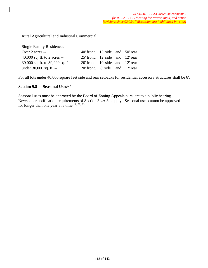#### Rural Agricultural and Industrial Commercial

| <b>Single Family Residences</b>         |                                        |  |  |
|-----------------------------------------|----------------------------------------|--|--|
| Over 2 acres --                         | 40' front, 15' side and 50' rear       |  |  |
| 40,000 sq. ft. to 2 acres $-$           | $25'$ front, $12'$ side and $12'$ rear |  |  |
| $30,000$ sq. ft. to $39,999$ sq. ft. -- | $20'$ front, $10'$ side and $12'$ rear |  |  |
| under 30,000 sq. ft. --                 | 20' front, 8' side and 12' rear        |  |  |

For all lots under 40,000 square feet side and rear setbacks for residential accessory structures shall be 6'.

#### Section 9.8 Seasonal Uses<sup>5,7</sup>

Seasonal uses must be approved by the Board of Zoning Appeals pursuant to a public hearing. Newspaper notification requirements of Section 3.4A.3.b apply. Seasonal uses cannot be approved for longer than one year at a time.<sup>17, 21, 23</sup>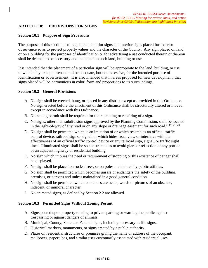# **ARTICLE 10: PROVISIONS FOR SIGNS**

#### **Section 10.1 Purpose of Sign Provisions**

The purpose of this section is to regulate all exterior signs and interior signs placed for exterior observance so as to protect property values and the character of the County. Any sign placed on land or on a building for the purposes of identification or for advertising a use conducted therein or thereon shall be deemed to be accessory and incidental to such land, building or use.

It is intended that the placement of a particular sign will be appropriate to the land, building, or use to which they are appurtenant and be adequate, but not excessive, for the intended purpose of identification or advertisement. It is also intended that in areas proposed for new development, that signs placed will be harmonious in color, form and proportions to its surroundings.

#### **Section 10.2 General Provisions**

- A. No sign shall be erected, hung, or placed in any district except as provided in this Ordinance. No sign erected before the enactment of this Ordinance shall be structurally altered or moved except in accordance with this Ordinance.
- B. No zoning permit shall be required for the repainting or repairing of a sign.
- C. No signs, other than subdivision signs approved by the Planning Commission, shall be located in the right-of-way of any road or on any slope or drainage easement for such road.<sup>2, 17, 21, 23</sup>
- D. No sign shall be permitted which is an imitation of or which resembles an official traffic control device, railroad sign or signal, or which hides from view or interferes with the effectiveness of an official traffic control device or any railroad sign, signal, or traffic sight lines. Illuminated signs shall be so constructed as to avoid glare or reflection of any portion of an adjacent highway or residential building.
- E. No sign which implies the need or requirement of stopping or this existence of danger shall be displayed.
- F. No sign shall be placed on rocks, trees, or on poles maintained by public utilities.
- G. No sign shall be permitted which becomes unsafe or endangers the safety of the building, premises, or persons and unless maintained in a good general condition.
- H. No sign shall be permitted which contains statements, words or pictures of an obscene, indecent, or immoral character.
- I. No animated signs, as defined by Section 2.2 are allowed.

#### **Section 10.3 Permitted Signs Without Zoning Permit**

- A. Signs posted upon property relating to private parking or warning the public against trespassing or against dangers of animals.
- B. Municipal, County, State and Federal signs, including necessary traffic signs.
- C. Historical markers, monuments, or signs erected by a public authority.
- D. Plates on residential structures or premises giving the name or address of the occupant, mailboxes, papertubes, and similar uses customarily associated with residential uses.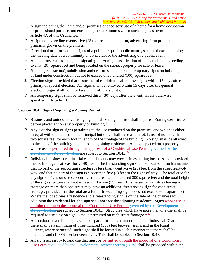- E. A sign indicating the name and/or premises or accessory use of a home for a home occupation or professional purpose, not exceeding the maximum size for such a sign as permitted in Article 4A of this Ordinance.
- F. A sign not exceeding twenty-five (25) square feet on a farm, advertising farm products primarily grown on the premises.
- G. Directional or informational signs of a public or quasi-public nature, such as those containing the meeting date of a community or civic club, or the advertising of a public event.
- H. A temporary real estate sign designating the zoning classification of the parcel, not exceeding twenty (20) square feet and being located on the subject property for sale or lease.
- I. Building contractors', subdivision and/or professional person' temporary signs on buildings or land under construction but not to exceed one hundred (100) square feet.
- J. Election signs, provided that unsuccessful candidate shall remove signs within 15 days after a primary or special election. All signs shall be removed within 15 days after the general election. Signs shall not interfere with traffic visibility.
- K. All temporary signs shall be removed thirty (30) days after the event, unless otherwise specified in Article 10.

# **Section 10.4 Signs Requiring a Zoning Permit**

- A. Business and outdoor advertising signs in all zoning districts shall require a Zoning Certificate before placement on any property or building.<sup>2</sup>
- B. Any exterior sign or signs pertaining to the use conducted on the premises, and which is either integral with or attached to the principal building, shall have a sum total area of no more than two square feet for each foot in length of the frontage of the building. No sign shall be attached to the side of the building that faces an adjoining residence. All signs placed on a property whose use is permitted through the approval of a Conditional Use Permit governed by the Development Review System are subject to Section 10.4E.<sup>32</sup>
- C. Individual business or industrial establishments may erect a freestanding business sign, provided the lot frontage is at least forty (40) feet. The freestanding sign shall be located in such a manner that no part of the supporting structure is less than twenty-five (25) feet from the street right-ofway, and that no part of the sign is closer than five (5) feet to the right-of-way. The total area for any sign or signs on one supporting structure shall not exceed 300 square feet and the total height of the sign structure shall not exceed thirty-five (35) feet. Businesses or industries having a frontage on more than one street may have an additional freestanding sign for each street frontage, provided that the total area for all freestanding signs does not exceed 600 square feet. Where the lot adjoins a residence and a freestanding sign is on the side of the business lot adjoining the residential lot, the sign shall not face the adjoining residence. Signs whose use is permitted through the approval of a Conditional Use Permit governed by the Development Review System are subject to Section 10.4E. Structures which have more than one use shall be required to use a pylon sign. One is permitted on each street frontage.  $8.32$
- D. All outdoor advertising signs shall be spaced in such a manner that in an Industrial District there shall be a minimum of three hundred (300) feet between signs, and in the Rural District, where permitted, such signs shall be located in such a manner that there shall be one thousand (1,000) feet between signs. This shall be subject to Section 10.4E.
- E. All signs accessory to land use that must be permitted through the approval of a Conditional Use Permitevaluated by the Development Review System (DRS) shall be proposed within the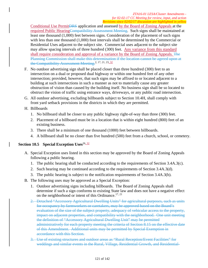Conditional Use Permit<del>DRS</del> application and assessed by the Board of Zoning Appeals at the required Public HearingCompatibility Assessment Meeting. Such signs shall be maintained at least one thousand (1,000) feet between signs. Consideration of the placement of such signs with less than one thousand (1,000) foot intervals shall be determined by the Commercial or Residential Uses adjacent to the subject site. Commercial uses adjacent to the subject site may allow spacing intervals of three hundred (300) feet. Any variance from this standard shall require consideration and approval of a variance by the Board of Zoning Appeals. The Planning Commission shall make this determination if the location cannot be agreed upon at the Compatibility Assessment Meeting.<sup>2, 17, 21, 23, 32</sup>

- F. No outdoor advertising sign shall be placed closer than three hundred (300) feet to an intersection on a dual or proposed dual highway or within one hundred feet of any other intersection; provided, however, that such signs may be affixed to or located adjacent to a building at such intersections in such a manner as not to materially cause any greater obstruction of vision than caused by the building itself. No business sign shall be so located to obstruct the vision of traffic using entrance ways, driveways, or any public road intersection.
- G. All outdoor advertising, excluding billboards subject to Section 10.4H, shall comply with front yard setback provisions in the districts in which they are permitted.
- H. Billboards
	- 1. No billboard shall be closer to any public highway right-of-way than three (300) feet.
	- 2. Placement of a billboard must be in a location that is within eight hundred (800) feet of an existing business.
	- 3. There shall be a minimum of one thousand (1000) feet between billboards.
	- 4. A billboard shall be no closer than five hundred (500) feet from a church, school, or cemetery.

# **Section 10.5 Special Exception Uses**<sup>26, 32</sup>

- A. Special Exception uses listed in this section may be approved by the Board of Zoning Appeals following a public hearing.
	- 1. The public hearing shall be conducted according to the requirements of Section 3.4A.3(c).
	- 2. Such hearing may be continued according to the requirements of Section 3.4A.3(d).
	- 3. The public hearing is subject to the notification requirements of Section 3.4A.3(b).
- B. The following uses may be approved as a Special Exception:
	- 1. Outdoor advertising signs including billboards. The Board of Zoning Appeals shall determine if such a sign conforms to existing State law and does not have a negative effect on the neighborhood or intent of this Ordinance.<sup>17, 21</sup>
	- 2. Detached "Accessory Agricultural Dwelling Units" for agricultural purposes, such as units for occupancy by farmworkers or caretakers, may be approved based on the Board's evaluation of the size of the subject property, adequacy of vehicular access to the property, impact on adjacent properties, and compatibility with the neighborhood. One unit meeting the definition of "Accessory Agricultural Dwelling Unit" may be permitted administratively for each property meeting the criteria of Section 8.15 on the effective date of this Amendment. Additional units may be permitted by Special Exemption in accordance with this Section.
	- 3. Use of existing structures and outdoor areas as "Rural Reception/Event Facilities" for weddings and similar events in the Rural, Village, Residential Growth, and Residential-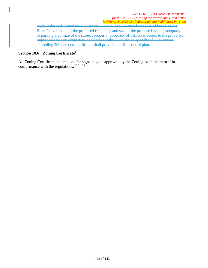Light Industrial-Commercial Districts. Such a land use may be approved based on the Board's evaluation of the proposed frequency and size of the proposed events, adequacy of parking area, size of the subject property, adequacy of vehicular access to the property, impact on adjacent properties, and compatibility with the neighborhood. For events exceeding 300 persons, applicants shall provide a traffic control plan.

#### **Section 10.6 Zoning Certificate2**

All Zoning Certificate applications for signs may be approved by the Zoning Administrator if in conformance with the regulations.<sup>17, 21, 23</sup>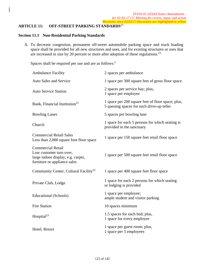# **ARTICLE 11: OFF-STREET PARKING STANDARDS**<sup>23</sup>

#### **Section 11.1 Non-Residential Parking Standards**

A. To decrease congestion, permanent off-street automobile parking space and truck loading space shall be provided for all new structures and uses, and for existing structures or uses that are increased in size by 20 percent or more after adoption of these regulations.23

Spaces shall be required per use and are as follows:<sup>5</sup>

| <b>Ambulance Facility</b>                                                                                                 | 2 spaces per ambulance                                                                         |
|---------------------------------------------------------------------------------------------------------------------------|------------------------------------------------------------------------------------------------|
| <b>Auto Sales and Service</b>                                                                                             | 1 space per 300 square feet of gross floor space                                               |
| <b>Auto Service Station</b>                                                                                               | 2 spaces per service bay; plus,<br>1 space per employee                                        |
| Bank, Financial Institution <sup>23</sup>                                                                                 | 1 space per 200 square feet of floor space; plus,<br>5 queuing spaces for each drive-up teller |
| <b>Bowling Lanes</b>                                                                                                      | 5 spaces per bowling lane                                                                      |
| Church                                                                                                                    | 1 space for each 5 persons for which seating is<br>provided in the sanctuary                   |
| <b>Commercial Retail Sales</b><br>Less than 2,000 square foot floor space                                                 | 1 space per 150 square feet retail floor space                                                 |
| <b>Commercial Retail</b><br>Low customer turn over,<br>large indoor display, e.g. carpet,<br>furniture or appliance sales | 1 space per 500 square feet retail floor space                                                 |
| Community Center, Cultural Facility <sup>23</sup>                                                                         | 1 space per 400 square feet floor space                                                        |
| Private Club, Lodge                                                                                                       | 1 space for each 2 persons for which seating<br>or lodging is provided                         |
| Educational (Schools)                                                                                                     | 1 space per employee;<br>ample student and visitor parking                                     |
| <b>Fire Station</b>                                                                                                       | 10 spaces minimum                                                                              |
| Hospital <sup>23</sup>                                                                                                    | 1.5 spaces for each bed; plus,<br>1 space for every employee                                   |
| Hotel, Resort                                                                                                             | 1 space per guest room; plus,<br>1 space per 5 employees                                       |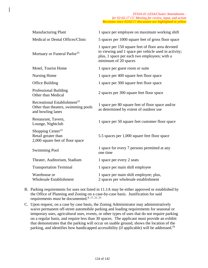| <b>Manufacturing Plant</b>                                                                           | 1 space per employee on maximum working shift                                                                                                                                     |
|------------------------------------------------------------------------------------------------------|-----------------------------------------------------------------------------------------------------------------------------------------------------------------------------------|
| Medical or Dental Offices/Clinic                                                                     | 5 spaces per 1000 square feet of gross floor space                                                                                                                                |
| Mortuary or Funeral Parlor <sup>23</sup>                                                             | 1 space per 150 square feet of floor area devoted<br>to viewing and 1 space per vehicle used in activity;<br>plus, 1 space per each two employees; with a<br>minimum of 20 spaces |
| Motel, Tourist Home                                                                                  | 1 space per guest room or suite                                                                                                                                                   |
| <b>Nursing Home</b>                                                                                  | 1 space per 400 square feet floor space                                                                                                                                           |
| <b>Office Building</b>                                                                               | 1 space per 300 square feet floor space                                                                                                                                           |
| Professional Building<br>Other than Medical                                                          | 2 spaces per 300 square feet floor space                                                                                                                                          |
| Recreational Establishment <sup>23</sup><br>Other than theaters, swimming pools<br>and bowling lanes | 1 space per 80 square feet of floor space and/or<br>as determined by extent of outdoor use                                                                                        |
| Restaurant, Tavern,<br>Lounge, Nightclub                                                             | 1 space per 50 square feet customer floor space                                                                                                                                   |
| Shopping Center <sup>23</sup><br>Retail greater than<br>2,000 square feet of floor space             | 5.5 spaces per 1,000 square feet floor space                                                                                                                                      |
| <b>Swimming Pool</b>                                                                                 | 1 space for every 7 persons permitted at any<br>one time                                                                                                                          |
| Theater, Auditorium, Stadium                                                                         | 1 space per every 2 seats                                                                                                                                                         |
| <b>Transportation Terminal</b>                                                                       | 1 space per main shift employee                                                                                                                                                   |
| Warehouse or<br><b>Wholesale Establishment</b>                                                       | 1 space per main shift employee; plus,<br>2 spaces per wholesale establishment                                                                                                    |

- B. Parking requirements for uses not listed in 11.1A may be either approved or established by the Office of Planning and Zoning on a case-by-case basis. Justification for said requirements must be documented.<sup>8, 17, 21, 23</sup>
- C. Upon request, on a case by case basis, the Zoning Administrator may administratively waive permanent off-street automobile parking and loading requirements for seasonal or temporary uses, agricultural uses, events, or other types of uses that do not require parking on a regular basis, and require less than 30 spaces. The applicant must provide an exhibit that demonstrates that the parking will occur on usable ground, shows the location of the parking, and identifies how handicapped accessibility (if applicable) will be addressed.<sup>26</sup>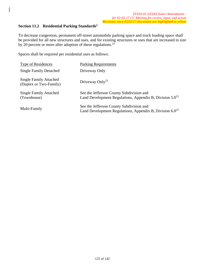# **Section 11.2 Residential Parking Standards2**

To decrease congestion, permanent off-street automobile parking space and truck loading space shall be provided for all new structures and uses, and for existing structures or uses that are increased in size by 20 percent or more after adoption of these regulations.<sup>23</sup>

Spaces shall be required per residential uses as follows:

| <b>Type of Residences</b>                               | <b>Parking Requirements</b>                                                                               |
|---------------------------------------------------------|-----------------------------------------------------------------------------------------------------------|
| <b>Single Family Detached</b>                           | Driveway Only                                                                                             |
| <b>Single Family Attached</b><br>(Duplex or Two-Family) | Driveway Only <sup>23</sup>                                                                               |
| <b>Single Family Attached</b><br>(Townhouse)            | See the Jefferson County Subdivision and<br>Land Development Regulations, Appendix B, Division $5.0^{23}$ |
| Multi-Family                                            | See the Jefferson County Subdivision and<br>Land Development Regulations, Appendix B, Division $6.0^{23}$ |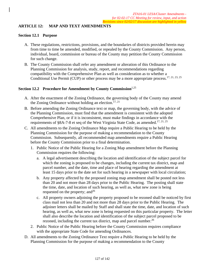# **ARTICLE 12: MAP AND TEXT AMENDMENTS**

#### **Section 12.1 Purpose**

- A. These regulations, restrictions, provisions, and the boundaries of districts provided herein may from time to time be amended, modified, or repealed by the County Commission. Any person, individual, board, commission or bureau of the County may petition the County Commission for such change.
- B. The County Commission shall refer any amendment or alteration of this Ordinance to the Planning Commission for analysis, study, report, and recommendations regarding compatibility with the Comprehensive Plan as well as consideration as to whether a Conditional Use Permit (CUP) or other process may be a more appropriate process.<sup>17, 21, 23, 25</sup>

## **Section 12.2 Procedure for Amendment by County Commission**1,25

- A. After the enactment of the Zoning Ordinance, the governing body of the County may amend the Zoning Ordinance without holding an election.<sup>17, 21</sup>
- B. Before amending the Zoning Ordinance text or map, the governing body, with the advice of the Planning Commission, must find that the amendment is consistent with the adopted Comprehensive Plan, or if it is inconsistent, must make findings in accordance with the requirements of §8A-7-8 et seq of the West Virginia State Code, as amended.<sup>17, 21, 25</sup>
- C. All amendments to the Zoning Ordinance Map require a Public Hearing to be held by the Planning Commission for the purpose of making a recommendation to the County Commission. Subsequently, all recommended map amendments require a Public Hearing before the County Commission prior to a final determination.
	- 1. Public Notice of the Public Hearing for a Zoning Map amendment before the Planning Commission requires the following:
		- a. A legal advertisement describing the location and identification of the subject parcel for which the zoning is proposed to be changes, including the current tax district, map and parcel number, and the date, time and place of hearing regarding the amendment at least 15 days prior to the date set for such hearing in a newspaper with local circulation;
		- b. Any property affected by the proposed zoning map amendment shall be posted not less than 20 and not more than 28 days prior to the Public Hearing. The posting shall state the time, date, and location of such hearing, as well as, what new zone is being requested on the property; and  $2^6$
		- c. All property owners adjoining the property proposed to be rezoned shall be noticed by first class mail not less than 20 and not more than 28 days prior to the Public Hearing. The adjoiner letters shall be mailed by Staff and shall state the time, date, and location of such hearing, as well as, what new zone is being requested on this particular property. The letter shall also describe the location and identification of the subject parcel proposed to be rezoned, including the current tax district, map and parcel number.<sup>26</sup>
	- 2. Public Notice of the Public Hearing before the County Commission requires compliance with the appropriate State Code for amending Ordinances.
- D. All amendments to the Zoning Ordinance Text require a Public Hearing to be held by the Planning Commission for the purpose of making a recommendation to the County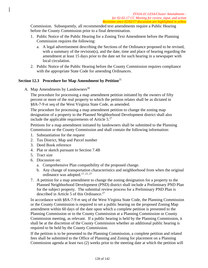Commission. Subsequently, all recommended text amendments require a Public Hearing before the County Commission prior to a final determination.

- 1. Public Notice of the Public Hearing for a Zoning Text Amendment before the Planning Commission requires the following:
	- a. A legal advertisement describing the Sections of the Ordinance proposed to be revised, with a summary of the revision(s), and the date, time and place of hearing regarding the amendment at least 15 days prior to the date set for such hearing in a newspaper with local circulation.
- 2. Public Notice of the Public Hearing before the County Commission requires compliance with the appropriate State Code for amending Ordinances.

# **Section 12.3 Procedure for Map Amendment by Petition**<sup>25</sup>

A. Map Amendments by Landowners<sup>30</sup>

The procedure for processing a map amendment petition initiated by the owners of fifty percent or more of the real property to which the petition relates shall be as dictated in §8A-7-9 et seq of the West Virginia State Code, as amended.

The procedure for processing a map amendment petition to change the zoning map designation of a property to the Planned Neighborhood Development district shall also include the applicable requirements of Article  $5.^{27}$ 

Petitions for a map amendment initiated by landowners shall be submitted to the Planning Commission or the County Commission and shall contain the following information:

- 1. Substantiation for the request
- 2. Tax District, Map and Parcel number
- 3. Deed Book reference
- 4. Plat or sketch pursuant to Section 7.4B
- 5. Tract size
- 6. Discussion on:
	- a. Comprehensive Plan compatibility of the proposed change.
	- b. Any change of transportation characteristics and neighborhood from when the original ordinance was adopted.<sup>17, 21, 27</sup>
- 7. A petition for a map amendment to change the zoning designation for a property to the Planned Neighborhood Development (PND) district shall include a Preliminary PND Plan for the subject property. The submittal review process for a Preliminary PND Plan is described in Article 5 of this Ordinance.<sup>27</sup>

In accordance with §8A-7-9 et seq of the West Virginia State Code, the Planning Commission or the County Commission is required to set a public hearing on the proposed Zoning Map amendment within 60 days of the date upon which a complete petition is presented to the Planning Commission or to the County Commission at a Planning Commission or County Commission meeting, as relevant. If a public hearing is held by the Planning Commission, it shall be at the discretion of the County Commission whether an additional public hearing is required to be held by the County Commission.

If the petition is to be presented to the Planning Commission, a complete petition and related fees shall be submitted to the Office of Planning and Zoning for placement on a Planning Commission agenda at least two (2) weeks prior to the meeting date at which the petition will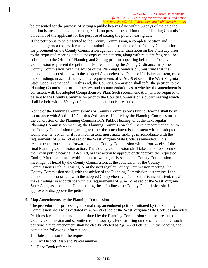be presented for the purpose of setting a public hearing date within 60 days of the date the petition is presented. Upon request, Staff can present the petition to the Planning Commission on behalf of the applicant for the purpose of setting the public hearing date.

If the petition is to be presented to the County Commission, a complete petition and complete agenda request form shall be submitted to the office of the County Commission for placement on the County Commission agenda no later than noon on the Thursday prior to the requested meeting date. One copy of the petition, along with relevant fees, shall be submitted to the Office of Planning and Zoning prior to appearing before the County Commission to present the petition. Before amending the Zoning Ordinance map, the County Commission, with the advice of the Planning Commission, must find that the amendment is consistent with the adopted Comprehensive Plan, or if it is inconsistent, must make findings in accordance with the requirements of §8A-7-9 et seq of the West Virginia State Code, as amended. To this end, the County Commission shall refer the petition to the Planning Commission for their review and recommendation as to whether the amendment is consistent with the adopted Comprehensive Plan. Such recommendation will be required to be sent to the County Commission prior to the County Commission's public hearing which shall be held within 60 days of the date the petition is presented.

Notice of the Planning Commission's or County Commission's Public Hearing shall be in accordance with Section 12.2 of this Ordinance. If heard by the Planning Commission, at the conclusion of the Planning Commission's Public Hearing, or at the next regular Planning Commission meeting, the Planning Commission shall make a recommendation to the County Commission regarding whether the amendment is consistent with the adopted Comprehensive Plan, or if it is inconsistent, must make findings in accordance with the requirements of §8A-7-9 et seq of the West Virginia State Code, as amended. This recommendation shall be forwarded to the County Commission within four weeks of the final Planning Commission action. The County Commission shall take action to schedule their own public hearing, if desired, or take action to approve or disapprove the requested Zoning Map amendment within the next two regularly scheduled County Commission meetings. If heard by the County Commission, at the conclusion of the County Commission's Public Hearing, or at the next regular County Commission meeting, the County Commission shall, with the advice of the Planning Commission, determine if the amendment is consistent with the adopted Comprehensive Plan, or if it is inconsistent, must make findings in accordance with the requirements of §8A-7-9 et seq of the West Virginia State Code, as amended. Upon making these findings, the County Commission shall approve or disapprove the petition.

B. Map Amendments by the Planning Commission

The procedure for processing a formal map amendment petition initiated by the Planning Commission shall be as dictated in §8A-7-9 et seq of the West Virginia State Code, as amended. Petitions for a map amendment initiated by the Planning Commission shall be presented to the County Commission and submitted to the County Clerk for filing on the same date. On such petitions a map amendment shall be clearly labeled as "§8A-7-9 Petition" in the heading and contain the following information:

- 1. Substantiation for the request
- 2. Tax District, Map and Parcel number
- 3. Deed Book reference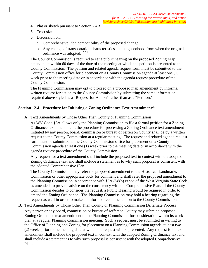- 4. Plat or sketch pursuant to Section 7.4B
- 5. Tract size
- 6. Discussion on:
	- a. Comprehensive Plan compatibility of the proposed change.
	- b. Any change of transportation characteristics and neighborhood from when the original ordinance was adopted.17, 21

The County Commission is required to set a public hearing on the proposed Zoning Map amendment within 60 days of the date of the meeting at which the petition is presented to the County Commission. The petition and related agenda request form must be submitted to the County Commission office for placement on a County Commission agenda at least one (1) week prior to the meeting date or in accordance with the agenda request procedure of the County Commission.

The Planning Commission may opt to proceed on a proposed map amendment by informal written request for action to the County Commission by submitting the same information required above styled as a "Request for Action" rather than as a "Petition."

#### **Section 12.4 Procedure for Initiating a Zoning Ordinance Text Amendment**<sup>25</sup>

A. Text Amendments by Those Other Than County or Planning Commission

As WV Code §8A allows only the Planning Commission to file a formal petition for a Zoning Ordinance text amendment, the procedure for processing a Zoning Ordinance text amendment initiated by any person, board, commission or bureau of Jefferson County shall be by a written request to the County Commission at a regular meeting. The request and related agenda request form must be submitted to the County Commission office for placement on a County Commission agenda at least one (1) week prior to the meeting date or in accordance with the agenda request procedure of the County Commission.

Any request for a text amendment shall include the proposed text in context with the adopted Zoning Ordinance text and shall include a statement as to why such proposal is consistent with the adopted Comprehensive Plan.

The County Commission may refer the proposed amendment to the Historical Landmarks Commission or other appropriate body for comment and shall refer the proposed amendment to the Planning Commission in accordance with §8A-7-8(b) et seq of the West Virginia State Code, as amended, to provide advice on the consistency with the Comprehensive Plan. If the County Commission decides to consider the request, a Public Hearing would be required in order to amend the Zoning Ordinance. The Planning Commission may hold a hearing regarding the request as well in order to make an informed recommendation to the County Commission.

B. Text Amendments by Those Other Than County or Planning Commission (Alternate Process)

Any person or any board, commission or bureau of Jefferson County may submit a proposed Zoning Ordinance text amendment to the Planning Commission for consideration within its work plan at a regular Planning Commission meeting. Such a request must be submitted in writing to the Office of Planning and Zoning for placement on a Planning Commission agenda at least two (2) weeks prior to the meeting date at which the request will be presented. Any request for a text amendment shall include the proposed text in context with the adopted Zoning Ordinance text and shall include a statement as to why such proposal is consistent with the adopted Comprehensive Plan.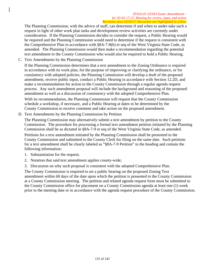The Planning Commission, with the advice of staff, can determine if and when to under-take such a request in light of other work plan tasks and development review activities are currently under consideration. If the Planning Commission decides to consider the request, a Public Hearing would be required and the Planning Commission would need to determine if the request is consistent with the Comprehensive Plan in accordance with §8A-7-8(b) et seq of the West Virginia State Code, as amended. The Planning Commission would then make a recommendation regarding the potential text amendment to the County Commission who would also be required to hold a Public Hearing.

C. Text Amendments by the Planning Commission

If the Planning Commission determines that a text amendment to the Zoning Ordinance is required in accordance with its work plan, for the purpose of improving or clarifying the ordinance, or for consistency with adopted policies, the Planning Commission will develop a draft of the proposed amendment, receive public input, conduct a Public Hearing in accordance with Section 12.2D, and make a recommendation for action to the County Commission through a regular agenda request process. Any such amendment proposal will include the background and reasoning of the proposed amendment as well as a discussion of consistency with the adopted Comprehensive Plan.

With its recommendation, the Planning Commission will request that the County Commission schedule a workshop, if necessary, and a Public Hearing at dates to be determined by the County Commission to receive comment and take action on the proposed amendment.

D. Text Amendments by the Planning Commission by Petition

The Planning Commission may alternatively submit a text amendment by petition to the County Commission. The procedure for processing a formal text amendment petition initiated by the Planning Commission shall be as dictated in §8A-7-9 et seq of the West Virginia State Code, as amended.

Petitions for a text amendment initiated by the Planning Commission shall be presented to the County Commission and submitted to the County Clerk for filing on the same date. Such petitions for a text amendment shall be clearly labeled as "§8A-7-9 Petition" in the heading and contain the following information:

- 1. Substantiation for the request;
- 2. Notation that said text amendment applies county-wide;
- 3. Discussion on why such proposal is consistent with the adopted Comprehensive Plan.

The County Commission is required to set a public hearing on the proposed Zoning Text amendment within 60 days of the date upon which the petition is presented to the County Commission at a County Commission meeting. The petition and related agenda request form must be submitted to the County Commission office for placement on a County Commission agenda at least one (1) week prior to the meeting date or in accordance with the agenda request procedure of the County Commission.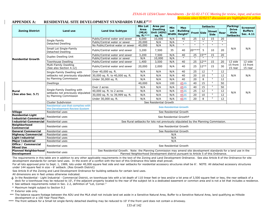#### **APPENDIX A: RESIDENTIAL SITE DEVELOPMENT STANDARDS TABLE27,32**

|                                                     |                                                                     |                                                                                                                  | <b>Min Lot</b>             | Area per                                                                           | Min | <b>Max</b>                                          |                   |              | <b>Setbacks</b>              |              | Parking/                                 | <b>Screened</b>             |
|-----------------------------------------------------|---------------------------------------------------------------------|------------------------------------------------------------------------------------------------------------------|----------------------------|------------------------------------------------------------------------------------|-----|-----------------------------------------------------|-------------------|--------------|------------------------------|--------------|------------------------------------------|-----------------------------|
| <b>Zoning District</b>                              | Land use                                                            | <b>Land Use Subtype</b>                                                                                          | Area<br>(MLA)<br>sq. ft.** | <b>Dwelling</b><br>Unit (ADU) Width Height*<br>sq. ft.                             |     | Lot Building                                        | <b>Front Side</b> |              | <b>Street</b><br><b>Side</b> | Rear         | <b>Drive</b><br>Aisle<br><b>Setbacks</b> | <b>Buffers</b><br>Sec. 4.11 |
|                                                     | Single Family                                                       | Public/Central water and sewer                                                                                   | 6,000                      | 10,000                                                                             | N/A | 40                                                  | 25                | 12           | 15                           | 20           |                                          |                             |
|                                                     | Detached Dwelling                                                   | Public/Central water or sewer                                                                                    | 20,000                     | N/A                                                                                | N/A | $\overline{\mathbf{u}}$                             | $\mathbf{u}$      |              | $\mathbf{u}$                 |              |                                          |                             |
|                                                     |                                                                     | No Public/Central water or sewer                                                                                 | 40,000                     | N/A                                                                                | N/A | $\mathbf{H}$                                        | $\mathbf{u}$      | $\mathbf{H}$ | $\mathbf{u}$                 | $\mathbf{u}$ |                                          |                             |
| Small Lot Single-Family<br><b>Detached Dwelling</b> |                                                                     | Public/Central water and sewer                                                                                   | 3,200                      | 7,500                                                                              | 35  | 40                                                  | $20***$           | -5           | 10                           | 20           | N/A                                      | N/A                         |
|                                                     | Duplex Dwelling Unit                                                | Public/Central water and sewer                                                                                   | 3,200                      | 7,500                                                                              | N/A | 40                                                  | $\overline{25}$   | $15**$       | 15                           | 20           |                                          |                             |
| <b>Residential Growth</b>                           |                                                                     | Public/Central water or sewer                                                                                    | N/A                        | 10,000                                                                             | N/A | $\overline{\mathbf{u}}$                             |                   | $^{\prime}$  | $\mathbf{u}$                 |              |                                          |                             |
|                                                     | <b>Townhouse Dwelling</b>                                           | Public/Central water and sewer                                                                                   | 1,400                      | 3,500                                                                              | N/A | 40                                                  | 25                | $12**$       | 15                           | 20           | 12 side                                  | 12 side                     |
|                                                     | Multi-Family Dwelling<br>(See also Section 4.12)                    | Public/Central water and sewer                                                                                   | 20,000                     | 2,000                                                                              | N/A | 40                                                  | 25                | $12**$       | 15                           | 30           | 15 front<br>15 rear                      | 15 front<br>15 rear         |
|                                                     | Single-Family Dwelling with                                         | Over 40,000 sq. ft.                                                                                              | N/A                        | N/A                                                                                | N/A | 40                                                  | 25                | 12           | $\ddagger$                   | 12           |                                          |                             |
|                                                     | setbacks not previously stipulated                                  | 30,000 sq. ft. to 40,000 sq. ft.                                                                                 | N/A                        | N/A                                                                                | N/A | 40                                                  | 20                | 10           | $\ddagger$                   | 12           | N/A                                      | N/A                         |
|                                                     | by Planning Commission                                              | Under 30,000 sq. ft.                                                                                             | N/A                        | N/A                                                                                | N/A | 40                                                  | 20                | 8            | $\ddagger$                   | 12           |                                          |                             |
|                                                     | Dwellings                                                           |                                                                                                                  | 40,000                     | N/A                                                                                | 100 | 4535                                                | 40                | 15           | $\ddagger$                   | 50           |                                          |                             |
| Rural<br>(See also Sec. 5.7)                        | Single-Family Dwelling with                                         | Over 2 acres                                                                                                     | N/A                        | N/A                                                                                | N/A | 4535                                                | 40                | 15           | $\ddagger$                   | 50           |                                          | N/A                         |
|                                                     |                                                                     | 40,000 sq. ft. to 2 acres                                                                                        | N/A                        | N/A                                                                                | N/A | 4535                                                | 25                | 12           | $\ddagger$                   | 12           |                                          |                             |
|                                                     | setbacks not previously stipulated<br>by Planning Commission        | 30,000 sq. ft. to 39,999 sq. ft.                                                                                 | N/A                        | N/A                                                                                | N/A | 4535                                                | 20                | 10           | $\ddagger$                   | 12           | N/A                                      |                             |
|                                                     |                                                                     | $\ddagger$<br>20<br>Under 30,000 sq. ft.<br>N/A<br>N/A<br>4535<br>8<br>N/A<br>12                                 |                            |                                                                                    |     |                                                     |                   |              |                              |              |                                          |                             |
|                                                     | <b>Cluster Subdivision</b>                                          |                                                                                                                  |                            | See Residential Growth                                                             |     |                                                     |                   |              |                              |              |                                          |                             |
|                                                     | Residential use that complies with<br>the Development Review System |                                                                                                                  |                            |                                                                                    |     | See Residential Growth                              |                   |              |                              |              |                                          |                             |
| Village                                             | Residential uses                                                    |                                                                                                                  |                            |                                                                                    |     | See Residential Growth                              |                   |              |                              |              |                                          |                             |
| <b>Residential-Light</b><br>Industrial-Commercial   | Residential uses                                                    |                                                                                                                  |                            |                                                                                    |     | See Residential Growth <sup><math>\Phi</math></sup> |                   |              |                              |              |                                          |                             |
| Industrial-Commercial                               | Residential uses                                                    |                                                                                                                  |                            | See Rural setbacks for lots not previously stipulated by the Planning Commission.  |     |                                                     |                   |              |                              |              |                                          |                             |
| Neighborhood<br>Commercial                          | Residential uses                                                    |                                                                                                                  |                            |                                                                                    |     | See Residential Growth                              |                   |              |                              |              |                                          |                             |
| <b>General Commercial</b>                           | Residential uses                                                    |                                                                                                                  |                            |                                                                                    |     | See Residential Growth                              |                   |              |                              |              |                                          |                             |
| <b>Highway Commercial</b>                           | Residential uses                                                    |                                                                                                                  |                            |                                                                                    | N/A |                                                     |                   |              |                              |              |                                          |                             |
| <b>Light Industrial</b>                             | Residential uses                                                    |                                                                                                                  |                            |                                                                                    | N/A |                                                     |                   |              |                              |              |                                          |                             |
| <b>Major Industrial</b>                             | Residential uses                                                    |                                                                                                                  |                            |                                                                                    | N/A |                                                     |                   |              |                              |              |                                          |                             |
| Office / Commercial<br><b>Mixed Use</b>             | Residential uses                                                    |                                                                                                                  |                            |                                                                                    |     | See Residential Growth                              |                   |              |                              |              |                                          |                             |
| Planned Neighborhood<br>Development                 | Residential uses                                                    | See Residential Growth. Note: the Planning Commission may amend site development standards for a land use in the |                            | Planned Neighborhood Development district pursuant to Article 5 of this Ordinance. |     |                                                     |                   |              |                              |              |                                          |                             |

The requirements in this table are in addition to any other applicable requirements in the text of the Zoning and Land Development Ordinance. See also Article 8 of the Ordinance for site development standards for certain land uses. In the event of a conflict with the text of this Ordinance this table shall prevail.

For all lots approved prior to Sept. 1, 1989, lots under 40,000 square feet side and rear setbacks for residential accessory structures shall be 6'. NOTE: All detached accessory structures under 144 square feet in size - 6' setback. (Res Growth District)

See Article 8 of the Zoning and Land Development Ordinance for building setbacks for certain land uses.

All dimensions are in feet unless otherwise indicated.

ɸ In the Residential - Light Industrial - Commercial District, on townhouse lots with a lot depth of 110 linear feet or less and/or a lot area of 3,500 square feet or less, the rear setback of a deck for a townhouse may be reduced to 10', if the adjacent property located to the rear of the subject lot is a dedicated easement or common area and is not a lot that includes a residence.

‡ See setback requirements noted in Sec. 2.2, definition of "Lot, Corner."

\* Maximum height subject to Section 9.2

\*\* Exterior side only.

\*\*\* The balance square footage between the ADU and the MLA shall not include land set aside in a Sensitive Natural Area, batfier to a Sensitive Natural Area, land qualifying as Hillside development or a 100 Year Flood Plain.

\*\*\*\* The front setback for a Small lot single-family detached dwelling may be reduced to 10' if the front yard does not contain a driveway.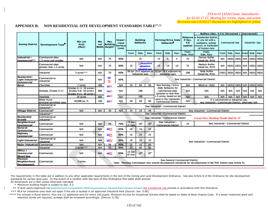# **APPENDIX B: NON RESIDENTIAL SITE DEVELOPMENT STANDARDS TABLE27, 32**

|                                                               |                                                   |                                                                           |            |                                         |                                     |                  |                                             |                 |                                                     |                                                         |                         |                                              | Buffers (Sec. 4.11) (Screened /                                                                                                        |            |                             |                             |                        | Unscreened) |             |  |  |  |  |  |  |  |  |  |  |  |  |  |  |            |            |            |            |            |            |            |            |
|---------------------------------------------------------------|---------------------------------------------------|---------------------------------------------------------------------------|------------|-----------------------------------------|-------------------------------------|------------------|---------------------------------------------|-----------------|-----------------------------------------------------|---------------------------------------------------------|-------------------------|----------------------------------------------|----------------------------------------------------------------------------------------------------------------------------------------|------------|-----------------------------|-----------------------------|------------------------|-------------|-------------|--|--|--|--|--|--|--|--|--|--|--|--|--|--|------------|------------|------------|------------|------------|------------|------------|------------|
| <b>Zoning District</b>                                        | Development Type <sup>®</sup>                     | <b>Min Lot</b><br>Area<br>(MLA)                                           | Min<br>Lot | Max<br><b>Building</b><br>Width Height* | Imper-<br>vious<br>Surface<br>Limit |                  | <b>Building</b><br><b>Setbacks</b>          |                 | <b>Parking/Drive Aisle</b><br>Setbacks <sup>*</sup> |                                                         |                         | <b>Distance</b><br>if Sec.<br>4.6<br>applies | a Residential district.<br>or any lot with a<br><b>Commercial Use</b><br>residence, school,<br>church, or institution<br>of human care |            |                             |                             | <b>Industrial Use</b>  |             |             |  |  |  |  |  |  |  |  |  |  |  |  |  |  |            |            |            |            |            |            |            |            |
|                                                               |                                                   |                                                                           |            |                                         |                                     | <b>Front</b>     | Side                                        | Rear            | Front                                               | Side                                                    | Rear                    | Front.<br>Side, Rear                         | Front.<br>Side, Rear                                                                                                                   | Front      | Side                        |                             | <b>Rear Front Side</b> |             | Rear        |  |  |  |  |  |  |  |  |  |  |  |  |  |  |            |            |            |            |            |            |            |            |
| Industrial -<br><b>Commercial**</b>                           | <b>Commercial sites</b><br>1.5 acres and smaller  | <b>N/A</b>                                                                | N/A        | 75                                      | 80%                                 |                  | 25                                          |                 |                                                     | 15<br>4                                                 |                         | 75                                           | <b>Narrow Buffer</b><br>Detail No. M-54                                                                                                | <b>N/A</b> | 10(S)                       | 10(S)                       | <b>N/A</b>             | 10(S)       | 10(5)       |  |  |  |  |  |  |  |  |  |  |  |  |  |  |            |            |            |            |            |            |            |            |
|                                                               | <b>Commercial sites</b><br>greater than 1.5 acres | <b>N/A</b>                                                                | <b>N/A</b> | 75                                      | 80%                                 | 25               | 2550 (or 25 if                              | ما استمال       | 15<br>10<br>10                                      |                                                         | 75                      | <b>Medium Buffer</b><br>Detail No. M-53      | <b>N/A</b>                                                                                                                             |            | 10(S) 10(S) N/A 10(S) 10(S) |                             |                        |             |             |  |  |  |  |  |  |  |  |  |  |  |  |  |  |            |            |            |            |            |            |            |            |
|                                                               | Industrial                                        | 3 acres <sup>xxx</sup>                                                    | N/A        | 75                                      | 90%                                 |                  | 50 (or 25 if adjacent to<br>industrial use) |                 | 25 (or 20 if adjacent to                            | industrial use)                                         |                         | 200                                          | <b>Wide Buffer</b><br>Detail No. M-52                                                                                                  | 25(S)      |                             | 20(S) 20(S) N/A             |                        |             | 20(S) 20(S) |  |  |  |  |  |  |  |  |  |  |  |  |  |  |            |            |            |            |            |            |            |            |
| Residential-<br><b>Light Industrial-</b><br><b>Commercial</b> | Commercial or<br>Industrial                       | <b>N/A</b>                                                                | <b>N/A</b> | 60<br>75                                | 80%                                 |                  |                                             |                 |                                                     |                                                         |                         |                                              | See Industrial - Commercial District                                                                                                   |            |                             |                             |                        |             |             |  |  |  |  |  |  |  |  |  |  |  |  |  |  |            |            |            |            |            |            |            |            |
| Rural                                                         | <b>Churches</b>                                   | 2 acres                                                                   | 200        | 3545                                    | <b>N/A</b>                          | 25               | 50                                          | 50              |                                                     | See Parking / Drive                                     |                         | <b>N/A</b>                                   | 50(U) or 15(S)                                                                                                                         | <b>N/A</b> |                             | 10(S) 10(S) N/A 10(S) 10(S) |                        |             |             |  |  |  |  |  |  |  |  |  |  |  |  |  |  |            |            |            |            |            |            |            |            |
|                                                               | Schools, Grades K-12                              | Grades K- 4: 10 acres+<br>Grades 5-8: 20 acres+<br>Grades 9-12: 30 acres+ | 500        | 3545                                    | <b>N/A</b>                          |                  | 100                                         |                 |                                                     | <b>Aisle Setbacks for</b><br>commercial sites           |                         | (greater or less than                        |                                                                                                                                        |            |                             |                             |                        |             |             |  |  |  |  |  |  |  |  |  |  |  |  |  |  | <b>N/A</b> | <b>N/A</b> | <b>N/A</b> | <b>N/A</b> | <b>N/A</b> | <b>N/A</b> | <b>N/A</b> | <b>N/A</b> |
|                                                               | Hospitals                                         | 10 acres                                                                  | 500        | 2545                                    | <b>N/A</b>                          |                  | 100                                         |                 |                                                     |                                                         | 1.5 acres, based on lot | <b>N/A</b>                                   | <b>N/A</b>                                                                                                                             | <b>N/A</b> | <b>N/A</b>                  | <b>N/A</b>                  | <b>N/A</b>             | <b>N/A</b>  | <b>N/A</b>  |  |  |  |  |  |  |  |  |  |  |  |  |  |  |            |            |            |            |            |            |            |            |
|                                                               | <b>Other Rural</b><br>principal permitted uses    | 40,000 sq. ft.                                                            | 100        | 3545                                    | <b>N/A</b>                          | 40               | 50                                          | 50              |                                                     | size) in the Industrial-<br><b>Commercial District.</b> |                         | <b>N/A</b>                                   | If a commercial or industrial use.<br>see Industrial - Commercial District; otherwise N/A                                              |            |                             |                             |                        |             |             |  |  |  |  |  |  |  |  |  |  |  |  |  |  |            |            |            |            |            |            |            |            |
|                                                               | <b>Commercial or</b><br>Industrial" *             |                                                                           |            |                                         |                                     |                  |                                             |                 | See Industrial - Commercial District                |                                                         |                         |                                              |                                                                                                                                        |            |                             |                             |                        |             |             |  |  |  |  |  |  |  |  |  |  |  |  |  |  |            |            |            |            |            |            |            |            |
| <b>Village District</b>                                       | Commercial <sup>®</sup>                           | <b>N/A</b>                                                                | <b>N/A</b> | 35                                      | <b>N/A</b>                          | 25               | 10                                          | 40              |                                                     |                                                         |                         |                                              | See Industrial - Commercial District                                                                                                   |            |                             |                             |                        |             |             |  |  |  |  |  |  |  |  |  |  |  |  |  |  |            |            |            |            |            |            |            |            |
|                                                               | Industrial <sup>**</sup>                          |                                                                           |            |                                         |                                     |                  |                                             |                 | See Industrial - Commercial District                |                                                         |                         |                                              |                                                                                                                                        |            |                             |                             |                        |             |             |  |  |  |  |  |  |  |  |  |  |  |  |  |  |            |            |            |            |            |            |            |            |
| <b>Residential</b><br>Growth                                  | <b>Commercial or</b><br>Industrial <sup>**</sup>  |                                                                           |            |                                         |                                     |                  |                                             |                 | See Industrial - Commercial District                |                                                         |                         |                                              | Except Max, Building Height shall be 35"                                                                                               |            |                             |                             |                        |             |             |  |  |  |  |  |  |  |  |  |  |  |  |  |  |            |            |            |            |            |            |            |            |
| <b>Neighborhood</b><br><b>Commercial</b>                      | Commercial                                        | <b>N/A</b>                                                                | <b>N/A</b> | 35                                      | 70%                                 | 15 min<br>25 may | 10 <sup>4</sup>                             | 10 <sup>o</sup> |                                                     | See Industrial -<br><b>Commercial District</b>          |                         | 25                                           | See Industrial - Commercial District                                                                                                   |            |                             |                             |                        |             |             |  |  |  |  |  |  |  |  |  |  |  |  |  |  |            |            |            |            |            |            |            |            |
| General<br><b>Commercial</b>                                  | Commercial                                        | <b>N/A</b>                                                                | <b>N/A</b> | 6075                                    | 80%                                 | 20               | 10                                          | 25              |                                                     |                                                         |                         |                                              |                                                                                                                                        |            |                             |                             |                        |             |             |  |  |  |  |  |  |  |  |  |  |  |  |  |  |            |            |            |            |            |            |            |            |
| <b>Highway</b><br><b>Commercial</b>                           | Commercial                                        | <b>N/A</b>                                                                | <b>N/A</b> | 6075                                    | 80%                                 | 25               | 25                                          | 25              |                                                     |                                                         |                         |                                              |                                                                                                                                        |            |                             |                             |                        |             |             |  |  |  |  |  |  |  |  |  |  |  |  |  |  |            |            |            |            |            |            |            |            |
| <b>Light Industrial</b>                                       | Commercial or<br>Industrial                       | <b>N/A</b>                                                                | <b>N/A</b> | 6075                                    | 80%                                 | 25               | 25                                          | 25              |                                                     |                                                         |                         |                                              | See Industrial - Commercial District                                                                                                   |            |                             |                             |                        |             |             |  |  |  |  |  |  |  |  |  |  |  |  |  |  |            |            |            |            |            |            |            |            |
| <b>Major Industrial Commercial</b>                            |                                                   | <b>N/A</b>                                                                | <b>N/A</b> | 75                                      | 90%                                 | 25               | 10                                          | 50              |                                                     |                                                         |                         |                                              |                                                                                                                                        |            |                             |                             |                        |             |             |  |  |  |  |  |  |  |  |  |  |  |  |  |  |            |            |            |            |            |            |            |            |
|                                                               | Industrial                                        | 3 acres <sup>xxx</sup>                                                    | <b>N/A</b> | 75                                      | 90%                                 | 25               | 50                                          | 50              |                                                     |                                                         |                         |                                              |                                                                                                                                        |            |                             |                             |                        |             |             |  |  |  |  |  |  |  |  |  |  |  |  |  |  |            |            |            |            |            |            |            |            |
| Office /<br><b>Commercial</b><br><b>Mixed Use</b>             | Commercial                                        | <b>N/A</b>                                                                | <b>N/A</b> | 6075                                    | 80%                                 | 15 min<br>25 max | 10 <sup>t</sup>                             | 10 <sup>o</sup> |                                                     |                                                         |                         |                                              |                                                                                                                                        |            |                             |                             |                        |             |             |  |  |  |  |  |  |  |  |  |  |  |  |  |  |            |            |            |            |            |            |            |            |
| <b>Planned</b><br>Neighborhood<br><b>Development</b>          | Commercial                                        | 3 acres                                                                   |            |                                         |                                     |                  |                                             |                 |                                                     |                                                         |                         | See General Commercial District.             | Note: Planning Commission may amend development standards for developments in the PND District (see Article 5).                        |            |                             |                             |                        |             |             |  |  |  |  |  |  |  |  |  |  |  |  |  |  |            |            |            |            |            |            |            |            |

The requirements in this table are in addition to any other applicable requirements in the text of the Zoning and Land Development Ordinance. See also Article 8 of the Ordinance for site development standards for certain land uses. In the event of a conflict with the text of this Ordinance this table shall prevail.

All dimensions are in feet unless otherwise indicated. \* Maximum building height is subject to Sec. 9.2.

\*\* If land use(s) approved via Neighborhood Compatibility Meeting process or Development Review System the Conditional Use process in accordance with this Ordinance.

\*\*\* MLA for Industrial uses does not apply if the site is located in an approved Industrial Park [Source: Sec. 5.6E]

\*\*\*\* For schools in Rural district: Plus one (1) additional acre for every 100 pupils. Minimum lot size for Vocational Schools shall be based on State of West Virginia Code. If a sewer treatment plant and retention ponds are required, acreage shall be increased accordingly. [Source: 5.7B]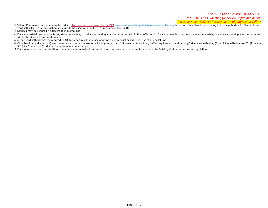#### *ZTA16-01 LESA/Cluster Amendments -*

*for 02-02-17 CC Meeting for review, input, and action* 

*Revisions since 02/02/17 discussion are highlighted in yellow* 

- ¥ Village Commercial setbacks may be reduced <u>by a variance approved by the BZA</u> as a res<del>ult of a Compatibility Assessment Meeting</del> based on other structures existing in the neighborhood. Side and rear yard setbacks - 6' for an existing structure to be used for a land use as provided in Sec. 5.10.
- ‡ Setback may be reduced if adjacent to industrial use.
- ɸ For an industrial use, no structures, stored materials, or vehicular parking shall be permitted within the buffer yard. For a commercial use, no structures, materials, or vehicular parking shall be permitted within the side and rear yard buffers.
- $\diamond$  A rear yard setback may be reduced to 10' for a non-residential use abutting a commercial or industrial use at a rear lot line
- Ѳ Churches in any district: (1) are treated as a commercial use on a lot of greater than 1.5 acres in determining buffer requirements and parking/drive aisle setbacks; (2) building setbacks are 25' (front) and 50' (side/rear); and (3) distance requirements do not apply.
- ₤ For a non-residential use abutting a commercial or industrial use, no side yard setback is required, unless required by Building Code or other law or regulation.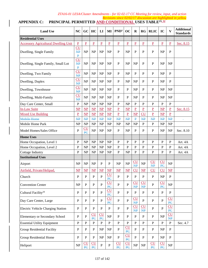#### *Revisions since 02/02/17 discussion are highlighted in yellow*  APPENDIX C: PRINCIPAL PERMITTED AND CONDITIONAL USES TABLE<sup>23, 32</sup>

| <b>Land Use</b>                             | <b>NC</b>                             | GC                     | HC                                   | LI                     | MI                           | PND <sup>1</sup>              | <b>OC</b>                    | $\bf{R}$                 | <b>RG</b>                         | <b>RLIC</b>     | IC                     | $\mathbf{V}$                    | <b>Additional</b><br><b>Standards</b> |
|---------------------------------------------|---------------------------------------|------------------------|--------------------------------------|------------------------|------------------------------|-------------------------------|------------------------------|--------------------------|-----------------------------------|-----------------|------------------------|---------------------------------|---------------------------------------|
| <b>Residential Uses</b>                     |                                       |                        |                                      |                        |                              |                               |                              |                          |                                   |                 |                        |                                 |                                       |
| <b>Accessory Agricultural Dwelling Unit</b> | $\overline{P}$                        | $\overline{P}$         | $\overline{P}$                       | $\overline{P}$         | $\underline{P}$              | $\overline{\mathbf{P}}$       | $\overline{P}$               | $\overline{P}$           | $\overline{P}$                    | $\overline{P}$  | $\overline{P}$         | $\overline{P}$                  | Sec. 8.15                             |
| Dwelling, Single Family                     | CU<br>$\overline{MP}$<br>$\mathbf{P}$ | NP                     | NP                                   | <b>NP</b>              | <b>NP</b>                    | ${\bf P}$                     | <b>NP</b>                    | ${\bf P}$                | P                                 | $\mathbf P$     | NP                     | $\mathbf{P}$                    |                                       |
| Dwelling, Single Family, Small Lot          | <b>CU</b><br>HP<br>$\mathbf{P}$       | NP                     | NP                                   | <b>NP</b>              | NP                           | P                             | NP                           | NP                       | $\mathbf{P}$                      | P               | NP                     | <b>NP</b>                       |                                       |
| Dwelling, Two Family                        | CU<br>$\overline{MP}$                 | NP                     | NP                                   | <b>NP</b>              | <b>NP</b>                    | P                             | NP                           | P                        | P                                 | P               | NP                     | P                               |                                       |
| Dwelling, Duplex                            | CU<br>$\overline{MP}$                 | NP                     | NP                                   | NP                     | NP                           | P                             | <b>NP</b>                    | NP                       | P                                 | P               | NP                     | P                               |                                       |
| Dwelling, Townhouse                         | CU<br>$\overline{MP}$                 | NP                     | NP                                   | <b>NP</b>              | <b>NP</b>                    | P                             | $\, {\bf P}$                 | NP                       | P                                 | P               | NP                     | <b>NP</b>                       |                                       |
| Dwelling, Multi-Family                      | CU<br>$\overline{MP}$                 | NP                     | NP                                   | <b>NP</b>              | NP                           | P                             | P                            | NP                       | P                                 | P               | NP                     | <b>NP</b>                       |                                       |
| Day Care Center, Small                      | $\mathbf P$                           | NP                     | <b>NP</b>                            | <b>NP</b>              | NP                           | P                             | <b>NP</b>                    | ${\bf P}$                | $\mathbf{P}$                      | P               | P                      | ${\bf P}$                       |                                       |
| <b>In-Law Suite</b>                         | $\overline{\text{NP}}$                | $\overline{\text{NP}}$ | $\mathbf{MP}$                        | $\overline{\text{NP}}$ | $\overline{\text{NP}}$       | $\overline{\mathbf{P}}$       | $\overline{\text{MP}}$       | $\overline{P}$           | $\mathbf{P}$                      | $\mathbf P$     | $\overline{\text{NP}}$ | $\overline{P}$                  | Sec. 8.15                             |
| <b>Mixed Use Building</b>                   | $\underline{P}$                       | <b>NP</b>              | $\overline{\text{NP}}$               | <b>NP</b>              | <b>NP</b>                    | $\overline{P}$                | $\overline{P}$               | <b>NP</b>                | <b>CU</b>                         | $\underline{P}$ | <b>NP</b>              | $\mathbf P$                     |                                       |
| Mobile Home                                 | $\overline{MP}$                       | $\overline{MP}$        | $\overline{MP}$                      | $\overline{MP}$        | HP                           | ₩₽                            | $\overline{MP}$              | $\overline{\mathbf{P}}$  | $\overline{MP}$                   | $\overline{MP}$ | HP                     | NP                              | $\equiv$                              |
| Mobile Home Park                            | <b>NP</b>                             | NP                     | NP                                   | NP                     | NP                           | <b>NP</b>                     | <b>NP</b>                    | NP                       | $\mathbf{P}$                      | $\mathbf{P}$    | NP                     | <b>NP</b>                       |                                       |
| Model Homes/Sales Office                    | $\mathbf P$                           | CU<br>PC               | NP                                   | NP                     | NP                           | P                             | <b>NP</b>                    | $\mathbf{P}$             | P                                 | P               | NP                     | <b>NP</b>                       | Sec. 8.10                             |
| <b>Home Uses</b>                            |                                       |                        |                                      |                        |                              |                               |                              |                          |                                   |                 |                        |                                 |                                       |
| Home Occupation, Level 1                    | $\mathbf{P}$                          | NP                     | NP                                   | <b>NP</b>              | NP                           | P                             | $\mathbf{P}$                 | P                        | P                                 | P               | $\mathbf{P}$           | $\mathbf{P}$                    | Art. 4A                               |
| Home Occupation, Level 2                    | P                                     | NP                     | NP                                   | NP                     | NP                           | $\mathbf P$                   | ${\bf P}$                    | $\mathbf P$              | $\mathbf{P}$                      | $\mathbf{P}$    | $\mathbf P$            | P                               | Art. 4A                               |
| <b>Cottage Industry</b>                     | P                                     | NP                     | <b>NP</b>                            | NP                     | NP                           | P                             | <b>NP</b>                    | P                        | P                                 | P               | P                      | P                               | Art. 4A                               |
| <b>Institutional Uses</b>                   |                                       |                        |                                      |                        |                              |                               |                              |                          |                                   |                 |                        |                                 |                                       |
| Airport                                     | NP                                    | NP                     | NP                                   | $\mathbf{P}$           | $\mathbf{P}$                 | NP                            | NP                           | CU<br>$\overline{MP}$    | NP                                | CU<br>HP        | CU<br>PC               | NP                              |                                       |
| Airfield, Private/Helipad,                  | $\overline{\text{NP}}$                | $\overline{\text{NP}}$ | $\mathbf{MP}$                        | $\overline{\text{NP}}$ | $\overline{\text{MP}}$       | $\overline{\text{NP}}$        | $\overline{\text{MP}}$       | CU                       | $\overline{\text{NP}}$            | CU              | CU                     | $\overline{\text{NP}}$          |                                       |
| Church                                      | P                                     | P                      | $\mathbf{P}$                         | P                      | CU<br>PC                     | P                             | $\mathbf{P}$                 | P                        | $\mathbf{P}$                      | P               | NP                     | $\mathbf P$                     |                                       |
| <b>Convention Center</b>                    | NP                                    | ${\bf P}$              | $\overline{P}$                       | $\mathbf{P}$           | CU<br>$\overline{P}$         | $\overline{P}$                | $\overline{P}$               | CU<br>$\overline{NP}$    | CU<br>$\overline{MP}$             | $\mathbf{P}$    | CU<br>$\overline{PC}$  | NP                              |                                       |
| Cultural Facility <sup>29</sup>             | $\mathbf{P}$                          | $\mathbf{P}$           | $\overline{P}$                       | $\mathbf{P}$           | $\overline{\text{CU}}$<br>PC | $\mathbf{P}$                  | $\mathbf{P}$                 | $\mathbf{P}$             | $\, {\bf P}$                      | $\mathbf{P}$    | $\overline{P}$         | $\mathbf{P}$                    |                                       |
| Day Care Center, Large                      | $\mathbf P$                           | $\mathbf P$            | $\mathbf P$                          | $\mathbf{P}$           | CU<br>PC                     | ${\bf P}$                     | ${\bf P}$                    | CU<br>$\overline{MP}$    | $\mathbf{P}$                      | $\mathbf{P}$    | $\overline{P}$         | CU<br>PC                        |                                       |
| Electric Vehicle Charging Station           | $\mathbf P$                           | ${\bf P}$              | $\mathbf{P}$                         | $\mathbf{P}$           | ${\bf P}$                    | ${\bf P}$                     | ${\bf P}$                    | CU<br>$\overline{MP}$    | CU<br>$\overline{AP}$             | ${\bf P}$       | $\overline{P}$         | CU<br>PC                        |                                       |
| <b>Elementary or Secondary School</b>       | $\mathbf{P}$                          | ${\bf P}$              | CU<br>PC                             | CU<br>$\overline{PC}$  | NP                           | $\mathbf{P}$                  | $\mathbf{P}$                 | $\mathbf{P}$             | $\mathbf{P}$                      | $\, {\bf P}$    | NP                     | CU<br>$\mathbf{NP}$             |                                       |
| <b>Essential Utility Equipment</b>          | $\, {\bf P}$                          | $\overline{P}$         | $\mathbf{P}$                         | $\overline{P}$         | $\, {\bf P}$                 | $\mathbf{P}$                  | ${\bf P}$                    | $\mathbf{P}$             | $\mathbf{P}$                      | $\mathbf{P}$    | $\mathbf{P}$           | $\, {\bf P}$                    | Sec. 4.7                              |
| <b>Group Residential Facility</b>           | $\mathbf P$                           | ${\bf P}$              | $\mathbf P$                          | NP                     | NP                           | ${\bf P}$                     | CU<br>P <sub>C</sub>         | $\mathbf{P}$             | $\mathbf{P}$                      | $\, {\bf P}$    | NP                     | ${\bf P}$                       |                                       |
| <b>Group Residential Home</b>               | $\mathbf{P}$                          | ${\bf P}$              | $\mathbf{P}$                         | NP                     | NP                           | ${\bf P}$                     | CU<br>PC                     | $\overline{P}$           | $\mathbf{P}$                      | $\mathbf{P}$    | NP                     | ${\bf P}$                       |                                       |
| Heliport                                    | NP                                    | <u>CU</u><br>PC        | $\underline{\text{CU}}$<br><b>PC</b> | ${\bf P}$              | ${\bf P}$                    | $\underline{\text{CU}}$<br>PC | $\overline{\text{CU}}$<br>PC | $\ensuremath{\text{NP}}$ | $\ensuremath{\mathbf{NP}}\xspace$ | $cu$<br>PC      | CU<br>$\overline{PC}$  | $\ensuremath{\text{NP}}\xspace$ |                                       |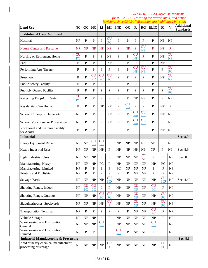|                                                               |                                   |                                 |                                      |                              |                               |                  |                                   |                                            |                                            |                               |                        |                                   | Revisions since 02/02/17 discussion are highlighted in yellow |
|---------------------------------------------------------------|-----------------------------------|---------------------------------|--------------------------------------|------------------------------|-------------------------------|------------------|-----------------------------------|--------------------------------------------|--------------------------------------------|-------------------------------|------------------------|-----------------------------------|---------------------------------------------------------------|
| <b>Land Use</b>                                               | <b>NC</b>                         | GC                              | HC                                   | LI                           | MI                            | PND <sup>1</sup> | OC                                | $\mathbf R$                                | RG                                         | <b>RLIC</b>                   | IC                     | $\mathbf{V}$                      | <b>Additional</b><br><b>Standards</b>                         |
| <b>Institutional Uses Continued</b>                           |                                   |                                 |                                      |                              |                               |                  |                                   |                                            |                                            |                               |                        |                                   |                                                               |
| Hospital                                                      | NP                                | $\mathbf{P}$                    | ${\bf P}$                            | $\mathbf P$                  | CU<br>PC                      | $\mathbf{P}$     | $\mathbf{P}$                      | $\mathbf{P}$                               | $\mathbf{P}$                               | $\mathbf{P}$                  | NP                     | <b>NP</b>                         |                                                               |
| <b>Nature Center and Preserve</b>                             | $\overline{\text{NP}}$            | $\overline{\text{NP}}$          | $\mathbf{MP}$                        | $\mathbf{MP}$                | $\mathbf{NP}$                 | $\underline{P}$  | $\overline{\text{NP}}$            | $\underline{P}$                            | $\underline{\text{CU}}$<br>$\overline{NP}$ | $\underline{P}$               | $\overline{\text{NP}}$ | $\underline{P}$                   |                                                               |
| Nursing or Retirement Home                                    | $\overline{\text{CU}}$<br>PC      | $\mathbf{P}$                    | $\mathbf{P}$                         | $\mathbf{P}$                 | NP                            | $\mathbf{P}$     | $\overline{P}$                    | CU<br>$\overline{MP}$                      | P                                          | $\mathbf{P}$                  | NP                     | CU<br>$\overline{MP}$             |                                                               |
| Park                                                          | $\mathbf{P}$                      | $\mathbf{P}$                    | $\mathbf{P}$                         | $\mathbf{P}$                 | NP                            | $\mathbf{P}$     | $\overline{P}$                    | $\, {\bf P}$                               | $\mathbf{P}$                               | $\mathbf{P}$                  | NP                     | $\overline{P}$                    |                                                               |
| Performing Arts Theater                                       | P                                 | P                               | $\mathbf{P}$                         | P                            | P                             | P                | $\mathbf{P}$                      | CU<br>HP                                   | $\overline{\text{CU}}$<br>HP               | $\mathbf{P}$                  | $\mathbf{P}$           | CU<br>P <sub>C</sub>              |                                                               |
| Preschool                                                     | P                                 | $\overline{P}$                  | $\underline{\text{CU}}$<br><b>PC</b> | CU<br>PC                     | CU<br>PC                      | P                | $\mathbf{P}$                      | $\mathbf P$                                | $\mathbf{P}$                               | $\mathbf P$                   | NP                     | CU<br>$\overline{MP}$             |                                                               |
| Public Safety Facility                                        | P                                 | P                               | $\mathbf{P}$                         | $\mathbf{P}$                 | $\mathbf{P}$                  | $\mathbf{P}$     | $\mathbf{P}$                      | $\mathbf{P}$                               | $\mathbf{P}$                               | P                             | $\mathbf{P}$           | $\mathbf P$                       |                                                               |
| <b>Publicly Owned Facility</b>                                | P                                 | P                               | $\mathbf P$                          | $\mathbf P$                  | P                             | $\mathbf P$      | P                                 | $\mathbf P$                                | P                                          | $\mathbf{P}$                  | $\mathbf{P}$           | <b>CU</b><br>PC                   |                                                               |
| Recycling Drop-Off Center                                     | <b>CU</b><br>PC                   | P                               | $\mathbf P$                          | $\mathbf{P}$                 | P                             | P                | P                                 | <b>NP</b>                                  | NP                                         | $\mathbf{P}$                  | $\mathbf P$            | <b>NP</b>                         |                                                               |
| <b>Residential Care Home</b>                                  | P                                 | P                               | $\mathbf{P}$                         | NP                           | NP                            | $\mathbf{P}$     | CU<br>PC                          | $\mathbf{P}$                               | P                                          | $\mathbf{P}$                  | <b>NP</b>              | P                                 |                                                               |
| School, College or University                                 | NP                                | $\mathbf{P}$                    | ${\bf P}$                            | $\mathbf P$                  | NP                            | $\mathbf{P}$     | $\mathbf{P}$                      | $\overline{\text{CU}}$<br>$\overline{AP}$  | $\overline{\text{CU}}$<br>HP               | $\mathbf P$                   | <b>NP</b>              | <b>NP</b>                         |                                                               |
| School, Vocational or Professional                            | NP                                | $\mathbf{P}$                    | ${\bf P}$                            | P                            | NP                            | $\mathbf{P}$     | $\overline{P}$                    | CU<br>$\overline{NP}$                      | CU<br>NP                                   | $\mathbf{P}$                  | P                      | <b>NP</b>                         |                                                               |
| Vocational and Training Facility<br>for Adults                | P                                 | $\mathbf{P}$                    | ${\bf P}$                            | P                            | $\mathbf{P}$                  | $\mathbf{P}$     | P                                 | $\mathbf{P}$                               | P                                          | $\mathbf{P}$                  | NP                     | NP                                |                                                               |
| <b>Industrial</b>                                             |                                   |                                 |                                      |                              |                               |                  |                                   |                                            |                                            |                               |                        |                                   | Sec. 8.9                                                      |
| Heavy Equipment Repair                                        | NP                                | NP                              | $\underline{\text{CU}}$<br>PC        | CU<br>PC                     | $\mathbf{P}$                  | <b>NP</b>        | NP                                | <b>NP</b>                                  | NP                                         | NP                            | P                      | <b>NP</b>                         |                                                               |
| Heavy Industrial Uses                                         | NP                                | <b>NP</b>                       | NP                                   | NP                           | $\mathbf P$                   | NP               | NP                                | <b>NP</b>                                  | NP                                         | <b>NP</b>                     | $\mathbf{P}$           | NP                                | Sec. 8.9                                                      |
| <b>Light Industrial Uses</b>                                  | NP                                | <b>NP</b>                       | <b>NP</b>                            | $\mathbf{P}$                 | $\mathbf P$                   | <b>NP</b>        | NP                                | NP                                         | **<br><b>NP</b>                            | $\mathbf P$                   | $\mathbf P$            | NP                                | Sec. 8.9                                                      |
| Manufacturing, Heavy                                          | NP                                | NP                              | <b>NP</b>                            | PC                           | P                             | <b>NP</b>        | <b>NP</b>                         | <b>NP</b>                                  | NP                                         | <b>NP</b>                     | PC                     | <b>NP</b>                         |                                                               |
| Manufacturing, Limited                                        | <b>NP</b>                         | $\mathbf P$                     | ${\bf P}$                            | $\mathbf P$                  | P                             | PC               | <b>NP</b>                         | <b>NP</b>                                  | NP                                         | $\mathbf P$                   | $\mathbf P$            | <b>NP</b>                         |                                                               |
| Printing and Publishing                                       | NP                                | P                               | P                                    | P                            | P                             | P                | P                                 | N <sub>P</sub>                             | N <sub>P</sub>                             | P                             | P                      | NP                                |                                                               |
| Salvage Yards                                                 | NP                                | NP                              | NP                                   | NP                           | CU<br>PC <sup>2</sup>         | NP               | NP                                | NP                                         | NP                                         | NP                            | CU<br>PC <sup>2</sup>  | NP                                | Sec. 4.4L                                                     |
| Shooting Range, Indoor                                        | NP                                | CU<br>PC                        | $\underline{\text{CU}}$<br><b>PC</b> | $\mathbf P$                  | $\mathbf{P}$                  | NP               | NP                                | $\underline{\text{CU}}$<br>$\overline{MP}$ | NP                                         | $\underline{\text{CU}}$<br>PC | ${\bf P}$              | NP                                |                                                               |
| Shooting Range, Outdoor                                       | NP                                | $\ensuremath{\text{NP}}\xspace$ | NP                                   | $\overline{\text{CU}}$<br>PC | $\underline{\text{CU}}$<br>PC | NP               | $\ensuremath{\mathbf{NP}}\xspace$ | CU<br>$\mathbf{H}$                         | NP                                         | NP                            | CU<br>P <sub>C</sub>   | NP                                |                                                               |
| Slaughterhouses, Stockyards                                   | NP                                | <b>NP</b>                       | NP                                   | NP                           | <u>CU</u><br>$\mathbf{P}$     | NP               | NP                                | CU<br>NP                                   | NP                                         | NP                            | CU<br>PC               | NP                                |                                                               |
| <b>Transportation Terminal</b>                                | NP                                | $\, {\bf P}$                    | ${\bf P}$                            | P                            | $\mathbf P$                   | $\mathbf{P}$     | $\, {\bf P}$                      | <b>NP</b>                                  | NP                                         | $\underline{\text{CU}}$<br>PC | $\mathbf P$            | NP                                |                                                               |
| Vehicle Storage                                               | <b>NP</b>                         | <b>NP</b>                       | NP                                   | P                            | P                             | <b>NP</b>        | <b>NP</b>                         | NP                                         | NP                                         | NP                            | $\mathbf{P}$           | NP                                |                                                               |
| Warehousing and Distribution,<br>General                      | NP                                | NP                              | NP                                   | $\overline{\text{CU}}$<br>PC | ${\bf P}$                     | NP               | NP                                | NP                                         | NP                                         | CU<br>PC                      | $\mathbf P$            | NP                                |                                                               |
| Warehousing and Distribution,<br>Limited                      | NP                                | $\mathbf{P}$                    | $\, {\bf P}$                         | P                            | $\mathbf{P}$                  | CU<br>PC         | $\mathbf{P}$                      | NP                                         | NP                                         | ${\bf P}$                     | $\mathbf P$            | NP                                |                                                               |
| <b>Industrial Manufacturing &amp; Processing</b>              |                                   |                                 |                                      |                              |                               |                  |                                   |                                            |                                            |                               |                        |                                   | Sec. 8.9                                                      |
| Acid or heavy chemical manufacturer,<br>processing or storage | $\ensuremath{\mathbf{NP}}\xspace$ | $\ensuremath{\text{NP}}\xspace$ | $\ensuremath{\text{NP}}\xspace$      | $\ensuremath{\mathbf{NP}}$   | $\underline{\text{CU}}$<br>PC | NP               | NP                                | $\ensuremath{\mathbf{NP}}$                 | NP                                         | NP                            | CU<br>$\overline{PC}$  | $\ensuremath{\mathbf{NP}}\xspace$ |                                                               |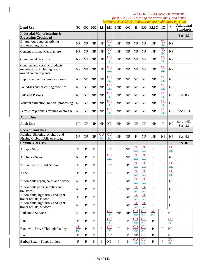|                                                                                        |                                             |                |              |                               |                                   |                  |              |                               |                                   |              |                                          |                               | Revisions since 02/02/17 discussion are highlighted in yellow |
|----------------------------------------------------------------------------------------|---------------------------------------------|----------------|--------------|-------------------------------|-----------------------------------|------------------|--------------|-------------------------------|-----------------------------------|--------------|------------------------------------------|-------------------------------|---------------------------------------------------------------|
| <b>Land Use</b>                                                                        | NC                                          | GC             | HC           | LI                            | $\bf{MI}$                         | PND <sup>1</sup> | OC           | $\mathbf R$                   | RG                                | <b>RLIC</b>  | IC                                       | $\overline{\mathbf{V}}$       | <b>Additional</b><br><b>Standards</b>                         |
| <b>Industrial Manufacturing &amp;</b><br><b>Processing Continued</b>                   |                                             |                |              |                               |                                   |                  |              |                               |                                   |              |                                          |                               | Sec. 8.9                                                      |
| Bituminous concrete mixing<br>and recycling plants                                     | NP                                          | NP             | NP           | NP                            | $\rm{CU}$<br>PC                   | <b>NP</b>        | <b>NP</b>    | <b>NP</b>                     | NP                                | NP           | CU<br>PC                                 | NP                            |                                                               |
| <b>Cement or Lime Manufacture</b>                                                      | NP                                          | NP             | <b>NP</b>    | NP                            | CU<br>PC                          | NP               | NP           | <b>NP</b>                     | <b>NP</b>                         | NP           | CU<br>PC                                 | NP                            |                                                               |
| <b>Commercial Sawmills</b>                                                             | <b>NP</b>                                   | NP             | <b>NP</b>    | NP                            | <b>CU</b><br>$\overline{P}$       | NP               | <b>NP</b>    | <b>NP</b>                     | <b>NP</b>                         | NP           | CU<br>$\overline{PC}$                    | NP                            |                                                               |
| Concrete and ceramic products<br>manufacture, including ready<br>mixed concrete plants | <b>NP</b>                                   | <b>NP</b>      | NP           | NP                            | $\underline{\text{CU}}$<br>PC     | NP               | NP           | <b>NP</b>                     | <b>NP</b>                         | NP           | $\underline{\text{CU}}$<br>PC            | NP                            |                                                               |
| Explosive manufacture or storage                                                       | <b>NP</b>                                   | <b>NP</b>      | NP           | NP                            | $\overline{\text{CU}}$<br>PC      | NP               | <b>NP</b>    | <b>NP</b>                     | <b>NP</b>                         | <b>NP</b>    | $\underline{\text{CU}}$<br>PC            | NP                            |                                                               |
| Foundries and/or casting facilities                                                    | NP                                          | NP             | <b>NP</b>    | NP                            | CU<br>PC                          | <b>NP</b>        | NP           | <b>NP</b>                     | <b>NP</b>                         | NP           | CU<br>PC                                 | NP                            |                                                               |
| Jails and Prisons                                                                      | NP                                          | NP             | <b>NP</b>    | NP                            | CU<br>PC                          | NP               | NP           | <b>NP</b>                     | NP                                | NP           | CU<br>PC                                 | NP                            | Sec. 8.7                                                      |
| Mineral extraction, mineral processing                                                 | NP                                          | NP             | <b>NP</b>    | NP                            | CU<br>PC                          | <b>NP</b>        | <b>NP</b>    | <b>NP</b>                     | <b>NP</b>                         | NP           | $\overline{\text{CU}}$<br>$\overline{P}$ | NP                            |                                                               |
| Petroleum products refining or storage                                                 | <b>NP</b>                                   | NP             | NP           | NP                            | CU<br>PC                          | <b>NP</b>        | <b>NP</b>    | <b>NP</b>                     | <b>NP</b>                         | NP           | CU<br>PC                                 | NP                            | Sec. 8.11                                                     |
| <b>Adult Uses</b>                                                                      |                                             |                |              |                               |                                   |                  |              |                               |                                   |              |                                          |                               |                                                               |
| <b>Adult Uses</b>                                                                      | <b>NP</b>                                   | NP             | <b>NP</b>    | NP                            | NP                                | <b>NP</b>        | <b>NP</b>    | <b>NP</b>                     | <b>NP</b>                         | NP           | $\mathbf{P}$                             | NP                            | Sec. 4.4K,<br>Sec. 8.1                                        |
| <b>Recreational Uses</b>                                                               |                                             |                |              |                               |                                   |                  |              |                               |                                   |              |                                          |                               |                                                               |
| Hunting, Shooting, Archery and<br>Fishing Clubs, public or private                     | NP                                          | NP             | NP           | <u>CU</u><br>$\overline{P}$ C | CU<br>PC                          | NP               | NP           | $\mathbf{P}$                  | NP                                | <b>NP</b>    | <b>NP</b>                                | NP                            | Sec. 8.8                                                      |
| <b>Commercial Uses</b>                                                                 |                                             |                |              |                               |                                   |                  |              |                               |                                   |              |                                          |                               | Sec. 8.9                                                      |
| Antique Shop                                                                           | P                                           | P              | $\mathbf{P}$ | P                             | <b>NP</b>                         | P                | NP           | CU<br>$\mathbf{NP}$           | CU<br>$\overline{MP}$             | $\mathbf{P}$ | $\overline{P}$                           | CU<br>PC                      |                                                               |
| <b>Appliance Sales</b>                                                                 | <b>NP</b>                                   | P              | $\mathbf P$  | P                             | <b>CU</b><br>PC                   | $\mathbf{P}$     | NP           | CU<br>$\overline{MP}$         | CU<br>$\overline{MP}$             | $\mathbf{P}$ | P                                        | NP                            |                                                               |
| Art Gallery or Artist Studio                                                           | P                                           | P              | $\mathbf{P}$ | P                             | NP                                | P                | $\mathbf{P}$ | <b>CU</b><br><b>NP</b>        | CU<br><b>NP</b>                   | $\mathbf{P}$ | P                                        | <b>CU</b><br>PC               |                                                               |
| <b>ATM</b>                                                                             | $\mathbf P$                                 | P              | $\mathbf P$  | ${\bf P}$                     | NP                                | P                | $\mathbf{P}$ | CU<br>NP                      | CU<br>$\overline{NP}$             | ${\bf P}$    | P                                        | CU<br>PC                      |                                                               |
| Automobile repair, sales and service                                                   | $\ensuremath{\mathbf{NP}}\xspace$           | ${\bf P}$      | ${\bf P}$    | $\mathbf{P}$                  | $\, {\bf P}$                      | $\, {\bf P}$     | NP           | CU<br>$\mathbf{NP}$           | CU<br>NP                          | $\mathbf{P}$ | $\mathbf{P}$                             | NP                            |                                                               |
| Automobile parts, supplies and<br>tire stores                                          | NP                                          | ${\bf P}$      | $\mathbf{P}$ | $\mathbf{P}$                  | $\mathbf{P}$                      | $\mathbf{P}$     | NP           | CU<br>$\mathbf{NP}$           | CU<br>NP                          | $\mathbf{P}$ | $\mathbf{P}$                             | NP                            |                                                               |
| Automobile, light truck and light<br>trailer rentals, indoor                           | $\mathbf{P}$                                | $\overline{P}$ | $\mathbf{P}$ | $\mathbf{P}$                  | $\mathbf{P}$                      | ${\bf P}$        | NP           | CU<br>NP                      | CU<br>NP                          | $\mathbf{P}$ | $\mathbf{P}$                             | NP                            |                                                               |
| Automobile, light truck and light<br>trailer rentals, outdoor                          | NP                                          | $\mathbf{P}$   | $\mathbf{P}$ | $\mathbf{P}$                  | $\mathbf{P}$                      | $\, {\bf P}$     | NP           | CU<br>$\mathbf{NP}$           | CU<br>NP                          | $\, {\bf P}$ | $\mathbf{P}$                             | NP                            |                                                               |
| <b>Bail Bond Services</b>                                                              | NP                                          | ${\bf P}$      | $\mathbf{P}$ | $\mathbf{P}$                  | CU<br>PC                          | NP               | NP           | $\underline{\text{CU}}$<br>HP | CU<br><b>NP</b>                   | CU<br>PC     | $\mathbf{P}$                             | NP                            |                                                               |
| <b>Bank</b>                                                                            | $\mathbf{P}$                                | $\mathbf{P}$   | $\, {\bf P}$ | $\mathbf{P}$                  | $cu$<br>PC                        | $\mathbf{P}$     | $\mathbf{P}$ | $\overline{\text{CU}}$<br>NP  | CU<br>$\overline{MP}$             | $\mathbf{P}$ | $\mathbf{P}$                             | CU<br>PC                      |                                                               |
| Bank with Drive-Through Facility                                                       | $\underline{\text{CU}}$<br>$\overline{P}$ C | $\overline{P}$ | $\mathbf{P}$ | $\mathbf{P}$                  | CU<br>PC                          | $\mathbf{P}$     | $\mathbf{P}$ | CU<br>NP                      | CU<br>NP                          | $\mathbf{P}$ | $\mathbf{P}$                             | NP                            |                                                               |
| Bar                                                                                    | $\mathbf{P}$                                | $\mathbf{P}$   | $\mathbf{P}$ | $\mathbf{P}$                  | $\ensuremath{\mathbf{NP}}\xspace$ | $\mathbf{P}$     | $\mathbf{P}$ | NP                            | $\ensuremath{\mathbf{NP}}\xspace$ | $\mathbf{P}$ | $\mathbf{P}$                             | NP                            |                                                               |
| Barber/Beauty Shop, Limited                                                            | ${\bf P}$                                   | $\, {\bf P}$   | ${\bf P}$    | $\, {\bf P}$                  | NP                                | ${\bf P}$        | ${\bf P}$    | CU<br>HP                      | CU<br>HP                          | $\, {\bf P}$ | ${\bf P}$                                | $\underline{\text{CU}}$<br>PC |                                                               |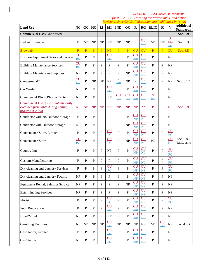|                                                                                                |                                            |                        |                 |                         |                                            |                               |                        |                                            |                                 |                          |                                            |                                                                                     | Revisions since 02/02/17 discussion are highlighted in yellow |
|------------------------------------------------------------------------------------------------|--------------------------------------------|------------------------|-----------------|-------------------------|--------------------------------------------|-------------------------------|------------------------|--------------------------------------------|---------------------------------|--------------------------|--------------------------------------------|-------------------------------------------------------------------------------------|---------------------------------------------------------------|
| <b>Land Use</b>                                                                                | NC                                         | GC                     | HC              | LI                      | MI                                         | PND <sup>1</sup>              | OC                     | $\bf R$                                    | RG                              | <b>RLIC</b>              | IC                                         | $\overline{\mathbf{V}}$                                                             | <b>Additional</b><br><b>Standards</b>                         |
| <b>Commercial Uses Continued</b>                                                               |                                            |                        |                 |                         |                                            |                               |                        |                                            |                                 |                          |                                            |                                                                                     | Sec. 8.9                                                      |
| <b>Bed and Breakfast</b>                                                                       | P                                          | NP                     | NP              | NP                      | NP                                         | NP                            | <b>NP</b>              | $\overline{P}$                             | CU<br>$\overline{MP}$           | NP                       | NP                                         | $\underline{P}$<br>$\underline{\underline{\mathbf{c}}\underline{\mathbf{u}}}$<br>PC | Sec. 8.3                                                      |
| <b>Brewpub</b>                                                                                 | $\overline{P}$                             | $\overline{P}$         | $\underline{P}$ | $\overline{\mathbf{P}}$ | $\overline{\text{NP}}$                     | $\underline{P}$               | $\underline{P}$        | <b>CU</b>                                  | <b>CU</b>                       | $\underline{P}$          | $\overline{P}$                             | <b>CU</b>                                                                           | Sec. 8.5                                                      |
| <b>Business Equipment Sales and Service</b>                                                    | $\underline{\text{CU}}$<br>$\overline{PC}$ | $\overline{P}$         | $\mathbf P$     | ${\bf P}$               | CU<br>$\overline{PC}$                      | $\overline{P}$                | $\mathbf{P}$           | CU<br>$\overline{MP}$                      | CU<br>$\overline{NP}$           | $\mathbf{P}$             | $\mathbf P$                                | NP                                                                                  |                                                               |
| <b>Building Maintenance Services</b>                                                           | CU<br>P <sub>C</sub>                       | $\mathbf{P}$           | $\mathbf P$     | P                       | $\mathbf{P}$                               | $\mathbf{P}$                  | $\mathbf{P}$           | CU<br>$\overline{MP}$                      | CU<br>$\overline{MP}$           | $\mathbf{P}$             | $\mathbf{P}$                               | NP                                                                                  |                                                               |
| <b>Building Materials and Supplies</b>                                                         | <b>NP</b>                                  | $\mathbf{P}$           | ${\bf P}$       | $\mathbf{P}$            | $\mathbf{P}$                               | P                             | NP                     | CU<br>$\overline{MP}$                      | <b>CU</b><br>$\overline{NP}$    | $\mathbf{P}$             | P                                          | NP                                                                                  |                                                               |
| Campground <sup>31</sup>                                                                       | CU<br><b>NP</b>                            | $\mathbf{P}$           | NP              | NP                      | NP                                         | $\mathbf{P}$<br>HP            | NP                     | $\overline{P}$                             | CU<br>$\overline{MP}$           | $\mathbf{P}$             | $\mathbf{P}$                               | NP                                                                                  | Sec. 8.17                                                     |
| Car Wash                                                                                       | NP                                         | P                      | $\mathbf{P}$    | $\mathbf{P}$            | $\underline{\text{CU}}$<br>PC              | ${\bf P}$                     | $\mathbf{P}$           | CU<br>$\overline{MP}$                      | CU<br>$\overline{MP}$           | P                        | $\mathbf{P}$                               | NP                                                                                  |                                                               |
| Commercial Blood Plasma Center                                                                 | NP                                         | $\mathbf{P}$           | $\mathbf{P}$    | $\mathbf{P}$            | $\ensuremath{\mathbf{NP}}\xspace$          | $\underline{\text{CU}}$<br>PC | CU<br>PC               | CU<br>$\mathbf{NP}$                        | CU<br>$\overline{MP}$           | CU<br>PC                 | P                                          | NP                                                                                  |                                                               |
| Commercial Uses [use unintentionally<br>excluded from table during editing<br>process in 2014] | $\mathbf{MP}$                              | $\overline{\text{NP}}$ | $\mathbf{MP}$   | $\overline{\text{NP}}$  | $\mathbf{MP}$                              | $\overline{\text{NP}}$        | $\overline{\text{MP}}$ | $\mathbf{MP}$                              | $***$                           | $\underline{\mathbf{P}}$ | $\underline{P}$                            | $\overline{\text{NP}}$                                                              | Sec. 8.9                                                      |
| Contractor with No Outdoor Storage                                                             | P                                          | P                      | $\mathbf{P}$    | P                       | P                                          | P                             | $\mathbf{P}$           | CU<br>$\overline{MP}$                      | <b>CU</b><br>$\overline{MP}$    | $\mathbf{P}$             | P                                          | NP                                                                                  |                                                               |
| Contractor with Outdoor Storage                                                                | <b>NP</b>                                  | P                      | $\mathbf P$     | P                       | P                                          | P                             | NP                     | CU<br>$\mathbf{NP}$                        | CU<br>$\overline{MP}$           | $\mathbf{P}$             | P                                          | NP                                                                                  |                                                               |
| Convenience Store, Limited                                                                     | P                                          | P                      | $\mathbf P$     | P                       | $\rm{CU}$<br>PC                            | $\mathbf{P}$                  | $\mathbf{P}$           | CU<br>$\overline{MP}$                      | <b>CU</b><br>$\overline{NP}$    | P                        | $\mathbf{P}$                               | <b>CU</b><br>PC                                                                     |                                                               |
| Convenience Store                                                                              | <b>CU</b><br>PC                            | P                      | $\mathbf{P}$    | $\mathbf{P}$            | <b>CU</b><br>PC                            | $\mathbf{P}$                  | NP                     | CU<br>$\overline{MP}$                      | CU<br>$\overline{NP}$           | PC                       | $\mathbf{P}$                               | <b>CU</b><br><b>N₽</b>                                                              | Sec. 5.8C<br>(RLIC only)                                      |
| Country Inn                                                                                    | P                                          | P                      | $\mathbf P$     | P                       | NP                                         | $\mathbf{P}$                  | ${\bf P}$              | $\underline{\text{CU}}$<br>$\overline{MP}$ | CU<br>$\mathbf{NP}$             | ${\bf P}$                | P                                          | $\overline{P}$<br>PC                                                                |                                                               |
| <b>Custom Manufacturing</b>                                                                    | P                                          | P                      | P               | P                       | P                                          | P                             | $\mathbf{P}$           | CU<br>$\overline{MP}$                      | <b>CU</b><br>$\overline{MP}$    | $\mathbf{P}$             | $\mathbf{P}$                               | <b>CU</b><br>PC                                                                     |                                                               |
| Dry cleaning and Laundry Services                                                              | P                                          | P                      | $\mathbf{P}$    | ${\bf P}$               | CU<br>PC                                   | $\mathbf{P}$                  | $\, {\bf P}$           | CU<br>$\overline{MP}$                      | CU<br>$\overline{MP}$           | P                        | $\mathbf P$                                | <b>CU</b><br>PC                                                                     |                                                               |
| Dry cleaning and Laundry Facility                                                              | $\ensuremath{\mathbf{NP}}\xspace$          | $\mathbf P$            | $\mathbf{P}$    | P                       | $\mathbf{P}$                               | ${\bf P}$                     | $\, {\bf P}$           | $cu$<br>$\overline{MP}$                    | CU<br>$\overline{NP}$           | ${\bf P}$                | ${\bf P}$                                  | NP                                                                                  |                                                               |
| Equipment Rental, Sales, or Service                                                            | NP                                         | ${\bf P}$              | $\mathbf{P}$    | $\mathbf{P}$            | $\mathbf{P}$                               | ${\bf P}$                     | NP                     | $\underline{\text{CU}}$<br>$\mathbf{NP}$   | CU<br><b>NP</b>                 | $\mathbf{P}$             | $\mathbf{P}$                               | NP                                                                                  |                                                               |
| <b>Exterminating Services</b>                                                                  | NP                                         | ${\bf P}$              | ${\bf P}$       | $\mathbf{P}$            | $\mathbf{P}$                               | ${\bf P}$                     | ${\bf P}$              | CU<br>NP                                   | CU<br>$\mathbf{NP}$             | ${\bf P}$                | $\mathbf{P}$                               | NP                                                                                  |                                                               |
| Florist                                                                                        | $\mathbf{P}$                               | $\mathbf{P}$           | ${\bf P}$       | $\mathbf{P}$            | CU<br>$\overline{PC}$                      | $\mathbf{P}$                  | $\mathbf{P}$           | CU<br>$\overline{MP}$                      | CU<br>$\overline{MP}$           | $\mathbf{P}$             | $\mathbf{P}$                               | CU<br>PC                                                                            |                                                               |
| Food Preparation                                                                               | P                                          | $\mathbf{P}$           | $\, {\bf P}$    | $\mathbf{P}$            | $\underline{\text{CU}}$<br>PC              | $\mathbf{P}$                  | $\mathbf{P}$           | CU<br>$\overline{MP}$                      | CU<br>$\overline{NP}$           | $\mathbf{P}$             | $\mathbf{P}$                               | NP                                                                                  |                                                               |
| Hotel/Motel                                                                                    | NP                                         | ${\bf P}$              | ${\bf P}$       | ${\bf P}$               | NP                                         | $\mathbf{P}$                  | ${\bf P}$              | $cu$<br>NP                                 | CU<br>HP                        | $\overline{P}$           | $\mathbf{P}$                               | NP                                                                                  |                                                               |
| <b>Gambling Facilities</b>                                                                     | NP                                         | NP                     | NP              | NP                      | CU<br>$\overline{PC}$                      | NP                            | NP                     | NP                                         | $\ensuremath{\text{NP}}\xspace$ | NP                       | $\underline{\text{CU}}$<br>$\overline{PC}$ | NP                                                                                  | Sec. 4.4G                                                     |
| Gas Station, Limited                                                                           | P                                          | $\overline{P}$         | ${\bf P}$       | $\mathbf{P}$            | CU<br>PC                                   | $\mathbf{P}$                  | $\mathbf{P}$           | CU<br>NP                                   | CU<br>$\overline{NP}$           | $\overline{P}$           | $\mathbf{P}$                               | NP                                                                                  |                                                               |
| <b>Gas Station</b>                                                                             | $\ensuremath{\mathbf{NP}}\xspace$          | ${\bf P}$              | ${\bf P}$       | ${\bf P}$               | $\underline{\text{CU}}$<br>$\overline{PC}$ | $\, {\bf P}$                  | ${\bf P}$              | CU<br>$\overline{\text{NP}}$               | CU<br>$\overline{AP}$           | ${\bf P}$                | $\mathbf P$                                | $\ensuremath{\mathbf{NP}}\xspace$                                                   |                                                               |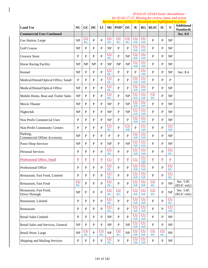|                                                 |                               |                 |                 |                      |                                   |                  |                       |                       |                                           |                |                 |                                   | Revisions since 02/02/17 discussion are highlighted in yellow |
|-------------------------------------------------|-------------------------------|-----------------|-----------------|----------------------|-----------------------------------|------------------|-----------------------|-----------------------|-------------------------------------------|----------------|-----------------|-----------------------------------|---------------------------------------------------------------|
| <b>Land Use</b>                                 | <b>NC</b>                     | $\overline{GC}$ | HC              | LI                   | MI                                | PND <sup>1</sup> | OC                    | $\bf{R}$              | <b>RG</b>                                 | <b>RLIC</b>    | IC              | $\overline{\mathbf{V}}$           | <b>Additional</b><br><b>Standards</b>                         |
| <b>Commercial Uses Continued</b>                |                               |                 |                 |                      |                                   |                  |                       |                       |                                           |                |                 |                                   | Sec. 8.9                                                      |
| Gas Station, Large                              | NP                            | CU<br>PC        | $\mathbf{P}$    | $\mathbf{P}$         | <b>CU</b><br>PC                   | <b>CU</b><br>PC  | CU<br>PC              | CU<br>$\mathbf{NP}$   | $\underline{\text{CU}}$<br>HP             | P              | ${\bf P}$       | <b>NP</b>                         |                                                               |
| <b>Golf Course</b>                              | NP                            | ${\bf P}$       | P               | P                    | NP                                | $\mathbf{P}$     | $\overline{P}$        | CU<br>$\overline{NP}$ | CU<br>$\overline{AP}$                     | P              | $\mathbf{P}$    | <b>NP</b>                         |                                                               |
| <b>Grocery Store</b>                            | P                             | $\mathbf{P}$    | $\mathbf P$     | $\mathbf{P}$         | $\underline{\text{CU}}$<br>PC     | $\mathbf{P}$     | NP                    | CU<br>$\overline{AP}$ | CU<br>$\overline{AP}$                     | $\mathbf{P}$   | P               | <b>NP</b>                         |                                                               |
| Horse Racing Facility                           | <b>NP</b>                     | NP              | <b>NP</b>       | P                    | NP                                | NP               | NP                    | CU<br>$\overline{MP}$ | <b>CU</b><br><b>NP</b>                    | P              | P               | NP                                |                                                               |
| Kennel                                          | NP                            | P               | P               | P                    | <b>CU</b><br>PC                   | $\mathbf{P}$     | $\mathbf{P}$          | $\mathbf{P}$          | CU<br>HP                                  | P              | P               | <b>NP</b>                         | Sec. 8.4                                                      |
| Medical/Dental/Optical Office, Small            | $\mathbf P$                   | P               | $\mathbf P$     | P                    | <b>CU</b><br>PC                   | P                | $\mathbf{P}$          | CU<br>$\overline{MP}$ | CU<br>$\overline{MP}$                     | $\mathbf{P}$   | P               | P                                 |                                                               |
| Medical/Dental/Optical Office                   | NP                            | P               | $\mathbf P$     | P                    | <b>CU</b><br>PC                   | P                | $\mathbf{P}$          | CU<br>$\overline{NP}$ | CU<br>NP                                  | P              | P               | <b>NP</b>                         |                                                               |
| Mobile Home, Boat and Trailer Sales             | NP                            | P               | $\mathbf P$     | $\mathbf{P}$         | <b>CU</b><br>PC                   | $\mathbf{P}$     | NP                    | CU<br>$\overline{MP}$ | <b>CU</b><br>HP                           | CU<br>PC       | P               | <b>NP</b>                         |                                                               |
| Movie Theater                                   | NP                            | $\mathbf{P}$    | P               | P                    | <b>NP</b>                         | $\mathbf{P}$     | NP                    | CU<br>$\overline{MP}$ | CU<br>$\overline{MP}$                     | $\overline{P}$ | P               | <b>NP</b>                         |                                                               |
| Nightclub                                       | NP                            | $\mathbf{P}$    | P               | P                    | <b>NP</b>                         | $\mathbf{P}$     | NP                    | CU<br>$\overline{MP}$ | <b>CU</b><br>$\overline{MP}$              | $\mathbf{P}$   | P               | NP                                |                                                               |
| Non Profit Commercial Uses                      | $\mathbf{P}$                  | $\mathbf{P}$    | $\mathbf{P}$    | P                    | NP                                | $\mathbf{P}$     | $\overline{P}$        | CU<br>$\overline{MP}$ | <b>CU</b><br>HP                           | $\mathbf{P}$   | $\mathbf{P}$    | NP                                |                                                               |
| Non-Profit Community Centers                    | $\mathbf{P}$                  | $\mathbf{P}$    | $\mathbf{P}$    | $\mathbf{P}$         | CU<br>PC                          | $\mathbf{P}$     | CU<br>$\overline{AP}$ | $\overline{P}$        | $\overline{\text{CU}}$<br>$\overline{MP}$ | $\mathbf{P}$   | $\mathbf{P}$    | CU<br>$\overline{MP}$             |                                                               |
| Parking,<br><b>Commercial Offsite Accessory</b> | NP                            | P               | $\mathbf{P}$    | $\mathbf{P}$         | $\mathbf{P}$                      | $\mathbf{P}$     | $\overline{P}$        | $cu$<br><b>NP</b>     | CU<br><b>NP</b>                           | P              | $\mathbf{P}$    | <b>NP</b>                         |                                                               |
| Pawn Shop Services                              | NP                            | $\mathbf{P}$    | P               | P                    | NP                                | $\mathbf{P}$     | NP                    | CU<br>HP              | CU<br>$\overline{AP}$                     | P              | P               | <b>NP</b>                         |                                                               |
| <b>Personal Services</b>                        | P                             | $\mathbf{P}$    | $\mathbf P$     | $\mathbf{P}$         | CU<br>PC                          | $\mathbf{P}$     | $\overline{P}$        | CU<br>$\overline{MP}$ | CU<br>$\overline{MP}$                     | P              | $\mathbf{P}$    | CU<br>PC                          |                                                               |
| Professional Office, Small                      | $\underline{P}$               | $\underline{P}$ | $\underline{P}$ | $\underline{P}$      | CU                                | $\underline{P}$  | $\underline{P}$       | CU                    | CU<br>$\frac{MP}{P}$                      | $\mathbf{P}$   | $\underline{P}$ | $\underline{P}$                   |                                                               |
| Professional Office                             | P                             | P               | $\mathbf P$     | P                    | <u>CU</u><br>PC                   | P                | P                     | CU<br><b>NP</b>       | CU<br>HP                                  | $\mathbf{P}$   | P               | CU<br>PC                          |                                                               |
| Restaurant, Fast Food, Limited                  | $\mathbf{P}$                  | $\mathbf{P}$    | ${\bf P}$       | $\mathbf P$          | CU<br>PC                          | $\mathbf{P}$     | $\overline{P}$        | CU<br>$\overline{MP}$ | CU<br>$\overline{MP}$                     | $\, {\bf P}$   | ${\bf P}$       | CU<br>PC                          |                                                               |
| Restaurant, Fast Food                           | $\underline{\text{CU}}$<br>PC | $\mathbf{P}$    | ${\bf P}$       | $\mathbf{P}$         | <b>CU</b><br>PC                   | $\mathbf{P}$     | $\mathbf{P}$          | CU<br>NP              | CU<br>HP                                  | $cu$<br>PC     | $\mathbf{P}$    | NP                                | Sec. 5.8C<br>(RLIC only)                                      |
| Restaurant, Fast Food,<br>Drive-Through         | NP                            | $\mathbf{P}$    | ${\bf P}$       | $\mathbf P$          | CU<br>PC                          | $cu$<br>PC       | $\overline{P}$        | CU<br>$\overline{MP}$ | CU<br>$\overline{MP}$                     | CU<br>PC       | ${\bf P}$       | NP                                | Sec. 5.8C<br>(RLIC only)                                      |
| Restaurant, Limited                             | ${\bf P}$                     | ${\bf P}$       | ${\bf P}$       | $\mathbf P$          | CU<br>PC                          | $\, {\bf P}$     | $\overline{P}$        | CU<br>NP              | CU<br>$\overline{MP}$                     | ${\bf P}$      | $\mathbf{P}$    | CU<br>PC                          |                                                               |
| Restaurant                                      | ${\bf P}$                     | ${\bf P}$       | $\, {\bf P}$    | $\mathbf P$          | CU<br>PC                          | $\, {\bf P}$     | $\overline{P}$        | CU<br>$\overline{MP}$ | CU<br>$\overline{MP}$                     | ${\bf P}$      | $\mathbf{P}$    | CU<br>$\overline{MP}$             |                                                               |
| Retail Sales Limited                            | $\mathbf{P}$                  | $\mathbf{P}$    | $\mathbf{P}$    | $\mathbf{P}$         | $\ensuremath{\mathbf{NP}}\xspace$ | $\mathbf{P}$     | $\overline{P}$        | CU<br>$\mathbf{H}$    | CU<br>$\mathbf{H}$                        | $\mathbf{P}$   | $\mathbf{P}$    | NP                                |                                                               |
| Retail Sales and Services, General              | NP                            | $\, {\bf P}$    | ${\bf P}$       | ${\bf P}$            | NP                                | $\, {\bf P}$     | NP                    | CU<br>$\overline{AP}$ | CU<br>$\mathbf{NP}$                       | ${\bf P}$      | $\mathbf{P}$    | NP                                |                                                               |
| Retail Store, Large                             | NP                            | CU<br>PC        | $\, {\bf P}$    | CU<br>$\overline{P}$ | $\ensuremath{\mathbf{NP}}\xspace$ | $cu$<br>PC       | NP                    | CU<br>$\overline{AP}$ | <b>CU</b><br>$\mathbf{NP}$                | CU<br>PC       | CU<br>PC        | NP                                |                                                               |
| Shipping and Mailing Services                   | ${\bf P}$                     | ${\bf P}$       | ${\bf P}$       | ${\bf P}$            | CU<br>PC                          | ${\bf P}$        | $\overline{P}$        | CU<br>HP              | CU<br>HP                                  | ${\bf P}$      | $\mathbf{P}$    | $\ensuremath{\mathbf{NP}}\xspace$ |                                                               |